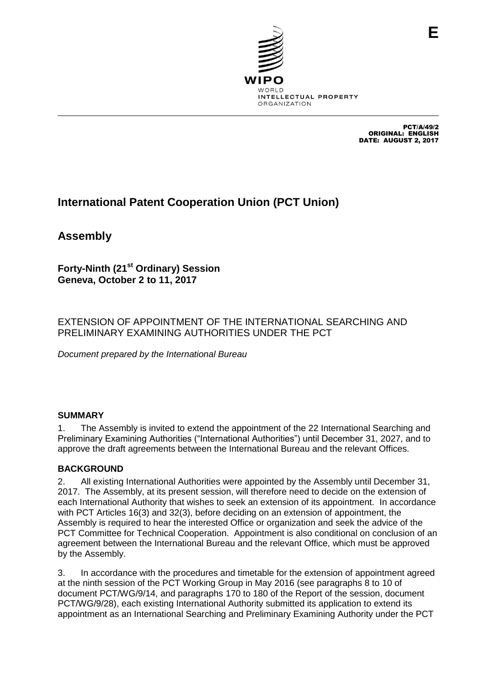

PCT/A/49/2 ORIGINAL: ENGLISH DATE: AUGUST 2, 2017

**E**

# **International Patent Cooperation Union (PCT Union)**

**Assembly**

**Forty-Ninth (21st Ordinary) Session Geneva, October 2 to 11, 2017**

EXTENSION OF APPOINTMENT OF THE INTERNATIONAL SEARCHING AND PRELIMINARY EXAMINING AUTHORITIES UNDER THE PCT

*Document prepared by the International Bureau*

# **SUMMARY**

1. The Assembly is invited to extend the appointment of the 22 International Searching and Preliminary Examining Authorities ("International Authorities") until December 31, 2027, and to approve the draft agreements between the International Bureau and the relevant Offices.

# **BACKGROUND**

2. All existing International Authorities were appointed by the Assembly until December 31, 2017. The Assembly, at its present session, will therefore need to decide on the extension of each International Authority that wishes to seek an extension of its appointment. In accordance with PCT Articles 16(3) and 32(3), before deciding on an extension of appointment, the Assembly is required to hear the interested Office or organization and seek the advice of the PCT Committee for Technical Cooperation. Appointment is also conditional on conclusion of an agreement between the International Bureau and the relevant Office, which must be approved by the Assembly.

3. In accordance with the procedures and timetable for the extension of appointment agreed at the ninth session of the PCT Working Group in May 2016 (see paragraphs 8 to 10 of document PCT/WG/9/14, and paragraphs 170 to 180 of the Report of the session, document PCT/WG/9/28), each existing International Authority submitted its application to extend its appointment as an International Searching and Preliminary Examining Authority under the PCT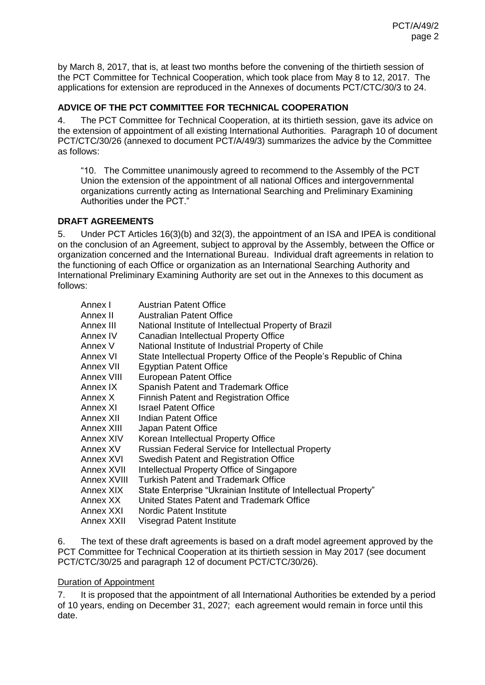by March 8, 2017, that is, at least two months before the convening of the thirtieth session of the PCT Committee for Technical Cooperation, which took place from May 8 to 12, 2017. The applications for extension are reproduced in the Annexes of documents PCT/CTC/30/3 to 24.

# **ADVICE OF THE PCT COMMITTEE FOR TECHNICAL COOPERATION**

<span id="page-1-0"></span>4. The PCT Committee for Technical Cooperation, at its thirtieth session, gave its advice on the extension of appointment of all existing International Authorities. Paragraph 10 of document PCT/CTC/30/26 (annexed to document PCT/A/49/3) summarizes the advice by the Committee as follows:

"10. The Committee unanimously agreed to recommend to the Assembly of the PCT Union the extension of the appointment of all national Offices and intergovernmental organizations currently acting as International Searching and Preliminary Examining Authorities under the PCT."

# **DRAFT AGREEMENTS**

5. Under PCT Articles 16(3)(b) and 32(3), the appointment of an ISA and IPEA is conditional on the conclusion of an Agreement, subject to approval by the Assembly, between the Office or organization concerned and the International Bureau. Individual draft agreements in relation to the functioning of each Office or organization as an International Searching Authority and International Preliminary Examining Authority are set out in the Annexes to this document as follows:

| Annex I     | <b>Austrian Patent Office</b>                                        |
|-------------|----------------------------------------------------------------------|
| Annex II    | <b>Australian Patent Office</b>                                      |
| Annex III   | National Institute of Intellectual Property of Brazil                |
| Annex IV    | Canadian Intellectual Property Office                                |
| Annex V     | National Institute of Industrial Property of Chile                   |
| Annex VI    | State Intellectual Property Office of the People's Republic of China |
| Annex VII.  | <b>Egyptian Patent Office</b>                                        |
| Annex VIII  | European Patent Office                                               |
| Annex IX    | Spanish Patent and Trademark Office                                  |
| Annex X     | <b>Finnish Patent and Registration Office</b>                        |
| Annex XI    | <b>Israel Patent Office</b>                                          |
| Annex XII.  | Indian Patent Office                                                 |
| Annex XIII  | Japan Patent Office                                                  |
| Annex XIV   | Korean Intellectual Property Office                                  |
| Annex XV    | <b>Russian Federal Service for Intellectual Property</b>             |
| Annex XVI   | Swedish Patent and Registration Office                               |
| Annex XVII  | Intellectual Property Office of Singapore                            |
| Annex XVIII | <b>Turkish Patent and Trademark Office</b>                           |
| Annex XIX   | State Enterprise "Ukrainian Institute of Intellectual Property"      |
| Annex XX    | United States Patent and Trademark Office                            |
| Annex XXI   | <b>Nordic Patent Institute</b>                                       |
| Annex XXII  | Visegrad Patent Institute                                            |

6. The text of these draft agreements is based on a draft model agreement approved by the PCT Committee for Technical Cooperation at its thirtieth session in May 2017 (see document PCT/CTC/30/25 and paragraph 12 of document PCT/CTC/30/26).

## Duration of Appointment

7. It is proposed that the appointment of all International Authorities be extended by a period of 10 years, ending on December 31, 2027; each agreement would remain in force until this date.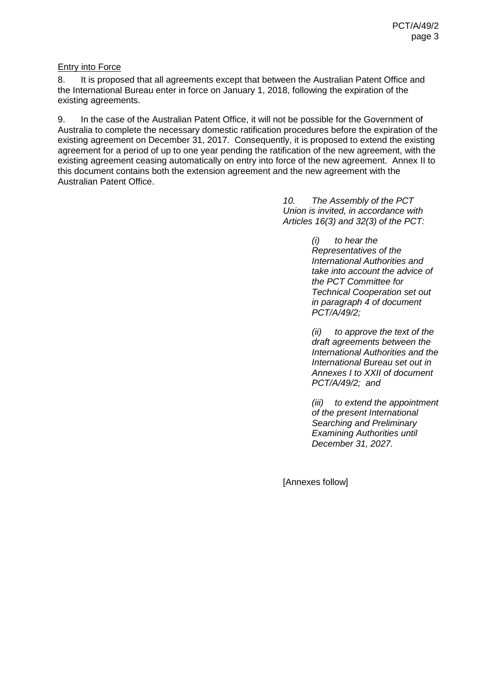## Entry into Force

8. It is proposed that all agreements except that between the Australian Patent Office and the International Bureau enter in force on January 1, 2018, following the expiration of the existing agreements.

9. In the case of the Australian Patent Office, it will not be possible for the Government of Australia to complete the necessary domestic ratification procedures before the expiration of the existing agreement on December 31, 2017. Consequently, it is proposed to extend the existing agreement for a period of up to one year pending the ratification of the new agreement, with the existing agreement ceasing automatically on entry into force of the new agreement. Annex II to this document contains both the extension agreement and the new agreement with the Australian Patent Office.

> *10. The Assembly of the PCT Union is invited, in accordance with Articles 16(3) and 32(3) of the PCT:*

> > *(i) to hear the Representatives of the International Authorities and take into account the advice of the PCT Committee for Technical Cooperation set out in paragraph [4](#page-1-0) of document PCT/A/49/2;*

*(ii) to approve the text of the draft agreements between the International Authorities and the International Bureau set out in Annexes I to XXII of document PCT/A/49/2; and*

*(iii) to extend the appointment of the present International Searching and Preliminary Examining Authorities until December 31, 2027.*

[Annexes follow]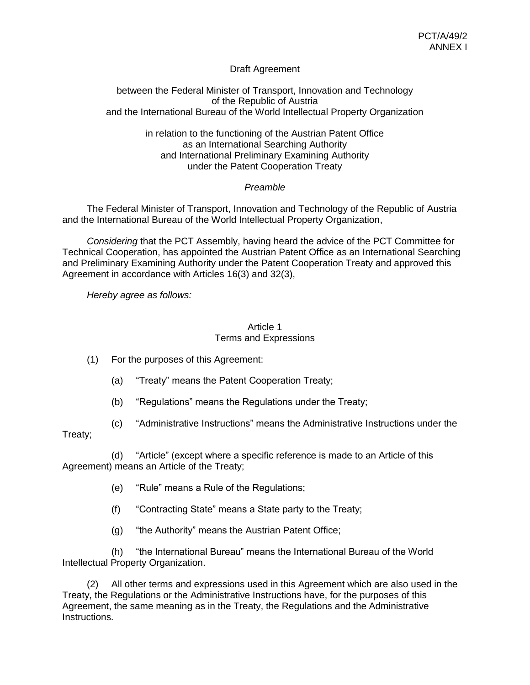## Draft Agreement

## between the Federal Minister of Transport, Innovation and Technology of the Republic of Austria and the International Bureau of the World Intellectual Property Organization

## in relation to the functioning of the Austrian Patent Office as an International Searching Authority and International Preliminary Examining Authority under the Patent Cooperation Treaty

## *Preamble*

The Federal Minister of Transport, Innovation and Technology of the Republic of Austria and the International Bureau of the World Intellectual Property Organization,

*Considering* that the PCT Assembly, having heard the advice of the PCT Committee for Technical Cooperation, has appointed the Austrian Patent Office as an International Searching and Preliminary Examining Authority under the Patent Cooperation Treaty and approved this Agreement in accordance with Articles 16(3) and 32(3),

*Hereby agree as follows:*

## Article 1 Terms and Expressions

(1) For the purposes of this Agreement:

- (a) "Treaty" means the Patent Cooperation Treaty;
- (b) "Regulations" means the Regulations under the Treaty;
- (c) "Administrative Instructions" means the Administrative Instructions under the

Treaty;

(d) "Article" (except where a specific reference is made to an Article of this Agreement) means an Article of the Treaty;

- (e) "Rule" means a Rule of the Regulations;
- (f) "Contracting State" means a State party to the Treaty;
- (g) "the Authority" means the Austrian Patent Office;

(h) "the International Bureau" means the International Bureau of the World Intellectual Property Organization.

(2) All other terms and expressions used in this Agreement which are also used in the Treaty, the Regulations or the Administrative Instructions have, for the purposes of this Agreement, the same meaning as in the Treaty, the Regulations and the Administrative Instructions.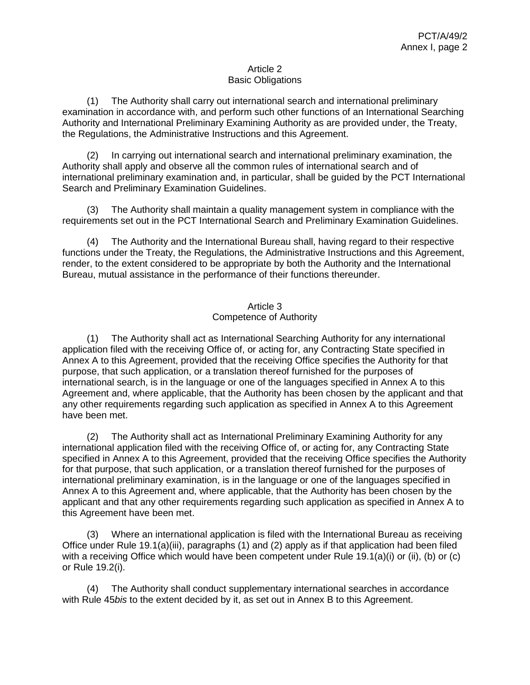## Article 2 Basic Obligations

(1) The Authority shall carry out international search and international preliminary examination in accordance with, and perform such other functions of an International Searching Authority and International Preliminary Examining Authority as are provided under, the Treaty, the Regulations, the Administrative Instructions and this Agreement.

(2) In carrying out international search and international preliminary examination, the Authority shall apply and observe all the common rules of international search and of international preliminary examination and, in particular, shall be guided by the PCT International Search and Preliminary Examination Guidelines.

(3) The Authority shall maintain a quality management system in compliance with the requirements set out in the PCT International Search and Preliminary Examination Guidelines.

(4) The Authority and the International Bureau shall, having regard to their respective functions under the Treaty, the Regulations, the Administrative Instructions and this Agreement, render, to the extent considered to be appropriate by both the Authority and the International Bureau, mutual assistance in the performance of their functions thereunder.

## Article 3 Competence of Authority

(1) The Authority shall act as International Searching Authority for any international application filed with the receiving Office of, or acting for, any Contracting State specified in Annex A to this Agreement, provided that the receiving Office specifies the Authority for that purpose, that such application, or a translation thereof furnished for the purposes of international search, is in the language or one of the languages specified in Annex A to this Agreement and, where applicable, that the Authority has been chosen by the applicant and that any other requirements regarding such application as specified in Annex A to this Agreement have been met.

(2) The Authority shall act as International Preliminary Examining Authority for any international application filed with the receiving Office of, or acting for, any Contracting State specified in Annex A to this Agreement, provided that the receiving Office specifies the Authority for that purpose, that such application, or a translation thereof furnished for the purposes of international preliminary examination, is in the language or one of the languages specified in Annex A to this Agreement and, where applicable, that the Authority has been chosen by the applicant and that any other requirements regarding such application as specified in Annex A to this Agreement have been met.

(3) Where an international application is filed with the International Bureau as receiving Office under Rule 19.1(a)(iii), paragraphs (1) and (2) apply as if that application had been filed with a receiving Office which would have been competent under Rule 19.1(a)(i) or (ii), (b) or (c) or Rule 19.2(i).

(4) The Authority shall conduct supplementary international searches in accordance with Rule 45*bis* to the extent decided by it, as set out in Annex B to this Agreement.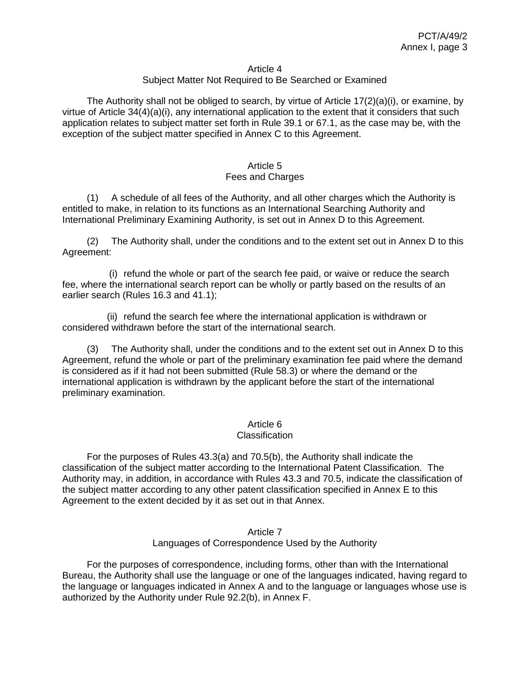#### Article 4

#### Subject Matter Not Required to Be Searched or Examined

The Authority shall not be obliged to search, by virtue of Article  $17(2)(a)(i)$ , or examine, by virtue of Article 34(4)(a)(i), any international application to the extent that it considers that such application relates to subject matter set forth in Rule 39.1 or 67.1, as the case may be, with the exception of the subject matter specified in Annex C to this Agreement.

#### Article 5 Fees and Charges

(1) A schedule of all fees of the Authority, and all other charges which the Authority is entitled to make, in relation to its functions as an International Searching Authority and International Preliminary Examining Authority, is set out in Annex D to this Agreement.

(2) The Authority shall, under the conditions and to the extent set out in Annex D to this Agreement:

(i) refund the whole or part of the search fee paid, or waive or reduce the search fee, where the international search report can be wholly or partly based on the results of an earlier search (Rules 16.3 and 41.1);

(ii) refund the search fee where the international application is withdrawn or considered withdrawn before the start of the international search.

(3) The Authority shall, under the conditions and to the extent set out in Annex D to this Agreement, refund the whole or part of the preliminary examination fee paid where the demand is considered as if it had not been submitted (Rule 58.3) or where the demand or the international application is withdrawn by the applicant before the start of the international preliminary examination.

#### Article 6

#### **Classification**

For the purposes of Rules 43.3(a) and 70.5(b), the Authority shall indicate the classification of the subject matter according to the International Patent Classification. The Authority may, in addition, in accordance with Rules 43.3 and 70.5, indicate the classification of the subject matter according to any other patent classification specified in Annex E to this Agreement to the extent decided by it as set out in that Annex.

#### Article 7 Languages of Correspondence Used by the Authority

For the purposes of correspondence, including forms, other than with the International Bureau, the Authority shall use the language or one of the languages indicated, having regard to the language or languages indicated in Annex A and to the language or languages whose use is authorized by the Authority under Rule 92.2(b), in Annex F.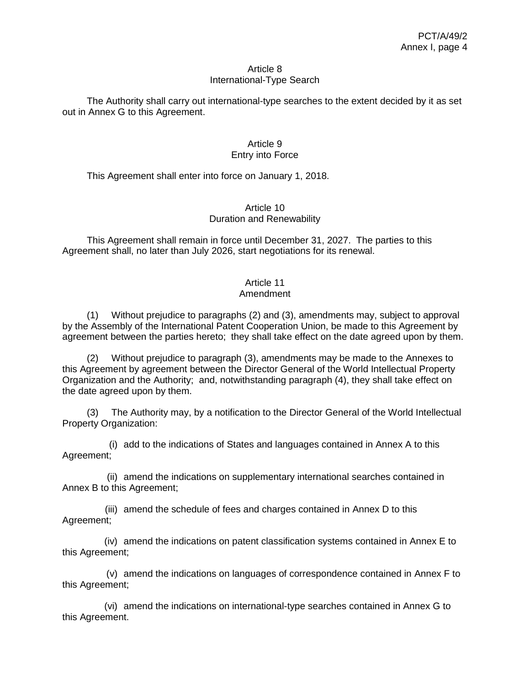#### Article 8 International-Type Search

The Authority shall carry out international-type searches to the extent decided by it as set out in Annex G to this Agreement.

## Article 9 Entry into Force

This Agreement shall enter into force on January 1, 2018.

## Article 10 Duration and Renewability

This Agreement shall remain in force until December 31, 2027. The parties to this Agreement shall, no later than July 2026, start negotiations for its renewal.

# Article 11

## Amendment

(1) Without prejudice to paragraphs (2) and (3), amendments may, subject to approval by the Assembly of the International Patent Cooperation Union, be made to this Agreement by agreement between the parties hereto; they shall take effect on the date agreed upon by them.

(2) Without prejudice to paragraph (3), amendments may be made to the Annexes to this Agreement by agreement between the Director General of the World Intellectual Property Organization and the Authority; and, notwithstanding paragraph (4), they shall take effect on the date agreed upon by them.

(3) The Authority may, by a notification to the Director General of the World Intellectual Property Organization:

(i) add to the indications of States and languages contained in Annex A to this Agreement;

(ii) amend the indications on supplementary international searches contained in Annex B to this Agreement;

(iii) amend the schedule of fees and charges contained in Annex D to this Agreement;

(iv) amend the indications on patent classification systems contained in Annex E to this Agreement;

(v) amend the indications on languages of correspondence contained in Annex F to this Agreement;

(vi) amend the indications on international-type searches contained in Annex G to this Agreement.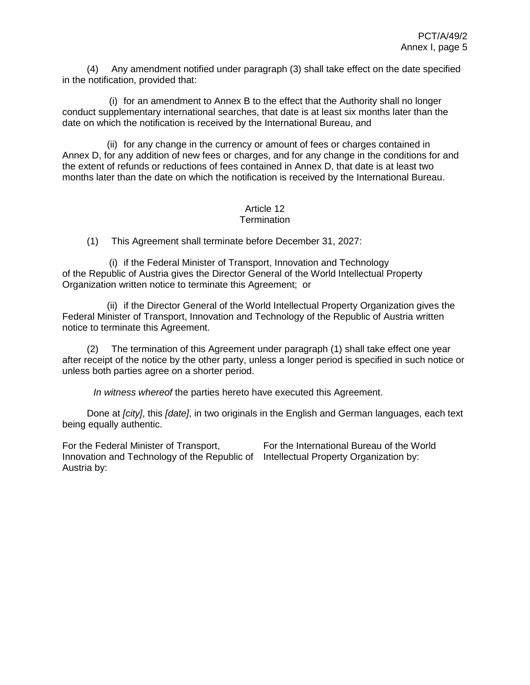(4) Any amendment notified under paragraph (3) shall take effect on the date specified in the notification, provided that:

(i) for an amendment to Annex B to the effect that the Authority shall no longer conduct supplementary international searches, that date is at least six months later than the date on which the notification is received by the International Bureau, and

(ii) for any change in the currency or amount of fees or charges contained in Annex D, for any addition of new fees or charges, and for any change in the conditions for and the extent of refunds or reductions of fees contained in Annex D, that date is at least two months later than the date on which the notification is received by the International Bureau.

#### Article 12 **Termination**

(1) This Agreement shall terminate before December 31, 2027:

(i) if the Federal Minister of Transport, Innovation and Technology of the Republic of Austria gives the Director General of the World Intellectual Property Organization written notice to terminate this Agreement; or

(ii) if the Director General of the World Intellectual Property Organization gives the Federal Minister of Transport, Innovation and Technology of the Republic of Austria written notice to terminate this Agreement.

(2) The termination of this Agreement under paragraph (1) shall take effect one year after receipt of the notice by the other party, unless a longer period is specified in such notice or unless both parties agree on a shorter period.

*In witness whereof* the parties hereto have executed this Agreement.

Done at *[city]*, this *[date]*, in two originals in the English and German languages, each text being equally authentic.

For the Federal Minister of Transport, Innovation and Technology of the Republic of Intellectual Property Organization by:Austria by:

For the International Bureau of the World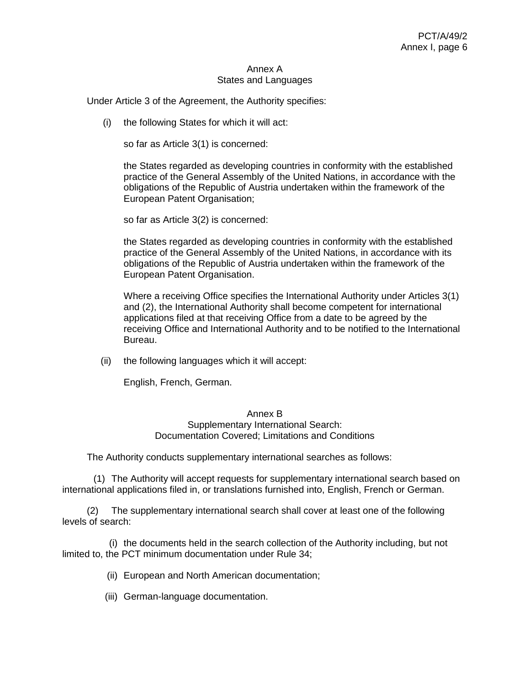#### Annex A States and Languages

Under Article 3 of the Agreement, the Authority specifies:

(i) the following States for which it will act:

so far as Article 3(1) is concerned:

the States regarded as developing countries in conformity with the established practice of the General Assembly of the United Nations, in accordance with the obligations of the Republic of Austria undertaken within the framework of the European Patent Organisation;

so far as Article 3(2) is concerned:

the States regarded as developing countries in conformity with the established practice of the General Assembly of the United Nations, in accordance with its obligations of the Republic of Austria undertaken within the framework of the European Patent Organisation.

Where a receiving Office specifies the International Authority under Articles 3(1) and (2), the International Authority shall become competent for international applications filed at that receiving Office from a date to be agreed by the receiving Office and International Authority and to be notified to the International Bureau.

(ii) the following languages which it will accept:

English, French, German.

#### Annex B

## Supplementary International Search: Documentation Covered; Limitations and Conditions

The Authority conducts supplementary international searches as follows:

(1) The Authority will accept requests for supplementary international search based on international applications filed in, or translations furnished into, English, French or German.

(2) The supplementary international search shall cover at least one of the following levels of search:

(i) the documents held in the search collection of the Authority including, but not limited to, the PCT minimum documentation under Rule 34;

(ii) European and North American documentation;

(iii) German-language documentation.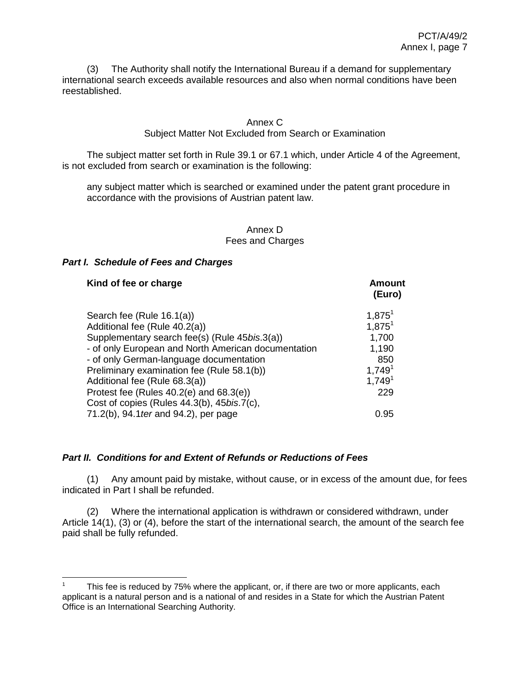(3) The Authority shall notify the International Bureau if a demand for supplementary international search exceeds available resources and also when normal conditions have been reestablished.

## Annex C

## Subject Matter Not Excluded from Search or Examination

The subject matter set forth in Rule 39.1 or 67.1 which, under Article 4 of the Agreement, is not excluded from search or examination is the following:

any subject matter which is searched or examined under the patent grant procedure in accordance with the provisions of Austrian patent law.

#### Annex D Fees and Charges

## *Part I. Schedule of Fees and Charges*

 $\overline{a}$ 

| Kind of fee or charge                                                                                                                                                                                         | Amount<br>(Euro)                                |
|---------------------------------------------------------------------------------------------------------------------------------------------------------------------------------------------------------------|-------------------------------------------------|
| Search fee (Rule 16.1(a))<br>Additional fee (Rule 40.2(a))<br>Supplementary search fee(s) (Rule 45bis.3(a))<br>- of only European and North American documentation<br>- of only German-language documentation | $1,875^1$<br>$1,875^1$<br>1,700<br>1,190<br>850 |
| Preliminary examination fee (Rule 58.1(b))<br>Additional fee (Rule 68.3(a))<br>Protest fee (Rules $40.2(e)$ and $68.3(e)$ )<br>Cost of copies (Rules 44.3(b), 45bis.7(c),                                     | 1,749 <sup>1</sup><br>1,749 <sup>1</sup><br>229 |
| 71.2(b), 94.1 ter and 94.2), per page                                                                                                                                                                         | 0.95                                            |

## *Part II. Conditions for and Extent of Refunds or Reductions of Fees*

(1) Any amount paid by mistake, without cause, or in excess of the amount due, for fees indicated in Part I shall be refunded.

(2) Where the international application is withdrawn or considered withdrawn, under Article 14(1), (3) or (4), before the start of the international search, the amount of the search fee paid shall be fully refunded.

<sup>1</sup> This fee is reduced by 75% where the applicant, or, if there are two or more applicants, each applicant is a natural person and is a national of and resides in a State for which the Austrian Patent Office is an International Searching Authority.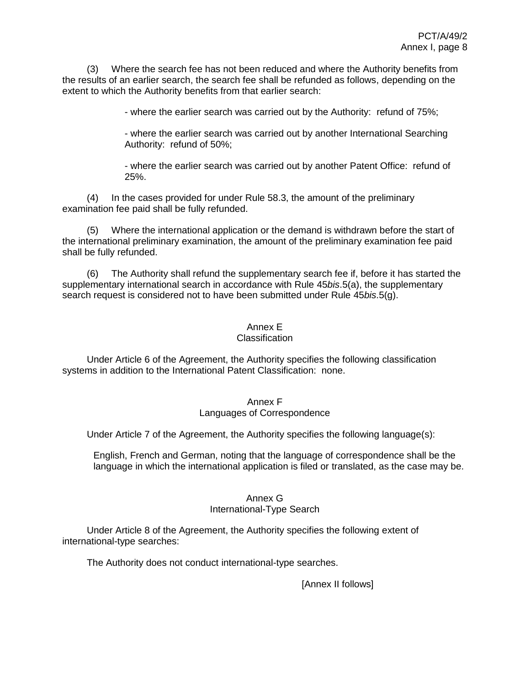(3) Where the search fee has not been reduced and where the Authority benefits from the results of an earlier search, the search fee shall be refunded as follows, depending on the extent to which the Authority benefits from that earlier search:

- where the earlier search was carried out by the Authority: refund of 75%;

- where the earlier search was carried out by another International Searching Authority: refund of 50%;

- where the earlier search was carried out by another Patent Office: refund of 25%.

(4) In the cases provided for under Rule 58.3, the amount of the preliminary examination fee paid shall be fully refunded.

(5) Where the international application or the demand is withdrawn before the start of the international preliminary examination, the amount of the preliminary examination fee paid shall be fully refunded.

(6) The Authority shall refund the supplementary search fee if, before it has started the supplementary international search in accordance with Rule 45*bis*.5(a), the supplementary search request is considered not to have been submitted under Rule 45*bis*.5(g).

## Annex E

## **Classification**

Under Article 6 of the Agreement, the Authority specifies the following classification systems in addition to the International Patent Classification: none.

## Annex F Languages of Correspondence

Under Article 7 of the Agreement, the Authority specifies the following language(s):

English, French and German, noting that the language of correspondence shall be the language in which the international application is filed or translated, as the case may be.

## Annex G

#### International-Type Search

Under Article 8 of the Agreement, the Authority specifies the following extent of international-type searches:

The Authority does not conduct international-type searches.

[Annex II follows]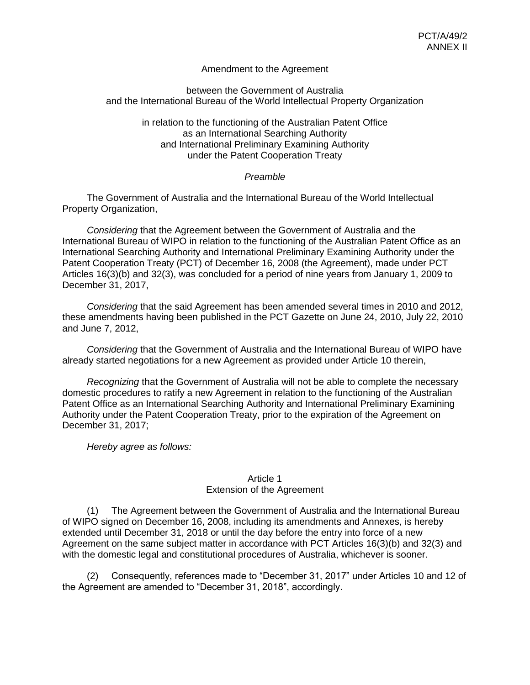## Amendment to the Agreement

#### between the Government of Australia and the International Bureau of the World Intellectual Property Organization

in relation to the functioning of the Australian Patent Office as an International Searching Authority and International Preliminary Examining Authority under the Patent Cooperation Treaty

## *Preamble*

The Government of Australia and the International Bureau of the World Intellectual Property Organization,

*Considering* that the Agreement between the Government of Australia and the International Bureau of WIPO in relation to the functioning of the Australian Patent Office as an International Searching Authority and International Preliminary Examining Authority under the Patent Cooperation Treaty (PCT) of December 16, 2008 (the Agreement), made under PCT Articles 16(3)(b) and 32(3), was concluded for a period of nine years from January 1, 2009 to December 31, 2017,

*Considering* that the said Agreement has been amended several times in 2010 and 2012, these amendments having been published in the PCT Gazette on June 24, 2010, July 22, 2010 and June 7, 2012,

*Considering* that the Government of Australia and the International Bureau of WIPO have already started negotiations for a new Agreement as provided under Article 10 therein,

*Recognizing* that the Government of Australia will not be able to complete the necessary domestic procedures to ratify a new Agreement in relation to the functioning of the Australian Patent Office as an International Searching Authority and International Preliminary Examining Authority under the Patent Cooperation Treaty, prior to the expiration of the Agreement on December 31, 2017;

*Hereby agree as follows:*

#### Article 1 Extension of the Agreement

(1) The Agreement between the Government of Australia and the International Bureau of WIPO signed on December 16, 2008, including its amendments and Annexes, is hereby extended until December 31, 2018 or until the day before the entry into force of a new Agreement on the same subject matter in accordance with PCT Articles 16(3)(b) and 32(3) and with the domestic legal and constitutional procedures of Australia, whichever is sooner.

(2) Consequently, references made to "December 31, 2017" under Articles 10 and 12 of the Agreement are amended to "December 31, 2018", accordingly.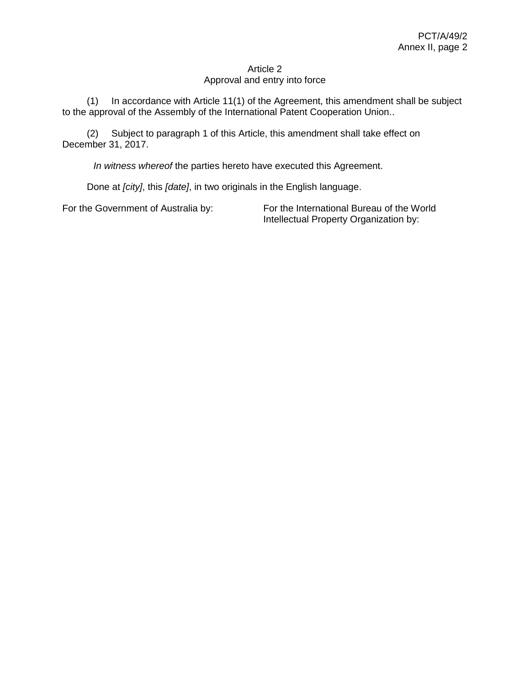## Article 2 Approval and entry into force

(1) In accordance with Article 11(1) of the Agreement, this amendment shall be subject to the approval of the Assembly of the International Patent Cooperation Union..

(2) Subject to paragraph 1 of this Article, this amendment shall take effect on December 31, 2017.

*In witness whereof* the parties hereto have executed this Agreement.

Done at *[city]*, this *[date]*, in two originals in the English language.

For the Government of Australia by: For the International Bureau of the World Intellectual Property Organization by: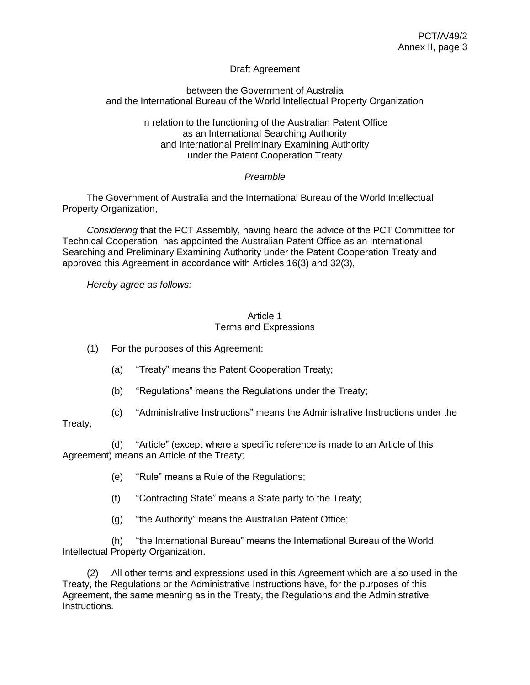## Draft Agreement

## between the Government of Australia and the International Bureau of the World Intellectual Property Organization

in relation to the functioning of the Australian Patent Office as an International Searching Authority and International Preliminary Examining Authority under the Patent Cooperation Treaty

## *Preamble*

The Government of Australia and the International Bureau of the World Intellectual Property Organization,

*Considering* that the PCT Assembly, having heard the advice of the PCT Committee for Technical Cooperation, has appointed the Australian Patent Office as an International Searching and Preliminary Examining Authority under the Patent Cooperation Treaty and approved this Agreement in accordance with Articles 16(3) and 32(3),

*Hereby agree as follows:*

## Article 1 Terms and Expressions

(1) For the purposes of this Agreement:

- (a) "Treaty" means the Patent Cooperation Treaty;
- (b) "Regulations" means the Regulations under the Treaty;
- (c) "Administrative Instructions" means the Administrative Instructions under the

## Treaty;

(d) "Article" (except where a specific reference is made to an Article of this Agreement) means an Article of the Treaty;

- (e) "Rule" means a Rule of the Regulations;
- (f) "Contracting State" means a State party to the Treaty;
- (g) "the Authority" means the Australian Patent Office;

(h) "the International Bureau" means the International Bureau of the World Intellectual Property Organization.

(2) All other terms and expressions used in this Agreement which are also used in the Treaty, the Regulations or the Administrative Instructions have, for the purposes of this Agreement, the same meaning as in the Treaty, the Regulations and the Administrative Instructions.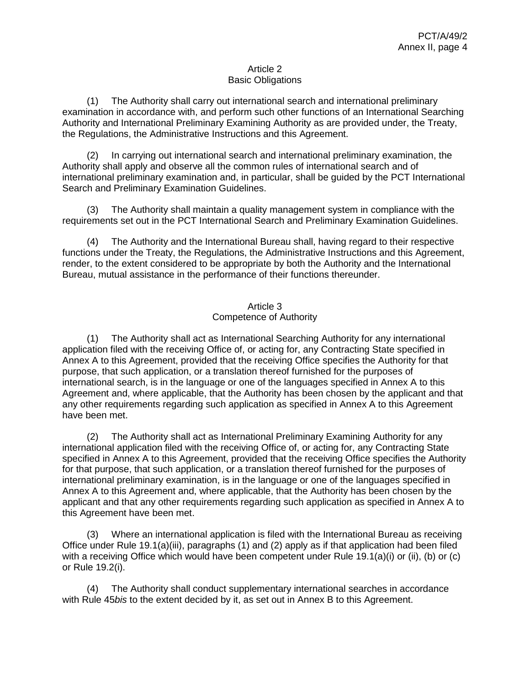## Article 2 Basic Obligations

(1) The Authority shall carry out international search and international preliminary examination in accordance with, and perform such other functions of an International Searching Authority and International Preliminary Examining Authority as are provided under, the Treaty, the Regulations, the Administrative Instructions and this Agreement.

(2) In carrying out international search and international preliminary examination, the Authority shall apply and observe all the common rules of international search and of international preliminary examination and, in particular, shall be guided by the PCT International Search and Preliminary Examination Guidelines.

(3) The Authority shall maintain a quality management system in compliance with the requirements set out in the PCT International Search and Preliminary Examination Guidelines.

(4) The Authority and the International Bureau shall, having regard to their respective functions under the Treaty, the Regulations, the Administrative Instructions and this Agreement, render, to the extent considered to be appropriate by both the Authority and the International Bureau, mutual assistance in the performance of their functions thereunder.

## Article 3 Competence of Authority

(1) The Authority shall act as International Searching Authority for any international application filed with the receiving Office of, or acting for, any Contracting State specified in Annex A to this Agreement, provided that the receiving Office specifies the Authority for that purpose, that such application, or a translation thereof furnished for the purposes of international search, is in the language or one of the languages specified in Annex A to this Agreement and, where applicable, that the Authority has been chosen by the applicant and that any other requirements regarding such application as specified in Annex A to this Agreement have been met.

(2) The Authority shall act as International Preliminary Examining Authority for any international application filed with the receiving Office of, or acting for, any Contracting State specified in Annex A to this Agreement, provided that the receiving Office specifies the Authority for that purpose, that such application, or a translation thereof furnished for the purposes of international preliminary examination, is in the language or one of the languages specified in Annex A to this Agreement and, where applicable, that the Authority has been chosen by the applicant and that any other requirements regarding such application as specified in Annex A to this Agreement have been met.

(3) Where an international application is filed with the International Bureau as receiving Office under Rule 19.1(a)(iii), paragraphs (1) and (2) apply as if that application had been filed with a receiving Office which would have been competent under Rule 19.1(a)(i) or (ii), (b) or (c) or Rule 19.2(i).

(4) The Authority shall conduct supplementary international searches in accordance with Rule 45*bis* to the extent decided by it, as set out in Annex B to this Agreement.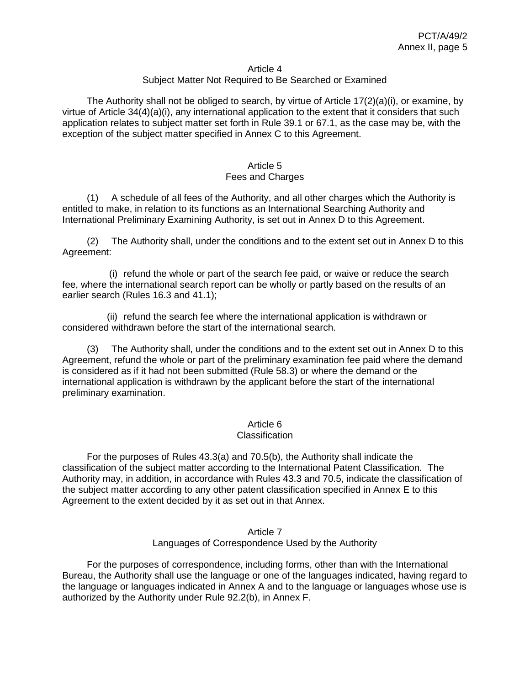#### Article 4

## Subject Matter Not Required to Be Searched or Examined

The Authority shall not be obliged to search, by virtue of Article  $17(2)(a)(i)$ , or examine, by virtue of Article 34(4)(a)(i), any international application to the extent that it considers that such application relates to subject matter set forth in Rule 39.1 or 67.1, as the case may be, with the exception of the subject matter specified in Annex C to this Agreement.

#### Article 5 Fees and Charges

(1) A schedule of all fees of the Authority, and all other charges which the Authority is entitled to make, in relation to its functions as an International Searching Authority and International Preliminary Examining Authority, is set out in Annex D to this Agreement.

(2) The Authority shall, under the conditions and to the extent set out in Annex D to this Agreement:

(i) refund the whole or part of the search fee paid, or waive or reduce the search fee, where the international search report can be wholly or partly based on the results of an earlier search (Rules 16.3 and 41.1);

(ii) refund the search fee where the international application is withdrawn or considered withdrawn before the start of the international search.

(3) The Authority shall, under the conditions and to the extent set out in Annex D to this Agreement, refund the whole or part of the preliminary examination fee paid where the demand is considered as if it had not been submitted (Rule 58.3) or where the demand or the international application is withdrawn by the applicant before the start of the international preliminary examination.

### Article 6

#### **Classification**

For the purposes of Rules 43.3(a) and 70.5(b), the Authority shall indicate the classification of the subject matter according to the International Patent Classification. The Authority may, in addition, in accordance with Rules 43.3 and 70.5, indicate the classification of the subject matter according to any other patent classification specified in Annex E to this Agreement to the extent decided by it as set out in that Annex.

#### Article 7 Languages of Correspondence Used by the Authority

For the purposes of correspondence, including forms, other than with the International Bureau, the Authority shall use the language or one of the languages indicated, having regard to the language or languages indicated in Annex A and to the language or languages whose use is authorized by the Authority under Rule 92.2(b), in Annex F.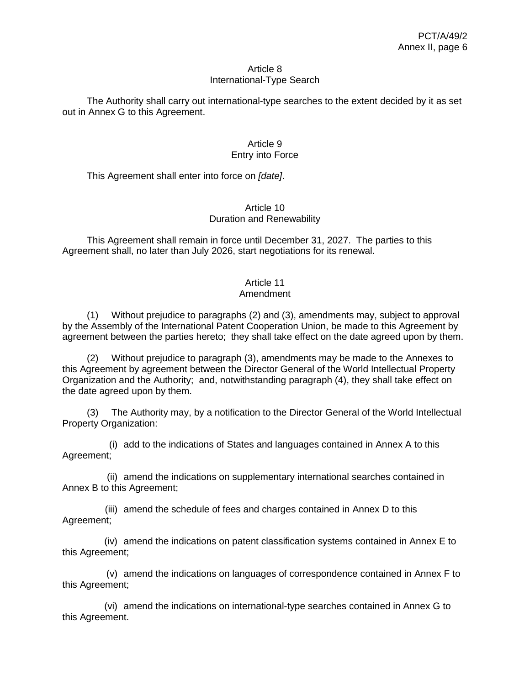#### Article 8 International-Type Search

The Authority shall carry out international-type searches to the extent decided by it as set out in Annex G to this Agreement.

## Article 9 Entry into Force

This Agreement shall enter into force on *[date]*.

## Article 10 Duration and Renewability

This Agreement shall remain in force until December 31, 2027. The parties to this Agreement shall, no later than July 2026, start negotiations for its renewal.

# Article 11

## Amendment

(1) Without prejudice to paragraphs (2) and (3), amendments may, subject to approval by the Assembly of the International Patent Cooperation Union, be made to this Agreement by agreement between the parties hereto; they shall take effect on the date agreed upon by them.

(2) Without prejudice to paragraph (3), amendments may be made to the Annexes to this Agreement by agreement between the Director General of the World Intellectual Property Organization and the Authority; and, notwithstanding paragraph (4), they shall take effect on the date agreed upon by them.

(3) The Authority may, by a notification to the Director General of the World Intellectual Property Organization:

(i) add to the indications of States and languages contained in Annex A to this Agreement;

(ii) amend the indications on supplementary international searches contained in Annex B to this Agreement;

(iii) amend the schedule of fees and charges contained in Annex D to this Agreement;

(iv) amend the indications on patent classification systems contained in Annex E to this Agreement;

(v) amend the indications on languages of correspondence contained in Annex F to this Agreement;

(vi) amend the indications on international-type searches contained in Annex G to this Agreement.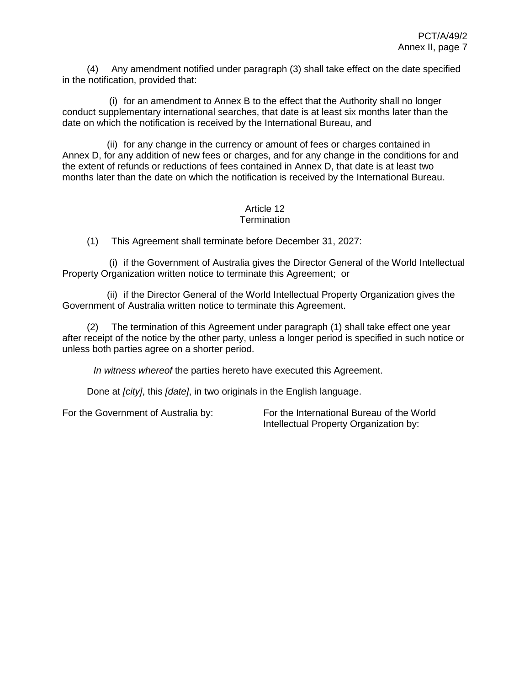(4) Any amendment notified under paragraph (3) shall take effect on the date specified in the notification, provided that:

(i) for an amendment to Annex B to the effect that the Authority shall no longer conduct supplementary international searches, that date is at least six months later than the date on which the notification is received by the International Bureau, and

(ii) for any change in the currency or amount of fees or charges contained in Annex D, for any addition of new fees or charges, and for any change in the conditions for and the extent of refunds or reductions of fees contained in Annex D, that date is at least two months later than the date on which the notification is received by the International Bureau.

#### Article 12 **Termination**

(1) This Agreement shall terminate before December 31, 2027:

(i) if the Government of Australia gives the Director General of the World Intellectual Property Organization written notice to terminate this Agreement; or

(ii) if the Director General of the World Intellectual Property Organization gives the Government of Australia written notice to terminate this Agreement.

(2) The termination of this Agreement under paragraph (1) shall take effect one year after receipt of the notice by the other party, unless a longer period is specified in such notice or unless both parties agree on a shorter period.

*In witness whereof* the parties hereto have executed this Agreement.

Done at *[city]*, this *[date]*, in two originals in the English language.

For the Government of Australia by: For the International Bureau of the World Intellectual Property Organization by: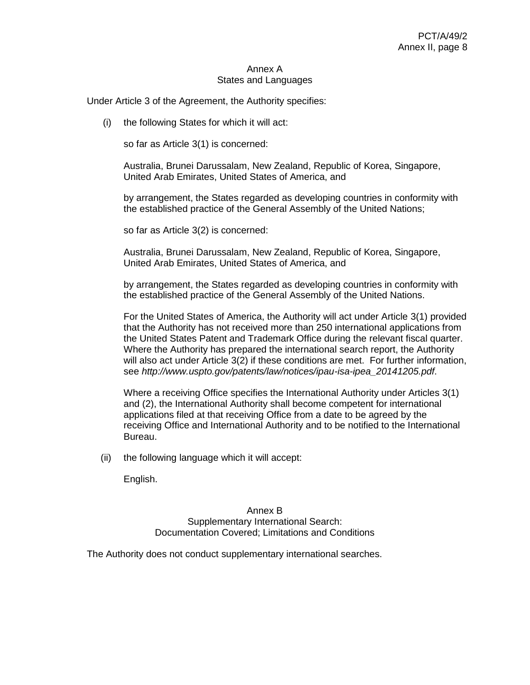#### Annex A States and Languages

Under Article 3 of the Agreement, the Authority specifies:

(i) the following States for which it will act:

so far as Article 3(1) is concerned:

Australia, Brunei Darussalam, New Zealand, Republic of Korea, Singapore, United Arab Emirates, United States of America, and

by arrangement, the States regarded as developing countries in conformity with the established practice of the General Assembly of the United Nations;

so far as Article 3(2) is concerned:

Australia, Brunei Darussalam, New Zealand, Republic of Korea, Singapore, United Arab Emirates, United States of America, and

by arrangement, the States regarded as developing countries in conformity with the established practice of the General Assembly of the United Nations.

For the United States of America, the Authority will act under Article 3(1) provided that the Authority has not received more than 250 international applications from the United States Patent and Trademark Office during the relevant fiscal quarter. Where the Authority has prepared the international search report, the Authority will also act under Article 3(2) if these conditions are met. For further information, see *[http://www.uspto.gov/patents/law/notices/ipau-isa-ipea\\_20141205.pdf](http://www.uspto.gov/patents/law/notices/ipau-isa-ipea_20141205.pdf)*.

Where a receiving Office specifies the International Authority under Articles 3(1) and (2), the International Authority shall become competent for international applications filed at that receiving Office from a date to be agreed by the receiving Office and International Authority and to be notified to the International Bureau.

(ii) the following language which it will accept:

English.

Annex B Supplementary International Search: Documentation Covered; Limitations and Conditions

The Authority does not conduct supplementary international searches.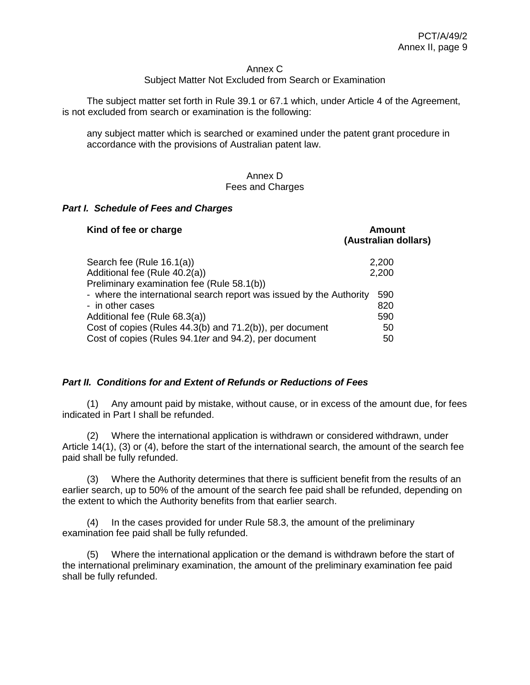#### Annex C

## Subject Matter Not Excluded from Search or Examination

The subject matter set forth in Rule 39.1 or 67.1 which, under Article 4 of the Agreement, is not excluded from search or examination is the following:

any subject matter which is searched or examined under the patent grant procedure in accordance with the provisions of Australian patent law.

#### Annex D Fees and Charges

#### *Part I. Schedule of Fees and Charges*

| Kind of fee or charge                                               | <b>Amount</b><br>(Australian dollars) |
|---------------------------------------------------------------------|---------------------------------------|
| Search fee (Rule 16.1(a))                                           | 2,200                                 |
| Additional fee (Rule 40.2(a))                                       | 2,200                                 |
| Preliminary examination fee (Rule 58.1(b))                          |                                       |
| - where the international search report was issued by the Authority | 590                                   |
| - in other cases                                                    | 820                                   |
| Additional fee (Rule 68.3(a))                                       | 590                                   |
| Cost of copies (Rules 44.3(b) and 71.2(b)), per document            | 50                                    |
| Cost of copies (Rules 94.1 ter and 94.2), per document              | 50                                    |

#### *Part II. Conditions for and Extent of Refunds or Reductions of Fees*

(1) Any amount paid by mistake, without cause, or in excess of the amount due, for fees indicated in Part I shall be refunded.

(2) Where the international application is withdrawn or considered withdrawn, under Article 14(1), (3) or (4), before the start of the international search, the amount of the search fee paid shall be fully refunded.

(3) Where the Authority determines that there is sufficient benefit from the results of an earlier search, up to 50% of the amount of the search fee paid shall be refunded, depending on the extent to which the Authority benefits from that earlier search.

(4) In the cases provided for under Rule 58.3, the amount of the preliminary examination fee paid shall be fully refunded.

(5) Where the international application or the demand is withdrawn before the start of the international preliminary examination, the amount of the preliminary examination fee paid shall be fully refunded.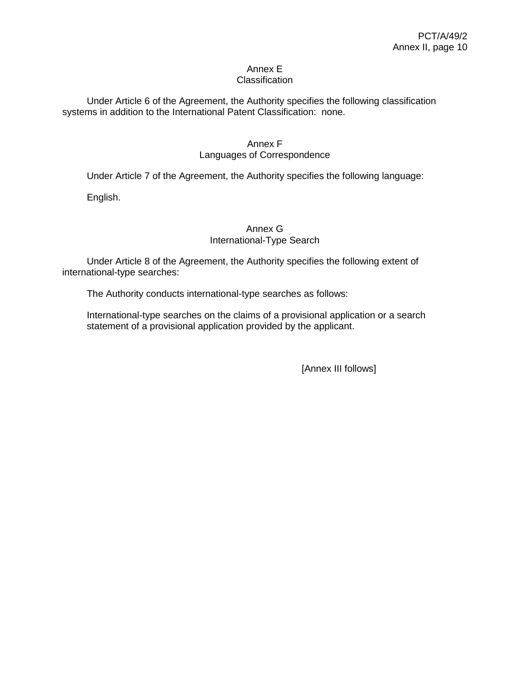#### Annex E **Classification**

Under Article 6 of the Agreement, the Authority specifies the following classification systems in addition to the International Patent Classification: none.

# Annex F

## Languages of Correspondence

Under Article 7 of the Agreement, the Authority specifies the following language:

English.

## Annex G International-Type Search

Under Article 8 of the Agreement, the Authority specifies the following extent of international-type searches:

The Authority conducts international-type searches as follows:

International-type searches on the claims of a provisional application or a search statement of a provisional application provided by the applicant.

[Annex III follows]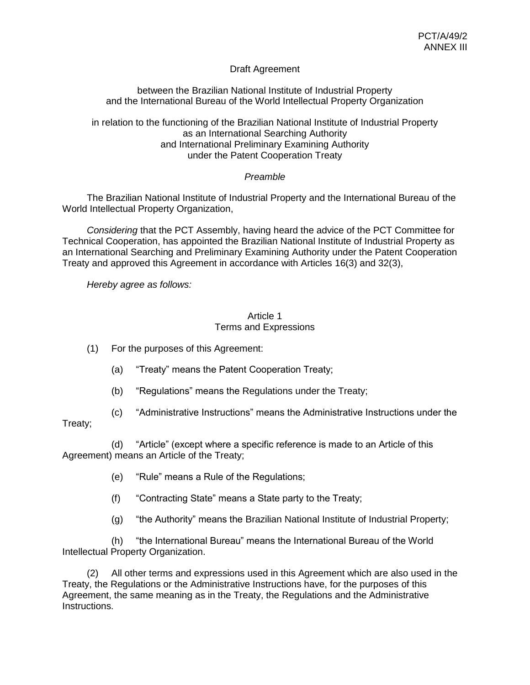## Draft Agreement

between the Brazilian National Institute of Industrial Property and the International Bureau of the World Intellectual Property Organization

in relation to the functioning of the Brazilian National Institute of Industrial Property as an International Searching Authority and International Preliminary Examining Authority under the Patent Cooperation Treaty

## *Preamble*

The Brazilian National Institute of Industrial Property and the International Bureau of the World Intellectual Property Organization,

*Considering* that the PCT Assembly, having heard the advice of the PCT Committee for Technical Cooperation, has appointed the Brazilian National Institute of Industrial Property as an International Searching and Preliminary Examining Authority under the Patent Cooperation Treaty and approved this Agreement in accordance with Articles 16(3) and 32(3),

*Hereby agree as follows:*

## Article 1 Terms and Expressions

(1) For the purposes of this Agreement:

- (a) "Treaty" means the Patent Cooperation Treaty;
- (b) "Regulations" means the Regulations under the Treaty;
- (c) "Administrative Instructions" means the Administrative Instructions under the

## Treaty;

(d) "Article" (except where a specific reference is made to an Article of this Agreement) means an Article of the Treaty;

- (e) "Rule" means a Rule of the Regulations;
- (f) "Contracting State" means a State party to the Treaty;
- (g) "the Authority" means the Brazilian National Institute of Industrial Property;

(h) "the International Bureau" means the International Bureau of the World Intellectual Property Organization.

(2) All other terms and expressions used in this Agreement which are also used in the Treaty, the Regulations or the Administrative Instructions have, for the purposes of this Agreement, the same meaning as in the Treaty, the Regulations and the Administrative Instructions.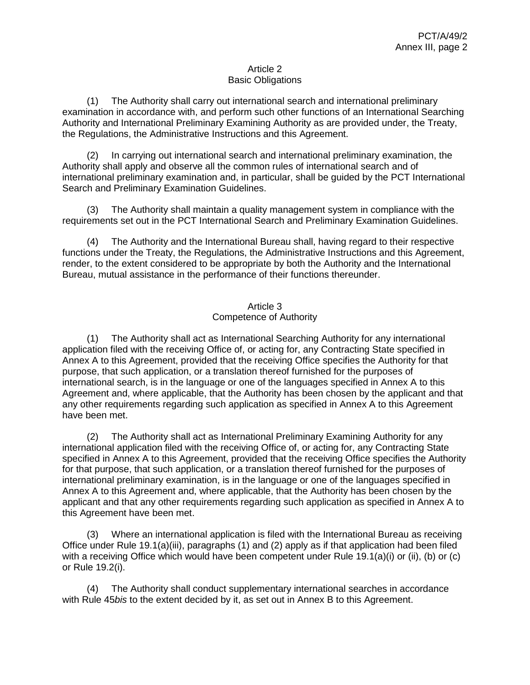## Article 2 Basic Obligations

(1) The Authority shall carry out international search and international preliminary examination in accordance with, and perform such other functions of an International Searching Authority and International Preliminary Examining Authority as are provided under, the Treaty, the Regulations, the Administrative Instructions and this Agreement.

(2) In carrying out international search and international preliminary examination, the Authority shall apply and observe all the common rules of international search and of international preliminary examination and, in particular, shall be guided by the PCT International Search and Preliminary Examination Guidelines.

(3) The Authority shall maintain a quality management system in compliance with the requirements set out in the PCT International Search and Preliminary Examination Guidelines.

(4) The Authority and the International Bureau shall, having regard to their respective functions under the Treaty, the Regulations, the Administrative Instructions and this Agreement, render, to the extent considered to be appropriate by both the Authority and the International Bureau, mutual assistance in the performance of their functions thereunder.

## Article 3 Competence of Authority

(1) The Authority shall act as International Searching Authority for any international application filed with the receiving Office of, or acting for, any Contracting State specified in Annex A to this Agreement, provided that the receiving Office specifies the Authority for that purpose, that such application, or a translation thereof furnished for the purposes of international search, is in the language or one of the languages specified in Annex A to this Agreement and, where applicable, that the Authority has been chosen by the applicant and that any other requirements regarding such application as specified in Annex A to this Agreement have been met.

(2) The Authority shall act as International Preliminary Examining Authority for any international application filed with the receiving Office of, or acting for, any Contracting State specified in Annex A to this Agreement, provided that the receiving Office specifies the Authority for that purpose, that such application, or a translation thereof furnished for the purposes of international preliminary examination, is in the language or one of the languages specified in Annex A to this Agreement and, where applicable, that the Authority has been chosen by the applicant and that any other requirements regarding such application as specified in Annex A to this Agreement have been met.

(3) Where an international application is filed with the International Bureau as receiving Office under Rule 19.1(a)(iii), paragraphs (1) and (2) apply as if that application had been filed with a receiving Office which would have been competent under Rule 19.1(a)(i) or (ii), (b) or (c) or Rule 19.2(i).

(4) The Authority shall conduct supplementary international searches in accordance with Rule 45*bis* to the extent decided by it, as set out in Annex B to this Agreement.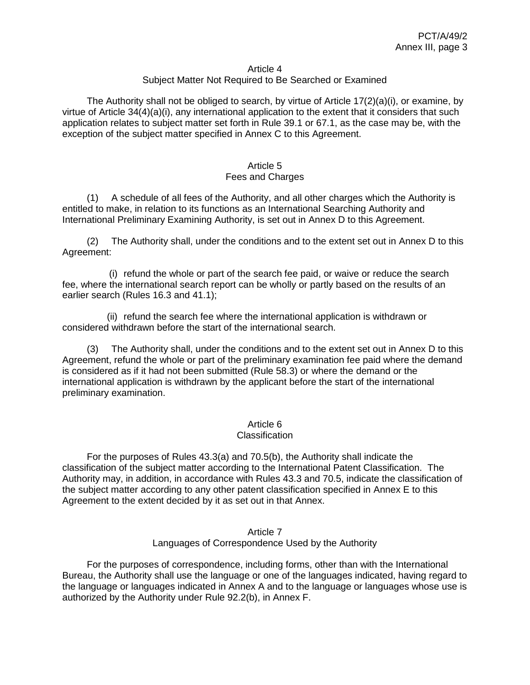#### Article 4

## Subject Matter Not Required to Be Searched or Examined

The Authority shall not be obliged to search, by virtue of Article  $17(2)(a)(i)$ , or examine, by virtue of Article 34(4)(a)(i), any international application to the extent that it considers that such application relates to subject matter set forth in Rule 39.1 or 67.1, as the case may be, with the exception of the subject matter specified in Annex C to this Agreement.

#### Article 5 Fees and Charges

(1) A schedule of all fees of the Authority, and all other charges which the Authority is entitled to make, in relation to its functions as an International Searching Authority and International Preliminary Examining Authority, is set out in Annex D to this Agreement.

(2) The Authority shall, under the conditions and to the extent set out in Annex D to this Agreement:

(i) refund the whole or part of the search fee paid, or waive or reduce the search fee, where the international search report can be wholly or partly based on the results of an earlier search (Rules 16.3 and 41.1);

(ii) refund the search fee where the international application is withdrawn or considered withdrawn before the start of the international search.

(3) The Authority shall, under the conditions and to the extent set out in Annex D to this Agreement, refund the whole or part of the preliminary examination fee paid where the demand is considered as if it had not been submitted (Rule 58.3) or where the demand or the international application is withdrawn by the applicant before the start of the international preliminary examination.

### Article 6

#### **Classification**

For the purposes of Rules 43.3(a) and 70.5(b), the Authority shall indicate the classification of the subject matter according to the International Patent Classification. The Authority may, in addition, in accordance with Rules 43.3 and 70.5, indicate the classification of the subject matter according to any other patent classification specified in Annex E to this Agreement to the extent decided by it as set out in that Annex.

#### Article 7 Languages of Correspondence Used by the Authority

For the purposes of correspondence, including forms, other than with the International Bureau, the Authority shall use the language or one of the languages indicated, having regard to the language or languages indicated in Annex A and to the language or languages whose use is authorized by the Authority under Rule 92.2(b), in Annex F.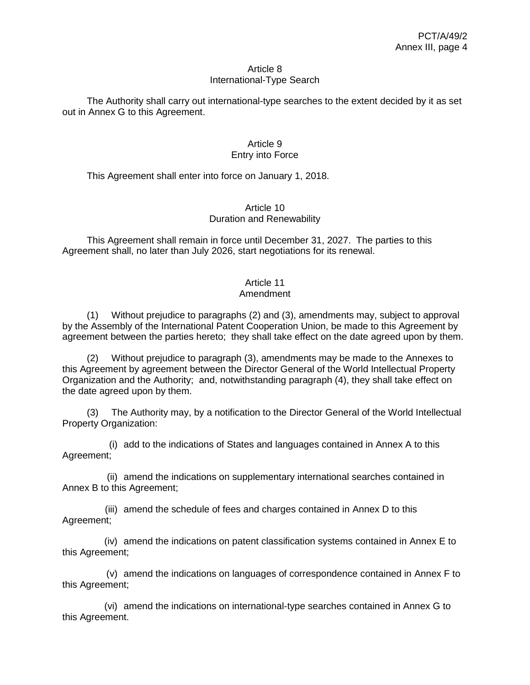#### Article 8 International-Type Search

The Authority shall carry out international-type searches to the extent decided by it as set out in Annex G to this Agreement.

## Article 9 Entry into Force

This Agreement shall enter into force on January 1, 2018.

## Article 10 Duration and Renewability

This Agreement shall remain in force until December 31, 2027. The parties to this Agreement shall, no later than July 2026, start negotiations for its renewal.

# Article 11

## Amendment

(1) Without prejudice to paragraphs (2) and (3), amendments may, subject to approval by the Assembly of the International Patent Cooperation Union, be made to this Agreement by agreement between the parties hereto; they shall take effect on the date agreed upon by them.

(2) Without prejudice to paragraph (3), amendments may be made to the Annexes to this Agreement by agreement between the Director General of the World Intellectual Property Organization and the Authority; and, notwithstanding paragraph (4), they shall take effect on the date agreed upon by them.

(3) The Authority may, by a notification to the Director General of the World Intellectual Property Organization:

(i) add to the indications of States and languages contained in Annex A to this Agreement;

(ii) amend the indications on supplementary international searches contained in Annex B to this Agreement;

(iii) amend the schedule of fees and charges contained in Annex D to this Agreement;

(iv) amend the indications on patent classification systems contained in Annex E to this Agreement;

(v) amend the indications on languages of correspondence contained in Annex F to this Agreement;

(vi) amend the indications on international-type searches contained in Annex G to this Agreement.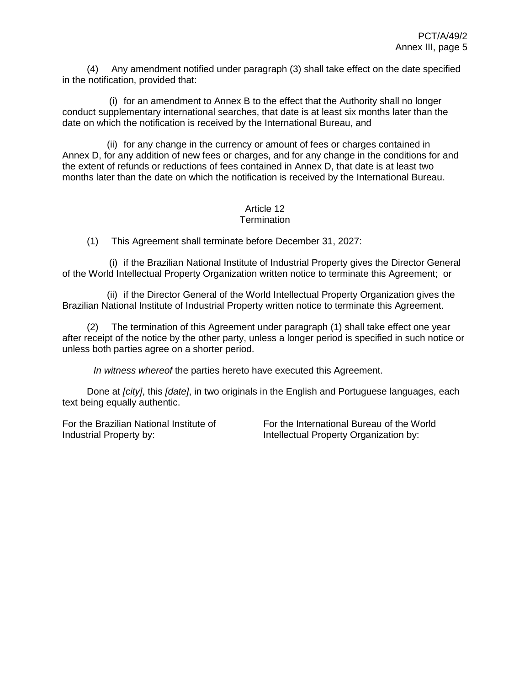(4) Any amendment notified under paragraph (3) shall take effect on the date specified in the notification, provided that:

(i) for an amendment to Annex B to the effect that the Authority shall no longer conduct supplementary international searches, that date is at least six months later than the date on which the notification is received by the International Bureau, and

(ii) for any change in the currency or amount of fees or charges contained in Annex D, for any addition of new fees or charges, and for any change in the conditions for and the extent of refunds or reductions of fees contained in Annex D, that date is at least two months later than the date on which the notification is received by the International Bureau.

#### Article 12 **Termination**

(1) This Agreement shall terminate before December 31, 2027:

(i) if the Brazilian National Institute of Industrial Property gives the Director General of the World Intellectual Property Organization written notice to terminate this Agreement; or

(ii) if the Director General of the World Intellectual Property Organization gives the Brazilian National Institute of Industrial Property written notice to terminate this Agreement.

(2) The termination of this Agreement under paragraph (1) shall take effect one year after receipt of the notice by the other party, unless a longer period is specified in such notice or unless both parties agree on a shorter period.

*In witness whereof* the parties hereto have executed this Agreement.

Done at *[city]*, this *[date]*, in two originals in the English and Portuguese languages, each text being equally authentic.

For the Brazilian National Institute of Industrial Property by:

For the International Bureau of the World Intellectual Property Organization by: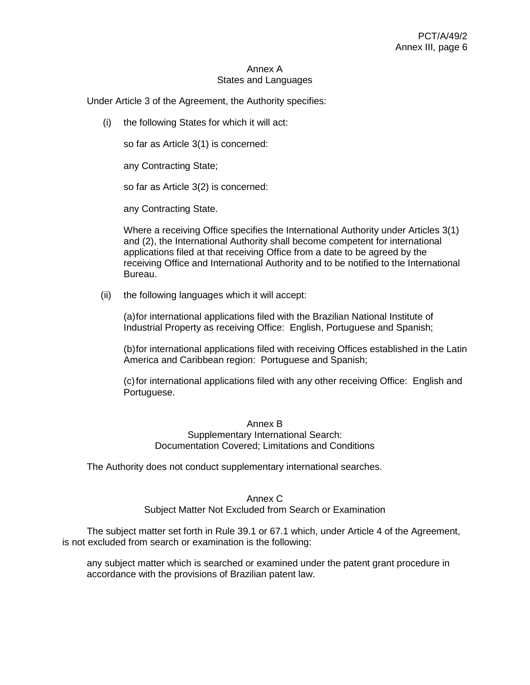#### Annex A States and Languages

Under Article 3 of the Agreement, the Authority specifies:

(i) the following States for which it will act:

so far as Article 3(1) is concerned:

any Contracting State;

so far as Article 3(2) is concerned:

any Contracting State.

Where a receiving Office specifies the International Authority under Articles 3(1) and (2), the International Authority shall become competent for international applications filed at that receiving Office from a date to be agreed by the receiving Office and International Authority and to be notified to the International Bureau.

(ii) the following languages which it will accept:

(a)for international applications filed with the Brazilian National Institute of Industrial Property as receiving Office: English, Portuguese and Spanish;

(b)for international applications filed with receiving Offices established in the Latin America and Caribbean region: Portuguese and Spanish;

(c)for international applications filed with any other receiving Office: English and Portuguese.

#### Annex B Supplementary International Search: Documentation Covered; Limitations and Conditions

The Authority does not conduct supplementary international searches.

#### Annex C

Subject Matter Not Excluded from Search or Examination

The subject matter set forth in Rule 39.1 or 67.1 which, under Article 4 of the Agreement, is not excluded from search or examination is the following:

any subject matter which is searched or examined under the patent grant procedure in accordance with the provisions of Brazilian patent law.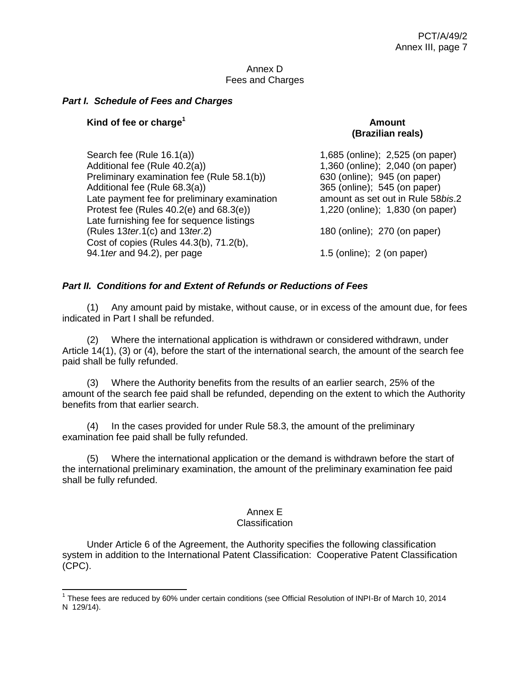#### Annex D Fees and Charges

## *Part I. Schedule of Fees and Charges*

## **Kind of fee or charge<sup>1</sup> Amount**

 $\overline{a}$ 

# **(Brazilian reals)**

Search fee (Rule 16.1(a)) 3.525 (online); 2,525 (on paper) Additional fee (Rule 40.2(a)) 1,360 (online); 2,040 (on paper) Preliminary examination fee (Rule 58.1(b)) 630 (online); 945 (on paper) Additional fee (Rule 68.3(a)) 365 (online); 545 (on paper) Late payment fee for preliminary examination amount as set out in Rule 58*bis.*2 Protest fee (Rules 40.2(e) and 68.3(e)) 1,220 (online); 1,830 (on paper) Late furnishing fee for sequence listings (Rules 13*ter*.1(c) and 13*ter*.2) 180 (online); 270 (on paper) Cost of copies (Rules 44.3(b), 71.2(b), 94.1*ter* and 94.2), per page 1.5 (online); 2 (on paper)

## *Part II. Conditions for and Extent of Refunds or Reductions of Fees*

(1) Any amount paid by mistake, without cause, or in excess of the amount due, for fees indicated in Part I shall be refunded.

(2) Where the international application is withdrawn or considered withdrawn, under Article 14(1), (3) or (4), before the start of the international search, the amount of the search fee paid shall be fully refunded.

(3) Where the Authority benefits from the results of an earlier search, 25% of the amount of the search fee paid shall be refunded, depending on the extent to which the Authority benefits from that earlier search.

(4) In the cases provided for under Rule 58.3, the amount of the preliminary examination fee paid shall be fully refunded.

(5) Where the international application or the demand is withdrawn before the start of the international preliminary examination, the amount of the preliminary examination fee paid shall be fully refunded.

## Annex E

#### **Classification**

Under Article 6 of the Agreement, the Authority specifies the following classification system in addition to the International Patent Classification: Cooperative Patent Classification (CPC).

<sup>&</sup>lt;sup>1</sup> These fees are reduced by 60% under certain conditions (see Official Resolution of INPI-Br of March 10, 2014 N 129/14).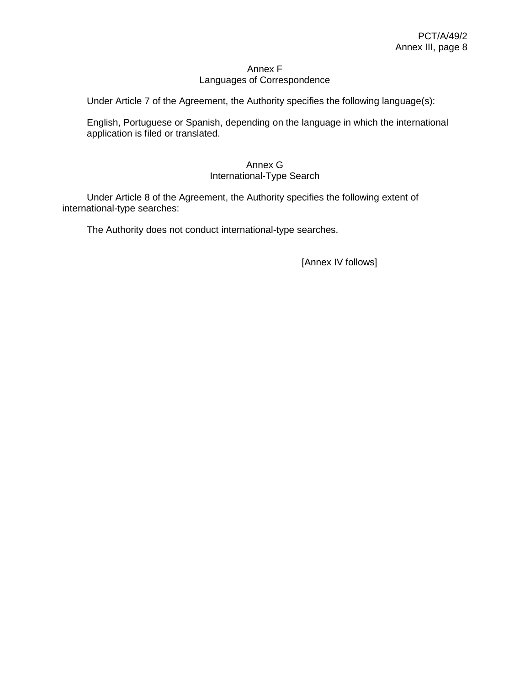## Annex F Languages of Correspondence

Under Article 7 of the Agreement, the Authority specifies the following language(s):

English, Portuguese or Spanish, depending on the language in which the international application is filed or translated.

## Annex G International-Type Search

Under Article 8 of the Agreement, the Authority specifies the following extent of international-type searches:

The Authority does not conduct international-type searches.

[Annex IV follows]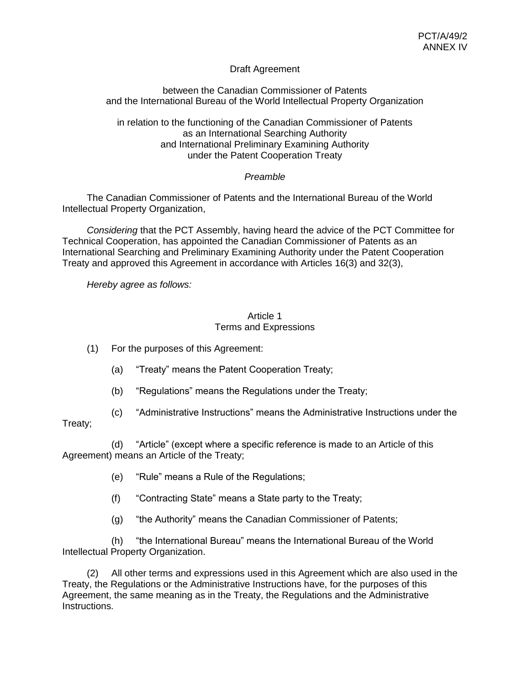## Draft Agreement

## between the Canadian Commissioner of Patents and the International Bureau of the World Intellectual Property Organization

in relation to the functioning of the Canadian Commissioner of Patents as an International Searching Authority and International Preliminary Examining Authority under the Patent Cooperation Treaty

## *Preamble*

The Canadian Commissioner of Patents and the International Bureau of the World Intellectual Property Organization,

*Considering* that the PCT Assembly, having heard the advice of the PCT Committee for Technical Cooperation, has appointed the Canadian Commissioner of Patents as an International Searching and Preliminary Examining Authority under the Patent Cooperation Treaty and approved this Agreement in accordance with Articles 16(3) and 32(3),

*Hereby agree as follows:*

## Article 1 Terms and Expressions

- (1) For the purposes of this Agreement:
	- (a) "Treaty" means the Patent Cooperation Treaty;
	- (b) "Regulations" means the Regulations under the Treaty;
- (c) "Administrative Instructions" means the Administrative Instructions under the

## Treaty;

(d) "Article" (except where a specific reference is made to an Article of this Agreement) means an Article of the Treaty;

- (e) "Rule" means a Rule of the Regulations;
- (f) "Contracting State" means a State party to the Treaty;
- (g) "the Authority" means the Canadian Commissioner of Patents;

(h) "the International Bureau" means the International Bureau of the World Intellectual Property Organization.

(2) All other terms and expressions used in this Agreement which are also used in the Treaty, the Regulations or the Administrative Instructions have, for the purposes of this Agreement, the same meaning as in the Treaty, the Regulations and the Administrative Instructions.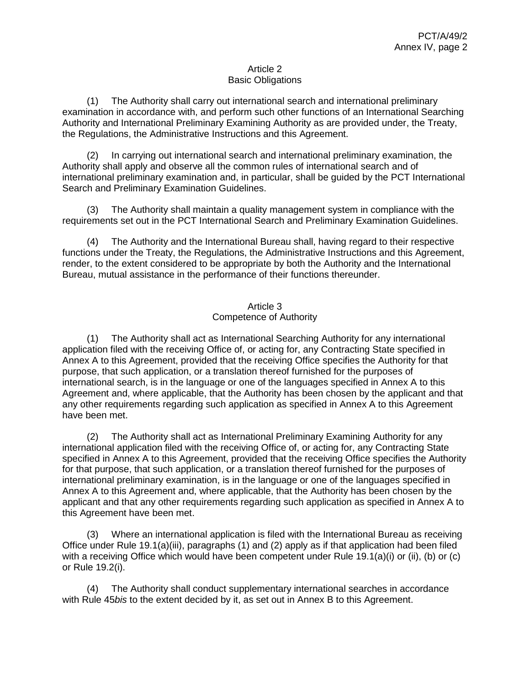## Article 2 Basic Obligations

(1) The Authority shall carry out international search and international preliminary examination in accordance with, and perform such other functions of an International Searching Authority and International Preliminary Examining Authority as are provided under, the Treaty, the Regulations, the Administrative Instructions and this Agreement.

(2) In carrying out international search and international preliminary examination, the Authority shall apply and observe all the common rules of international search and of international preliminary examination and, in particular, shall be guided by the PCT International Search and Preliminary Examination Guidelines.

(3) The Authority shall maintain a quality management system in compliance with the requirements set out in the PCT International Search and Preliminary Examination Guidelines.

(4) The Authority and the International Bureau shall, having regard to their respective functions under the Treaty, the Regulations, the Administrative Instructions and this Agreement, render, to the extent considered to be appropriate by both the Authority and the International Bureau, mutual assistance in the performance of their functions thereunder.

## Article 3 Competence of Authority

(1) The Authority shall act as International Searching Authority for any international application filed with the receiving Office of, or acting for, any Contracting State specified in Annex A to this Agreement, provided that the receiving Office specifies the Authority for that purpose, that such application, or a translation thereof furnished for the purposes of international search, is in the language or one of the languages specified in Annex A to this Agreement and, where applicable, that the Authority has been chosen by the applicant and that any other requirements regarding such application as specified in Annex A to this Agreement have been met.

(2) The Authority shall act as International Preliminary Examining Authority for any international application filed with the receiving Office of, or acting for, any Contracting State specified in Annex A to this Agreement, provided that the receiving Office specifies the Authority for that purpose, that such application, or a translation thereof furnished for the purposes of international preliminary examination, is in the language or one of the languages specified in Annex A to this Agreement and, where applicable, that the Authority has been chosen by the applicant and that any other requirements regarding such application as specified in Annex A to this Agreement have been met.

(3) Where an international application is filed with the International Bureau as receiving Office under Rule 19.1(a)(iii), paragraphs (1) and (2) apply as if that application had been filed with a receiving Office which would have been competent under Rule 19.1(a)(i) or (ii), (b) or (c) or Rule 19.2(i).

(4) The Authority shall conduct supplementary international searches in accordance with Rule 45*bis* to the extent decided by it, as set out in Annex B to this Agreement.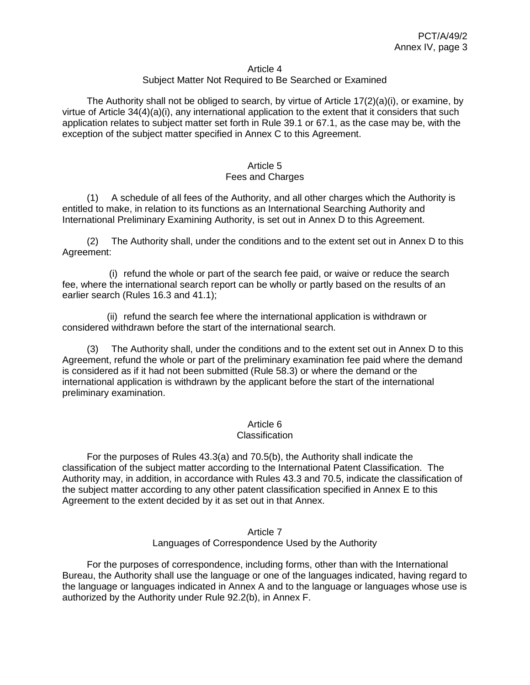#### Article 4

## Subject Matter Not Required to Be Searched or Examined

The Authority shall not be obliged to search, by virtue of Article  $17(2)(a)(i)$ , or examine, by virtue of Article 34(4)(a)(i), any international application to the extent that it considers that such application relates to subject matter set forth in Rule 39.1 or 67.1, as the case may be, with the exception of the subject matter specified in Annex C to this Agreement.

#### Article 5 Fees and Charges

(1) A schedule of all fees of the Authority, and all other charges which the Authority is entitled to make, in relation to its functions as an International Searching Authority and International Preliminary Examining Authority, is set out in Annex D to this Agreement.

(2) The Authority shall, under the conditions and to the extent set out in Annex D to this Agreement:

(i) refund the whole or part of the search fee paid, or waive or reduce the search fee, where the international search report can be wholly or partly based on the results of an earlier search (Rules 16.3 and 41.1);

(ii) refund the search fee where the international application is withdrawn or considered withdrawn before the start of the international search.

(3) The Authority shall, under the conditions and to the extent set out in Annex D to this Agreement, refund the whole or part of the preliminary examination fee paid where the demand is considered as if it had not been submitted (Rule 58.3) or where the demand or the international application is withdrawn by the applicant before the start of the international preliminary examination.

### Article 6

#### **Classification**

For the purposes of Rules 43.3(a) and 70.5(b), the Authority shall indicate the classification of the subject matter according to the International Patent Classification. The Authority may, in addition, in accordance with Rules 43.3 and 70.5, indicate the classification of the subject matter according to any other patent classification specified in Annex E to this Agreement to the extent decided by it as set out in that Annex.

#### Article 7 Languages of Correspondence Used by the Authority

For the purposes of correspondence, including forms, other than with the International Bureau, the Authority shall use the language or one of the languages indicated, having regard to the language or languages indicated in Annex A and to the language or languages whose use is authorized by the Authority under Rule 92.2(b), in Annex F.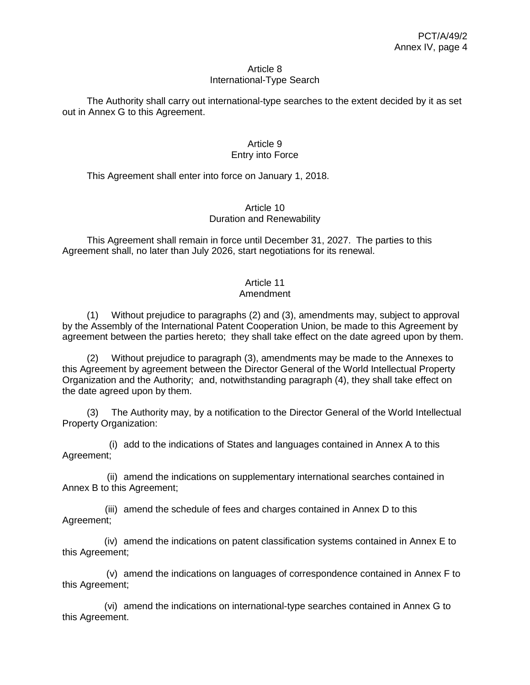#### Article 8 International-Type Search

The Authority shall carry out international-type searches to the extent decided by it as set out in Annex G to this Agreement.

## Article 9 Entry into Force

This Agreement shall enter into force on January 1, 2018.

## Article 10 Duration and Renewability

This Agreement shall remain in force until December 31, 2027. The parties to this Agreement shall, no later than July 2026, start negotiations for its renewal.

# Article 11

## Amendment

(1) Without prejudice to paragraphs (2) and (3), amendments may, subject to approval by the Assembly of the International Patent Cooperation Union, be made to this Agreement by agreement between the parties hereto; they shall take effect on the date agreed upon by them.

(2) Without prejudice to paragraph (3), amendments may be made to the Annexes to this Agreement by agreement between the Director General of the World Intellectual Property Organization and the Authority; and, notwithstanding paragraph (4), they shall take effect on the date agreed upon by them.

(3) The Authority may, by a notification to the Director General of the World Intellectual Property Organization:

(i) add to the indications of States and languages contained in Annex A to this Agreement;

(ii) amend the indications on supplementary international searches contained in Annex B to this Agreement;

(iii) amend the schedule of fees and charges contained in Annex D to this Agreement;

(iv) amend the indications on patent classification systems contained in Annex E to this Agreement;

(v) amend the indications on languages of correspondence contained in Annex F to this Agreement;

(vi) amend the indications on international-type searches contained in Annex G to this Agreement.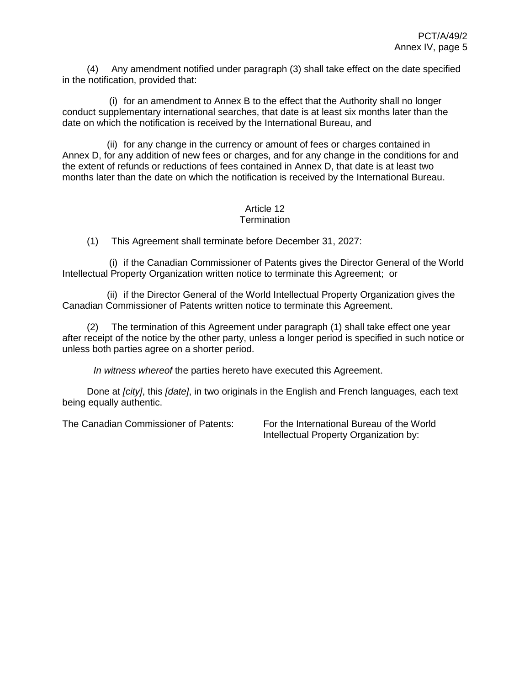(4) Any amendment notified under paragraph (3) shall take effect on the date specified in the notification, provided that:

(i) for an amendment to Annex B to the effect that the Authority shall no longer conduct supplementary international searches, that date is at least six months later than the date on which the notification is received by the International Bureau, and

(ii) for any change in the currency or amount of fees or charges contained in Annex D, for any addition of new fees or charges, and for any change in the conditions for and the extent of refunds or reductions of fees contained in Annex D, that date is at least two months later than the date on which the notification is received by the International Bureau.

#### Article 12 **Termination**

(1) This Agreement shall terminate before December 31, 2027:

(i) if the Canadian Commissioner of Patents gives the Director General of the World Intellectual Property Organization written notice to terminate this Agreement; or

(ii) if the Director General of the World Intellectual Property Organization gives the Canadian Commissioner of Patents written notice to terminate this Agreement.

(2) The termination of this Agreement under paragraph (1) shall take effect one year after receipt of the notice by the other party, unless a longer period is specified in such notice or unless both parties agree on a shorter period.

*In witness whereof* the parties hereto have executed this Agreement.

Done at *[city]*, this *[date]*, in two originals in the English and French languages, each text being equally authentic.

The Canadian Commissioner of Patents: For the International Bureau of the World

Intellectual Property Organization by: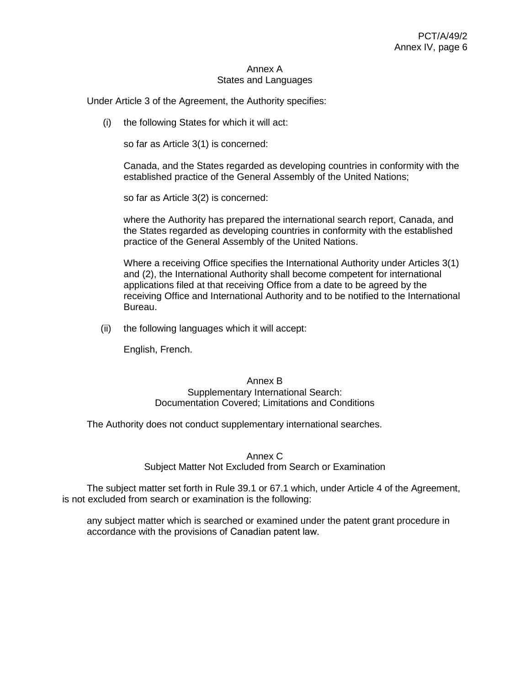#### Annex A States and Languages

Under Article 3 of the Agreement, the Authority specifies:

(i) the following States for which it will act:

so far as Article 3(1) is concerned:

Canada, and the States regarded as developing countries in conformity with the established practice of the General Assembly of the United Nations;

so far as Article 3(2) is concerned:

where the Authority has prepared the international search report, Canada, and the States regarded as developing countries in conformity with the established practice of the General Assembly of the United Nations.

Where a receiving Office specifies the International Authority under Articles 3(1) and (2), the International Authority shall become competent for international applications filed at that receiving Office from a date to be agreed by the receiving Office and International Authority and to be notified to the International Bureau.

(ii) the following languages which it will accept:

English, French.

#### Annex B Supplementary International Search: Documentation Covered; Limitations and Conditions

The Authority does not conduct supplementary international searches.

Annex C

Subject Matter Not Excluded from Search or Examination

The subject matter set forth in Rule 39.1 or 67.1 which, under Article 4 of the Agreement, is not excluded from search or examination is the following:

any subject matter which is searched or examined under the patent grant procedure in accordance with the provisions of Canadian patent law.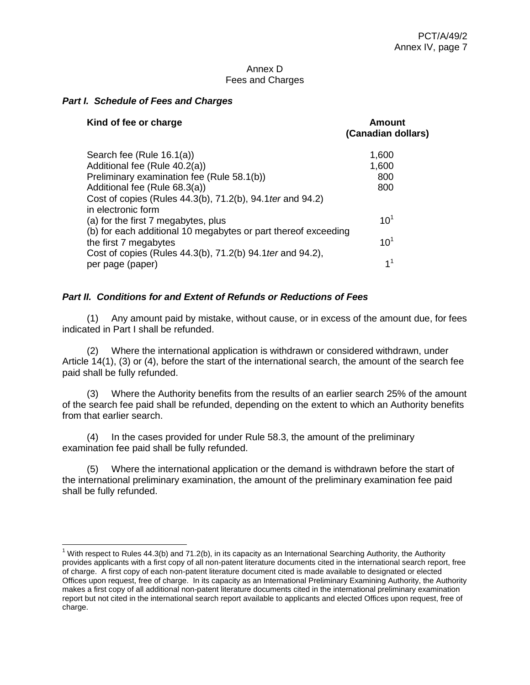### Annex D Fees and Charges

## *Part I. Schedule of Fees and Charges*

| Kind of fee or charge                                                            | Amount<br>(Canadian dollars) |
|----------------------------------------------------------------------------------|------------------------------|
| Search fee (Rule 16.1(a))                                                        | 1,600                        |
| Additional fee (Rule 40.2(a))                                                    | 1,600                        |
| Preliminary examination fee (Rule 58.1(b))                                       | 800                          |
| Additional fee (Rule 68.3(a))                                                    | 800                          |
| Cost of copies (Rules 44.3(b), 71.2(b), 94.1 ter and 94.2)<br>in electronic form |                              |
| (a) for the first 7 megabytes, plus                                              | $10^{1}$                     |
| (b) for each additional 10 megabytes or part thereof exceeding                   |                              |
| the first 7 megabytes                                                            | 10 <sup>1</sup>              |
| Cost of copies (Rules 44.3(b), 71.2(b) 94.1 ter and 94.2),                       |                              |
| per page (paper)                                                                 | 1 <sup>1</sup>               |

## *Part II. Conditions for and Extent of Refunds or Reductions of Fees*

(1) Any amount paid by mistake, without cause, or in excess of the amount due, for fees indicated in Part I shall be refunded.

(2) Where the international application is withdrawn or considered withdrawn, under Article 14(1), (3) or (4), before the start of the international search, the amount of the search fee paid shall be fully refunded.

(3) Where the Authority benefits from the results of an earlier search 25% of the amount of the search fee paid shall be refunded, depending on the extent to which an Authority benefits from that earlier search.

(4) In the cases provided for under Rule 58.3, the amount of the preliminary examination fee paid shall be fully refunded.

(5) Where the international application or the demand is withdrawn before the start of the international preliminary examination, the amount of the preliminary examination fee paid shall be fully refunded.

<sup>&</sup>lt;sup>1</sup> With respect to Rules 44.3(b) and 71.2(b), in its capacity as an International Searching Authority, the Authority provides applicants with a first copy of all non-patent literature documents cited in the international search report, free of charge. A first copy of each non-patent literature document cited is made available to designated or elected Offices upon request, free of charge. In its capacity as an International Preliminary Examining Authority, the Authority makes a first copy of all additional non-patent literature documents cited in the international preliminary examination report but not cited in the international search report available to applicants and elected Offices upon request, free of charge.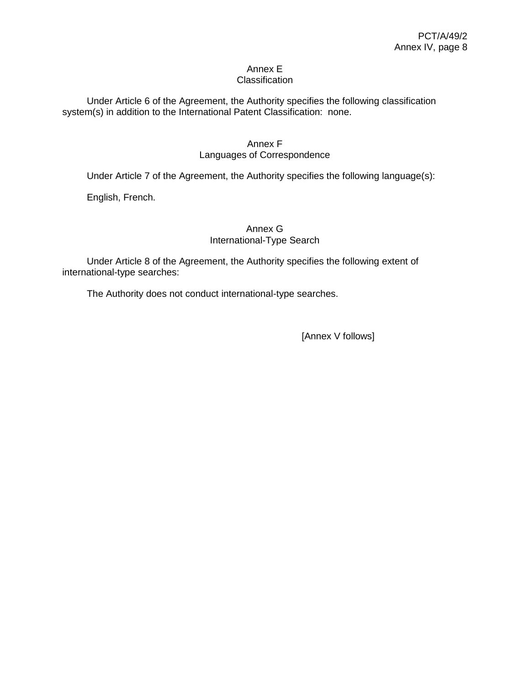#### Annex E **Classification**

Under Article 6 of the Agreement, the Authority specifies the following classification system(s) in addition to the International Patent Classification: none.

## Annex F Languages of Correspondence

Under Article 7 of the Agreement, the Authority specifies the following language(s):

English, French.

# Annex G International-Type Search

Under Article 8 of the Agreement, the Authority specifies the following extent of international-type searches:

The Authority does not conduct international-type searches.

[Annex V follows]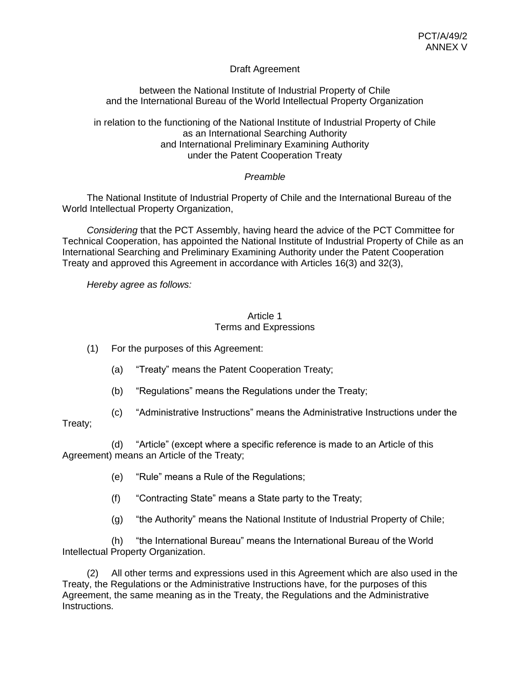# Draft Agreement

between the National Institute of Industrial Property of Chile and the International Bureau of the World Intellectual Property Organization

in relation to the functioning of the National Institute of Industrial Property of Chile as an International Searching Authority and International Preliminary Examining Authority under the Patent Cooperation Treaty

# *Preamble*

The National Institute of Industrial Property of Chile and the International Bureau of the World Intellectual Property Organization,

*Considering* that the PCT Assembly, having heard the advice of the PCT Committee for Technical Cooperation, has appointed the National Institute of Industrial Property of Chile as an International Searching and Preliminary Examining Authority under the Patent Cooperation Treaty and approved this Agreement in accordance with Articles 16(3) and 32(3),

*Hereby agree as follows:*

## Article 1 Terms and Expressions

(1) For the purposes of this Agreement:

- (a) "Treaty" means the Patent Cooperation Treaty;
- (b) "Regulations" means the Regulations under the Treaty;
- (c) "Administrative Instructions" means the Administrative Instructions under the

# Treaty;

(d) "Article" (except where a specific reference is made to an Article of this Agreement) means an Article of the Treaty;

- (e) "Rule" means a Rule of the Regulations;
- (f) "Contracting State" means a State party to the Treaty;
- (g) "the Authority" means the National Institute of Industrial Property of Chile;

(h) "the International Bureau" means the International Bureau of the World Intellectual Property Organization.

(2) All other terms and expressions used in this Agreement which are also used in the Treaty, the Regulations or the Administrative Instructions have, for the purposes of this Agreement, the same meaning as in the Treaty, the Regulations and the Administrative Instructions.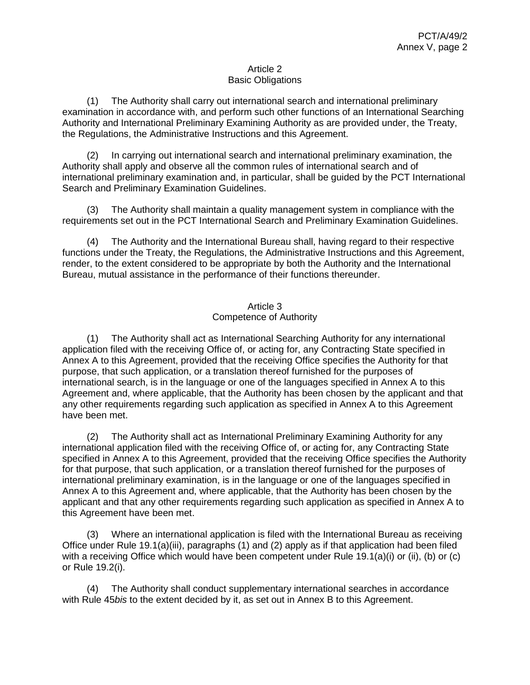## Article 2 Basic Obligations

(1) The Authority shall carry out international search and international preliminary examination in accordance with, and perform such other functions of an International Searching Authority and International Preliminary Examining Authority as are provided under, the Treaty, the Regulations, the Administrative Instructions and this Agreement.

(2) In carrying out international search and international preliminary examination, the Authority shall apply and observe all the common rules of international search and of international preliminary examination and, in particular, shall be guided by the PCT International Search and Preliminary Examination Guidelines.

(3) The Authority shall maintain a quality management system in compliance with the requirements set out in the PCT International Search and Preliminary Examination Guidelines.

(4) The Authority and the International Bureau shall, having regard to their respective functions under the Treaty, the Regulations, the Administrative Instructions and this Agreement, render, to the extent considered to be appropriate by both the Authority and the International Bureau, mutual assistance in the performance of their functions thereunder.

# Article 3 Competence of Authority

(1) The Authority shall act as International Searching Authority for any international application filed with the receiving Office of, or acting for, any Contracting State specified in Annex A to this Agreement, provided that the receiving Office specifies the Authority for that purpose, that such application, or a translation thereof furnished for the purposes of international search, is in the language or one of the languages specified in Annex A to this Agreement and, where applicable, that the Authority has been chosen by the applicant and that any other requirements regarding such application as specified in Annex A to this Agreement have been met.

(2) The Authority shall act as International Preliminary Examining Authority for any international application filed with the receiving Office of, or acting for, any Contracting State specified in Annex A to this Agreement, provided that the receiving Office specifies the Authority for that purpose, that such application, or a translation thereof furnished for the purposes of international preliminary examination, is in the language or one of the languages specified in Annex A to this Agreement and, where applicable, that the Authority has been chosen by the applicant and that any other requirements regarding such application as specified in Annex A to this Agreement have been met.

(3) Where an international application is filed with the International Bureau as receiving Office under Rule 19.1(a)(iii), paragraphs (1) and (2) apply as if that application had been filed with a receiving Office which would have been competent under Rule 19.1(a)(i) or (ii), (b) or (c) or Rule 19.2(i).

(4) The Authority shall conduct supplementary international searches in accordance with Rule 45*bis* to the extent decided by it, as set out in Annex B to this Agreement.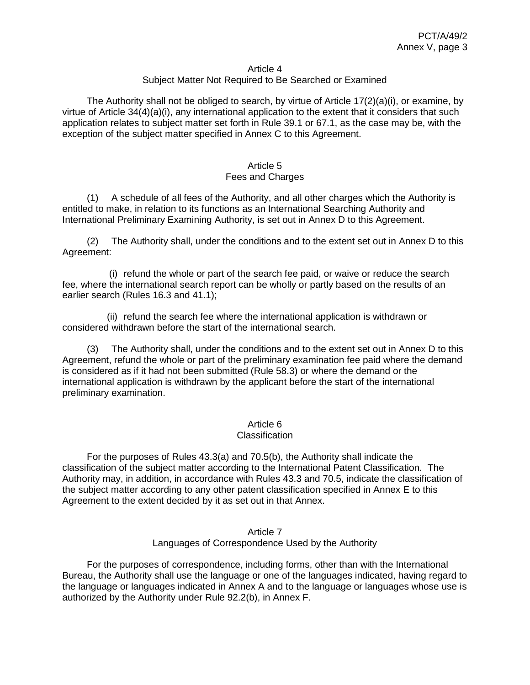#### Article 4

### Subject Matter Not Required to Be Searched or Examined

The Authority shall not be obliged to search, by virtue of Article  $17(2)(a)(i)$ , or examine, by virtue of Article 34(4)(a)(i), any international application to the extent that it considers that such application relates to subject matter set forth in Rule 39.1 or 67.1, as the case may be, with the exception of the subject matter specified in Annex C to this Agreement.

### Article 5 Fees and Charges

(1) A schedule of all fees of the Authority, and all other charges which the Authority is entitled to make, in relation to its functions as an International Searching Authority and International Preliminary Examining Authority, is set out in Annex D to this Agreement.

(2) The Authority shall, under the conditions and to the extent set out in Annex D to this Agreement:

(i) refund the whole or part of the search fee paid, or waive or reduce the search fee, where the international search report can be wholly or partly based on the results of an earlier search (Rules 16.3 and 41.1);

(ii) refund the search fee where the international application is withdrawn or considered withdrawn before the start of the international search.

(3) The Authority shall, under the conditions and to the extent set out in Annex D to this Agreement, refund the whole or part of the preliminary examination fee paid where the demand is considered as if it had not been submitted (Rule 58.3) or where the demand or the international application is withdrawn by the applicant before the start of the international preliminary examination.

### Article 6

### Classification

For the purposes of Rules 43.3(a) and 70.5(b), the Authority shall indicate the classification of the subject matter according to the International Patent Classification. The Authority may, in addition, in accordance with Rules 43.3 and 70.5, indicate the classification of the subject matter according to any other patent classification specified in Annex E to this Agreement to the extent decided by it as set out in that Annex.

### Article 7 Languages of Correspondence Used by the Authority

For the purposes of correspondence, including forms, other than with the International Bureau, the Authority shall use the language or one of the languages indicated, having regard to the language or languages indicated in Annex A and to the language or languages whose use is authorized by the Authority under Rule 92.2(b), in Annex F.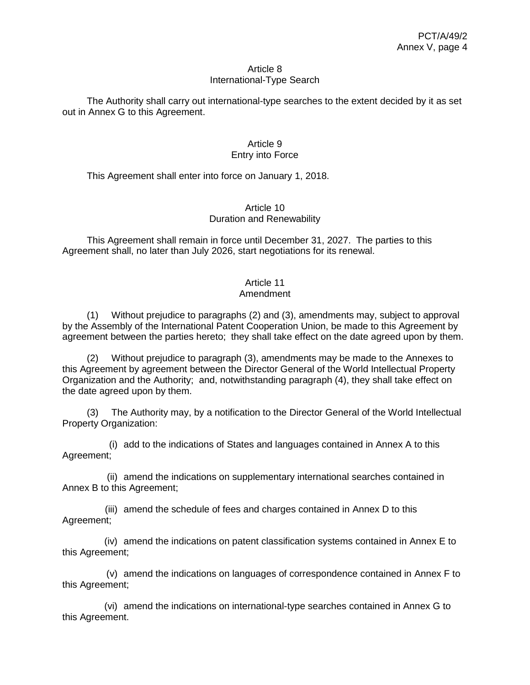### Article 8 International-Type Search

The Authority shall carry out international-type searches to the extent decided by it as set out in Annex G to this Agreement.

## Article 9 Entry into Force

This Agreement shall enter into force on January 1, 2018.

## Article 10 Duration and Renewability

This Agreement shall remain in force until December 31, 2027. The parties to this Agreement shall, no later than July 2026, start negotiations for its renewal.

# Article 11

# Amendment

(1) Without prejudice to paragraphs (2) and (3), amendments may, subject to approval by the Assembly of the International Patent Cooperation Union, be made to this Agreement by agreement between the parties hereto; they shall take effect on the date agreed upon by them.

(2) Without prejudice to paragraph (3), amendments may be made to the Annexes to this Agreement by agreement between the Director General of the World Intellectual Property Organization and the Authority; and, notwithstanding paragraph (4), they shall take effect on the date agreed upon by them.

(3) The Authority may, by a notification to the Director General of the World Intellectual Property Organization:

(i) add to the indications of States and languages contained in Annex A to this Agreement;

(ii) amend the indications on supplementary international searches contained in Annex B to this Agreement;

(iii) amend the schedule of fees and charges contained in Annex D to this Agreement;

(iv) amend the indications on patent classification systems contained in Annex E to this Agreement;

(v) amend the indications on languages of correspondence contained in Annex F to this Agreement;

(vi) amend the indications on international-type searches contained in Annex G to this Agreement.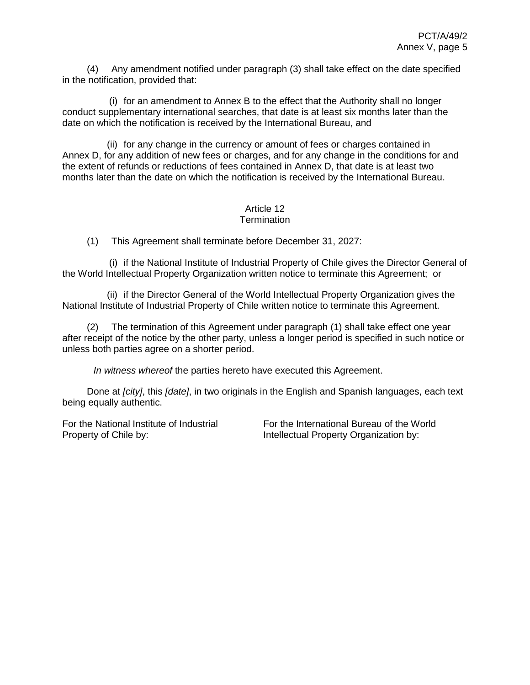(4) Any amendment notified under paragraph (3) shall take effect on the date specified in the notification, provided that:

(i) for an amendment to Annex B to the effect that the Authority shall no longer conduct supplementary international searches, that date is at least six months later than the date on which the notification is received by the International Bureau, and

(ii) for any change in the currency or amount of fees or charges contained in Annex D, for any addition of new fees or charges, and for any change in the conditions for and the extent of refunds or reductions of fees contained in Annex D, that date is at least two months later than the date on which the notification is received by the International Bureau.

#### Article 12 **Termination**

(1) This Agreement shall terminate before December 31, 2027:

(i) if the National Institute of Industrial Property of Chile gives the Director General of the World Intellectual Property Organization written notice to terminate this Agreement; or

(ii) if the Director General of the World Intellectual Property Organization gives the National Institute of Industrial Property of Chile written notice to terminate this Agreement.

(2) The termination of this Agreement under paragraph (1) shall take effect one year after receipt of the notice by the other party, unless a longer period is specified in such notice or unless both parties agree on a shorter period.

*In witness whereof* the parties hereto have executed this Agreement.

Done at *[city]*, this *[date]*, in two originals in the English and Spanish languages, each text being equally authentic.

For the National Institute of Industrial Property of Chile by:

For the International Bureau of the World Intellectual Property Organization by: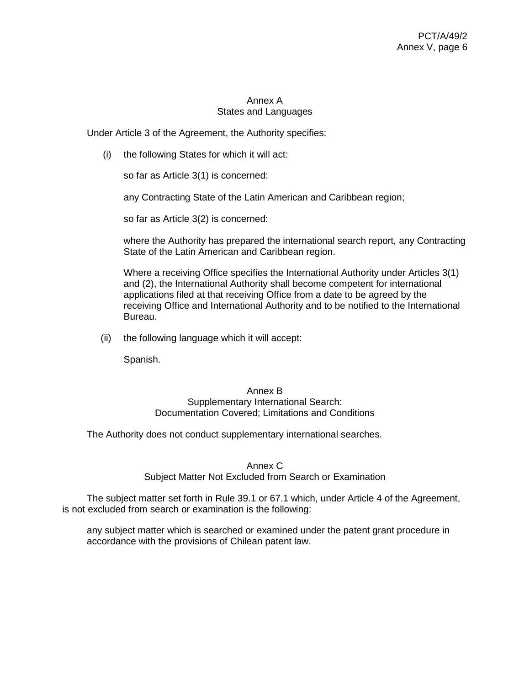# Annex A States and Languages

Under Article 3 of the Agreement, the Authority specifies:

(i) the following States for which it will act:

so far as Article 3(1) is concerned:

any Contracting State of the Latin American and Caribbean region;

so far as Article 3(2) is concerned:

where the Authority has prepared the international search report, any Contracting State of the Latin American and Caribbean region.

Where a receiving Office specifies the International Authority under Articles 3(1) and (2), the International Authority shall become competent for international applications filed at that receiving Office from a date to be agreed by the receiving Office and International Authority and to be notified to the International Bureau.

(ii) the following language which it will accept:

Spanish.

### Annex B Supplementary International Search: Documentation Covered; Limitations and Conditions

The Authority does not conduct supplementary international searches.

Annex C

Subject Matter Not Excluded from Search or Examination

The subject matter set forth in Rule 39.1 or 67.1 which, under Article 4 of the Agreement, is not excluded from search or examination is the following:

any subject matter which is searched or examined under the patent grant procedure in accordance with the provisions of Chilean patent law.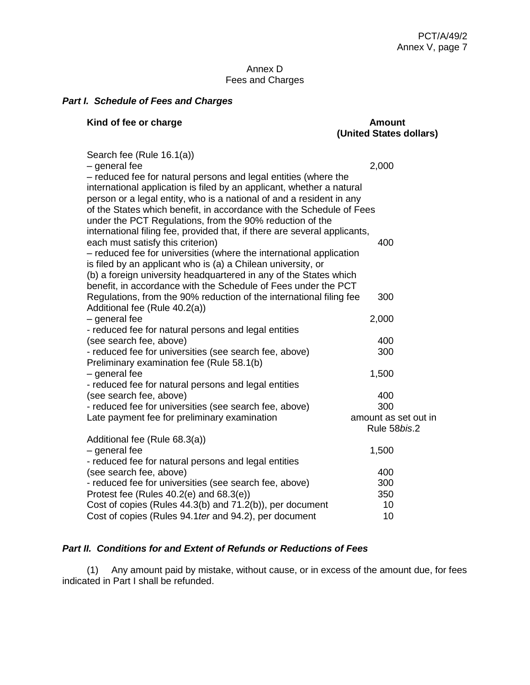## Annex D Fees and Charges

# *Part I. Schedule of Fees and Charges*

| Kind of fee or charge                                                                                                                                                                                                                                                                    | <b>Amount</b><br>(United States dollars) |
|------------------------------------------------------------------------------------------------------------------------------------------------------------------------------------------------------------------------------------------------------------------------------------------|------------------------------------------|
| Search fee (Rule 16.1(a))<br>- general fee                                                                                                                                                                                                                                               | 2,000                                    |
| - reduced fee for natural persons and legal entities (where the<br>international application is filed by an applicant, whether a natural<br>person or a legal entity, who is a national of and a resident in any<br>of the States which benefit, in accordance with the Schedule of Fees |                                          |
| under the PCT Regulations, from the 90% reduction of the                                                                                                                                                                                                                                 |                                          |
| international filing fee, provided that, if there are several applicants,                                                                                                                                                                                                                |                                          |
| each must satisfy this criterion)                                                                                                                                                                                                                                                        | 400                                      |
| - reduced fee for universities (where the international application                                                                                                                                                                                                                      |                                          |
| is filed by an applicant who is (a) a Chilean university, or                                                                                                                                                                                                                             |                                          |
| (b) a foreign university headquartered in any of the States which                                                                                                                                                                                                                        |                                          |
| benefit, in accordance with the Schedule of Fees under the PCT                                                                                                                                                                                                                           |                                          |
| Regulations, from the 90% reduction of the international filing fee                                                                                                                                                                                                                      | 300                                      |
| Additional fee (Rule 40.2(a))<br>- general fee                                                                                                                                                                                                                                           | 2,000                                    |
| - reduced fee for natural persons and legal entities                                                                                                                                                                                                                                     |                                          |
| (see search fee, above)                                                                                                                                                                                                                                                                  | 400                                      |
| - reduced fee for universities (see search fee, above)                                                                                                                                                                                                                                   | 300                                      |
| Preliminary examination fee (Rule 58.1(b)                                                                                                                                                                                                                                                |                                          |
| - general fee                                                                                                                                                                                                                                                                            | 1,500                                    |
| - reduced fee for natural persons and legal entities                                                                                                                                                                                                                                     |                                          |
| (see search fee, above)                                                                                                                                                                                                                                                                  | 400                                      |
| - reduced fee for universities (see search fee, above)                                                                                                                                                                                                                                   | 300                                      |
| Late payment fee for preliminary examination                                                                                                                                                                                                                                             | amount as set out in                     |
|                                                                                                                                                                                                                                                                                          | Rule 58bis.2                             |
| Additional fee (Rule 68.3(a))                                                                                                                                                                                                                                                            |                                          |
| - general fee                                                                                                                                                                                                                                                                            | 1,500                                    |
| - reduced fee for natural persons and legal entities                                                                                                                                                                                                                                     | 400                                      |
| (see search fee, above)<br>- reduced fee for universities (see search fee, above)                                                                                                                                                                                                        | 300                                      |
| Protest fee (Rules 40.2(e) and 68.3(e))                                                                                                                                                                                                                                                  | 350                                      |
| Cost of copies (Rules 44.3(b) and 71.2(b)), per document                                                                                                                                                                                                                                 | 10                                       |
| Cost of copies (Rules 94.1 ter and 94.2), per document                                                                                                                                                                                                                                   | 10                                       |
|                                                                                                                                                                                                                                                                                          |                                          |

## *Part II. Conditions for and Extent of Refunds or Reductions of Fees*

(1) Any amount paid by mistake, without cause, or in excess of the amount due, for fees indicated in Part I shall be refunded.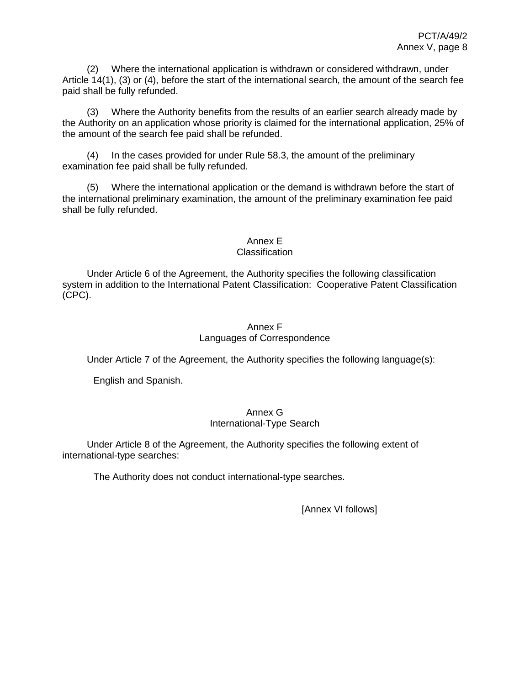(2) Where the international application is withdrawn or considered withdrawn, under Article 14(1), (3) or (4), before the start of the international search, the amount of the search fee paid shall be fully refunded.

(3) Where the Authority benefits from the results of an earlier search already made by the Authority on an application whose priority is claimed for the international application, 25% of the amount of the search fee paid shall be refunded.

(4) In the cases provided for under Rule 58.3, the amount of the preliminary examination fee paid shall be fully refunded.

(5) Where the international application or the demand is withdrawn before the start of the international preliminary examination, the amount of the preliminary examination fee paid shall be fully refunded.

Annex E

## **Classification**

Under Article 6 of the Agreement, the Authority specifies the following classification system in addition to the International Patent Classification: Cooperative Patent Classification (CPC).

# Annex F Languages of Correspondence

Under Article 7 of the Agreement, the Authority specifies the following language(s):

English and Spanish.

# Annex G International-Type Search

Under Article 8 of the Agreement, the Authority specifies the following extent of international-type searches:

The Authority does not conduct international-type searches.

[Annex VI follows]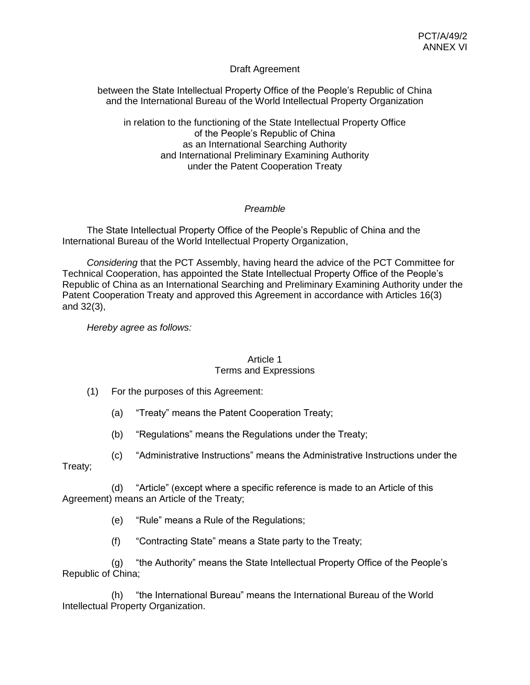# Draft Agreement

between the State Intellectual Property Office of the People's Republic of China and the International Bureau of the World Intellectual Property Organization

in relation to the functioning of the State Intellectual Property Office of the People's Republic of China as an International Searching Authority and International Preliminary Examining Authority under the Patent Cooperation Treaty

# *Preamble*

The State Intellectual Property Office of the People's Republic of China and the International Bureau of the World Intellectual Property Organization,

*Considering* that the PCT Assembly, having heard the advice of the PCT Committee for Technical Cooperation, has appointed the State Intellectual Property Office of the People's Republic of China as an International Searching and Preliminary Examining Authority under the Patent Cooperation Treaty and approved this Agreement in accordance with Articles 16(3) and 32(3),

*Hereby agree as follows:*

### Article 1 Terms and Expressions

(1) For the purposes of this Agreement:

(a) "Treaty" means the Patent Cooperation Treaty;

(b) "Regulations" means the Regulations under the Treaty;

(c) "Administrative Instructions" means the Administrative Instructions under the Treaty;

(d) "Article" (except where a specific reference is made to an Article of this Agreement) means an Article of the Treaty;

(e) "Rule" means a Rule of the Regulations;

(f) "Contracting State" means a State party to the Treaty;

(g) "the Authority" means the State Intellectual Property Office of the People's Republic of China;

(h) "the International Bureau" means the International Bureau of the World Intellectual Property Organization.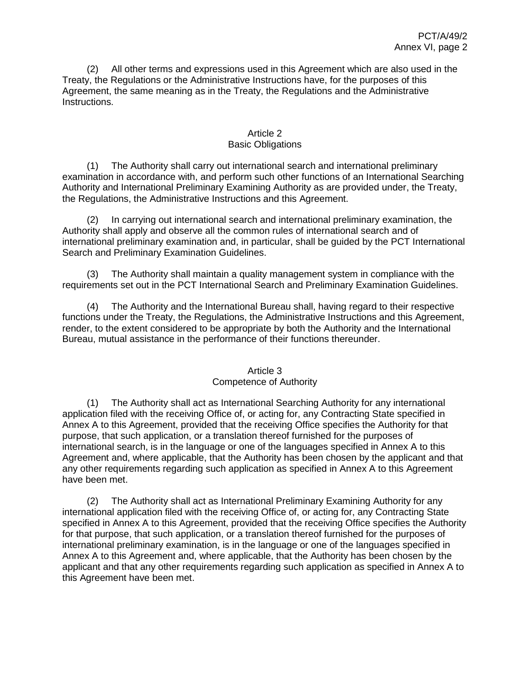(2) All other terms and expressions used in this Agreement which are also used in the Treaty, the Regulations or the Administrative Instructions have, for the purposes of this Agreement, the same meaning as in the Treaty, the Regulations and the Administrative Instructions.

# Article 2 Basic Obligations

(1) The Authority shall carry out international search and international preliminary examination in accordance with, and perform such other functions of an International Searching Authority and International Preliminary Examining Authority as are provided under, the Treaty, the Regulations, the Administrative Instructions and this Agreement.

(2) In carrying out international search and international preliminary examination, the Authority shall apply and observe all the common rules of international search and of international preliminary examination and, in particular, shall be guided by the PCT International Search and Preliminary Examination Guidelines.

(3) The Authority shall maintain a quality management system in compliance with the requirements set out in the PCT International Search and Preliminary Examination Guidelines.

(4) The Authority and the International Bureau shall, having regard to their respective functions under the Treaty, the Regulations, the Administrative Instructions and this Agreement, render, to the extent considered to be appropriate by both the Authority and the International Bureau, mutual assistance in the performance of their functions thereunder.

# Article 3 Competence of Authority

(1) The Authority shall act as International Searching Authority for any international application filed with the receiving Office of, or acting for, any Contracting State specified in Annex A to this Agreement, provided that the receiving Office specifies the Authority for that purpose, that such application, or a translation thereof furnished for the purposes of international search, is in the language or one of the languages specified in Annex A to this Agreement and, where applicable, that the Authority has been chosen by the applicant and that any other requirements regarding such application as specified in Annex A to this Agreement have been met.

(2) The Authority shall act as International Preliminary Examining Authority for any international application filed with the receiving Office of, or acting for, any Contracting State specified in Annex A to this Agreement, provided that the receiving Office specifies the Authority for that purpose, that such application, or a translation thereof furnished for the purposes of international preliminary examination, is in the language or one of the languages specified in Annex A to this Agreement and, where applicable, that the Authority has been chosen by the applicant and that any other requirements regarding such application as specified in Annex A to this Agreement have been met.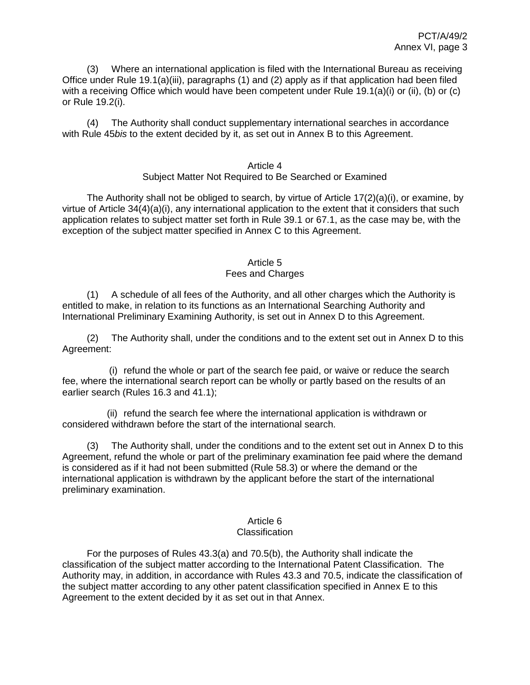(3) Where an international application is filed with the International Bureau as receiving Office under Rule 19.1(a)(iii), paragraphs (1) and (2) apply as if that application had been filed with a receiving Office which would have been competent under Rule 19.1(a)(i) or (ii), (b) or (c) or Rule 19.2(i).

(4) The Authority shall conduct supplementary international searches in accordance with Rule 45*bis* to the extent decided by it, as set out in Annex B to this Agreement.

### Article 4 Subject Matter Not Required to Be Searched or Examined

The Authority shall not be obliged to search, by virtue of Article 17(2)(a)(i), or examine, by virtue of Article 34(4)(a)(i), any international application to the extent that it considers that such application relates to subject matter set forth in Rule 39.1 or 67.1, as the case may be, with the exception of the subject matter specified in Annex C to this Agreement.

# Article 5

# Fees and Charges

(1) A schedule of all fees of the Authority, and all other charges which the Authority is entitled to make, in relation to its functions as an International Searching Authority and International Preliminary Examining Authority, is set out in Annex D to this Agreement.

(2) The Authority shall, under the conditions and to the extent set out in Annex D to this Agreement:

(i) refund the whole or part of the search fee paid, or waive or reduce the search fee, where the international search report can be wholly or partly based on the results of an earlier search (Rules 16.3 and 41.1);

(ii) refund the search fee where the international application is withdrawn or considered withdrawn before the start of the international search.

(3) The Authority shall, under the conditions and to the extent set out in Annex D to this Agreement, refund the whole or part of the preliminary examination fee paid where the demand is considered as if it had not been submitted (Rule 58.3) or where the demand or the international application is withdrawn by the applicant before the start of the international preliminary examination.

#### Article 6 **Classification**

For the purposes of Rules 43.3(a) and 70.5(b), the Authority shall indicate the classification of the subject matter according to the International Patent Classification. The Authority may, in addition, in accordance with Rules 43.3 and 70.5, indicate the classification of the subject matter according to any other patent classification specified in Annex E to this Agreement to the extent decided by it as set out in that Annex.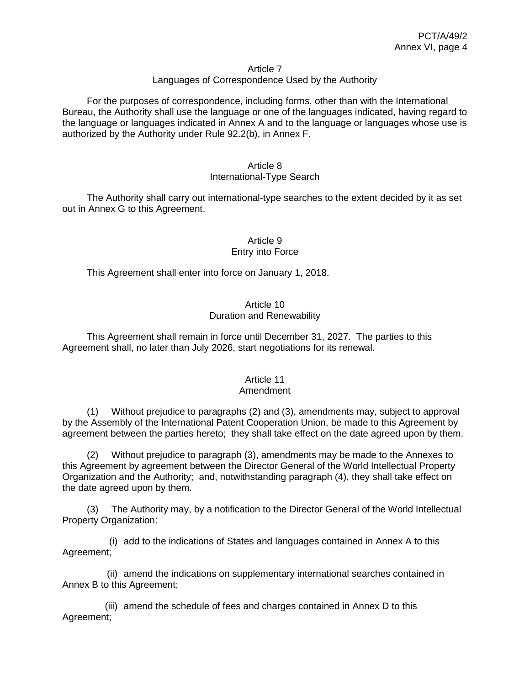#### Article 7

## Languages of Correspondence Used by the Authority

For the purposes of correspondence, including forms, other than with the International Bureau, the Authority shall use the language or one of the languages indicated, having regard to the language or languages indicated in Annex A and to the language or languages whose use is authorized by the Authority under Rule 92.2(b), in Annex F.

# Article 8

# International-Type Search

The Authority shall carry out international-type searches to the extent decided by it as set out in Annex G to this Agreement.

## Article 9 Entry into Force

This Agreement shall enter into force on January 1, 2018.

# Article 10 Duration and Renewability

This Agreement shall remain in force until December 31, 2027. The parties to this Agreement shall, no later than July 2026, start negotiations for its renewal.

# Article 11

# Amendment

(1) Without prejudice to paragraphs (2) and (3), amendments may, subject to approval by the Assembly of the International Patent Cooperation Union, be made to this Agreement by agreement between the parties hereto; they shall take effect on the date agreed upon by them.

(2) Without prejudice to paragraph (3), amendments may be made to the Annexes to this Agreement by agreement between the Director General of the World Intellectual Property Organization and the Authority; and, notwithstanding paragraph (4), they shall take effect on the date agreed upon by them.

(3) The Authority may, by a notification to the Director General of the World Intellectual Property Organization:

(i) add to the indications of States and languages contained in Annex A to this Agreement;

(ii) amend the indications on supplementary international searches contained in Annex B to this Agreement;

(iii) amend the schedule of fees and charges contained in Annex D to this Agreement;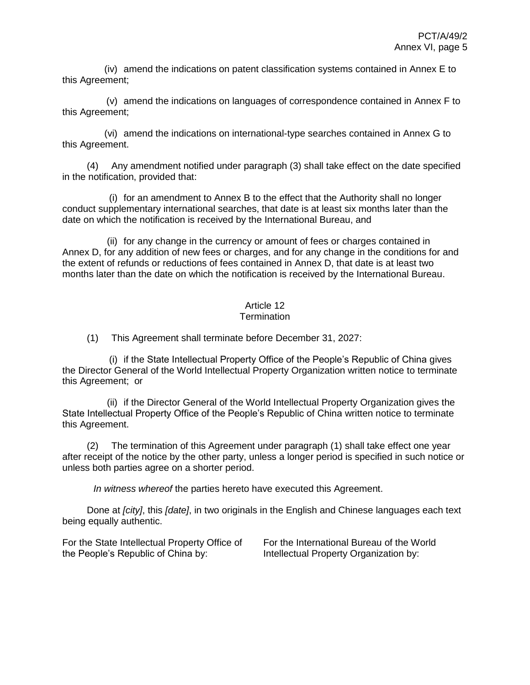(iv) amend the indications on patent classification systems contained in Annex E to this Agreement;

(v) amend the indications on languages of correspondence contained in Annex F to this Agreement;

(vi) amend the indications on international-type searches contained in Annex G to this Agreement.

(4) Any amendment notified under paragraph (3) shall take effect on the date specified in the notification, provided that:

(i) for an amendment to Annex B to the effect that the Authority shall no longer conduct supplementary international searches, that date is at least six months later than the date on which the notification is received by the International Bureau, and

(ii) for any change in the currency or amount of fees or charges contained in Annex D, for any addition of new fees or charges, and for any change in the conditions for and the extent of refunds or reductions of fees contained in Annex D, that date is at least two months later than the date on which the notification is received by the International Bureau.

# Article 12

## **Termination**

(1) This Agreement shall terminate before December 31, 2027:

(i) if the State Intellectual Property Office of the People's Republic of China gives the Director General of the World Intellectual Property Organization written notice to terminate this Agreement; or

(ii) if the Director General of the World Intellectual Property Organization gives the State Intellectual Property Office of the People's Republic of China written notice to terminate this Agreement.

(2) The termination of this Agreement under paragraph (1) shall take effect one year after receipt of the notice by the other party, unless a longer period is specified in such notice or unless both parties agree on a shorter period.

*In witness whereof* the parties hereto have executed this Agreement.

Done at *[city]*, this *[date]*, in two originals in the English and Chinese languages each text being equally authentic.

For the State Intellectual Property Office of the People's Republic of China by:

For the International Bureau of the World Intellectual Property Organization by: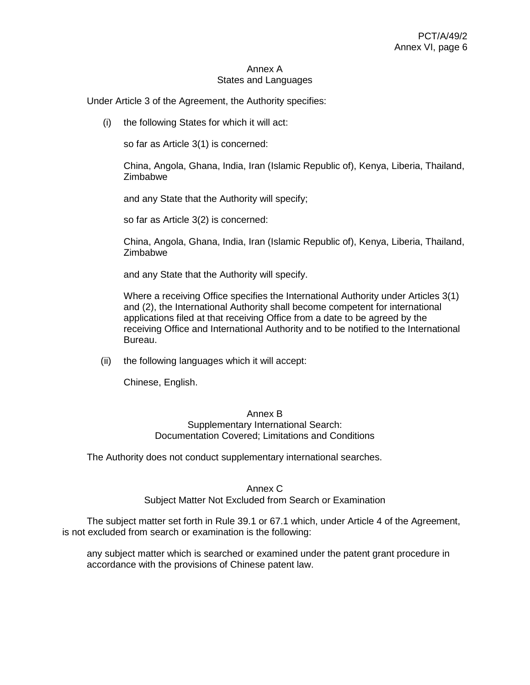### Annex A States and Languages

Under Article 3 of the Agreement, the Authority specifies:

(i) the following States for which it will act:

so far as Article 3(1) is concerned:

China, Angola, Ghana, India, Iran (Islamic Republic of), Kenya, Liberia, Thailand, Zimbabwe

and any State that the Authority will specify;

so far as Article 3(2) is concerned:

China, Angola, Ghana, India, Iran (Islamic Republic of), Kenya, Liberia, Thailand, **Zimbabwe** 

and any State that the Authority will specify.

Where a receiving Office specifies the International Authority under Articles 3(1) and (2), the International Authority shall become competent for international applications filed at that receiving Office from a date to be agreed by the receiving Office and International Authority and to be notified to the International Bureau.

(ii) the following languages which it will accept:

Chinese, English.

### Annex B Supplementary International Search: Documentation Covered; Limitations and Conditions

The Authority does not conduct supplementary international searches.

### Annex C

## Subject Matter Not Excluded from Search or Examination

The subject matter set forth in Rule 39.1 or 67.1 which, under Article 4 of the Agreement, is not excluded from search or examination is the following:

any subject matter which is searched or examined under the patent grant procedure in accordance with the provisions of Chinese patent law.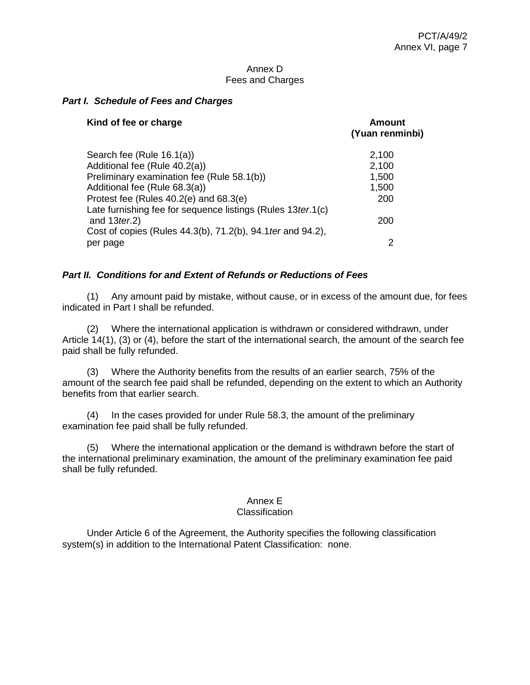### Annex D Fees and Charges

## *Part I. Schedule of Fees and Charges*

| Kind of fee or charge                                                            | <b>Amount</b><br>(Yuan renminbi) |
|----------------------------------------------------------------------------------|----------------------------------|
| Search fee (Rule 16.1(a))                                                        | 2,100                            |
| Additional fee (Rule 40.2(a))                                                    | 2,100                            |
| Preliminary examination fee (Rule 58.1(b))                                       | 1,500                            |
| Additional fee (Rule 68.3(a))                                                    | 1,500                            |
| Protest fee (Rules 40.2(e) and 68.3(e)                                           | 200                              |
| Late furnishing fee for sequence listings (Rules 13 ter. 1(c)<br>and $13$ ter.2) | 200                              |
| Cost of copies (Rules 44.3(b), 71.2(b), 94.1 ter and 94.2),<br>per page          | 2                                |
|                                                                                  |                                  |

## *Part II. Conditions for and Extent of Refunds or Reductions of Fees*

(1) Any amount paid by mistake, without cause, or in excess of the amount due, for fees indicated in Part I shall be refunded.

(2) Where the international application is withdrawn or considered withdrawn, under Article 14(1), (3) or (4), before the start of the international search, the amount of the search fee paid shall be fully refunded.

(3) Where the Authority benefits from the results of an earlier search, 75% of the amount of the search fee paid shall be refunded, depending on the extent to which an Authority benefits from that earlier search.

(4) In the cases provided for under Rule 58.3, the amount of the preliminary examination fee paid shall be fully refunded.

(5) Where the international application or the demand is withdrawn before the start of the international preliminary examination, the amount of the preliminary examination fee paid shall be fully refunded.

# Annex E

### Classification

Under Article 6 of the Agreement, the Authority specifies the following classification system(s) in addition to the International Patent Classification: none.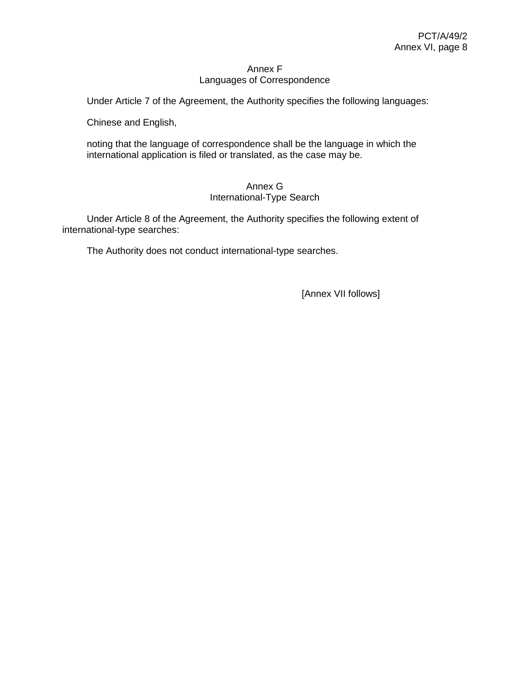### Annex F Languages of Correspondence

Under Article 7 of the Agreement, the Authority specifies the following languages:

Chinese and English,

noting that the language of correspondence shall be the language in which the international application is filed or translated, as the case may be.

## Annex G International-Type Search

Under Article 8 of the Agreement, the Authority specifies the following extent of international-type searches:

The Authority does not conduct international-type searches.

[Annex VII follows]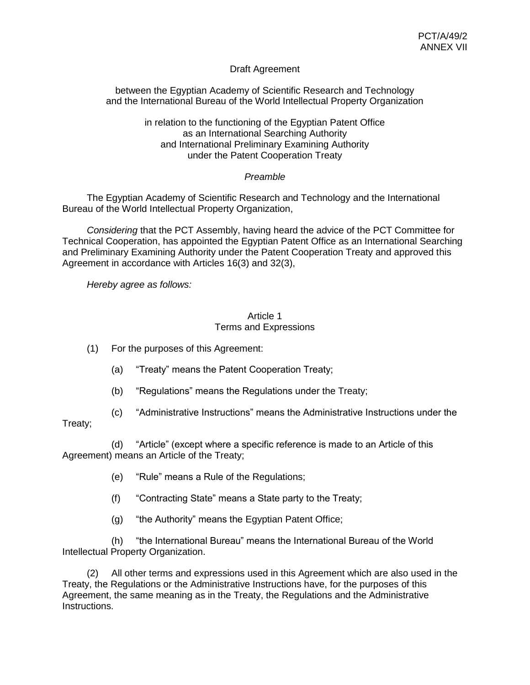# Draft Agreement

between the Egyptian Academy of Scientific Research and Technology and the International Bureau of the World Intellectual Property Organization

> in relation to the functioning of the Egyptian Patent Office as an International Searching Authority and International Preliminary Examining Authority under the Patent Cooperation Treaty

# *Preamble*

The Egyptian Academy of Scientific Research and Technology and the International Bureau of the World Intellectual Property Organization,

*Considering* that the PCT Assembly, having heard the advice of the PCT Committee for Technical Cooperation, has appointed the Egyptian Patent Office as an International Searching and Preliminary Examining Authority under the Patent Cooperation Treaty and approved this Agreement in accordance with Articles 16(3) and 32(3),

*Hereby agree as follows:*

## Article 1 Terms and Expressions

- (1) For the purposes of this Agreement:
	- (a) "Treaty" means the Patent Cooperation Treaty;
	- (b) "Regulations" means the Regulations under the Treaty;
- (c) "Administrative Instructions" means the Administrative Instructions under the

# Treaty;

(d) "Article" (except where a specific reference is made to an Article of this Agreement) means an Article of the Treaty;

- (e) "Rule" means a Rule of the Regulations;
- (f) "Contracting State" means a State party to the Treaty;
- (g) "the Authority" means the Egyptian Patent Office;

(h) "the International Bureau" means the International Bureau of the World Intellectual Property Organization.

(2) All other terms and expressions used in this Agreement which are also used in the Treaty, the Regulations or the Administrative Instructions have, for the purposes of this Agreement, the same meaning as in the Treaty, the Regulations and the Administrative Instructions.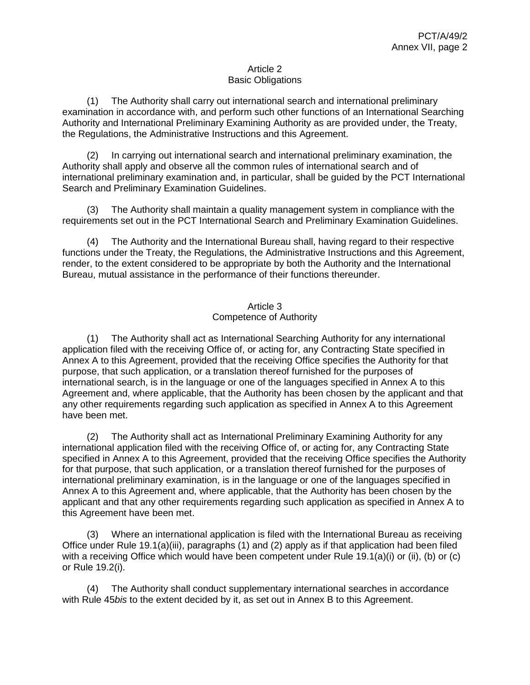## Article 2 Basic Obligations

(1) The Authority shall carry out international search and international preliminary examination in accordance with, and perform such other functions of an International Searching Authority and International Preliminary Examining Authority as are provided under, the Treaty, the Regulations, the Administrative Instructions and this Agreement.

(2) In carrying out international search and international preliminary examination, the Authority shall apply and observe all the common rules of international search and of international preliminary examination and, in particular, shall be guided by the PCT International Search and Preliminary Examination Guidelines.

(3) The Authority shall maintain a quality management system in compliance with the requirements set out in the PCT International Search and Preliminary Examination Guidelines.

(4) The Authority and the International Bureau shall, having regard to their respective functions under the Treaty, the Regulations, the Administrative Instructions and this Agreement, render, to the extent considered to be appropriate by both the Authority and the International Bureau, mutual assistance in the performance of their functions thereunder.

# Article 3 Competence of Authority

(1) The Authority shall act as International Searching Authority for any international application filed with the receiving Office of, or acting for, any Contracting State specified in Annex A to this Agreement, provided that the receiving Office specifies the Authority for that purpose, that such application, or a translation thereof furnished for the purposes of international search, is in the language or one of the languages specified in Annex A to this Agreement and, where applicable, that the Authority has been chosen by the applicant and that any other requirements regarding such application as specified in Annex A to this Agreement have been met.

(2) The Authority shall act as International Preliminary Examining Authority for any international application filed with the receiving Office of, or acting for, any Contracting State specified in Annex A to this Agreement, provided that the receiving Office specifies the Authority for that purpose, that such application, or a translation thereof furnished for the purposes of international preliminary examination, is in the language or one of the languages specified in Annex A to this Agreement and, where applicable, that the Authority has been chosen by the applicant and that any other requirements regarding such application as specified in Annex A to this Agreement have been met.

(3) Where an international application is filed with the International Bureau as receiving Office under Rule 19.1(a)(iii), paragraphs (1) and (2) apply as if that application had been filed with a receiving Office which would have been competent under Rule 19.1(a)(i) or (ii), (b) or (c) or Rule 19.2(i).

(4) The Authority shall conduct supplementary international searches in accordance with Rule 45*bis* to the extent decided by it, as set out in Annex B to this Agreement.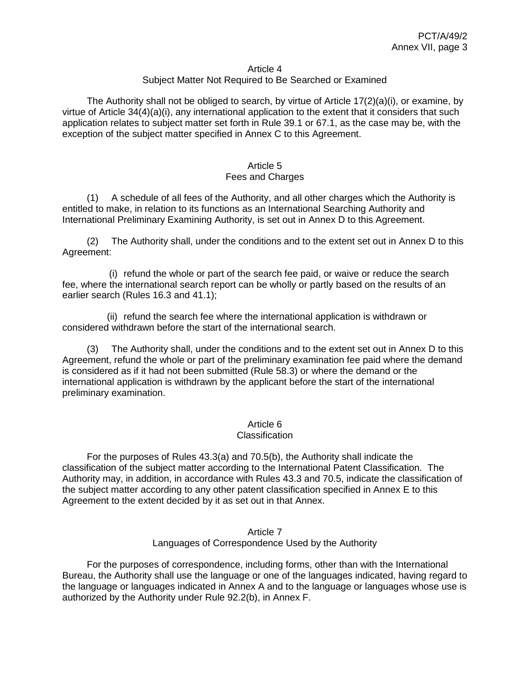#### Article 4

## Subject Matter Not Required to Be Searched or Examined

The Authority shall not be obliged to search, by virtue of Article  $17(2)(a)(i)$ , or examine, by virtue of Article 34(4)(a)(i), any international application to the extent that it considers that such application relates to subject matter set forth in Rule 39.1 or 67.1, as the case may be, with the exception of the subject matter specified in Annex C to this Agreement.

### Article 5 Fees and Charges

(1) A schedule of all fees of the Authority, and all other charges which the Authority is entitled to make, in relation to its functions as an International Searching Authority and International Preliminary Examining Authority, is set out in Annex D to this Agreement.

(2) The Authority shall, under the conditions and to the extent set out in Annex D to this Agreement:

(i) refund the whole or part of the search fee paid, or waive or reduce the search fee, where the international search report can be wholly or partly based on the results of an earlier search (Rules 16.3 and 41.1);

(ii) refund the search fee where the international application is withdrawn or considered withdrawn before the start of the international search.

(3) The Authority shall, under the conditions and to the extent set out in Annex D to this Agreement, refund the whole or part of the preliminary examination fee paid where the demand is considered as if it had not been submitted (Rule 58.3) or where the demand or the international application is withdrawn by the applicant before the start of the international preliminary examination.

### Article 6

#### **Classification**

For the purposes of Rules 43.3(a) and 70.5(b), the Authority shall indicate the classification of the subject matter according to the International Patent Classification. The Authority may, in addition, in accordance with Rules 43.3 and 70.5, indicate the classification of the subject matter according to any other patent classification specified in Annex E to this Agreement to the extent decided by it as set out in that Annex.

# Article 7

# Languages of Correspondence Used by the Authority

For the purposes of correspondence, including forms, other than with the International Bureau, the Authority shall use the language or one of the languages indicated, having regard to the language or languages indicated in Annex A and to the language or languages whose use is authorized by the Authority under Rule 92.2(b), in Annex F.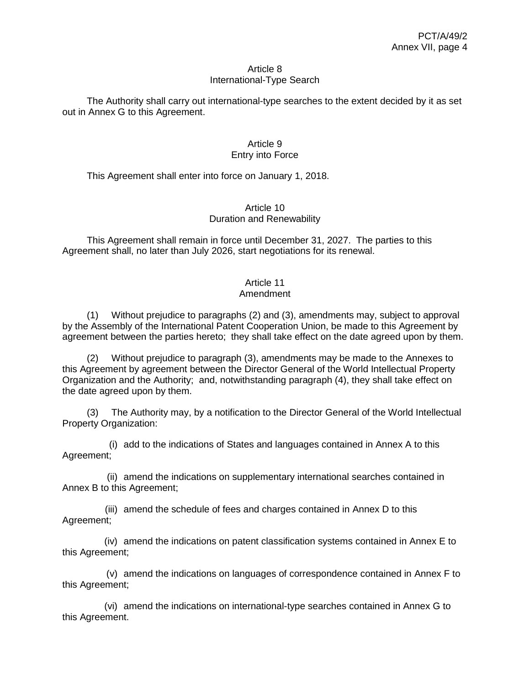### Article 8 International-Type Search

The Authority shall carry out international-type searches to the extent decided by it as set out in Annex G to this Agreement.

## Article 9 Entry into Force

This Agreement shall enter into force on January 1, 2018.

## Article 10 Duration and Renewability

This Agreement shall remain in force until December 31, 2027. The parties to this Agreement shall, no later than July 2026, start negotiations for its renewal.

# Article 11

# Amendment

(1) Without prejudice to paragraphs (2) and (3), amendments may, subject to approval by the Assembly of the International Patent Cooperation Union, be made to this Agreement by agreement between the parties hereto; they shall take effect on the date agreed upon by them.

(2) Without prejudice to paragraph (3), amendments may be made to the Annexes to this Agreement by agreement between the Director General of the World Intellectual Property Organization and the Authority; and, notwithstanding paragraph (4), they shall take effect on the date agreed upon by them.

(3) The Authority may, by a notification to the Director General of the World Intellectual Property Organization:

(i) add to the indications of States and languages contained in Annex A to this Agreement;

(ii) amend the indications on supplementary international searches contained in Annex B to this Agreement;

(iii) amend the schedule of fees and charges contained in Annex D to this Agreement;

(iv) amend the indications on patent classification systems contained in Annex E to this Agreement;

(v) amend the indications on languages of correspondence contained in Annex F to this Agreement;

(vi) amend the indications on international-type searches contained in Annex G to this Agreement.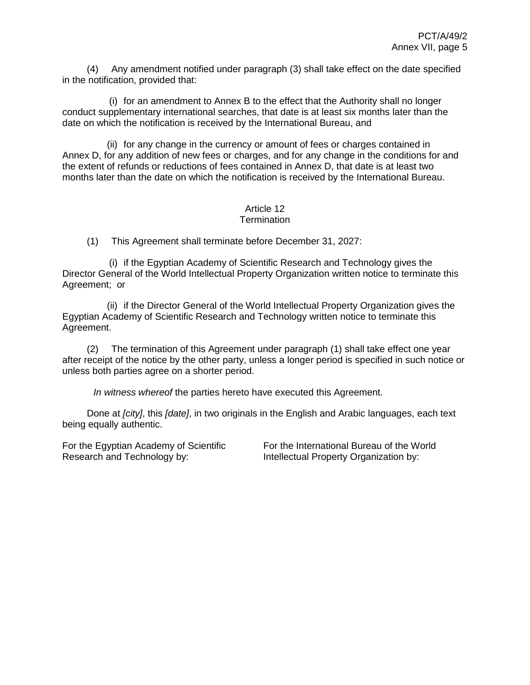(4) Any amendment notified under paragraph (3) shall take effect on the date specified in the notification, provided that:

(i) for an amendment to Annex B to the effect that the Authority shall no longer conduct supplementary international searches, that date is at least six months later than the date on which the notification is received by the International Bureau, and

(ii) for any change in the currency or amount of fees or charges contained in Annex D, for any addition of new fees or charges, and for any change in the conditions for and the extent of refunds or reductions of fees contained in Annex D, that date is at least two months later than the date on which the notification is received by the International Bureau.

### Article 12 **Termination**

(1) This Agreement shall terminate before December 31, 2027:

(i) if the Egyptian Academy of Scientific Research and Technology gives the Director General of the World Intellectual Property Organization written notice to terminate this Agreement; or

(ii) if the Director General of the World Intellectual Property Organization gives the Egyptian Academy of Scientific Research and Technology written notice to terminate this Agreement.

(2) The termination of this Agreement under paragraph (1) shall take effect one year after receipt of the notice by the other party, unless a longer period is specified in such notice or unless both parties agree on a shorter period.

*In witness whereof* the parties hereto have executed this Agreement.

Done at *[city]*, this *[date]*, in two originals in the English and Arabic languages, each text being equally authentic.

For the Egyptian Academy of Scientific Research and Technology by:

For the International Bureau of the World Intellectual Property Organization by: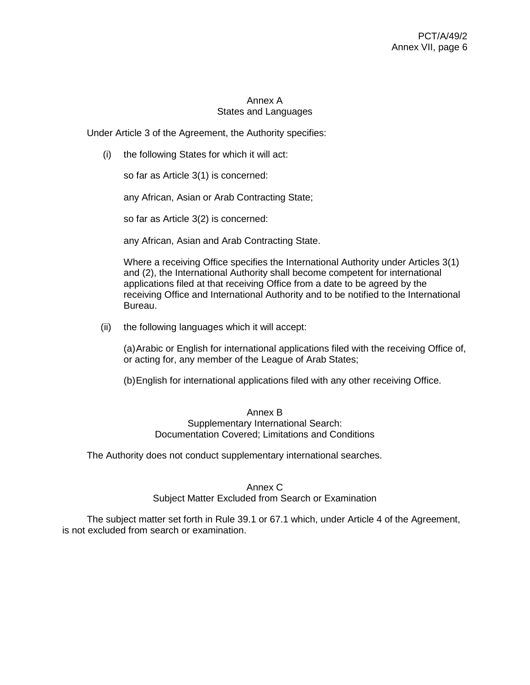# Annex A States and Languages

Under Article 3 of the Agreement, the Authority specifies:

(i) the following States for which it will act:

so far as Article 3(1) is concerned:

any African, Asian or Arab Contracting State;

so far as Article 3(2) is concerned:

any African, Asian and Arab Contracting State.

Where a receiving Office specifies the International Authority under Articles 3(1) and (2), the International Authority shall become competent for international applications filed at that receiving Office from a date to be agreed by the receiving Office and International Authority and to be notified to the International Bureau.

(ii) the following languages which it will accept:

(a)Arabic or English for international applications filed with the receiving Office of, or acting for, any member of the League of Arab States;

(b)English for international applications filed with any other receiving Office.

### Annex B

# Supplementary International Search: Documentation Covered; Limitations and Conditions

The Authority does not conduct supplementary international searches.

### Annex C

Subject Matter Excluded from Search or Examination

The subject matter set forth in Rule 39.1 or 67.1 which, under Article 4 of the Agreement, is not excluded from search or examination.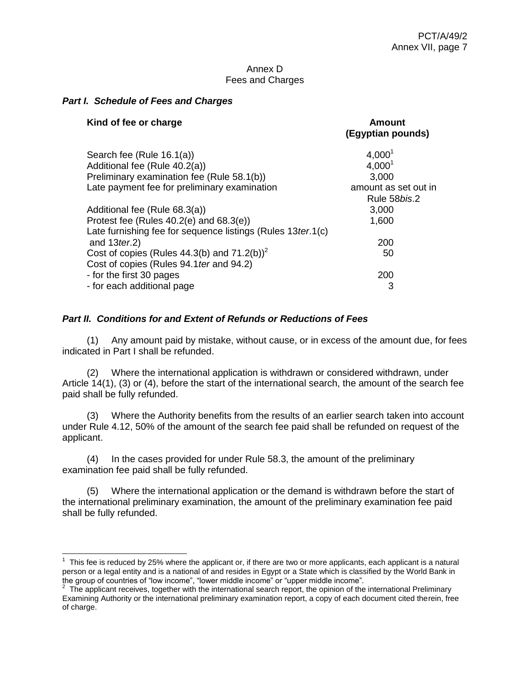### Annex D Fees and Charges

### *Part I. Schedule of Fees and Charges*

| Kind of fee or charge                                         | <b>Amount</b><br>(Egyptian pounds) |
|---------------------------------------------------------------|------------------------------------|
| Search fee (Rule 16.1(a))                                     | $4,000^1$                          |
| Additional fee (Rule 40.2(a))                                 | 4,000 <sup>1</sup>                 |
| Preliminary examination fee (Rule 58.1(b))                    | 3,000                              |
| Late payment fee for preliminary examination                  | amount as set out in               |
|                                                               | Rule 58bis.2                       |
| Additional fee (Rule 68.3(a))                                 | 3,000                              |
| Protest fee (Rules $40.2(e)$ and $68.3(e)$ )                  | 1,600                              |
| Late furnishing fee for sequence listings (Rules 13 ter. 1(c) |                                    |
| and $13$ ter.2)                                               | 200                                |
| Cost of copies (Rules 44.3(b) and $71.2(b)^2$                 | 50                                 |
| Cost of copies (Rules 94.1 ter and 94.2)                      |                                    |
| - for the first 30 pages                                      | 200                                |
| - for each additional page                                    | 3                                  |

## *Part II. Conditions for and Extent of Refunds or Reductions of Fees*

(1) Any amount paid by mistake, without cause, or in excess of the amount due, for fees indicated in Part I shall be refunded.

(2) Where the international application is withdrawn or considered withdrawn, under Article 14(1), (3) or (4), before the start of the international search, the amount of the search fee paid shall be fully refunded.

(3) Where the Authority benefits from the results of an earlier search taken into account under Rule 4.12, 50% of the amount of the search fee paid shall be refunded on request of the applicant.

(4) In the cases provided for under Rule 58.3, the amount of the preliminary examination fee paid shall be fully refunded.

(5) Where the international application or the demand is withdrawn before the start of the international preliminary examination, the amount of the preliminary examination fee paid shall be fully refunded.

<sup>————————————————————&</sup>lt;br><sup>1</sup> This fee is reduced by 25% where the applicant or, if there are two or more applicants, each applicant is a natural person or a legal entity and is a national of and resides in Egypt or a State which is classified by the World Bank in

the group of countries of "low income", "lower middle income" or "upper middle income".<br><sup>2</sup> The applicant receives, together with the international search report, the opinion of the international Preliminary Examining Authority or the international preliminary examination report, a copy of each document cited therein, free of charge.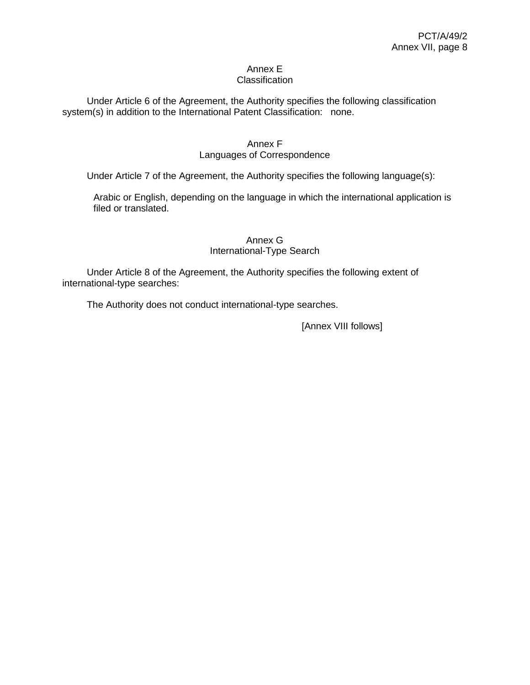#### Annex E **Classification**

Under Article 6 of the Agreement, the Authority specifies the following classification system(s) in addition to the International Patent Classification: none.

# Annex F

## Languages of Correspondence

Under Article 7 of the Agreement, the Authority specifies the following language(s):

Arabic or English, depending on the language in which the international application is filed or translated.

## Annex G International-Type Search

Under Article 8 of the Agreement, the Authority specifies the following extent of international-type searches:

The Authority does not conduct international-type searches.

[Annex VIII follows]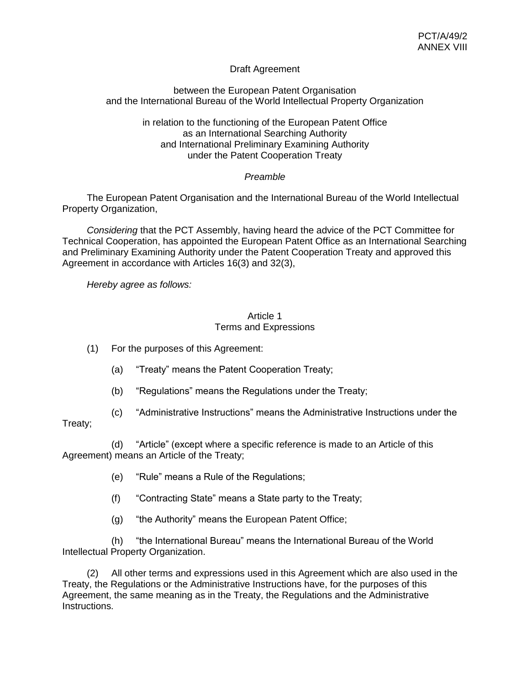# Draft Agreement

## between the European Patent Organisation and the International Bureau of the World Intellectual Property Organization

in relation to the functioning of the European Patent Office as an International Searching Authority and International Preliminary Examining Authority under the Patent Cooperation Treaty

# *Preamble*

The European Patent Organisation and the International Bureau of the World Intellectual Property Organization,

*Considering* that the PCT Assembly, having heard the advice of the PCT Committee for Technical Cooperation, has appointed the European Patent Office as an International Searching and Preliminary Examining Authority under the Patent Cooperation Treaty and approved this Agreement in accordance with Articles 16(3) and 32(3),

*Hereby agree as follows:*

## Article 1 Terms and Expressions

(1) For the purposes of this Agreement:

- (a) "Treaty" means the Patent Cooperation Treaty;
- (b) "Regulations" means the Regulations under the Treaty;
- (c) "Administrative Instructions" means the Administrative Instructions under the

# Treaty;

(d) "Article" (except where a specific reference is made to an Article of this Agreement) means an Article of the Treaty;

- (e) "Rule" means a Rule of the Regulations;
- (f) "Contracting State" means a State party to the Treaty;
- (g) "the Authority" means the European Patent Office;

(h) "the International Bureau" means the International Bureau of the World Intellectual Property Organization.

(2) All other terms and expressions used in this Agreement which are also used in the Treaty, the Regulations or the Administrative Instructions have, for the purposes of this Agreement, the same meaning as in the Treaty, the Regulations and the Administrative Instructions.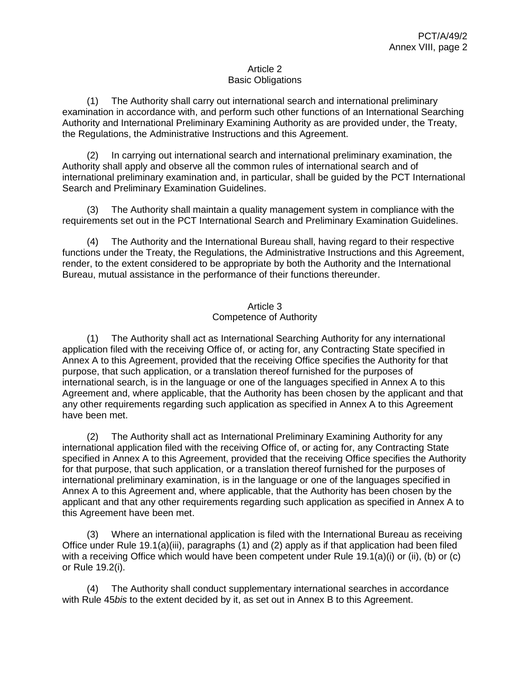## Article 2 Basic Obligations

(1) The Authority shall carry out international search and international preliminary examination in accordance with, and perform such other functions of an International Searching Authority and International Preliminary Examining Authority as are provided under, the Treaty, the Regulations, the Administrative Instructions and this Agreement.

(2) In carrying out international search and international preliminary examination, the Authority shall apply and observe all the common rules of international search and of international preliminary examination and, in particular, shall be guided by the PCT International Search and Preliminary Examination Guidelines.

(3) The Authority shall maintain a quality management system in compliance with the requirements set out in the PCT International Search and Preliminary Examination Guidelines.

(4) The Authority and the International Bureau shall, having regard to their respective functions under the Treaty, the Regulations, the Administrative Instructions and this Agreement, render, to the extent considered to be appropriate by both the Authority and the International Bureau, mutual assistance in the performance of their functions thereunder.

# Article 3 Competence of Authority

(1) The Authority shall act as International Searching Authority for any international application filed with the receiving Office of, or acting for, any Contracting State specified in Annex A to this Agreement, provided that the receiving Office specifies the Authority for that purpose, that such application, or a translation thereof furnished for the purposes of international search, is in the language or one of the languages specified in Annex A to this Agreement and, where applicable, that the Authority has been chosen by the applicant and that any other requirements regarding such application as specified in Annex A to this Agreement have been met.

(2) The Authority shall act as International Preliminary Examining Authority for any international application filed with the receiving Office of, or acting for, any Contracting State specified in Annex A to this Agreement, provided that the receiving Office specifies the Authority for that purpose, that such application, or a translation thereof furnished for the purposes of international preliminary examination, is in the language or one of the languages specified in Annex A to this Agreement and, where applicable, that the Authority has been chosen by the applicant and that any other requirements regarding such application as specified in Annex A to this Agreement have been met.

(3) Where an international application is filed with the International Bureau as receiving Office under Rule 19.1(a)(iii), paragraphs (1) and (2) apply as if that application had been filed with a receiving Office which would have been competent under Rule 19.1(a)(i) or (ii), (b) or (c) or Rule 19.2(i).

(4) The Authority shall conduct supplementary international searches in accordance with Rule 45*bis* to the extent decided by it, as set out in Annex B to this Agreement.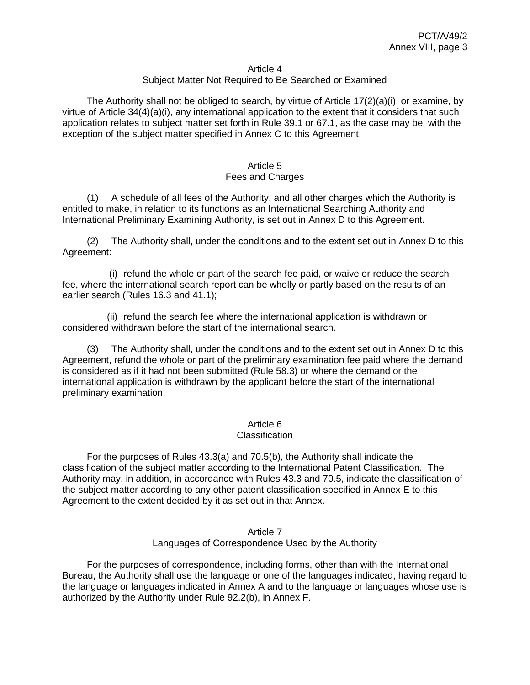#### Article 4

## Subject Matter Not Required to Be Searched or Examined

The Authority shall not be obliged to search, by virtue of Article  $17(2)(a)(i)$ , or examine, by virtue of Article 34(4)(a)(i), any international application to the extent that it considers that such application relates to subject matter set forth in Rule 39.1 or 67.1, as the case may be, with the exception of the subject matter specified in Annex C to this Agreement.

### Article 5 Fees and Charges

(1) A schedule of all fees of the Authority, and all other charges which the Authority is entitled to make, in relation to its functions as an International Searching Authority and International Preliminary Examining Authority, is set out in Annex D to this Agreement.

(2) The Authority shall, under the conditions and to the extent set out in Annex D to this Agreement:

(i) refund the whole or part of the search fee paid, or waive or reduce the search fee, where the international search report can be wholly or partly based on the results of an earlier search (Rules 16.3 and 41.1);

(ii) refund the search fee where the international application is withdrawn or considered withdrawn before the start of the international search.

(3) The Authority shall, under the conditions and to the extent set out in Annex D to this Agreement, refund the whole or part of the preliminary examination fee paid where the demand is considered as if it had not been submitted (Rule 58.3) or where the demand or the international application is withdrawn by the applicant before the start of the international preliminary examination.

### Article 6

#### **Classification**

For the purposes of Rules 43.3(a) and 70.5(b), the Authority shall indicate the classification of the subject matter according to the International Patent Classification. The Authority may, in addition, in accordance with Rules 43.3 and 70.5, indicate the classification of the subject matter according to any other patent classification specified in Annex E to this Agreement to the extent decided by it as set out in that Annex.

#### Article 7 Languages of Correspondence Used by the Authority

For the purposes of correspondence, including forms, other than with the International Bureau, the Authority shall use the language or one of the languages indicated, having regard to the language or languages indicated in Annex A and to the language or languages whose use is authorized by the Authority under Rule 92.2(b), in Annex F.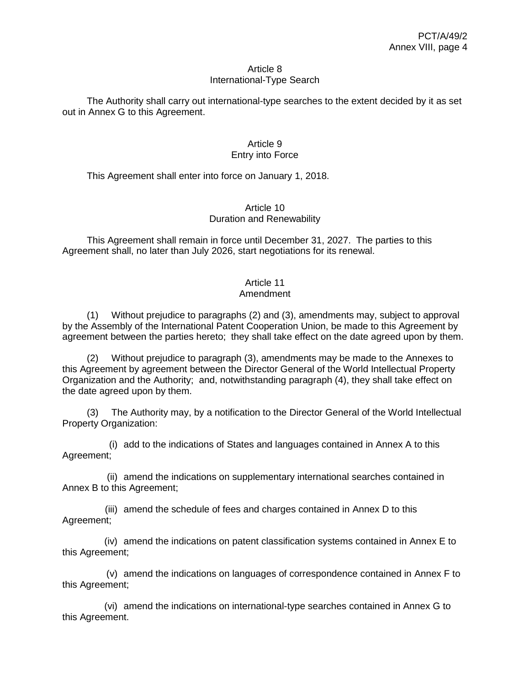### Article 8 International-Type Search

The Authority shall carry out international-type searches to the extent decided by it as set out in Annex G to this Agreement.

## Article 9 Entry into Force

This Agreement shall enter into force on January 1, 2018.

## Article 10 Duration and Renewability

This Agreement shall remain in force until December 31, 2027. The parties to this Agreement shall, no later than July 2026, start negotiations for its renewal.

# Article 11

# Amendment

(1) Without prejudice to paragraphs (2) and (3), amendments may, subject to approval by the Assembly of the International Patent Cooperation Union, be made to this Agreement by agreement between the parties hereto; they shall take effect on the date agreed upon by them.

(2) Without prejudice to paragraph (3), amendments may be made to the Annexes to this Agreement by agreement between the Director General of the World Intellectual Property Organization and the Authority; and, notwithstanding paragraph (4), they shall take effect on the date agreed upon by them.

(3) The Authority may, by a notification to the Director General of the World Intellectual Property Organization:

(i) add to the indications of States and languages contained in Annex A to this Agreement;

(ii) amend the indications on supplementary international searches contained in Annex B to this Agreement;

(iii) amend the schedule of fees and charges contained in Annex D to this Agreement;

(iv) amend the indications on patent classification systems contained in Annex E to this Agreement;

(v) amend the indications on languages of correspondence contained in Annex F to this Agreement;

(vi) amend the indications on international-type searches contained in Annex G to this Agreement.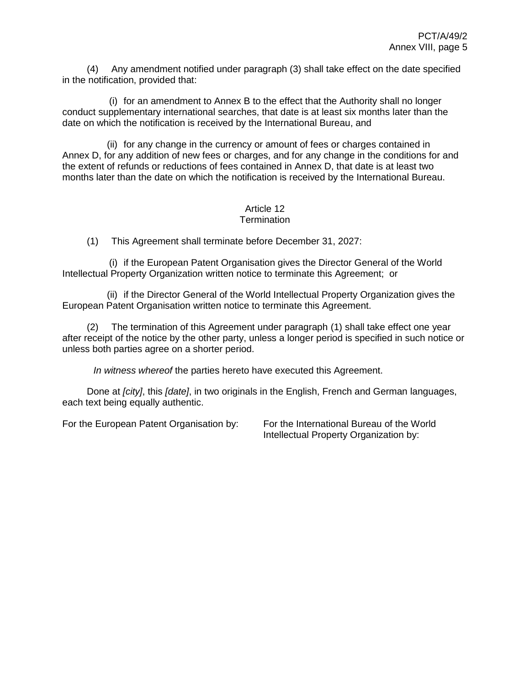(4) Any amendment notified under paragraph (3) shall take effect on the date specified in the notification, provided that:

(i) for an amendment to Annex B to the effect that the Authority shall no longer conduct supplementary international searches, that date is at least six months later than the date on which the notification is received by the International Bureau, and

(ii) for any change in the currency or amount of fees or charges contained in Annex D, for any addition of new fees or charges, and for any change in the conditions for and the extent of refunds or reductions of fees contained in Annex D, that date is at least two months later than the date on which the notification is received by the International Bureau.

#### Article 12 **Termination**

(1) This Agreement shall terminate before December 31, 2027:

(i) if the European Patent Organisation gives the Director General of the World Intellectual Property Organization written notice to terminate this Agreement; or

(ii) if the Director General of the World Intellectual Property Organization gives the European Patent Organisation written notice to terminate this Agreement.

(2) The termination of this Agreement under paragraph (1) shall take effect one year after receipt of the notice by the other party, unless a longer period is specified in such notice or unless both parties agree on a shorter period.

*In witness whereof* the parties hereto have executed this Agreement.

Done at *[city]*, this *[date]*, in two originals in the English, French and German languages, each text being equally authentic.

For the European Patent Organisation by: For the International Bureau of the World

Intellectual Property Organization by: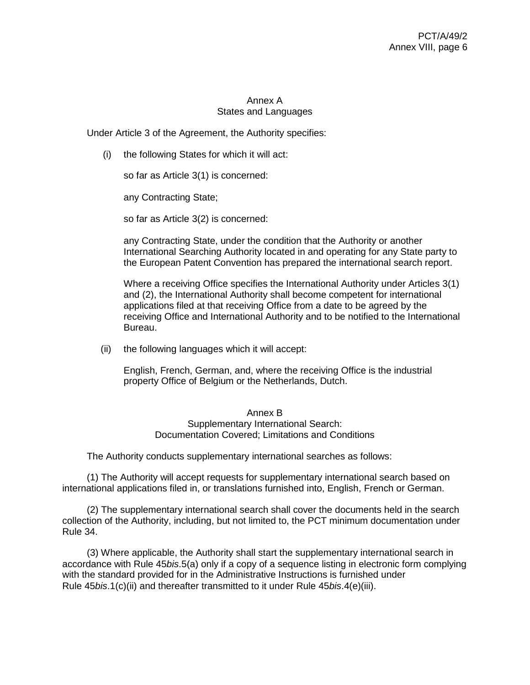# Annex A States and Languages

Under Article 3 of the Agreement, the Authority specifies:

(i) the following States for which it will act:

so far as Article 3(1) is concerned:

any Contracting State;

so far as Article 3(2) is concerned:

any Contracting State, under the condition that the Authority or another International Searching Authority located in and operating for any State party to the European Patent Convention has prepared the international search report.

Where a receiving Office specifies the International Authority under Articles 3(1) and (2), the International Authority shall become competent for international applications filed at that receiving Office from a date to be agreed by the receiving Office and International Authority and to be notified to the International Bureau.

(ii) the following languages which it will accept:

English, French, German, and, where the receiving Office is the industrial property Office of Belgium or the Netherlands, Dutch.

### Annex B Supplementary International Search: Documentation Covered; Limitations and Conditions

The Authority conducts supplementary international searches as follows:

(1) The Authority will accept requests for supplementary international search based on international applications filed in, or translations furnished into, English, French or German.

(2) The supplementary international search shall cover the documents held in the search collection of the Authority, including, but not limited to, the PCT minimum documentation under Rule 34.

(3) Where applicable, the Authority shall start the supplementary international search in accordance with Rule 45*bis*.5(a) only if a copy of a sequence listing in electronic form complying with the standard provided for in the Administrative Instructions is furnished under Rule 45*bis*.1(c)(ii) and thereafter transmitted to it under Rule 45*bis*.4(e)(iii).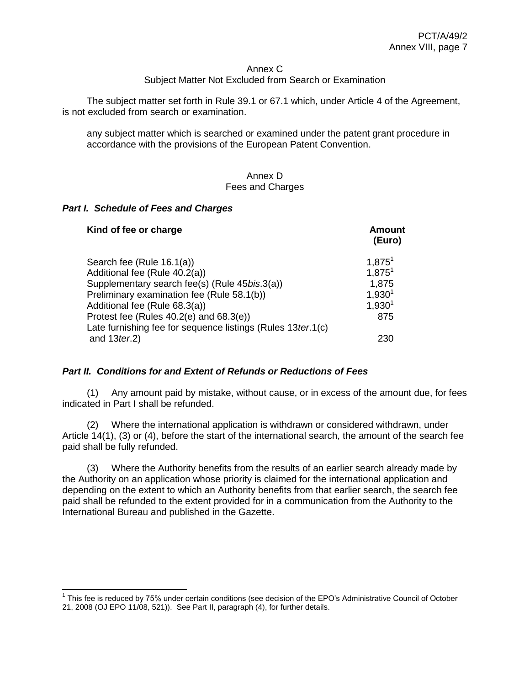#### Annex C

### Subject Matter Not Excluded from Search or Examination

The subject matter set forth in Rule 39.1 or 67.1 which, under Article 4 of the Agreement, is not excluded from search or examination.

any subject matter which is searched or examined under the patent grant procedure in accordance with the provisions of the European Patent Convention.

### Annex D Fees and Charges

### *Part I. Schedule of Fees and Charges*

 $\overline{a}$ 

| Kind of fee or charge                                         | Amount<br>(Euro) |
|---------------------------------------------------------------|------------------|
| Search fee (Rule 16.1(a))                                     | $1,875^1$        |
| Additional fee (Rule 40.2(a))                                 | $1,875^1$        |
| Supplementary search fee(s) (Rule 45bis.3(a))                 | 1,875            |
| Preliminary examination fee (Rule 58.1(b))                    | $1,930^{1}$      |
| Additional fee (Rule 68.3(a))                                 | $1,930^{1}$      |
| Protest fee (Rules 40.2(e) and 68.3(e))                       | 875              |
| Late furnishing fee for sequence listings (Rules 13 ter. 1(c) |                  |
| and $13$ ter.2)                                               | 230              |

### *Part II. Conditions for and Extent of Refunds or Reductions of Fees*

(1) Any amount paid by mistake, without cause, or in excess of the amount due, for fees indicated in Part I shall be refunded.

(2) Where the international application is withdrawn or considered withdrawn, under Article 14(1), (3) or (4), before the start of the international search, the amount of the search fee paid shall be fully refunded.

(3) Where the Authority benefits from the results of an earlier search already made by the Authority on an application whose priority is claimed for the international application and depending on the extent to which an Authority benefits from that earlier search, the search fee paid shall be refunded to the extent provided for in a communication from the Authority to the International Bureau and published in the Gazette.

<sup>&</sup>lt;sup>1</sup> This fee is reduced by 75% under certain conditions (see decision of the EPO's Administrative Council of October 21, 2008 (OJ EPO 11/08, 521)). See Part II, paragraph (4), for further details.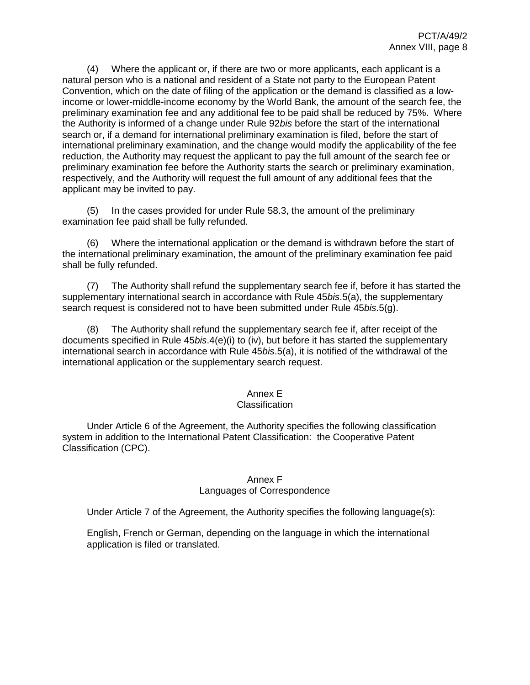(4) Where the applicant or, if there are two or more applicants, each applicant is a natural person who is a national and resident of a State not party to the European Patent Convention, which on the date of filing of the application or the demand is classified as a lowincome or lower-middle-income economy by the World Bank, the amount of the search fee, the preliminary examination fee and any additional fee to be paid shall be reduced by 75%. Where the Authority is informed of a change under Rule 92*bis* before the start of the international search or, if a demand for international preliminary examination is filed, before the start of international preliminary examination, and the change would modify the applicability of the fee reduction, the Authority may request the applicant to pay the full amount of the search fee or preliminary examination fee before the Authority starts the search or preliminary examination, respectively, and the Authority will request the full amount of any additional fees that the applicant may be invited to pay.

(5) In the cases provided for under Rule 58.3, the amount of the preliminary examination fee paid shall be fully refunded.

(6) Where the international application or the demand is withdrawn before the start of the international preliminary examination, the amount of the preliminary examination fee paid shall be fully refunded.

(7) The Authority shall refund the supplementary search fee if, before it has started the supplementary international search in accordance with Rule 45*bis*.5(a), the supplementary search request is considered not to have been submitted under Rule 45*bis*.5(g).

(8) The Authority shall refund the supplementary search fee if, after receipt of the documents specified in Rule 45*bis*.4(e)(i) to (iv), but before it has started the supplementary international search in accordance with Rule 45*bis*.5(a), it is notified of the withdrawal of the international application or the supplementary search request.

# Annex E

### **Classification**

Under Article 6 of the Agreement, the Authority specifies the following classification system in addition to the International Patent Classification: the Cooperative Patent Classification (CPC).

### Annex F

### Languages of Correspondence

Under Article 7 of the Agreement, the Authority specifies the following language(s):

English, French or German, depending on the language in which the international application is filed or translated.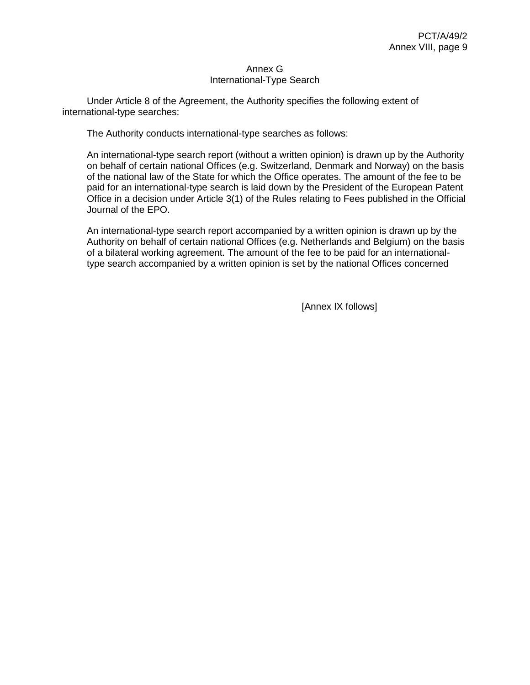### Annex G International-Type Search

Under Article 8 of the Agreement, the Authority specifies the following extent of international-type searches:

The Authority conducts international-type searches as follows:

An international-type search report (without a written opinion) is drawn up by the Authority on behalf of certain national Offices (e.g. Switzerland, Denmark and Norway) on the basis of the national law of the State for which the Office operates. The amount of the fee to be paid for an international-type search is laid down by the President of the European Patent Office in a decision under Article 3(1) of the Rules relating to Fees published in the Official Journal of the EPO.

An international-type search report accompanied by a written opinion is drawn up by the Authority on behalf of certain national Offices (e.g. Netherlands and Belgium) on the basis of a bilateral working agreement. The amount of the fee to be paid for an internationaltype search accompanied by a written opinion is set by the national Offices concerned

[Annex IX follows]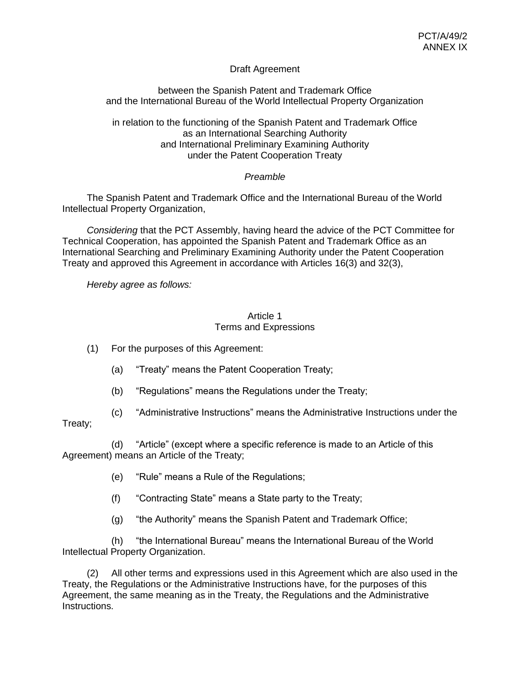# Draft Agreement

## between the Spanish Patent and Trademark Office and the International Bureau of the World Intellectual Property Organization

in relation to the functioning of the Spanish Patent and Trademark Office as an International Searching Authority and International Preliminary Examining Authority under the Patent Cooperation Treaty

# *Preamble*

The Spanish Patent and Trademark Office and the International Bureau of the World Intellectual Property Organization,

*Considering* that the PCT Assembly, having heard the advice of the PCT Committee for Technical Cooperation, has appointed the Spanish Patent and Trademark Office as an International Searching and Preliminary Examining Authority under the Patent Cooperation Treaty and approved this Agreement in accordance with Articles 16(3) and 32(3),

*Hereby agree as follows:*

## Article 1 Terms and Expressions

- (1) For the purposes of this Agreement:
	- (a) "Treaty" means the Patent Cooperation Treaty;
	- (b) "Regulations" means the Regulations under the Treaty;
- (c) "Administrative Instructions" means the Administrative Instructions under the

# Treaty;

(d) "Article" (except where a specific reference is made to an Article of this Agreement) means an Article of the Treaty;

- (e) "Rule" means a Rule of the Regulations;
- (f) "Contracting State" means a State party to the Treaty;
- (g) "the Authority" means the Spanish Patent and Trademark Office;

(h) "the International Bureau" means the International Bureau of the World Intellectual Property Organization.

(2) All other terms and expressions used in this Agreement which are also used in the Treaty, the Regulations or the Administrative Instructions have, for the purposes of this Agreement, the same meaning as in the Treaty, the Regulations and the Administrative Instructions.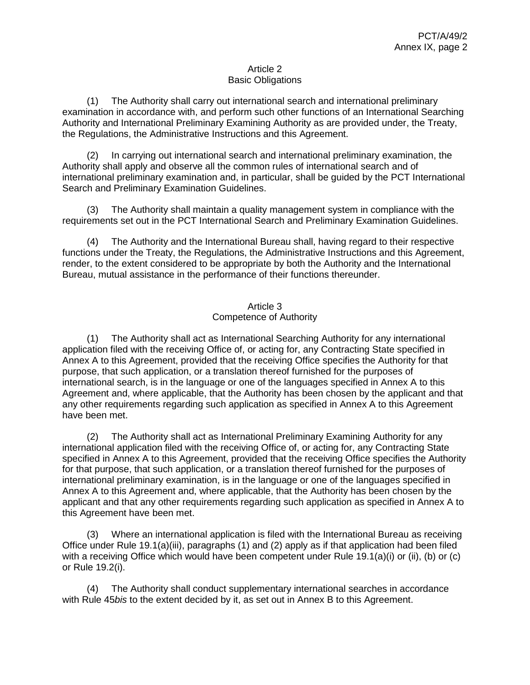## Article 2 Basic Obligations

(1) The Authority shall carry out international search and international preliminary examination in accordance with, and perform such other functions of an International Searching Authority and International Preliminary Examining Authority as are provided under, the Treaty, the Regulations, the Administrative Instructions and this Agreement.

(2) In carrying out international search and international preliminary examination, the Authority shall apply and observe all the common rules of international search and of international preliminary examination and, in particular, shall be guided by the PCT International Search and Preliminary Examination Guidelines.

(3) The Authority shall maintain a quality management system in compliance with the requirements set out in the PCT International Search and Preliminary Examination Guidelines.

(4) The Authority and the International Bureau shall, having regard to their respective functions under the Treaty, the Regulations, the Administrative Instructions and this Agreement, render, to the extent considered to be appropriate by both the Authority and the International Bureau, mutual assistance in the performance of their functions thereunder.

# Article 3 Competence of Authority

(1) The Authority shall act as International Searching Authority for any international application filed with the receiving Office of, or acting for, any Contracting State specified in Annex A to this Agreement, provided that the receiving Office specifies the Authority for that purpose, that such application, or a translation thereof furnished for the purposes of international search, is in the language or one of the languages specified in Annex A to this Agreement and, where applicable, that the Authority has been chosen by the applicant and that any other requirements regarding such application as specified in Annex A to this Agreement have been met.

(2) The Authority shall act as International Preliminary Examining Authority for any international application filed with the receiving Office of, or acting for, any Contracting State specified in Annex A to this Agreement, provided that the receiving Office specifies the Authority for that purpose, that such application, or a translation thereof furnished for the purposes of international preliminary examination, is in the language or one of the languages specified in Annex A to this Agreement and, where applicable, that the Authority has been chosen by the applicant and that any other requirements regarding such application as specified in Annex A to this Agreement have been met.

(3) Where an international application is filed with the International Bureau as receiving Office under Rule 19.1(a)(iii), paragraphs (1) and (2) apply as if that application had been filed with a receiving Office which would have been competent under Rule 19.1(a)(i) or (ii), (b) or (c) or Rule 19.2(i).

(4) The Authority shall conduct supplementary international searches in accordance with Rule 45*bis* to the extent decided by it, as set out in Annex B to this Agreement.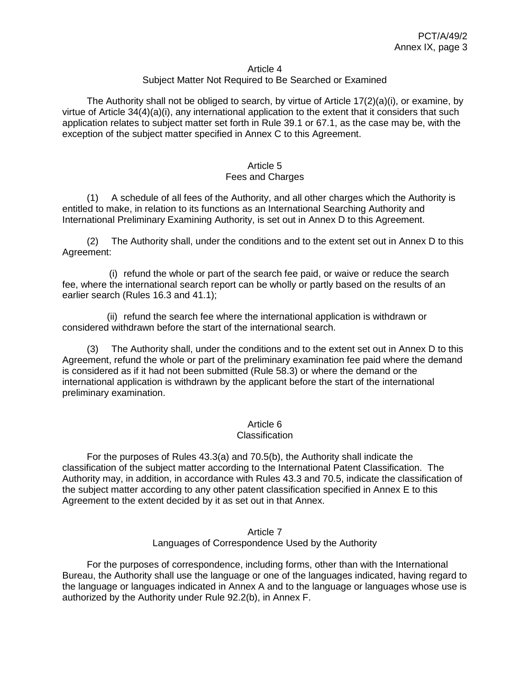#### Article 4

### Subject Matter Not Required to Be Searched or Examined

The Authority shall not be obliged to search, by virtue of Article  $17(2)(a)(i)$ , or examine, by virtue of Article 34(4)(a)(i), any international application to the extent that it considers that such application relates to subject matter set forth in Rule 39.1 or 67.1, as the case may be, with the exception of the subject matter specified in Annex C to this Agreement.

#### Article 5 Fees and Charges

(1) A schedule of all fees of the Authority, and all other charges which the Authority is entitled to make, in relation to its functions as an International Searching Authority and International Preliminary Examining Authority, is set out in Annex D to this Agreement.

(2) The Authority shall, under the conditions and to the extent set out in Annex D to this Agreement:

(i) refund the whole or part of the search fee paid, or waive or reduce the search fee, where the international search report can be wholly or partly based on the results of an earlier search (Rules 16.3 and 41.1);

(ii) refund the search fee where the international application is withdrawn or considered withdrawn before the start of the international search.

(3) The Authority shall, under the conditions and to the extent set out in Annex D to this Agreement, refund the whole or part of the preliminary examination fee paid where the demand is considered as if it had not been submitted (Rule 58.3) or where the demand or the international application is withdrawn by the applicant before the start of the international preliminary examination.

### Article 6

#### **Classification**

For the purposes of Rules 43.3(a) and 70.5(b), the Authority shall indicate the classification of the subject matter according to the International Patent Classification. The Authority may, in addition, in accordance with Rules 43.3 and 70.5, indicate the classification of the subject matter according to any other patent classification specified in Annex E to this Agreement to the extent decided by it as set out in that Annex.

#### Article 7 Languages of Correspondence Used by the Authority

For the purposes of correspondence, including forms, other than with the International Bureau, the Authority shall use the language or one of the languages indicated, having regard to the language or languages indicated in Annex A and to the language or languages whose use is authorized by the Authority under Rule 92.2(b), in Annex F.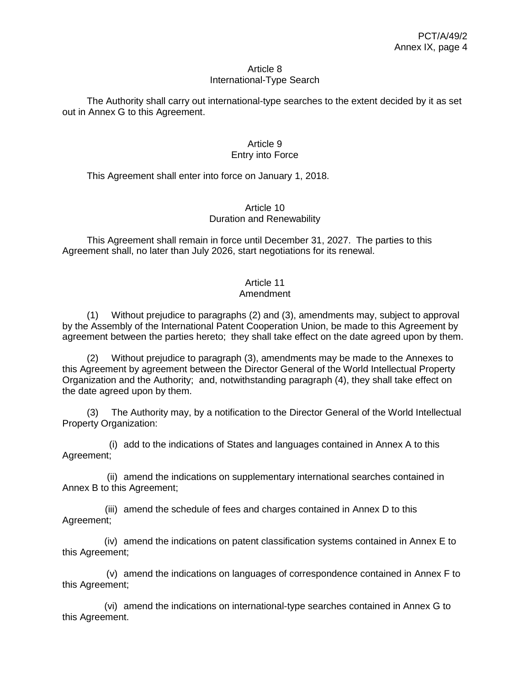#### Article 8 International-Type Search

The Authority shall carry out international-type searches to the extent decided by it as set out in Annex G to this Agreement.

## Article 9 Entry into Force

This Agreement shall enter into force on January 1, 2018.

## Article 10 Duration and Renewability

This Agreement shall remain in force until December 31, 2027. The parties to this Agreement shall, no later than July 2026, start negotiations for its renewal.

# Article 11

## Amendment

(1) Without prejudice to paragraphs (2) and (3), amendments may, subject to approval by the Assembly of the International Patent Cooperation Union, be made to this Agreement by agreement between the parties hereto; they shall take effect on the date agreed upon by them.

(2) Without prejudice to paragraph (3), amendments may be made to the Annexes to this Agreement by agreement between the Director General of the World Intellectual Property Organization and the Authority; and, notwithstanding paragraph (4), they shall take effect on the date agreed upon by them.

(3) The Authority may, by a notification to the Director General of the World Intellectual Property Organization:

(i) add to the indications of States and languages contained in Annex A to this Agreement;

(ii) amend the indications on supplementary international searches contained in Annex B to this Agreement;

(iii) amend the schedule of fees and charges contained in Annex D to this Agreement;

(iv) amend the indications on patent classification systems contained in Annex E to this Agreement;

(v) amend the indications on languages of correspondence contained in Annex F to this Agreement;

(vi) amend the indications on international-type searches contained in Annex G to this Agreement.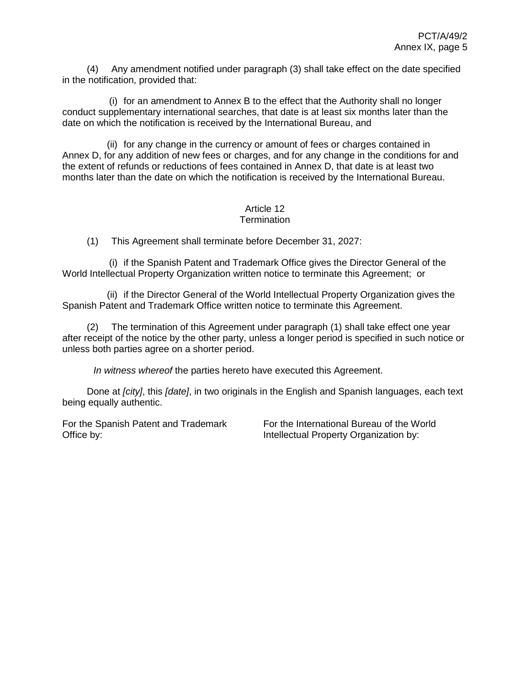(4) Any amendment notified under paragraph (3) shall take effect on the date specified in the notification, provided that:

(i) for an amendment to Annex B to the effect that the Authority shall no longer conduct supplementary international searches, that date is at least six months later than the date on which the notification is received by the International Bureau, and

(ii) for any change in the currency or amount of fees or charges contained in Annex D, for any addition of new fees or charges, and for any change in the conditions for and the extent of refunds or reductions of fees contained in Annex D, that date is at least two months later than the date on which the notification is received by the International Bureau.

#### Article 12 **Termination**

(1) This Agreement shall terminate before December 31, 2027:

(i) if the Spanish Patent and Trademark Office gives the Director General of the World Intellectual Property Organization written notice to terminate this Agreement; or

(ii) if the Director General of the World Intellectual Property Organization gives the Spanish Patent and Trademark Office written notice to terminate this Agreement.

(2) The termination of this Agreement under paragraph (1) shall take effect one year after receipt of the notice by the other party, unless a longer period is specified in such notice or unless both parties agree on a shorter period.

*In witness whereof* the parties hereto have executed this Agreement.

Done at *[city]*, this *[date]*, in two originals in the English and Spanish languages, each text being equally authentic.

For the Spanish Patent and Trademark Office by:

For the International Bureau of the World Intellectual Property Organization by: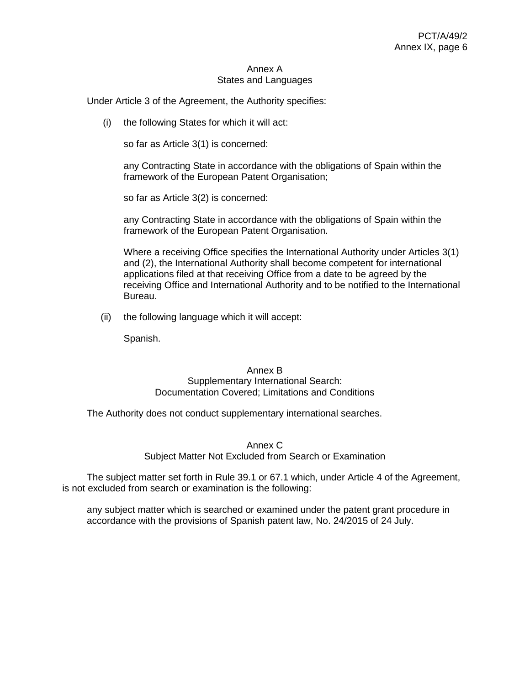#### Annex A States and Languages

Under Article 3 of the Agreement, the Authority specifies:

(i) the following States for which it will act:

so far as Article 3(1) is concerned:

any Contracting State in accordance with the obligations of Spain within the framework of the European Patent Organisation;

so far as Article 3(2) is concerned:

any Contracting State in accordance with the obligations of Spain within the framework of the European Patent Organisation.

Where a receiving Office specifies the International Authority under Articles 3(1) and (2), the International Authority shall become competent for international applications filed at that receiving Office from a date to be agreed by the receiving Office and International Authority and to be notified to the International Bureau.

(ii) the following language which it will accept:

Spanish.

#### Annex B Supplementary International Search: Documentation Covered; Limitations and Conditions

The Authority does not conduct supplementary international searches.

## Annex C Subject Matter Not Excluded from Search or Examination

The subject matter set forth in Rule 39.1 or 67.1 which, under Article 4 of the Agreement, is not excluded from search or examination is the following:

any subject matter which is searched or examined under the patent grant procedure in accordance with the provisions of Spanish patent law, No. 24/2015 of 24 July.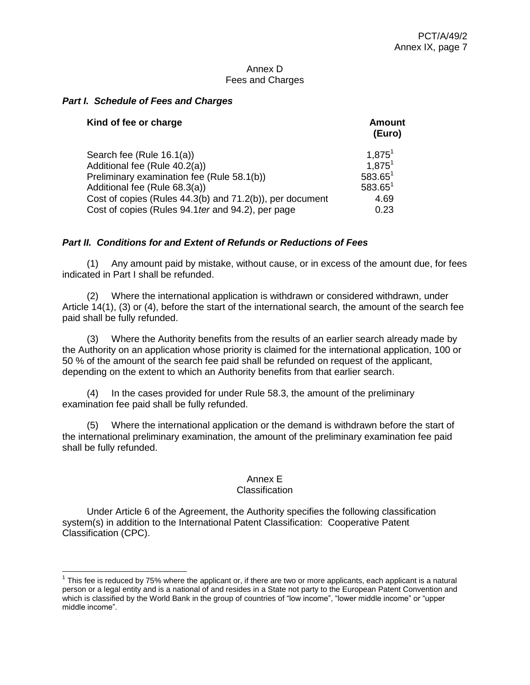### Annex D Fees and Charges

## *Part I. Schedule of Fees and Charges*

| Kind of fee or charge                                    | <b>Amount</b><br>(Euro) |
|----------------------------------------------------------|-------------------------|
| Search fee (Rule 16.1(a))                                | $1,875^1$               |
| Additional fee (Rule 40.2(a))                            | 1.875 <sup>1</sup>      |
| Preliminary examination fee (Rule 58.1(b))               | $583.65^1$              |
| Additional fee (Rule 68.3(a))                            | $583.65^1$              |
| Cost of copies (Rules 44.3(b) and 71.2(b)), per document | 4.69                    |
| Cost of copies (Rules 94.1 ter and 94.2), per page       | 0.23                    |

## *Part II. Conditions for and Extent of Refunds or Reductions of Fees*

(1) Any amount paid by mistake, without cause, or in excess of the amount due, for fees indicated in Part I shall be refunded.

(2) Where the international application is withdrawn or considered withdrawn, under Article 14(1), (3) or (4), before the start of the international search, the amount of the search fee paid shall be fully refunded.

(3) Where the Authority benefits from the results of an earlier search already made by the Authority on an application whose priority is claimed for the international application, 100 or 50 % of the amount of the search fee paid shall be refunded on request of the applicant, depending on the extent to which an Authority benefits from that earlier search.

(4) In the cases provided for under Rule 58.3, the amount of the preliminary examination fee paid shall be fully refunded.

(5) Where the international application or the demand is withdrawn before the start of the international preliminary examination, the amount of the preliminary examination fee paid shall be fully refunded.

### Annex E

### **Classification**

Under Article 6 of the Agreement, the Authority specifies the following classification system(s) in addition to the International Patent Classification: Cooperative Patent Classification (CPC).

 $1$  This fee is reduced by 75% where the applicant or, if there are two or more applicants, each applicant is a natural person or a legal entity and is a national of and resides in a State not party to the European Patent Convention and which is classified by the World Bank in the group of countries of "low income", "lower middle income" or "upper middle income".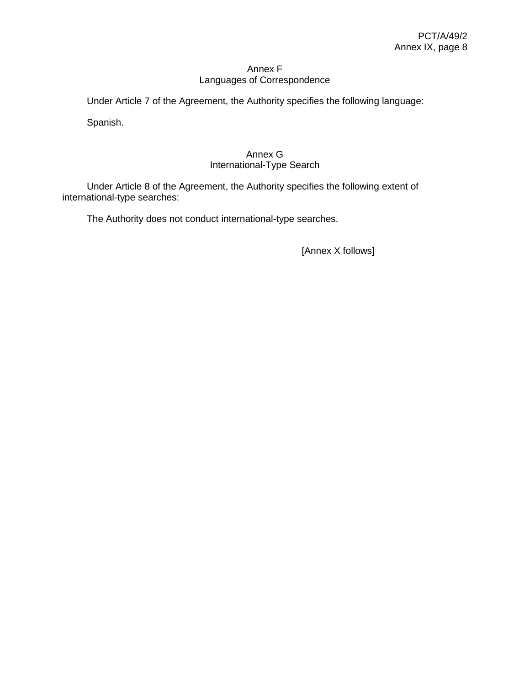## Annex F Languages of Correspondence

Under Article 7 of the Agreement, the Authority specifies the following language:

Spanish.

## Annex G International-Type Search

Under Article 8 of the Agreement, the Authority specifies the following extent of international-type searches:

The Authority does not conduct international-type searches.

[Annex X follows]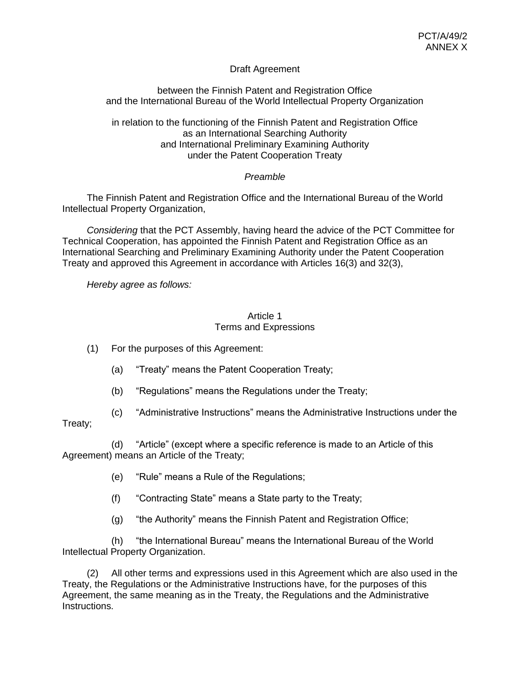## Draft Agreement

## between the Finnish Patent and Registration Office and the International Bureau of the World Intellectual Property Organization

in relation to the functioning of the Finnish Patent and Registration Office as an International Searching Authority and International Preliminary Examining Authority under the Patent Cooperation Treaty

## *Preamble*

The Finnish Patent and Registration Office and the International Bureau of the World Intellectual Property Organization,

*Considering* that the PCT Assembly, having heard the advice of the PCT Committee for Technical Cooperation, has appointed the Finnish Patent and Registration Office as an International Searching and Preliminary Examining Authority under the Patent Cooperation Treaty and approved this Agreement in accordance with Articles 16(3) and 32(3),

*Hereby agree as follows:*

### Article 1 Terms and Expressions

- (1) For the purposes of this Agreement:
	- (a) "Treaty" means the Patent Cooperation Treaty;
	- (b) "Regulations" means the Regulations under the Treaty;
- (c) "Administrative Instructions" means the Administrative Instructions under the

## Treaty;

(d) "Article" (except where a specific reference is made to an Article of this Agreement) means an Article of the Treaty;

- (e) "Rule" means a Rule of the Regulations;
- (f) "Contracting State" means a State party to the Treaty;
- (g) "the Authority" means the Finnish Patent and Registration Office;

(h) "the International Bureau" means the International Bureau of the World Intellectual Property Organization.

(2) All other terms and expressions used in this Agreement which are also used in the Treaty, the Regulations or the Administrative Instructions have, for the purposes of this Agreement, the same meaning as in the Treaty, the Regulations and the Administrative Instructions.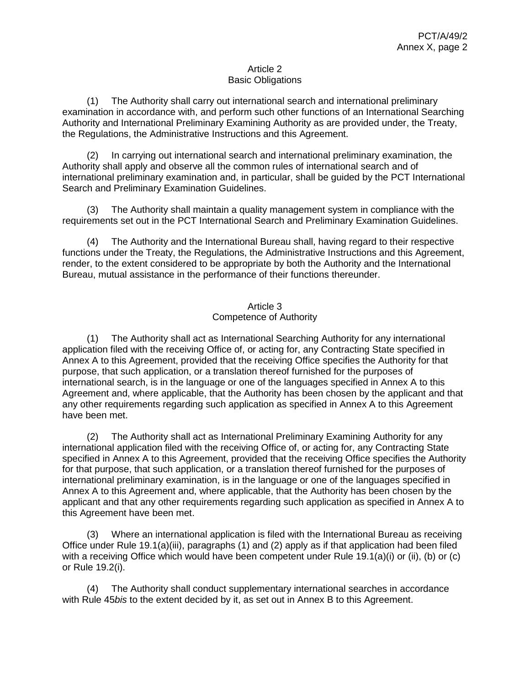### Article 2 Basic Obligations

(1) The Authority shall carry out international search and international preliminary examination in accordance with, and perform such other functions of an International Searching Authority and International Preliminary Examining Authority as are provided under, the Treaty, the Regulations, the Administrative Instructions and this Agreement.

(2) In carrying out international search and international preliminary examination, the Authority shall apply and observe all the common rules of international search and of international preliminary examination and, in particular, shall be guided by the PCT International Search and Preliminary Examination Guidelines.

(3) The Authority shall maintain a quality management system in compliance with the requirements set out in the PCT International Search and Preliminary Examination Guidelines.

(4) The Authority and the International Bureau shall, having regard to their respective functions under the Treaty, the Regulations, the Administrative Instructions and this Agreement, render, to the extent considered to be appropriate by both the Authority and the International Bureau, mutual assistance in the performance of their functions thereunder.

## Article 3 Competence of Authority

(1) The Authority shall act as International Searching Authority for any international application filed with the receiving Office of, or acting for, any Contracting State specified in Annex A to this Agreement, provided that the receiving Office specifies the Authority for that purpose, that such application, or a translation thereof furnished for the purposes of international search, is in the language or one of the languages specified in Annex A to this Agreement and, where applicable, that the Authority has been chosen by the applicant and that any other requirements regarding such application as specified in Annex A to this Agreement have been met.

(2) The Authority shall act as International Preliminary Examining Authority for any international application filed with the receiving Office of, or acting for, any Contracting State specified in Annex A to this Agreement, provided that the receiving Office specifies the Authority for that purpose, that such application, or a translation thereof furnished for the purposes of international preliminary examination, is in the language or one of the languages specified in Annex A to this Agreement and, where applicable, that the Authority has been chosen by the applicant and that any other requirements regarding such application as specified in Annex A to this Agreement have been met.

(3) Where an international application is filed with the International Bureau as receiving Office under Rule 19.1(a)(iii), paragraphs (1) and (2) apply as if that application had been filed with a receiving Office which would have been competent under Rule 19.1(a)(i) or (ii), (b) or (c) or Rule 19.2(i).

(4) The Authority shall conduct supplementary international searches in accordance with Rule 45*bis* to the extent decided by it, as set out in Annex B to this Agreement.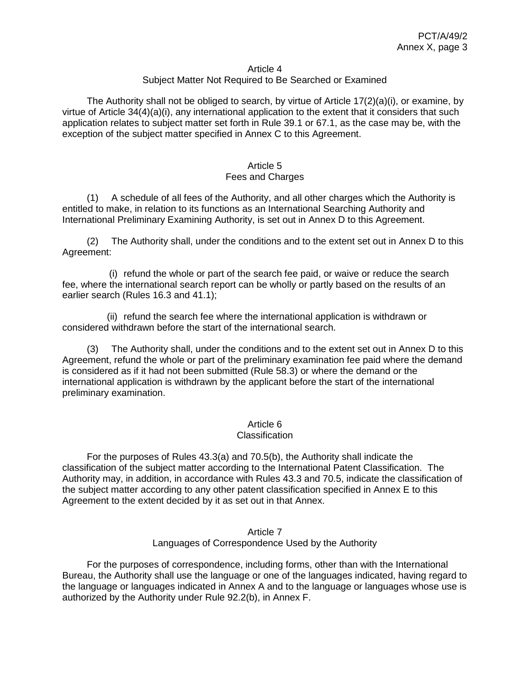#### Article 4

#### Subject Matter Not Required to Be Searched or Examined

The Authority shall not be obliged to search, by virtue of Article  $17(2)(a)(i)$ , or examine, by virtue of Article 34(4)(a)(i), any international application to the extent that it considers that such application relates to subject matter set forth in Rule 39.1 or 67.1, as the case may be, with the exception of the subject matter specified in Annex C to this Agreement.

#### Article 5 Fees and Charges

(1) A schedule of all fees of the Authority, and all other charges which the Authority is entitled to make, in relation to its functions as an International Searching Authority and International Preliminary Examining Authority, is set out in Annex D to this Agreement.

(2) The Authority shall, under the conditions and to the extent set out in Annex D to this Agreement:

(i) refund the whole or part of the search fee paid, or waive or reduce the search fee, where the international search report can be wholly or partly based on the results of an earlier search (Rules 16.3 and 41.1);

(ii) refund the search fee where the international application is withdrawn or considered withdrawn before the start of the international search.

(3) The Authority shall, under the conditions and to the extent set out in Annex D to this Agreement, refund the whole or part of the preliminary examination fee paid where the demand is considered as if it had not been submitted (Rule 58.3) or where the demand or the international application is withdrawn by the applicant before the start of the international preliminary examination.

#### Article 6

#### **Classification**

For the purposes of Rules 43.3(a) and 70.5(b), the Authority shall indicate the classification of the subject matter according to the International Patent Classification. The Authority may, in addition, in accordance with Rules 43.3 and 70.5, indicate the classification of the subject matter according to any other patent classification specified in Annex E to this Agreement to the extent decided by it as set out in that Annex.

#### Article 7 Languages of Correspondence Used by the Authority

For the purposes of correspondence, including forms, other than with the International Bureau, the Authority shall use the language or one of the languages indicated, having regard to the language or languages indicated in Annex A and to the language or languages whose use is authorized by the Authority under Rule 92.2(b), in Annex F.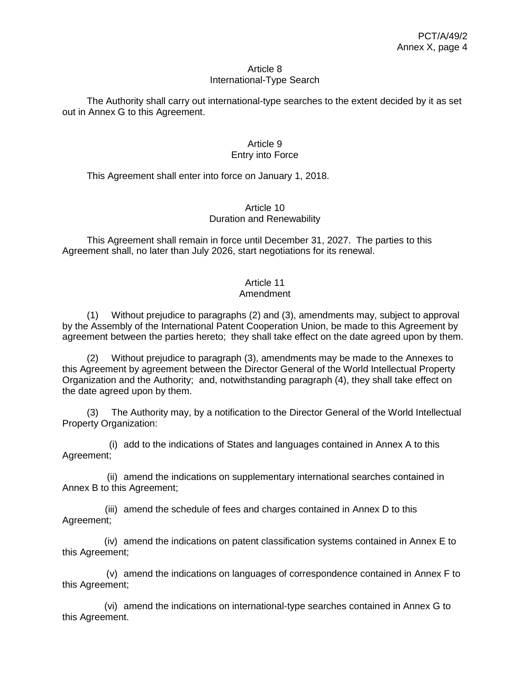#### Article 8 International-Type Search

The Authority shall carry out international-type searches to the extent decided by it as set out in Annex G to this Agreement.

## Article 9 Entry into Force

This Agreement shall enter into force on January 1, 2018.

## Article 10 Duration and Renewability

This Agreement shall remain in force until December 31, 2027. The parties to this Agreement shall, no later than July 2026, start negotiations for its renewal.

# Article 11

## Amendment

(1) Without prejudice to paragraphs (2) and (3), amendments may, subject to approval by the Assembly of the International Patent Cooperation Union, be made to this Agreement by agreement between the parties hereto; they shall take effect on the date agreed upon by them.

(2) Without prejudice to paragraph (3), amendments may be made to the Annexes to this Agreement by agreement between the Director General of the World Intellectual Property Organization and the Authority; and, notwithstanding paragraph (4), they shall take effect on the date agreed upon by them.

(3) The Authority may, by a notification to the Director General of the World Intellectual Property Organization:

(i) add to the indications of States and languages contained in Annex A to this Agreement;

(ii) amend the indications on supplementary international searches contained in Annex B to this Agreement;

(iii) amend the schedule of fees and charges contained in Annex D to this Agreement;

(iv) amend the indications on patent classification systems contained in Annex E to this Agreement;

(v) amend the indications on languages of correspondence contained in Annex F to this Agreement;

(vi) amend the indications on international-type searches contained in Annex G to this Agreement.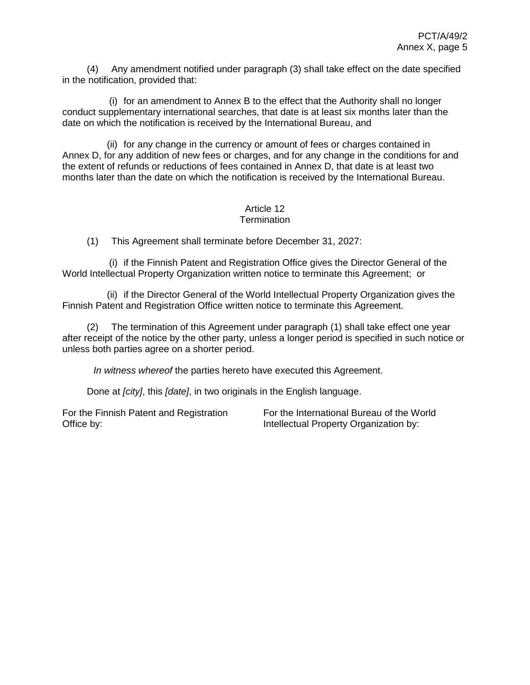(4) Any amendment notified under paragraph (3) shall take effect on the date specified in the notification, provided that:

(i) for an amendment to Annex B to the effect that the Authority shall no longer conduct supplementary international searches, that date is at least six months later than the date on which the notification is received by the International Bureau, and

(ii) for any change in the currency or amount of fees or charges contained in Annex D, for any addition of new fees or charges, and for any change in the conditions for and the extent of refunds or reductions of fees contained in Annex D, that date is at least two months later than the date on which the notification is received by the International Bureau.

#### Article 12 **Termination**

(1) This Agreement shall terminate before December 31, 2027:

(i) if the Finnish Patent and Registration Office gives the Director General of the World Intellectual Property Organization written notice to terminate this Agreement; or

(ii) if the Director General of the World Intellectual Property Organization gives the Finnish Patent and Registration Office written notice to terminate this Agreement.

(2) The termination of this Agreement under paragraph (1) shall take effect one year after receipt of the notice by the other party, unless a longer period is specified in such notice or unless both parties agree on a shorter period.

*In witness whereof* the parties hereto have executed this Agreement.

Done at *[city]*, this *[date]*, in two originals in the English language.

For the Finnish Patent and Registration Office by:

For the International Bureau of the World Intellectual Property Organization by: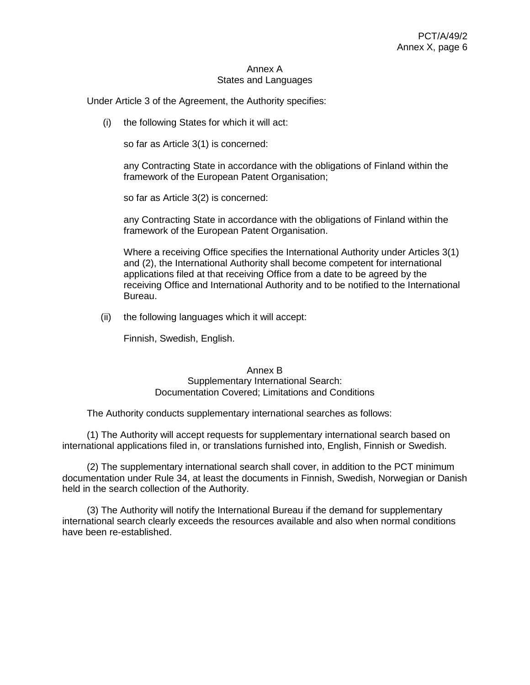#### Annex A States and Languages

Under Article 3 of the Agreement, the Authority specifies:

(i) the following States for which it will act:

so far as Article 3(1) is concerned:

any Contracting State in accordance with the obligations of Finland within the framework of the European Patent Organisation;

so far as Article 3(2) is concerned:

any Contracting State in accordance with the obligations of Finland within the framework of the European Patent Organisation.

Where a receiving Office specifies the International Authority under Articles 3(1) and (2), the International Authority shall become competent for international applications filed at that receiving Office from a date to be agreed by the receiving Office and International Authority and to be notified to the International Bureau.

(ii) the following languages which it will accept:

Finnish, Swedish, English.

#### Annex B Supplementary International Search: Documentation Covered; Limitations and Conditions

The Authority conducts supplementary international searches as follows:

(1) The Authority will accept requests for supplementary international search based on international applications filed in, or translations furnished into, English, Finnish or Swedish.

(2) The supplementary international search shall cover, in addition to the PCT minimum documentation under Rule 34, at least the documents in Finnish, Swedish, Norwegian or Danish held in the search collection of the Authority.

(3) The Authority will notify the International Bureau if the demand for supplementary international search clearly exceeds the resources available and also when normal conditions have been re-established.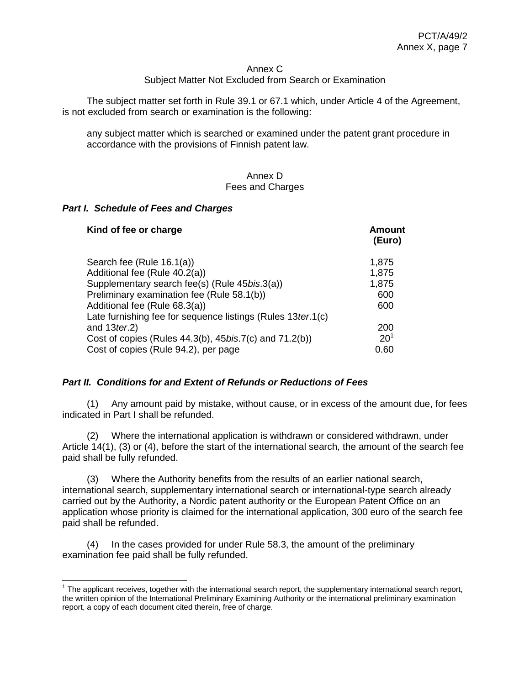#### Annex C

### Subject Matter Not Excluded from Search or Examination

The subject matter set forth in Rule 39.1 or 67.1 which, under Article 4 of the Agreement, is not excluded from search or examination is the following:

any subject matter which is searched or examined under the patent grant procedure in accordance with the provisions of Finnish patent law.

#### Annex D Fees and Charges

#### *Part I. Schedule of Fees and Charges*

 $\overline{a}$ 

| Kind of fee or charge                                          | Amount<br>(Euro) |
|----------------------------------------------------------------|------------------|
| Search fee (Rule 16.1(a))                                      | 1,875            |
| Additional fee (Rule 40.2(a))                                  | 1,875            |
| Supplementary search fee(s) (Rule 45bis.3(a))                  | 1,875            |
| Preliminary examination fee (Rule 58.1(b))                     | 600              |
| Additional fee (Rule 68.3(a))                                  | 600              |
| Late furnishing fee for sequence listings (Rules 13 ter. 1(c)  |                  |
| and $13$ ter.2)                                                | 200              |
| Cost of copies (Rules 44.3(b), 45 <i>bis.7(c)</i> and 71.2(b)) | $20^{1}$         |
| Cost of copies (Rule 94.2), per page                           | 0.60             |

#### *Part II. Conditions for and Extent of Refunds or Reductions of Fees*

(1) Any amount paid by mistake, without cause, or in excess of the amount due, for fees indicated in Part I shall be refunded.

(2) Where the international application is withdrawn or considered withdrawn, under Article 14(1), (3) or (4), before the start of the international search, the amount of the search fee paid shall be fully refunded.

(3) Where the Authority benefits from the results of an earlier national search, international search, supplementary international search or international-type search already carried out by the Authority, a Nordic patent authority or the European Patent Office on an application whose priority is claimed for the international application, 300 euro of the search fee paid shall be refunded.

(4) In the cases provided for under Rule 58.3, the amount of the preliminary examination fee paid shall be fully refunded.

 $1$  The applicant receives, together with the international search report, the supplementary international search report, the written opinion of the International Preliminary Examining Authority or the international preliminary examination report, a copy of each document cited therein, free of charge.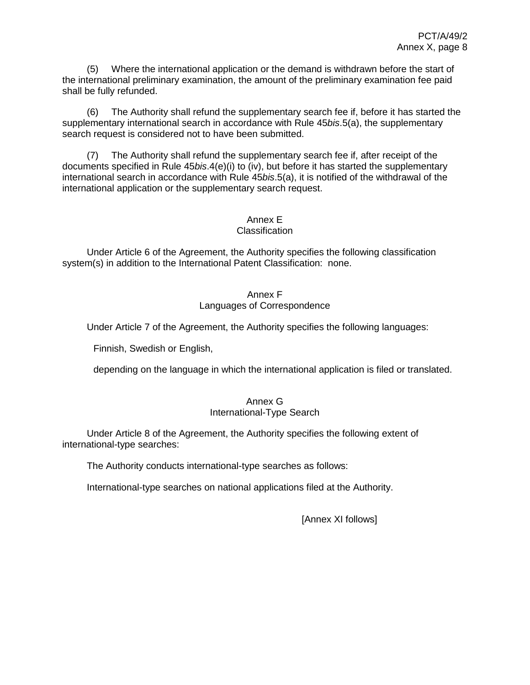(5) Where the international application or the demand is withdrawn before the start of the international preliminary examination, the amount of the preliminary examination fee paid shall be fully refunded.

(6) The Authority shall refund the supplementary search fee if, before it has started the supplementary international search in accordance with Rule 45*bis*.5(a), the supplementary search request is considered not to have been submitted.

(7) The Authority shall refund the supplementary search fee if, after receipt of the documents specified in Rule 45*bis*.4(e)(i) to (iv), but before it has started the supplementary international search in accordance with Rule 45*bis*.5(a), it is notified of the withdrawal of the international application or the supplementary search request.

# Annex E

### Classification

Under Article 6 of the Agreement, the Authority specifies the following classification system(s) in addition to the International Patent Classification: none.

## Annex F Languages of Correspondence

Under Article 7 of the Agreement, the Authority specifies the following languages:

Finnish, Swedish or English,

depending on the language in which the international application is filed or translated.

#### Annex G International-Type Search

Under Article 8 of the Agreement, the Authority specifies the following extent of international-type searches:

The Authority conducts international-type searches as follows:

International-type searches on national applications filed at the Authority.

[Annex XI follows]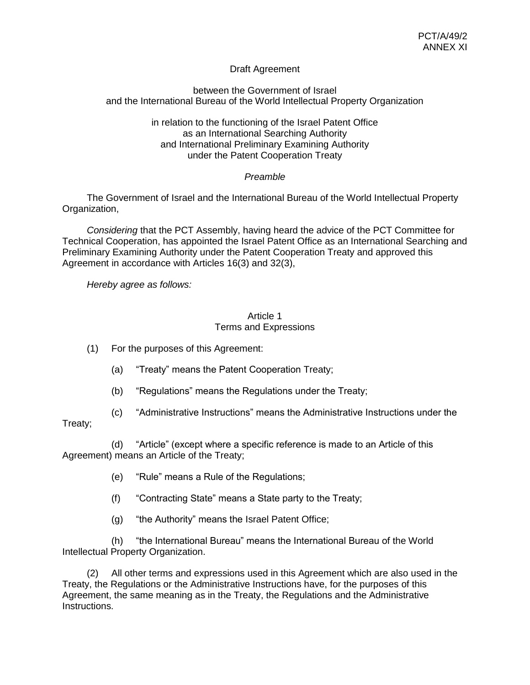## Draft Agreement

## between the Government of Israel and the International Bureau of the World Intellectual Property Organization

### in relation to the functioning of the Israel Patent Office as an International Searching Authority and International Preliminary Examining Authority under the Patent Cooperation Treaty

## *Preamble*

The Government of Israel and the International Bureau of the World Intellectual Property Organization,

*Considering* that the PCT Assembly, having heard the advice of the PCT Committee for Technical Cooperation, has appointed the Israel Patent Office as an International Searching and Preliminary Examining Authority under the Patent Cooperation Treaty and approved this Agreement in accordance with Articles 16(3) and 32(3),

*Hereby agree as follows:*

### Article 1 Terms and Expressions

- (1) For the purposes of this Agreement:
	- (a) "Treaty" means the Patent Cooperation Treaty;
	- (b) "Regulations" means the Regulations under the Treaty;
- (c) "Administrative Instructions" means the Administrative Instructions under the

## Treaty;

(d) "Article" (except where a specific reference is made to an Article of this Agreement) means an Article of the Treaty;

- (e) "Rule" means a Rule of the Regulations;
- (f) "Contracting State" means a State party to the Treaty;
- (g) "the Authority" means the Israel Patent Office;

(h) "the International Bureau" means the International Bureau of the World Intellectual Property Organization.

(2) All other terms and expressions used in this Agreement which are also used in the Treaty, the Regulations or the Administrative Instructions have, for the purposes of this Agreement, the same meaning as in the Treaty, the Regulations and the Administrative Instructions.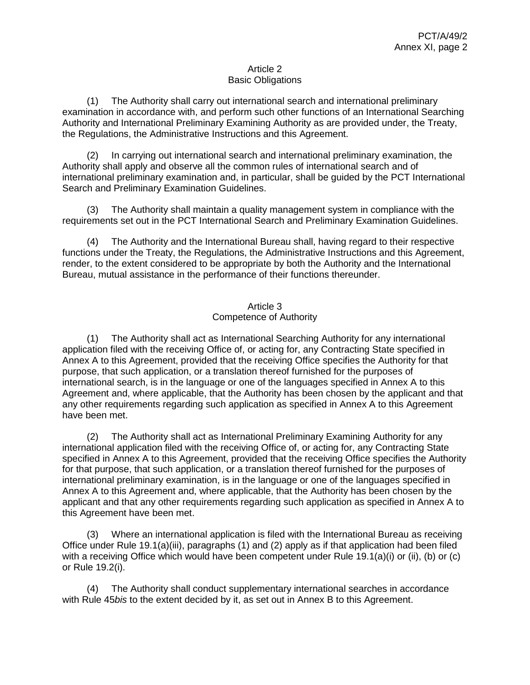### Article 2 Basic Obligations

(1) The Authority shall carry out international search and international preliminary examination in accordance with, and perform such other functions of an International Searching Authority and International Preliminary Examining Authority as are provided under, the Treaty, the Regulations, the Administrative Instructions and this Agreement.

(2) In carrying out international search and international preliminary examination, the Authority shall apply and observe all the common rules of international search and of international preliminary examination and, in particular, shall be guided by the PCT International Search and Preliminary Examination Guidelines.

(3) The Authority shall maintain a quality management system in compliance with the requirements set out in the PCT International Search and Preliminary Examination Guidelines.

(4) The Authority and the International Bureau shall, having regard to their respective functions under the Treaty, the Regulations, the Administrative Instructions and this Agreement, render, to the extent considered to be appropriate by both the Authority and the International Bureau, mutual assistance in the performance of their functions thereunder.

## Article 3 Competence of Authority

(1) The Authority shall act as International Searching Authority for any international application filed with the receiving Office of, or acting for, any Contracting State specified in Annex A to this Agreement, provided that the receiving Office specifies the Authority for that purpose, that such application, or a translation thereof furnished for the purposes of international search, is in the language or one of the languages specified in Annex A to this Agreement and, where applicable, that the Authority has been chosen by the applicant and that any other requirements regarding such application as specified in Annex A to this Agreement have been met.

(2) The Authority shall act as International Preliminary Examining Authority for any international application filed with the receiving Office of, or acting for, any Contracting State specified in Annex A to this Agreement, provided that the receiving Office specifies the Authority for that purpose, that such application, or a translation thereof furnished for the purposes of international preliminary examination, is in the language or one of the languages specified in Annex A to this Agreement and, where applicable, that the Authority has been chosen by the applicant and that any other requirements regarding such application as specified in Annex A to this Agreement have been met.

(3) Where an international application is filed with the International Bureau as receiving Office under Rule 19.1(a)(iii), paragraphs (1) and (2) apply as if that application had been filed with a receiving Office which would have been competent under Rule 19.1(a)(i) or (ii), (b) or (c) or Rule 19.2(i).

(4) The Authority shall conduct supplementary international searches in accordance with Rule 45*bis* to the extent decided by it, as set out in Annex B to this Agreement.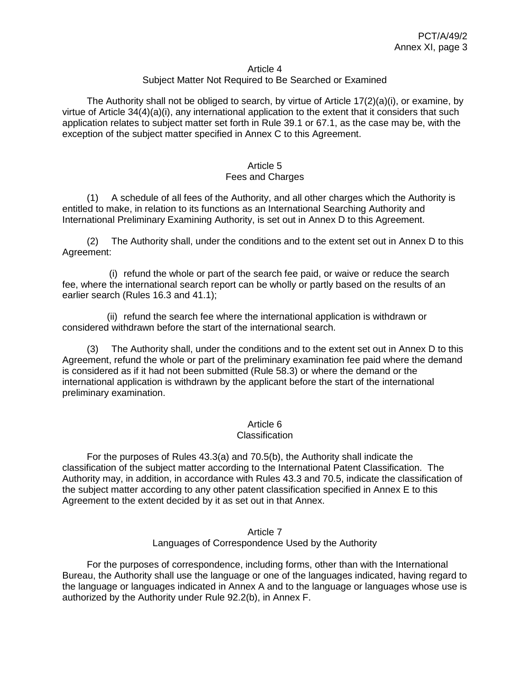#### Article 4

### Subject Matter Not Required to Be Searched or Examined

The Authority shall not be obliged to search, by virtue of Article  $17(2)(a)(i)$ , or examine, by virtue of Article 34(4)(a)(i), any international application to the extent that it considers that such application relates to subject matter set forth in Rule 39.1 or 67.1, as the case may be, with the exception of the subject matter specified in Annex C to this Agreement.

#### Article 5 Fees and Charges

(1) A schedule of all fees of the Authority, and all other charges which the Authority is entitled to make, in relation to its functions as an International Searching Authority and International Preliminary Examining Authority, is set out in Annex D to this Agreement.

(2) The Authority shall, under the conditions and to the extent set out in Annex D to this Agreement:

(i) refund the whole or part of the search fee paid, or waive or reduce the search fee, where the international search report can be wholly or partly based on the results of an earlier search (Rules 16.3 and 41.1);

(ii) refund the search fee where the international application is withdrawn or considered withdrawn before the start of the international search.

(3) The Authority shall, under the conditions and to the extent set out in Annex D to this Agreement, refund the whole or part of the preliminary examination fee paid where the demand is considered as if it had not been submitted (Rule 58.3) or where the demand or the international application is withdrawn by the applicant before the start of the international preliminary examination.

### Article 6

#### **Classification**

For the purposes of Rules 43.3(a) and 70.5(b), the Authority shall indicate the classification of the subject matter according to the International Patent Classification. The Authority may, in addition, in accordance with Rules 43.3 and 70.5, indicate the classification of the subject matter according to any other patent classification specified in Annex E to this Agreement to the extent decided by it as set out in that Annex.

#### Article 7 Languages of Correspondence Used by the Authority

For the purposes of correspondence, including forms, other than with the International Bureau, the Authority shall use the language or one of the languages indicated, having regard to the language or languages indicated in Annex A and to the language or languages whose use is authorized by the Authority under Rule 92.2(b), in Annex F.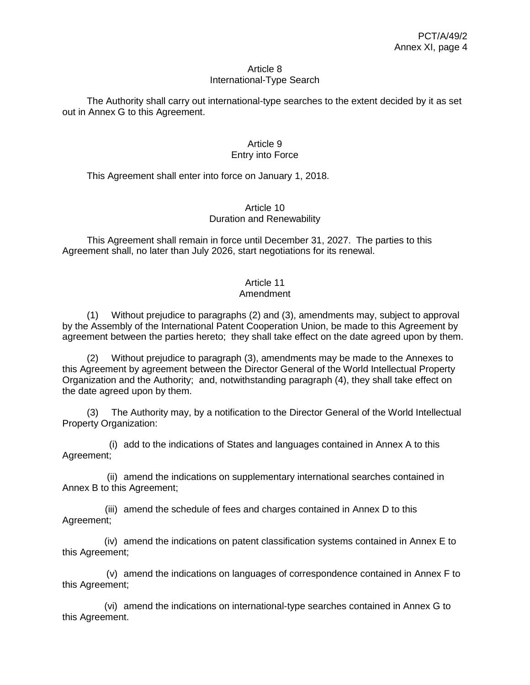#### Article 8 International-Type Search

The Authority shall carry out international-type searches to the extent decided by it as set out in Annex G to this Agreement.

## Article 9 Entry into Force

This Agreement shall enter into force on January 1, 2018.

## Article 10 Duration and Renewability

This Agreement shall remain in force until December 31, 2027. The parties to this Agreement shall, no later than July 2026, start negotiations for its renewal.

# Article 11

## Amendment

(1) Without prejudice to paragraphs (2) and (3), amendments may, subject to approval by the Assembly of the International Patent Cooperation Union, be made to this Agreement by agreement between the parties hereto; they shall take effect on the date agreed upon by them.

(2) Without prejudice to paragraph (3), amendments may be made to the Annexes to this Agreement by agreement between the Director General of the World Intellectual Property Organization and the Authority; and, notwithstanding paragraph (4), they shall take effect on the date agreed upon by them.

(3) The Authority may, by a notification to the Director General of the World Intellectual Property Organization:

(i) add to the indications of States and languages contained in Annex A to this Agreement;

(ii) amend the indications on supplementary international searches contained in Annex B to this Agreement;

(iii) amend the schedule of fees and charges contained in Annex D to this Agreement;

(iv) amend the indications on patent classification systems contained in Annex E to this Agreement;

(v) amend the indications on languages of correspondence contained in Annex F to this Agreement;

(vi) amend the indications on international-type searches contained in Annex G to this Agreement.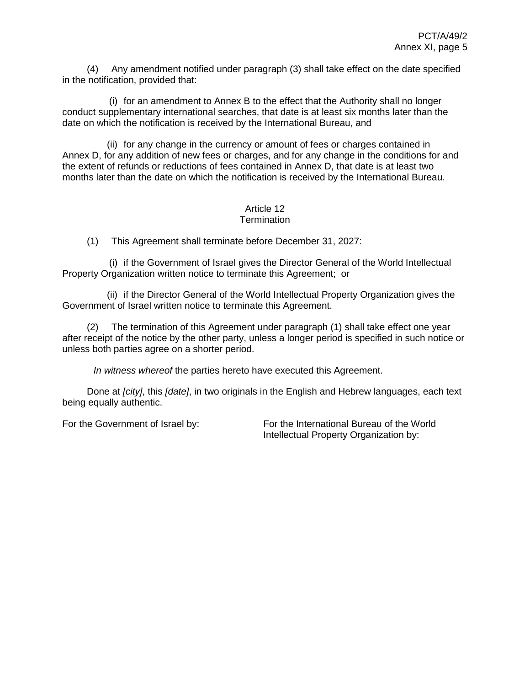(4) Any amendment notified under paragraph (3) shall take effect on the date specified in the notification, provided that:

(i) for an amendment to Annex B to the effect that the Authority shall no longer conduct supplementary international searches, that date is at least six months later than the date on which the notification is received by the International Bureau, and

(ii) for any change in the currency or amount of fees or charges contained in Annex D, for any addition of new fees or charges, and for any change in the conditions for and the extent of refunds or reductions of fees contained in Annex D, that date is at least two months later than the date on which the notification is received by the International Bureau.

#### Article 12 **Termination**

(1) This Agreement shall terminate before December 31, 2027:

(i) if the Government of Israel gives the Director General of the World Intellectual Property Organization written notice to terminate this Agreement; or

(ii) if the Director General of the World Intellectual Property Organization gives the Government of Israel written notice to terminate this Agreement.

(2) The termination of this Agreement under paragraph (1) shall take effect one year after receipt of the notice by the other party, unless a longer period is specified in such notice or unless both parties agree on a shorter period.

*In witness whereof* the parties hereto have executed this Agreement.

Done at *[city]*, this *[date]*, in two originals in the English and Hebrew languages, each text being equally authentic.

For the Government of Israel by: For the International Bureau of the World Intellectual Property Organization by: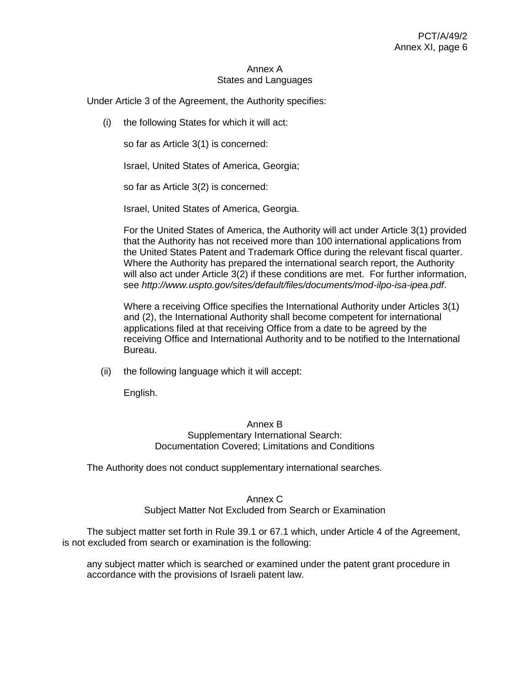#### Annex A States and Languages

Under Article 3 of the Agreement, the Authority specifies:

(i) the following States for which it will act:

so far as Article 3(1) is concerned:

Israel, United States of America, Georgia;

so far as Article 3(2) is concerned:

Israel, United States of America, Georgia.

For the United States of America, the Authority will act under Article 3(1) provided that the Authority has not received more than 100 international applications from the United States Patent and Trademark Office during the relevant fiscal quarter. Where the Authority has prepared the international search report, the Authority will also act under Article 3(2) if these conditions are met. For further information, see *<http://www.uspto.gov/sites/default/files/documents/mod-ilpo-isa-ipea.pdf>*.

Where a receiving Office specifies the International Authority under Articles 3(1) and (2), the International Authority shall become competent for international applications filed at that receiving Office from a date to be agreed by the receiving Office and International Authority and to be notified to the International Bureau.

(ii) the following language which it will accept:

English.

#### Annex B Supplementary International Search: Documentation Covered; Limitations and Conditions

The Authority does not conduct supplementary international searches.

#### Annex C

Subject Matter Not Excluded from Search or Examination

The subject matter set forth in Rule 39.1 or 67.1 which, under Article 4 of the Agreement, is not excluded from search or examination is the following:

any subject matter which is searched or examined under the patent grant procedure in accordance with the provisions of Israeli patent law.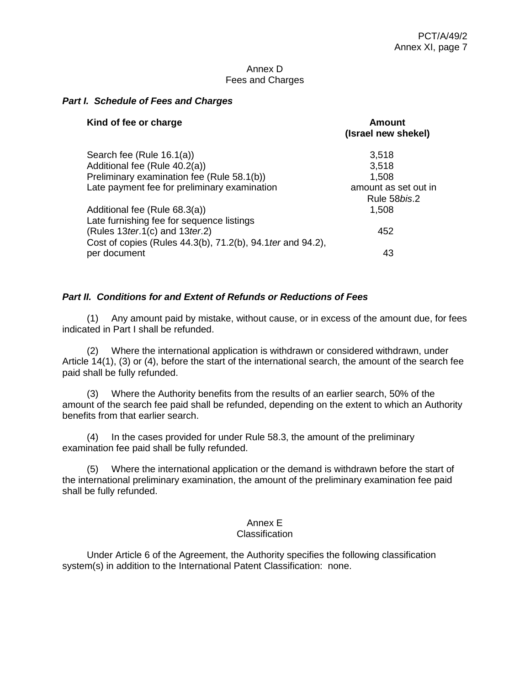#### Annex D Fees and Charges

## *Part I. Schedule of Fees and Charges*

| Kind of fee or charge                                                                               | Amount<br>(Israel new shekel)        |
|-----------------------------------------------------------------------------------------------------|--------------------------------------|
| Search fee (Rule 16.1(a))                                                                           | 3,518                                |
| Additional fee (Rule 40.2(a))                                                                       | 3,518                                |
| Preliminary examination fee (Rule 58.1(b))                                                          | 1,508                                |
| Late payment fee for preliminary examination                                                        | amount as set out in<br>Rule 58bis.2 |
| Additional fee (Rule 68.3(a))<br>Late furnishing fee for sequence listings                          | 1,508                                |
| (Rules $13$ ter.1(c) and $13$ ter.2)<br>Cost of copies (Rules 44.3(b), 71.2(b), 94.1 ter and 94.2), | 452                                  |
| per document                                                                                        | 43                                   |

## *Part II. Conditions for and Extent of Refunds or Reductions of Fees*

(1) Any amount paid by mistake, without cause, or in excess of the amount due, for fees indicated in Part I shall be refunded.

(2) Where the international application is withdrawn or considered withdrawn, under Article 14(1), (3) or (4), before the start of the international search, the amount of the search fee paid shall be fully refunded.

(3) Where the Authority benefits from the results of an earlier search, 50% of the amount of the search fee paid shall be refunded, depending on the extent to which an Authority benefits from that earlier search.

(4) In the cases provided for under Rule 58.3, the amount of the preliminary examination fee paid shall be fully refunded.

(5) Where the international application or the demand is withdrawn before the start of the international preliminary examination, the amount of the preliminary examination fee paid shall be fully refunded.

# Annex E

## **Classification**

Under Article 6 of the Agreement, the Authority specifies the following classification system(s) in addition to the International Patent Classification: none.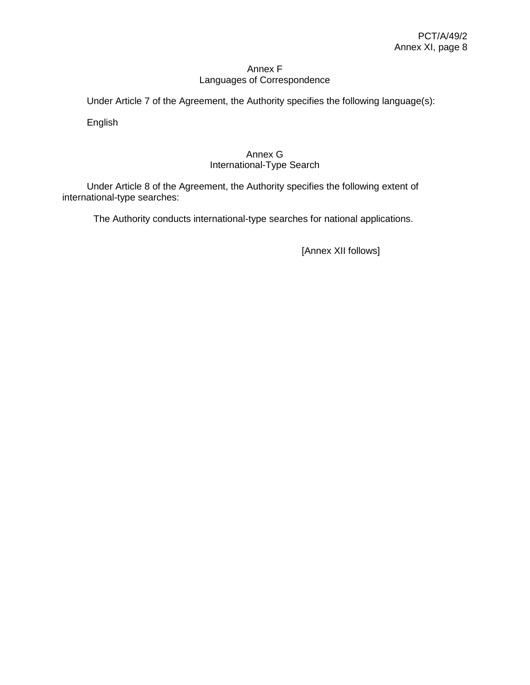## Annex F Languages of Correspondence

Under Article 7 of the Agreement, the Authority specifies the following language(s):

English

## Annex G International-Type Search

Under Article 8 of the Agreement, the Authority specifies the following extent of international-type searches:

The Authority conducts international-type searches for national applications.

[Annex XII follows]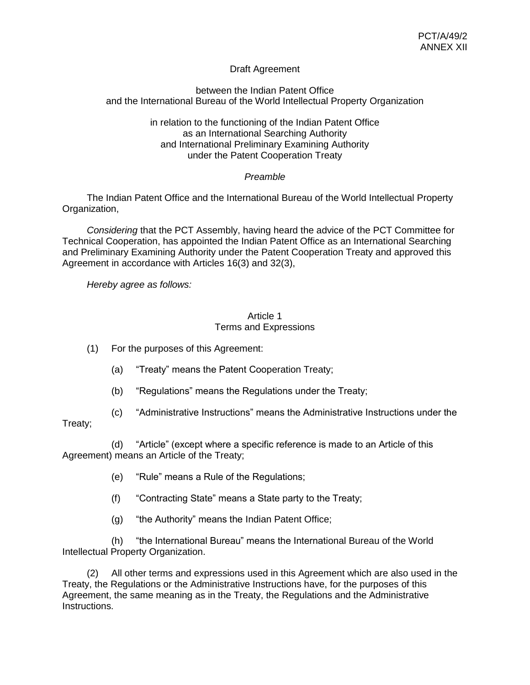## Draft Agreement

## between the Indian Patent Office and the International Bureau of the World Intellectual Property Organization

### in relation to the functioning of the Indian Patent Office as an International Searching Authority and International Preliminary Examining Authority under the Patent Cooperation Treaty

## *Preamble*

The Indian Patent Office and the International Bureau of the World Intellectual Property Organization,

*Considering* that the PCT Assembly, having heard the advice of the PCT Committee for Technical Cooperation, has appointed the Indian Patent Office as an International Searching and Preliminary Examining Authority under the Patent Cooperation Treaty and approved this Agreement in accordance with Articles 16(3) and 32(3),

*Hereby agree as follows:*

### Article 1 Terms and Expressions

- (1) For the purposes of this Agreement:
	- (a) "Treaty" means the Patent Cooperation Treaty;
	- (b) "Regulations" means the Regulations under the Treaty;
- (c) "Administrative Instructions" means the Administrative Instructions under the

## Treaty;

(d) "Article" (except where a specific reference is made to an Article of this Agreement) means an Article of the Treaty;

- (e) "Rule" means a Rule of the Regulations;
- (f) "Contracting State" means a State party to the Treaty;
- (g) "the Authority" means the Indian Patent Office;

(h) "the International Bureau" means the International Bureau of the World Intellectual Property Organization.

(2) All other terms and expressions used in this Agreement which are also used in the Treaty, the Regulations or the Administrative Instructions have, for the purposes of this Agreement, the same meaning as in the Treaty, the Regulations and the Administrative Instructions.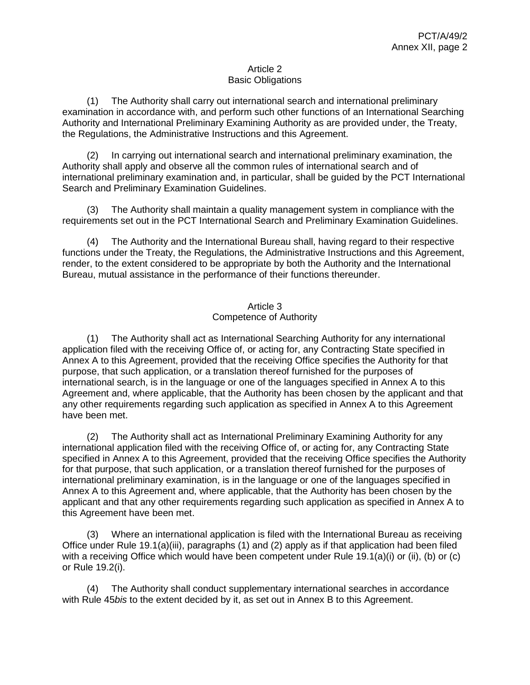### Article 2 Basic Obligations

(1) The Authority shall carry out international search and international preliminary examination in accordance with, and perform such other functions of an International Searching Authority and International Preliminary Examining Authority as are provided under, the Treaty, the Regulations, the Administrative Instructions and this Agreement.

(2) In carrying out international search and international preliminary examination, the Authority shall apply and observe all the common rules of international search and of international preliminary examination and, in particular, shall be guided by the PCT International Search and Preliminary Examination Guidelines.

(3) The Authority shall maintain a quality management system in compliance with the requirements set out in the PCT International Search and Preliminary Examination Guidelines.

(4) The Authority and the International Bureau shall, having regard to their respective functions under the Treaty, the Regulations, the Administrative Instructions and this Agreement, render, to the extent considered to be appropriate by both the Authority and the International Bureau, mutual assistance in the performance of their functions thereunder.

## Article 3 Competence of Authority

(1) The Authority shall act as International Searching Authority for any international application filed with the receiving Office of, or acting for, any Contracting State specified in Annex A to this Agreement, provided that the receiving Office specifies the Authority for that purpose, that such application, or a translation thereof furnished for the purposes of international search, is in the language or one of the languages specified in Annex A to this Agreement and, where applicable, that the Authority has been chosen by the applicant and that any other requirements regarding such application as specified in Annex A to this Agreement have been met.

(2) The Authority shall act as International Preliminary Examining Authority for any international application filed with the receiving Office of, or acting for, any Contracting State specified in Annex A to this Agreement, provided that the receiving Office specifies the Authority for that purpose, that such application, or a translation thereof furnished for the purposes of international preliminary examination, is in the language or one of the languages specified in Annex A to this Agreement and, where applicable, that the Authority has been chosen by the applicant and that any other requirements regarding such application as specified in Annex A to this Agreement have been met.

(3) Where an international application is filed with the International Bureau as receiving Office under Rule 19.1(a)(iii), paragraphs (1) and (2) apply as if that application had been filed with a receiving Office which would have been competent under Rule 19.1(a)(i) or (ii), (b) or (c) or Rule 19.2(i).

(4) The Authority shall conduct supplementary international searches in accordance with Rule 45*bis* to the extent decided by it, as set out in Annex B to this Agreement.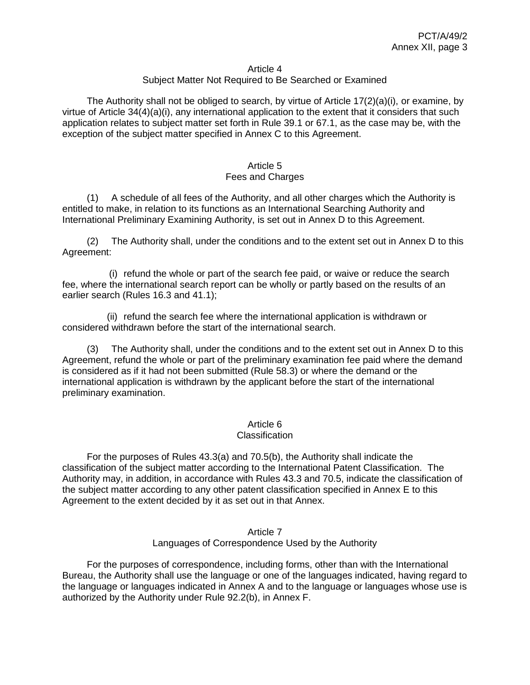#### Article 4

### Subject Matter Not Required to Be Searched or Examined

The Authority shall not be obliged to search, by virtue of Article  $17(2)(a)(i)$ , or examine, by virtue of Article 34(4)(a)(i), any international application to the extent that it considers that such application relates to subject matter set forth in Rule 39.1 or 67.1, as the case may be, with the exception of the subject matter specified in Annex C to this Agreement.

#### Article 5 Fees and Charges

(1) A schedule of all fees of the Authority, and all other charges which the Authority is entitled to make, in relation to its functions as an International Searching Authority and International Preliminary Examining Authority, is set out in Annex D to this Agreement.

(2) The Authority shall, under the conditions and to the extent set out in Annex D to this Agreement:

(i) refund the whole or part of the search fee paid, or waive or reduce the search fee, where the international search report can be wholly or partly based on the results of an earlier search (Rules 16.3 and 41.1);

(ii) refund the search fee where the international application is withdrawn or considered withdrawn before the start of the international search.

(3) The Authority shall, under the conditions and to the extent set out in Annex D to this Agreement, refund the whole or part of the preliminary examination fee paid where the demand is considered as if it had not been submitted (Rule 58.3) or where the demand or the international application is withdrawn by the applicant before the start of the international preliminary examination.

### Article 6

#### **Classification**

For the purposes of Rules 43.3(a) and 70.5(b), the Authority shall indicate the classification of the subject matter according to the International Patent Classification. The Authority may, in addition, in accordance with Rules 43.3 and 70.5, indicate the classification of the subject matter according to any other patent classification specified in Annex E to this Agreement to the extent decided by it as set out in that Annex.

#### Article 7 Languages of Correspondence Used by the Authority

For the purposes of correspondence, including forms, other than with the International Bureau, the Authority shall use the language or one of the languages indicated, having regard to the language or languages indicated in Annex A and to the language or languages whose use is authorized by the Authority under Rule 92.2(b), in Annex F.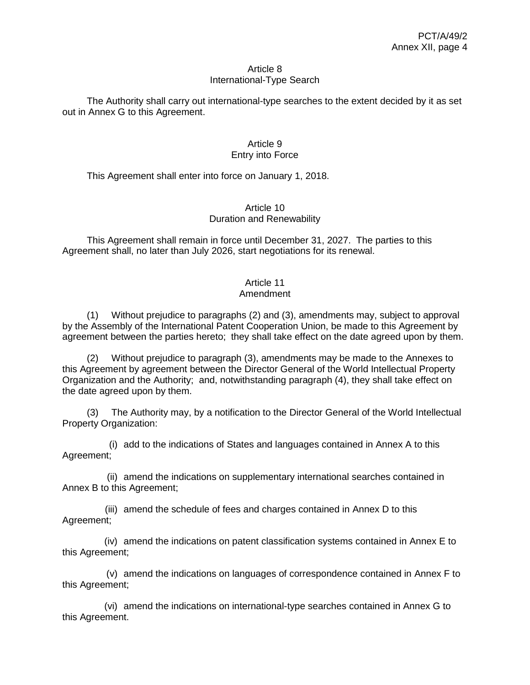#### Article 8 International-Type Search

The Authority shall carry out international-type searches to the extent decided by it as set out in Annex G to this Agreement.

## Article 9 Entry into Force

This Agreement shall enter into force on January 1, 2018.

## Article 10 Duration and Renewability

This Agreement shall remain in force until December 31, 2027. The parties to this Agreement shall, no later than July 2026, start negotiations for its renewal.

# Article 11

## Amendment

(1) Without prejudice to paragraphs (2) and (3), amendments may, subject to approval by the Assembly of the International Patent Cooperation Union, be made to this Agreement by agreement between the parties hereto; they shall take effect on the date agreed upon by them.

(2) Without prejudice to paragraph (3), amendments may be made to the Annexes to this Agreement by agreement between the Director General of the World Intellectual Property Organization and the Authority; and, notwithstanding paragraph (4), they shall take effect on the date agreed upon by them.

(3) The Authority may, by a notification to the Director General of the World Intellectual Property Organization:

(i) add to the indications of States and languages contained in Annex A to this Agreement;

(ii) amend the indications on supplementary international searches contained in Annex B to this Agreement;

(iii) amend the schedule of fees and charges contained in Annex D to this Agreement;

(iv) amend the indications on patent classification systems contained in Annex E to this Agreement;

(v) amend the indications on languages of correspondence contained in Annex F to this Agreement;

(vi) amend the indications on international-type searches contained in Annex G to this Agreement.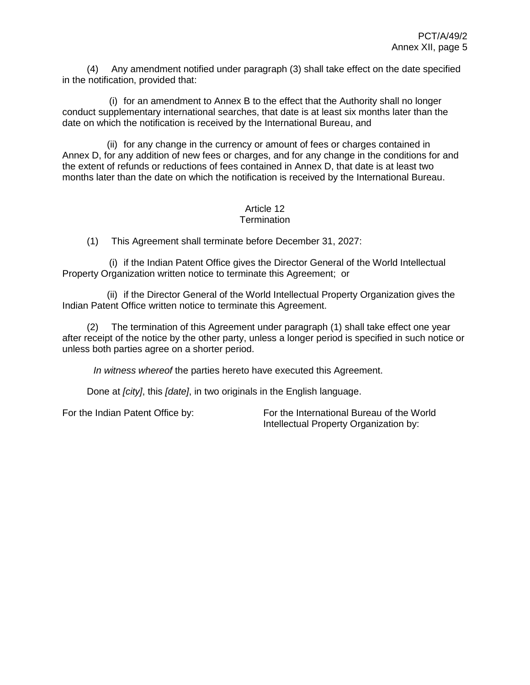(4) Any amendment notified under paragraph (3) shall take effect on the date specified in the notification, provided that:

(i) for an amendment to Annex B to the effect that the Authority shall no longer conduct supplementary international searches, that date is at least six months later than the date on which the notification is received by the International Bureau, and

(ii) for any change in the currency or amount of fees or charges contained in Annex D, for any addition of new fees or charges, and for any change in the conditions for and the extent of refunds or reductions of fees contained in Annex D, that date is at least two months later than the date on which the notification is received by the International Bureau.

#### Article 12 **Termination**

(1) This Agreement shall terminate before December 31, 2027:

(i) if the Indian Patent Office gives the Director General of the World Intellectual Property Organization written notice to terminate this Agreement; or

(ii) if the Director General of the World Intellectual Property Organization gives the Indian Patent Office written notice to terminate this Agreement.

(2) The termination of this Agreement under paragraph (1) shall take effect one year after receipt of the notice by the other party, unless a longer period is specified in such notice or unless both parties agree on a shorter period.

*In witness whereof* the parties hereto have executed this Agreement.

Done at *[city]*, this *[date]*, in two originals in the English language.

For the Indian Patent Office by: For the International Bureau of the World Intellectual Property Organization by: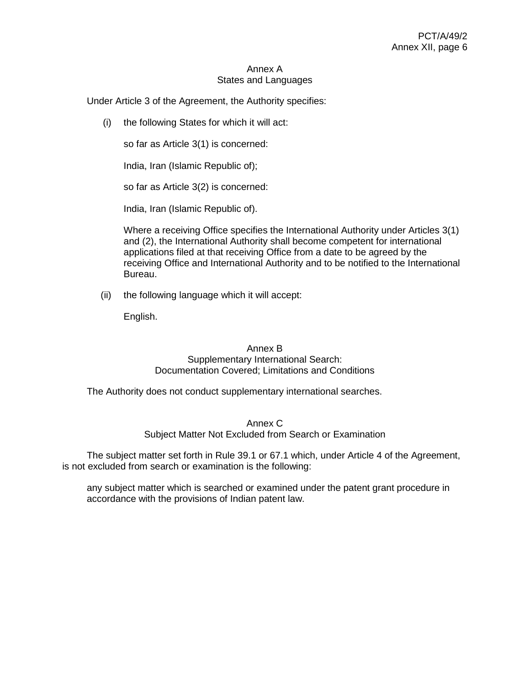#### Annex A States and Languages

Under Article 3 of the Agreement, the Authority specifies:

(i) the following States for which it will act:

so far as Article 3(1) is concerned:

India, Iran (Islamic Republic of);

so far as Article 3(2) is concerned:

India, Iran (Islamic Republic of).

Where a receiving Office specifies the International Authority under Articles 3(1) and (2), the International Authority shall become competent for international applications filed at that receiving Office from a date to be agreed by the receiving Office and International Authority and to be notified to the International Bureau.

(ii) the following language which it will accept:

English.

## Annex B Supplementary International Search: Documentation Covered; Limitations and Conditions

The Authority does not conduct supplementary international searches.

Annex C Subject Matter Not Excluded from Search or Examination

The subject matter set forth in Rule 39.1 or 67.1 which, under Article 4 of the Agreement, is not excluded from search or examination is the following:

any subject matter which is searched or examined under the patent grant procedure in accordance with the provisions of Indian patent law.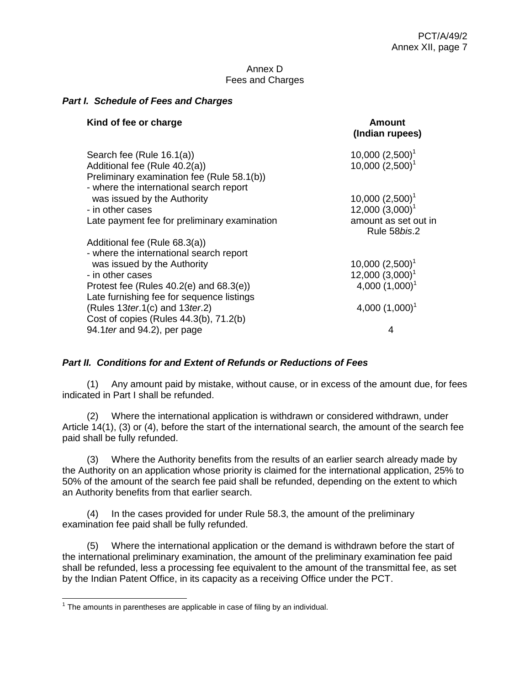#### Annex D Fees and Charges

### *Part I. Schedule of Fees and Charges*

| Kind of fee or charge                                                                 | Amount<br>(Indian rupees)                        |
|---------------------------------------------------------------------------------------|--------------------------------------------------|
| Search fee (Rule 16.1(a))<br>Additional fee (Rule 40.2(a))                            | $10,000(2,500)^1$<br>10,000 (2,500) <sup>1</sup> |
| Preliminary examination fee (Rule 58.1(b))<br>- where the international search report |                                                  |
| was issued by the Authority                                                           | 10,000 $(2,500)^1$                               |
| - in other cases                                                                      | 12,000 (3,000) <sup>1</sup>                      |
| Late payment fee for preliminary examination                                          | amount as set out in<br>Rule 58bis.2             |
| Additional fee (Rule 68.3(a))                                                         |                                                  |
| - where the international search report                                               |                                                  |
| was issued by the Authority                                                           | $10,000(2,500)^1$                                |
| - in other cases                                                                      | 12,000 (3,000) <sup>1</sup>                      |
| Protest fee (Rules $40.2(e)$ and $68.3(e)$ )                                          | 4,000 $(1,000)^1$                                |
| Late furnishing fee for sequence listings                                             |                                                  |
| (Rules $13$ ter.1(c) and $13$ ter.2)<br>Cost of copies (Rules 44.3(b), 71.2(b)        | 4,000 $(1,000)^1$                                |
| 94.1 ter and 94.2), per page                                                          | 4                                                |

## *Part II. Conditions for and Extent of Refunds or Reductions of Fees*

(1) Any amount paid by mistake, without cause, or in excess of the amount due, for fees indicated in Part I shall be refunded.

(2) Where the international application is withdrawn or considered withdrawn, under Article 14(1), (3) or (4), before the start of the international search, the amount of the search fee paid shall be fully refunded.

(3) Where the Authority benefits from the results of an earlier search already made by the Authority on an application whose priority is claimed for the international application, 25% to 50% of the amount of the search fee paid shall be refunded, depending on the extent to which an Authority benefits from that earlier search.

(4) In the cases provided for under Rule 58.3, the amount of the preliminary examination fee paid shall be fully refunded.

(5) Where the international application or the demand is withdrawn before the start of the international preliminary examination, the amount of the preliminary examination fee paid shall be refunded, less a processing fee equivalent to the amount of the transmittal fee, as set by the Indian Patent Office, in its capacity as a receiving Office under the PCT.

The amounts in parentheses are applicable in case of filing by an individual.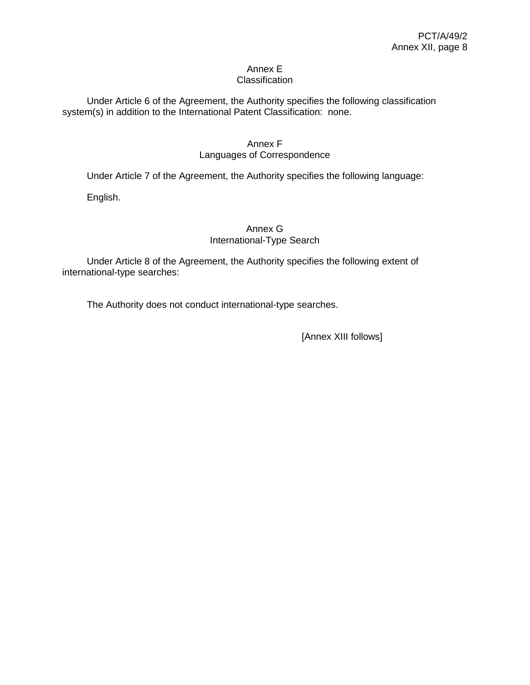#### Annex E **Classification**

Under Article 6 of the Agreement, the Authority specifies the following classification system(s) in addition to the International Patent Classification: none.

# Annex F

## Languages of Correspondence

Under Article 7 of the Agreement, the Authority specifies the following language:

English.

## Annex G International-Type Search

Under Article 8 of the Agreement, the Authority specifies the following extent of international-type searches:

The Authority does not conduct international-type searches.

[Annex XIII follows]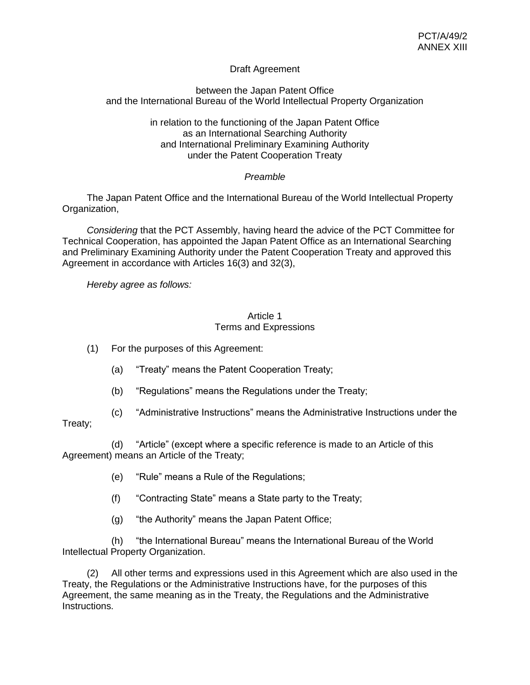## Draft Agreement

## between the Japan Patent Office and the International Bureau of the World Intellectual Property Organization

### in relation to the functioning of the Japan Patent Office as an International Searching Authority and International Preliminary Examining Authority under the Patent Cooperation Treaty

## *Preamble*

The Japan Patent Office and the International Bureau of the World Intellectual Property Organization,

*Considering* that the PCT Assembly, having heard the advice of the PCT Committee for Technical Cooperation, has appointed the Japan Patent Office as an International Searching and Preliminary Examining Authority under the Patent Cooperation Treaty and approved this Agreement in accordance with Articles 16(3) and 32(3),

*Hereby agree as follows:*

### Article 1 Terms and Expressions

(1) For the purposes of this Agreement:

- (a) "Treaty" means the Patent Cooperation Treaty;
- (b) "Regulations" means the Regulations under the Treaty;
- (c) "Administrative Instructions" means the Administrative Instructions under the

## Treaty;

(d) "Article" (except where a specific reference is made to an Article of this Agreement) means an Article of the Treaty;

- (e) "Rule" means a Rule of the Regulations;
- (f) "Contracting State" means a State party to the Treaty;
- (g) "the Authority" means the Japan Patent Office;

(h) "the International Bureau" means the International Bureau of the World Intellectual Property Organization.

(2) All other terms and expressions used in this Agreement which are also used in the Treaty, the Regulations or the Administrative Instructions have, for the purposes of this Agreement, the same meaning as in the Treaty, the Regulations and the Administrative Instructions.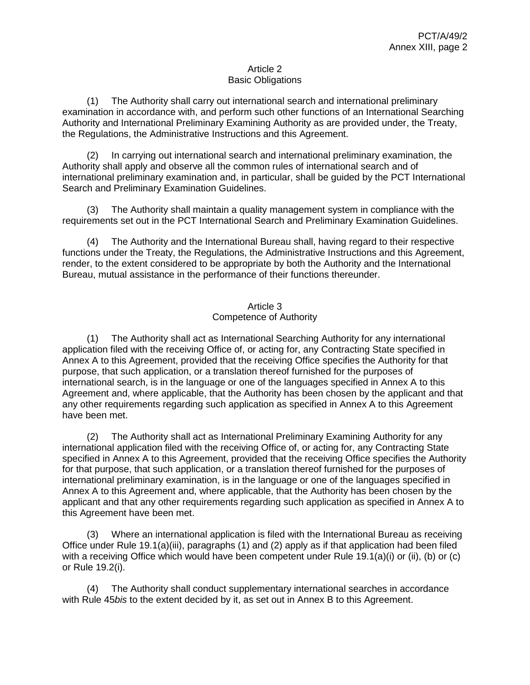### Article 2 Basic Obligations

(1) The Authority shall carry out international search and international preliminary examination in accordance with, and perform such other functions of an International Searching Authority and International Preliminary Examining Authority as are provided under, the Treaty, the Regulations, the Administrative Instructions and this Agreement.

(2) In carrying out international search and international preliminary examination, the Authority shall apply and observe all the common rules of international search and of international preliminary examination and, in particular, shall be guided by the PCT International Search and Preliminary Examination Guidelines.

(3) The Authority shall maintain a quality management system in compliance with the requirements set out in the PCT International Search and Preliminary Examination Guidelines.

(4) The Authority and the International Bureau shall, having regard to their respective functions under the Treaty, the Regulations, the Administrative Instructions and this Agreement, render, to the extent considered to be appropriate by both the Authority and the International Bureau, mutual assistance in the performance of their functions thereunder.

## Article 3 Competence of Authority

(1) The Authority shall act as International Searching Authority for any international application filed with the receiving Office of, or acting for, any Contracting State specified in Annex A to this Agreement, provided that the receiving Office specifies the Authority for that purpose, that such application, or a translation thereof furnished for the purposes of international search, is in the language or one of the languages specified in Annex A to this Agreement and, where applicable, that the Authority has been chosen by the applicant and that any other requirements regarding such application as specified in Annex A to this Agreement have been met.

(2) The Authority shall act as International Preliminary Examining Authority for any international application filed with the receiving Office of, or acting for, any Contracting State specified in Annex A to this Agreement, provided that the receiving Office specifies the Authority for that purpose, that such application, or a translation thereof furnished for the purposes of international preliminary examination, is in the language or one of the languages specified in Annex A to this Agreement and, where applicable, that the Authority has been chosen by the applicant and that any other requirements regarding such application as specified in Annex A to this Agreement have been met.

(3) Where an international application is filed with the International Bureau as receiving Office under Rule 19.1(a)(iii), paragraphs (1) and (2) apply as if that application had been filed with a receiving Office which would have been competent under Rule 19.1(a)(i) or (ii), (b) or (c) or Rule 19.2(i).

(4) The Authority shall conduct supplementary international searches in accordance with Rule 45*bis* to the extent decided by it, as set out in Annex B to this Agreement.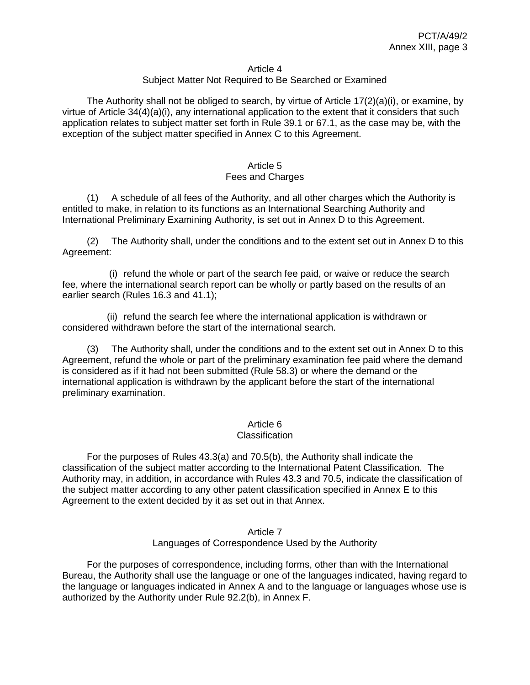#### Article 4

### Subject Matter Not Required to Be Searched or Examined

The Authority shall not be obliged to search, by virtue of Article  $17(2)(a)(i)$ , or examine, by virtue of Article 34(4)(a)(i), any international application to the extent that it considers that such application relates to subject matter set forth in Rule 39.1 or 67.1, as the case may be, with the exception of the subject matter specified in Annex C to this Agreement.

#### Article 5 Fees and Charges

(1) A schedule of all fees of the Authority, and all other charges which the Authority is entitled to make, in relation to its functions as an International Searching Authority and International Preliminary Examining Authority, is set out in Annex D to this Agreement.

(2) The Authority shall, under the conditions and to the extent set out in Annex D to this Agreement:

(i) refund the whole or part of the search fee paid, or waive or reduce the search fee, where the international search report can be wholly or partly based on the results of an earlier search (Rules 16.3 and 41.1);

(ii) refund the search fee where the international application is withdrawn or considered withdrawn before the start of the international search.

(3) The Authority shall, under the conditions and to the extent set out in Annex D to this Agreement, refund the whole or part of the preliminary examination fee paid where the demand is considered as if it had not been submitted (Rule 58.3) or where the demand or the international application is withdrawn by the applicant before the start of the international preliminary examination.

### Article 6

#### **Classification**

For the purposes of Rules 43.3(a) and 70.5(b), the Authority shall indicate the classification of the subject matter according to the International Patent Classification. The Authority may, in addition, in accordance with Rules 43.3 and 70.5, indicate the classification of the subject matter according to any other patent classification specified in Annex E to this Agreement to the extent decided by it as set out in that Annex.

#### Article 7 Languages of Correspondence Used by the Authority

For the purposes of correspondence, including forms, other than with the International Bureau, the Authority shall use the language or one of the languages indicated, having regard to the language or languages indicated in Annex A and to the language or languages whose use is authorized by the Authority under Rule 92.2(b), in Annex F.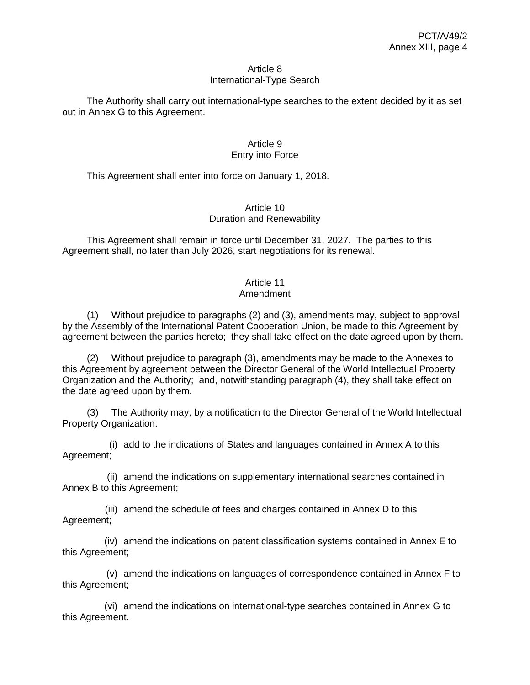#### Article 8 International-Type Search

The Authority shall carry out international-type searches to the extent decided by it as set out in Annex G to this Agreement.

## Article 9 Entry into Force

This Agreement shall enter into force on January 1, 2018.

## Article 10 Duration and Renewability

This Agreement shall remain in force until December 31, 2027. The parties to this Agreement shall, no later than July 2026, start negotiations for its renewal.

# Article 11

## Amendment

(1) Without prejudice to paragraphs (2) and (3), amendments may, subject to approval by the Assembly of the International Patent Cooperation Union, be made to this Agreement by agreement between the parties hereto; they shall take effect on the date agreed upon by them.

(2) Without prejudice to paragraph (3), amendments may be made to the Annexes to this Agreement by agreement between the Director General of the World Intellectual Property Organization and the Authority; and, notwithstanding paragraph (4), they shall take effect on the date agreed upon by them.

(3) The Authority may, by a notification to the Director General of the World Intellectual Property Organization:

(i) add to the indications of States and languages contained in Annex A to this Agreement;

(ii) amend the indications on supplementary international searches contained in Annex B to this Agreement;

(iii) amend the schedule of fees and charges contained in Annex D to this Agreement;

(iv) amend the indications on patent classification systems contained in Annex E to this Agreement;

(v) amend the indications on languages of correspondence contained in Annex F to this Agreement;

(vi) amend the indications on international-type searches contained in Annex G to this Agreement.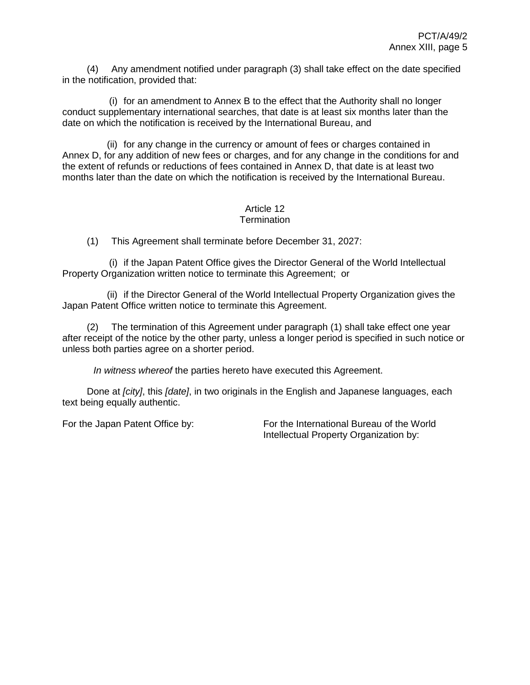(4) Any amendment notified under paragraph (3) shall take effect on the date specified in the notification, provided that:

(i) for an amendment to Annex B to the effect that the Authority shall no longer conduct supplementary international searches, that date is at least six months later than the date on which the notification is received by the International Bureau, and

(ii) for any change in the currency or amount of fees or charges contained in Annex D, for any addition of new fees or charges, and for any change in the conditions for and the extent of refunds or reductions of fees contained in Annex D, that date is at least two months later than the date on which the notification is received by the International Bureau.

#### Article 12 **Termination**

(1) This Agreement shall terminate before December 31, 2027:

(i) if the Japan Patent Office gives the Director General of the World Intellectual Property Organization written notice to terminate this Agreement; or

(ii) if the Director General of the World Intellectual Property Organization gives the Japan Patent Office written notice to terminate this Agreement.

(2) The termination of this Agreement under paragraph (1) shall take effect one year after receipt of the notice by the other party, unless a longer period is specified in such notice or unless both parties agree on a shorter period.

*In witness whereof* the parties hereto have executed this Agreement.

Done at *[city]*, this *[date]*, in two originals in the English and Japanese languages, each text being equally authentic.

For the Japan Patent Office by: For the International Bureau of the World Intellectual Property Organization by: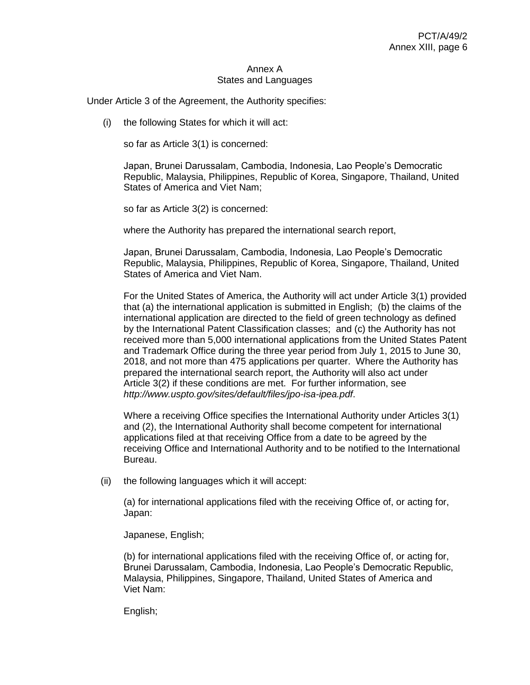#### Annex A States and Languages

Under Article 3 of the Agreement, the Authority specifies:

(i) the following States for which it will act:

so far as Article 3(1) is concerned:

Japan, Brunei Darussalam, Cambodia, Indonesia, Lao People's Democratic Republic, Malaysia, Philippines, Republic of Korea, Singapore, Thailand, United States of America and Viet Nam;

so far as Article 3(2) is concerned:

where the Authority has prepared the international search report,

Japan, Brunei Darussalam, Cambodia, Indonesia, Lao People's Democratic Republic, Malaysia, Philippines, Republic of Korea, Singapore, Thailand, United States of America and Viet Nam.

For the United States of America, the Authority will act under Article 3(1) provided that (a) the international application is submitted in English; (b) the claims of the international application are directed to the field of green technology as defined by the International Patent Classification classes; and (c) the Authority has not received more than 5,000 international applications from the United States Patent and Trademark Office during the three year period from July 1, 2015 to June 30, 2018, and not more than 475 applications per quarter. Where the Authority has prepared the international search report, the Authority will also act under Article 3(2) if these conditions are met. For further information, see *<http://www.uspto.gov/sites/default/files/jpo-isa-ipea.pdf>*.

Where a receiving Office specifies the International Authority under Articles 3(1) and (2), the International Authority shall become competent for international applications filed at that receiving Office from a date to be agreed by the receiving Office and International Authority and to be notified to the International Bureau.

(ii) the following languages which it will accept:

(a) for international applications filed with the receiving Office of, or acting for, Japan:

Japanese, English;

(b) for international applications filed with the receiving Office of, or acting for, Brunei Darussalam, Cambodia, Indonesia, Lao People's Democratic Republic, Malaysia, Philippines, Singapore, Thailand, United States of America and Viet Nam:

English;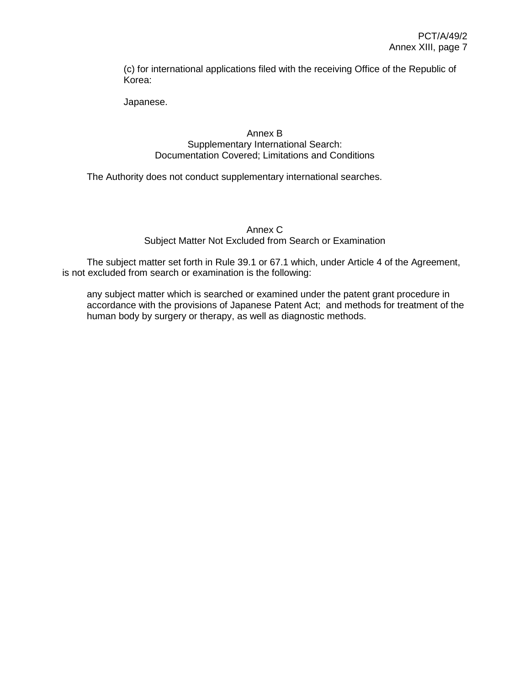(c) for international applications filed with the receiving Office of the Republic of Korea:

Japanese.

## Annex B Supplementary International Search: Documentation Covered; Limitations and Conditions

The Authority does not conduct supplementary international searches.

Annex C Subject Matter Not Excluded from Search or Examination

The subject matter set forth in Rule 39.1 or 67.1 which, under Article 4 of the Agreement, is not excluded from search or examination is the following:

any subject matter which is searched or examined under the patent grant procedure in accordance with the provisions of Japanese Patent Act; and methods for treatment of the human body by surgery or therapy, as well as diagnostic methods.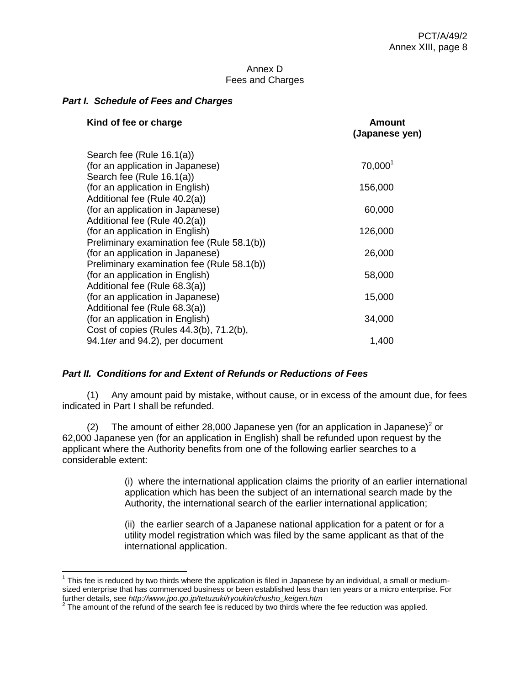#### Annex D Fees and Charges

#### *Part I. Schedule of Fees and Charges*

| Kind of fee or charge                      | Amount<br>(Japanese yen) |
|--------------------------------------------|--------------------------|
| Search fee (Rule 16.1(a))                  |                          |
| (for an application in Japanese)           | 70,000 <sup>1</sup>      |
| Search fee (Rule 16.1(a))                  |                          |
| (for an application in English)            | 156,000                  |
| Additional fee (Rule 40.2(a))              |                          |
| (for an application in Japanese)           | 60,000                   |
| Additional fee (Rule 40.2(a))              |                          |
| (for an application in English)            | 126,000                  |
| Preliminary examination fee (Rule 58.1(b)) |                          |
| (for an application in Japanese)           | 26,000                   |
| Preliminary examination fee (Rule 58.1(b)) |                          |
| (for an application in English)            | 58,000                   |
| Additional fee (Rule 68.3(a))              |                          |
| (for an application in Japanese)           | 15,000                   |
| Additional fee (Rule 68.3(a))              |                          |
| (for an application in English)            | 34,000                   |
| Cost of copies (Rules 44.3(b), 71.2(b),    |                          |
| 94.1 ter and 94.2), per document           | 1,400                    |

### *Part II. Conditions for and Extent of Refunds or Reductions of Fees*

(1) Any amount paid by mistake, without cause, or in excess of the amount due, for fees indicated in Part I shall be refunded.

(2) The amount of either 28,000 Japanese yen (for an application in Japanese)<sup>2</sup> or 62,000 Japanese yen (for an application in English) shall be refunded upon request by the applicant where the Authority benefits from one of the following earlier searches to a considerable extent:

> (i) where the international application claims the priority of an earlier international application which has been the subject of an international search made by the Authority, the international search of the earlier international application;

(ii) the earlier search of a Japanese national application for a patent or for a utility model registration which was filed by the same applicant as that of the international application.

 $1$  This fee is reduced by two thirds where the application is filed in Japanese by an individual, a small or mediumsized enterprise that has commenced business or been established less than ten years or a micro enterprise. For

further details, see *http://www.jpo.go.jp/tetuzuki/ryoukin/chusho\_keigen.htm*<br><sup>2</sup> The amount of the refund of the search fee is reduced by two thirds where the fee reduction was applied.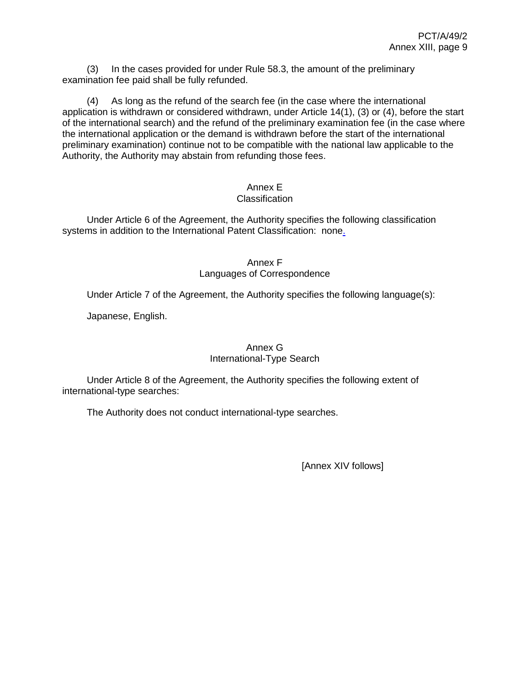(3) In the cases provided for under Rule 58.3, the amount of the preliminary examination fee paid shall be fully refunded.

(4) As long as the refund of the search fee (in the case where the international application is withdrawn or considered withdrawn, under Article 14(1), (3) or (4), before the start of the international search) and the refund of the preliminary examination fee (in the case where the international application or the demand is withdrawn before the start of the international preliminary examination) continue not to be compatible with the national law applicable to the Authority, the Authority may abstain from refunding those fees.

# Annex E

## **Classification**

Under Article 6 of the Agreement, the Authority specifies the following classification systems in addition to the International Patent Classification: none.

#### Annex F Languages of Correspondence

Under Article 7 of the Agreement, the Authority specifies the following language(s):

Japanese, English.

#### Annex G International-Type Search

Under Article 8 of the Agreement, the Authority specifies the following extent of international-type searches:

The Authority does not conduct international-type searches.

[Annex XIV follows]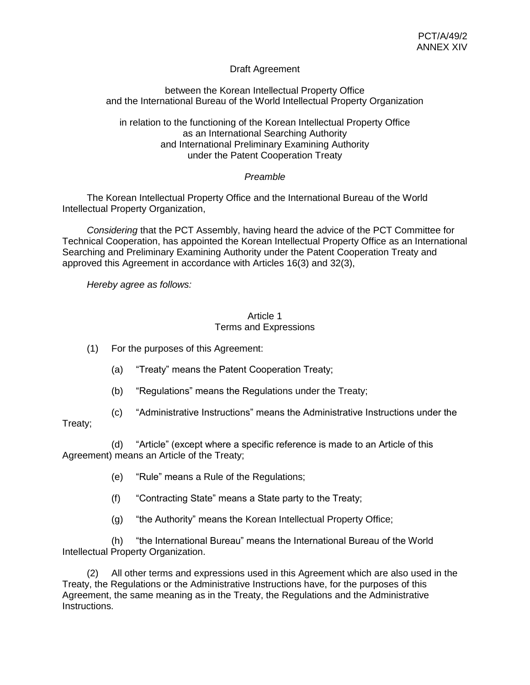## Draft Agreement

## between the Korean Intellectual Property Office and the International Bureau of the World Intellectual Property Organization

in relation to the functioning of the Korean Intellectual Property Office as an International Searching Authority and International Preliminary Examining Authority under the Patent Cooperation Treaty

## *Preamble*

The Korean Intellectual Property Office and the International Bureau of the World Intellectual Property Organization,

*Considering* that the PCT Assembly, having heard the advice of the PCT Committee for Technical Cooperation, has appointed the Korean Intellectual Property Office as an International Searching and Preliminary Examining Authority under the Patent Cooperation Treaty and approved this Agreement in accordance with Articles 16(3) and 32(3),

*Hereby agree as follows:*

### Article 1 Terms and Expressions

- (1) For the purposes of this Agreement:
	- (a) "Treaty" means the Patent Cooperation Treaty;
	- (b) "Regulations" means the Regulations under the Treaty;
- (c) "Administrative Instructions" means the Administrative Instructions under the

## Treaty;

(d) "Article" (except where a specific reference is made to an Article of this Agreement) means an Article of the Treaty;

- (e) "Rule" means a Rule of the Regulations;
- (f) "Contracting State" means a State party to the Treaty;
- (g) "the Authority" means the Korean Intellectual Property Office;

(h) "the International Bureau" means the International Bureau of the World Intellectual Property Organization.

(2) All other terms and expressions used in this Agreement which are also used in the Treaty, the Regulations or the Administrative Instructions have, for the purposes of this Agreement, the same meaning as in the Treaty, the Regulations and the Administrative Instructions.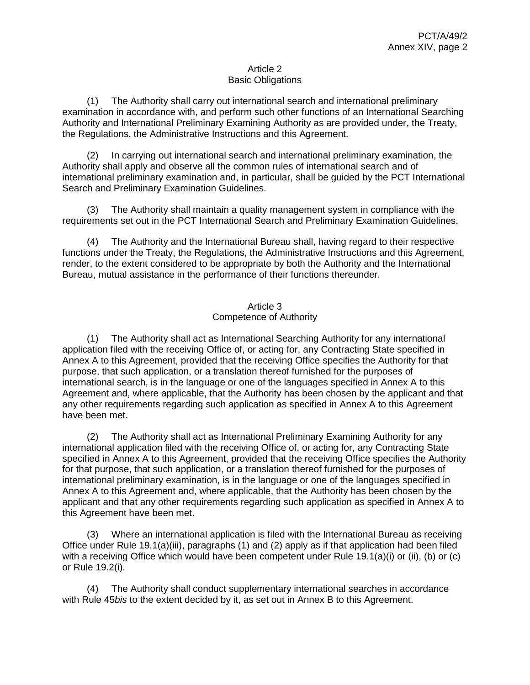## Article 2 Basic Obligations

(1) The Authority shall carry out international search and international preliminary examination in accordance with, and perform such other functions of an International Searching Authority and International Preliminary Examining Authority as are provided under, the Treaty, the Regulations, the Administrative Instructions and this Agreement.

(2) In carrying out international search and international preliminary examination, the Authority shall apply and observe all the common rules of international search and of international preliminary examination and, in particular, shall be guided by the PCT International Search and Preliminary Examination Guidelines.

(3) The Authority shall maintain a quality management system in compliance with the requirements set out in the PCT International Search and Preliminary Examination Guidelines.

(4) The Authority and the International Bureau shall, having regard to their respective functions under the Treaty, the Regulations, the Administrative Instructions and this Agreement, render, to the extent considered to be appropriate by both the Authority and the International Bureau, mutual assistance in the performance of their functions thereunder.

## Article 3 Competence of Authority

(1) The Authority shall act as International Searching Authority for any international application filed with the receiving Office of, or acting for, any Contracting State specified in Annex A to this Agreement, provided that the receiving Office specifies the Authority for that purpose, that such application, or a translation thereof furnished for the purposes of international search, is in the language or one of the languages specified in Annex A to this Agreement and, where applicable, that the Authority has been chosen by the applicant and that any other requirements regarding such application as specified in Annex A to this Agreement have been met.

(2) The Authority shall act as International Preliminary Examining Authority for any international application filed with the receiving Office of, or acting for, any Contracting State specified in Annex A to this Agreement, provided that the receiving Office specifies the Authority for that purpose, that such application, or a translation thereof furnished for the purposes of international preliminary examination, is in the language or one of the languages specified in Annex A to this Agreement and, where applicable, that the Authority has been chosen by the applicant and that any other requirements regarding such application as specified in Annex A to this Agreement have been met.

(3) Where an international application is filed with the International Bureau as receiving Office under Rule 19.1(a)(iii), paragraphs (1) and (2) apply as if that application had been filed with a receiving Office which would have been competent under Rule 19.1(a)(i) or (ii), (b) or (c) or Rule 19.2(i).

(4) The Authority shall conduct supplementary international searches in accordance with Rule 45*bis* to the extent decided by it, as set out in Annex B to this Agreement.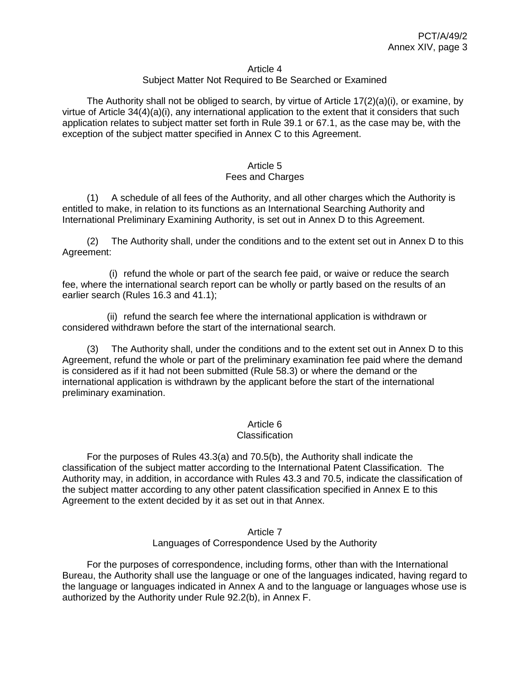#### Article 4

### Subject Matter Not Required to Be Searched or Examined

The Authority shall not be obliged to search, by virtue of Article  $17(2)(a)(i)$ , or examine, by virtue of Article 34(4)(a)(i), any international application to the extent that it considers that such application relates to subject matter set forth in Rule 39.1 or 67.1, as the case may be, with the exception of the subject matter specified in Annex C to this Agreement.

#### Article 5 Fees and Charges

(1) A schedule of all fees of the Authority, and all other charges which the Authority is entitled to make, in relation to its functions as an International Searching Authority and International Preliminary Examining Authority, is set out in Annex D to this Agreement.

(2) The Authority shall, under the conditions and to the extent set out in Annex D to this Agreement:

(i) refund the whole or part of the search fee paid, or waive or reduce the search fee, where the international search report can be wholly or partly based on the results of an earlier search (Rules 16.3 and 41.1);

(ii) refund the search fee where the international application is withdrawn or considered withdrawn before the start of the international search.

(3) The Authority shall, under the conditions and to the extent set out in Annex D to this Agreement, refund the whole or part of the preliminary examination fee paid where the demand is considered as if it had not been submitted (Rule 58.3) or where the demand or the international application is withdrawn by the applicant before the start of the international preliminary examination.

### Article 6

#### **Classification**

For the purposes of Rules 43.3(a) and 70.5(b), the Authority shall indicate the classification of the subject matter according to the International Patent Classification. The Authority may, in addition, in accordance with Rules 43.3 and 70.5, indicate the classification of the subject matter according to any other patent classification specified in Annex E to this Agreement to the extent decided by it as set out in that Annex.

#### Article 7 Languages of Correspondence Used by the Authority

For the purposes of correspondence, including forms, other than with the International Bureau, the Authority shall use the language or one of the languages indicated, having regard to the language or languages indicated in Annex A and to the language or languages whose use is authorized by the Authority under Rule 92.2(b), in Annex F.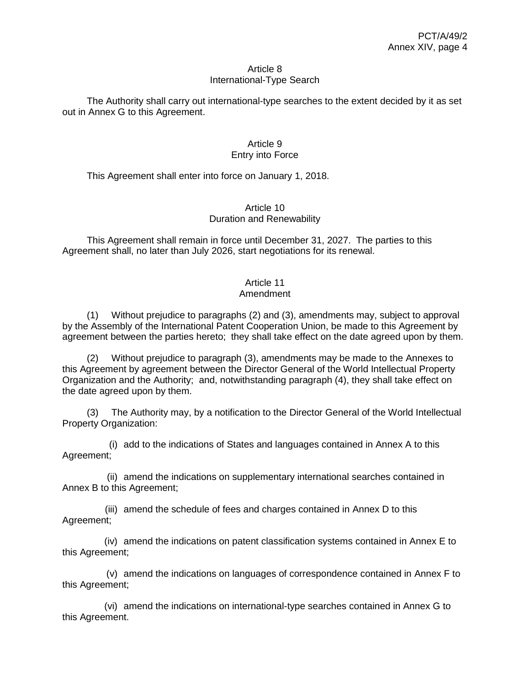#### Article 8 International-Type Search

The Authority shall carry out international-type searches to the extent decided by it as set out in Annex G to this Agreement.

## Article 9 Entry into Force

This Agreement shall enter into force on January 1, 2018.

## Article 10 Duration and Renewability

This Agreement shall remain in force until December 31, 2027. The parties to this Agreement shall, no later than July 2026, start negotiations for its renewal.

## Article 11

## Amendment

(1) Without prejudice to paragraphs (2) and (3), amendments may, subject to approval by the Assembly of the International Patent Cooperation Union, be made to this Agreement by agreement between the parties hereto; they shall take effect on the date agreed upon by them.

(2) Without prejudice to paragraph (3), amendments may be made to the Annexes to this Agreement by agreement between the Director General of the World Intellectual Property Organization and the Authority; and, notwithstanding paragraph (4), they shall take effect on the date agreed upon by them.

(3) The Authority may, by a notification to the Director General of the World Intellectual Property Organization:

(i) add to the indications of States and languages contained in Annex A to this Agreement;

(ii) amend the indications on supplementary international searches contained in Annex B to this Agreement;

(iii) amend the schedule of fees and charges contained in Annex D to this Agreement;

(iv) amend the indications on patent classification systems contained in Annex E to this Agreement;

(v) amend the indications on languages of correspondence contained in Annex F to this Agreement;

(vi) amend the indications on international-type searches contained in Annex G to this Agreement.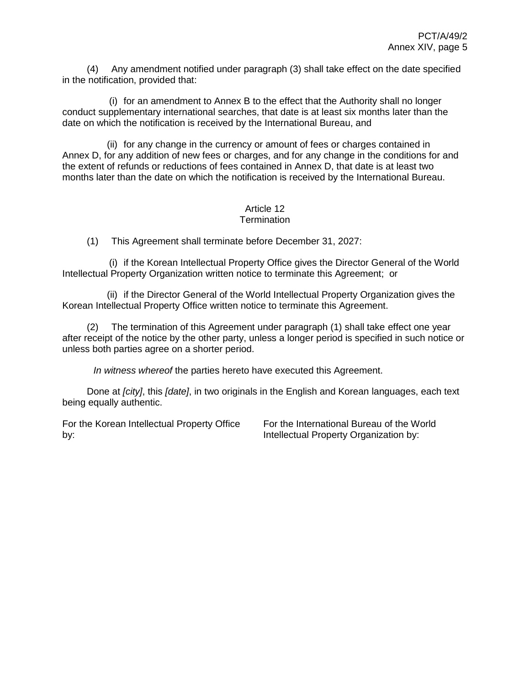(4) Any amendment notified under paragraph (3) shall take effect on the date specified in the notification, provided that:

(i) for an amendment to Annex B to the effect that the Authority shall no longer conduct supplementary international searches, that date is at least six months later than the date on which the notification is received by the International Bureau, and

(ii) for any change in the currency or amount of fees or charges contained in Annex D, for any addition of new fees or charges, and for any change in the conditions for and the extent of refunds or reductions of fees contained in Annex D, that date is at least two months later than the date on which the notification is received by the International Bureau.

#### Article 12 **Termination**

(1) This Agreement shall terminate before December 31, 2027:

(i) if the Korean Intellectual Property Office gives the Director General of the World Intellectual Property Organization written notice to terminate this Agreement; or

(ii) if the Director General of the World Intellectual Property Organization gives the Korean Intellectual Property Office written notice to terminate this Agreement.

(2) The termination of this Agreement under paragraph (1) shall take effect one year after receipt of the notice by the other party, unless a longer period is specified in such notice or unless both parties agree on a shorter period.

*In witness whereof* the parties hereto have executed this Agreement.

Done at *[city]*, this *[date]*, in two originals in the English and Korean languages, each text being equally authentic.

For the Korean Intellectual Property Office by:

For the International Bureau of the World Intellectual Property Organization by: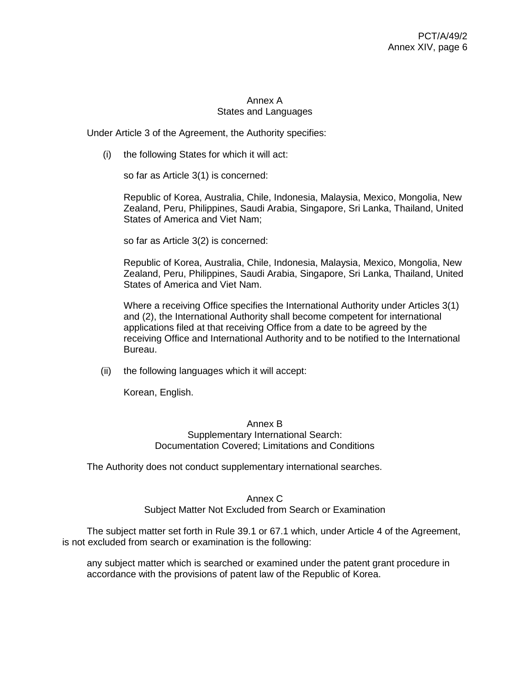## Annex A States and Languages

Under Article 3 of the Agreement, the Authority specifies:

(i) the following States for which it will act:

so far as Article 3(1) is concerned:

Republic of Korea, Australia, Chile, Indonesia, Malaysia, Mexico, Mongolia, New Zealand, Peru, Philippines, Saudi Arabia, Singapore, Sri Lanka, Thailand, United States of America and Viet Nam;

so far as Article 3(2) is concerned:

Republic of Korea, Australia, Chile, Indonesia, Malaysia, Mexico, Mongolia, New Zealand, Peru, Philippines, Saudi Arabia, Singapore, Sri Lanka, Thailand, United States of America and Viet Nam.

Where a receiving Office specifies the International Authority under Articles 3(1) and (2), the International Authority shall become competent for international applications filed at that receiving Office from a date to be agreed by the receiving Office and International Authority and to be notified to the International Bureau.

(ii) the following languages which it will accept:

Korean, English.

#### Annex B Supplementary International Search: Documentation Covered; Limitations and Conditions

The Authority does not conduct supplementary international searches.

## Annex C

Subject Matter Not Excluded from Search or Examination

The subject matter set forth in Rule 39.1 or 67.1 which, under Article 4 of the Agreement, is not excluded from search or examination is the following:

any subject matter which is searched or examined under the patent grant procedure in accordance with the provisions of patent law of the Republic of Korea.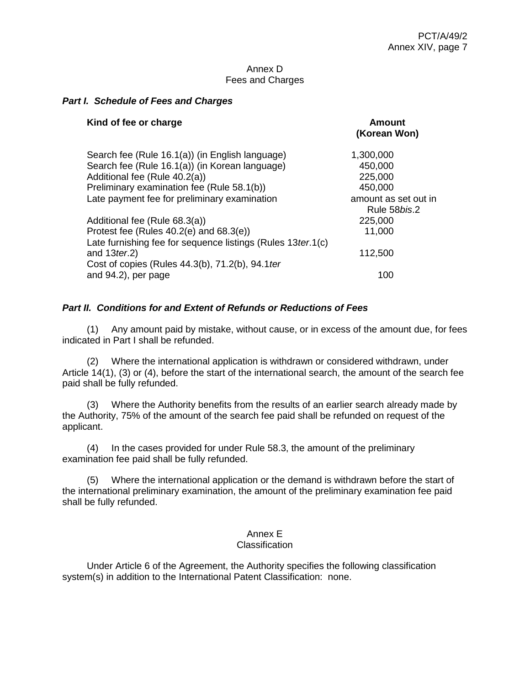### Annex D Fees and Charges

### *Part I. Schedule of Fees and Charges*

| Kind of fee or charge                                                            | Amount<br>(Korean Won) |
|----------------------------------------------------------------------------------|------------------------|
| Search fee (Rule 16.1(a)) (in English language)                                  | 1,300,000              |
| Search fee (Rule 16.1(a)) (in Korean language)                                   | 450,000                |
| Additional fee (Rule 40.2(a))                                                    | 225,000                |
| Preliminary examination fee (Rule 58.1(b))                                       | 450,000                |
| Late payment fee for preliminary examination                                     | amount as set out in   |
|                                                                                  | Rule 58 <i>bis.</i> 2  |
| Additional fee (Rule 68.3(a))                                                    | 225,000                |
| Protest fee (Rules $40.2(e)$ and $68.3(e)$ )                                     | 11,000                 |
| Late furnishing fee for sequence listings (Rules 13 ter. 1(c)<br>and $13$ ter.2) | 112,500                |
| Cost of copies (Rules 44.3(b), 71.2(b), 94.1 ter                                 |                        |
| and 94.2), per page                                                              | 100                    |

## *Part II. Conditions for and Extent of Refunds or Reductions of Fees*

(1) Any amount paid by mistake, without cause, or in excess of the amount due, for fees indicated in Part I shall be refunded.

(2) Where the international application is withdrawn or considered withdrawn, under Article 14(1), (3) or (4), before the start of the international search, the amount of the search fee paid shall be fully refunded.

(3) Where the Authority benefits from the results of an earlier search already made by the Authority, 75% of the amount of the search fee paid shall be refunded on request of the applicant.

(4) In the cases provided for under Rule 58.3, the amount of the preliminary examination fee paid shall be fully refunded.

(5) Where the international application or the demand is withdrawn before the start of the international preliminary examination, the amount of the preliminary examination fee paid shall be fully refunded.

## Annex E

### Classification

Under Article 6 of the Agreement, the Authority specifies the following classification system(s) in addition to the International Patent Classification: none.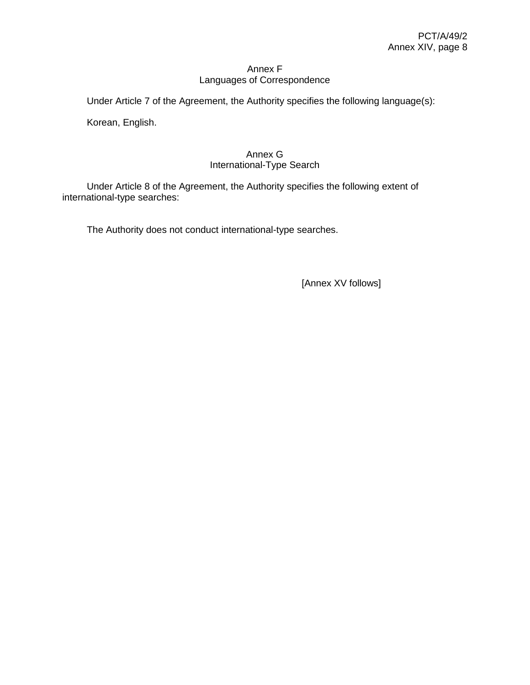## Annex F Languages of Correspondence

Under Article 7 of the Agreement, the Authority specifies the following language(s):

Korean, English.

## Annex G International-Type Search

Under Article 8 of the Agreement, the Authority specifies the following extent of international-type searches:

The Authority does not conduct international-type searches.

[Annex XV follows]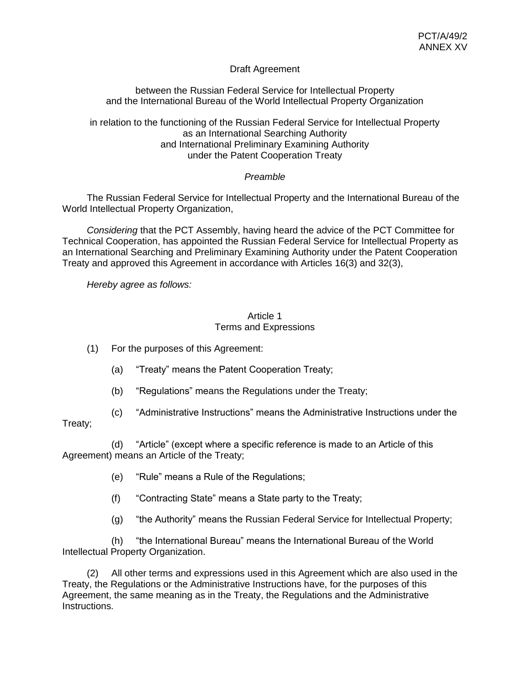## Draft Agreement

between the Russian Federal Service for Intellectual Property and the International Bureau of the World Intellectual Property Organization

in relation to the functioning of the Russian Federal Service for Intellectual Property as an International Searching Authority and International Preliminary Examining Authority under the Patent Cooperation Treaty

## *Preamble*

The Russian Federal Service for Intellectual Property and the International Bureau of the World Intellectual Property Organization,

*Considering* that the PCT Assembly, having heard the advice of the PCT Committee for Technical Cooperation, has appointed the Russian Federal Service for Intellectual Property as an International Searching and Preliminary Examining Authority under the Patent Cooperation Treaty and approved this Agreement in accordance with Articles 16(3) and 32(3),

*Hereby agree as follows:*

### Article 1 Terms and Expressions

(1) For the purposes of this Agreement:

- (a) "Treaty" means the Patent Cooperation Treaty;
- (b) "Regulations" means the Regulations under the Treaty;
- (c) "Administrative Instructions" means the Administrative Instructions under the

## Treaty;

(d) "Article" (except where a specific reference is made to an Article of this Agreement) means an Article of the Treaty;

- (e) "Rule" means a Rule of the Regulations;
- (f) "Contracting State" means a State party to the Treaty;
- (g) "the Authority" means the Russian Federal Service for Intellectual Property;

(h) "the International Bureau" means the International Bureau of the World Intellectual Property Organization.

(2) All other terms and expressions used in this Agreement which are also used in the Treaty, the Regulations or the Administrative Instructions have, for the purposes of this Agreement, the same meaning as in the Treaty, the Regulations and the Administrative Instructions.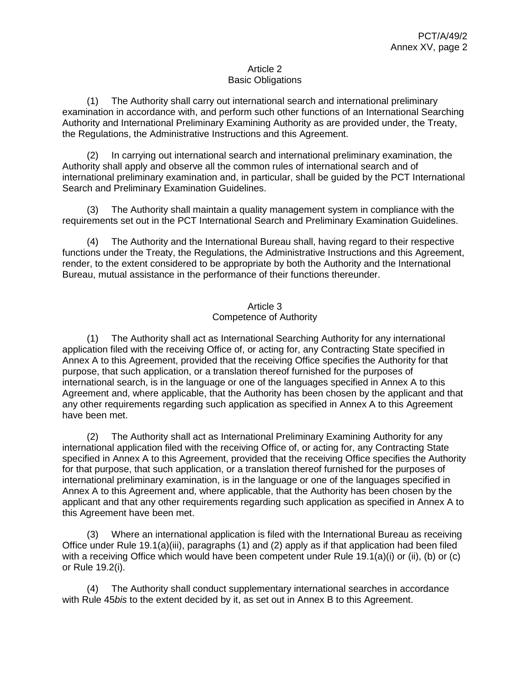## Article 2 Basic Obligations

(1) The Authority shall carry out international search and international preliminary examination in accordance with, and perform such other functions of an International Searching Authority and International Preliminary Examining Authority as are provided under, the Treaty, the Regulations, the Administrative Instructions and this Agreement.

(2) In carrying out international search and international preliminary examination, the Authority shall apply and observe all the common rules of international search and of international preliminary examination and, in particular, shall be guided by the PCT International Search and Preliminary Examination Guidelines.

(3) The Authority shall maintain a quality management system in compliance with the requirements set out in the PCT International Search and Preliminary Examination Guidelines.

(4) The Authority and the International Bureau shall, having regard to their respective functions under the Treaty, the Regulations, the Administrative Instructions and this Agreement, render, to the extent considered to be appropriate by both the Authority and the International Bureau, mutual assistance in the performance of their functions thereunder.

## Article 3 Competence of Authority

(1) The Authority shall act as International Searching Authority for any international application filed with the receiving Office of, or acting for, any Contracting State specified in Annex A to this Agreement, provided that the receiving Office specifies the Authority for that purpose, that such application, or a translation thereof furnished for the purposes of international search, is in the language or one of the languages specified in Annex A to this Agreement and, where applicable, that the Authority has been chosen by the applicant and that any other requirements regarding such application as specified in Annex A to this Agreement have been met.

(2) The Authority shall act as International Preliminary Examining Authority for any international application filed with the receiving Office of, or acting for, any Contracting State specified in Annex A to this Agreement, provided that the receiving Office specifies the Authority for that purpose, that such application, or a translation thereof furnished for the purposes of international preliminary examination, is in the language or one of the languages specified in Annex A to this Agreement and, where applicable, that the Authority has been chosen by the applicant and that any other requirements regarding such application as specified in Annex A to this Agreement have been met.

(3) Where an international application is filed with the International Bureau as receiving Office under Rule 19.1(a)(iii), paragraphs (1) and (2) apply as if that application had been filed with a receiving Office which would have been competent under Rule 19.1(a)(i) or (ii), (b) or (c) or Rule 19.2(i).

(4) The Authority shall conduct supplementary international searches in accordance with Rule 45*bis* to the extent decided by it, as set out in Annex B to this Agreement.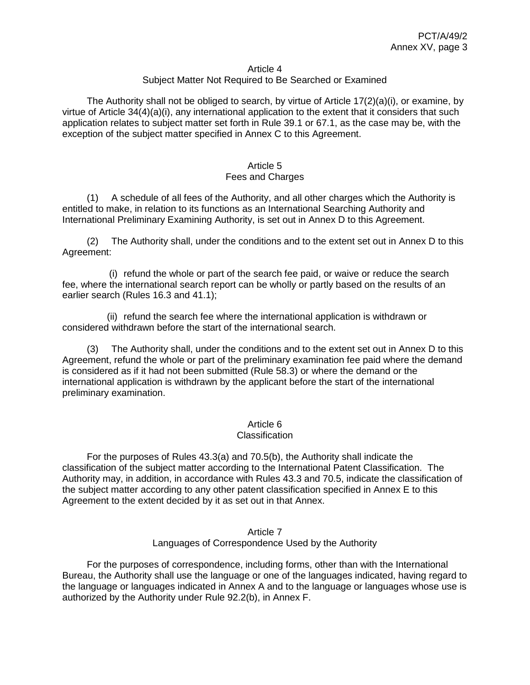#### Article 4

### Subject Matter Not Required to Be Searched or Examined

The Authority shall not be obliged to search, by virtue of Article  $17(2)(a)(i)$ , or examine, by virtue of Article 34(4)(a)(i), any international application to the extent that it considers that such application relates to subject matter set forth in Rule 39.1 or 67.1, as the case may be, with the exception of the subject matter specified in Annex C to this Agreement.

#### Article 5 Fees and Charges

(1) A schedule of all fees of the Authority, and all other charges which the Authority is entitled to make, in relation to its functions as an International Searching Authority and International Preliminary Examining Authority, is set out in Annex D to this Agreement.

(2) The Authority shall, under the conditions and to the extent set out in Annex D to this Agreement:

(i) refund the whole or part of the search fee paid, or waive or reduce the search fee, where the international search report can be wholly or partly based on the results of an earlier search (Rules 16.3 and 41.1);

(ii) refund the search fee where the international application is withdrawn or considered withdrawn before the start of the international search.

(3) The Authority shall, under the conditions and to the extent set out in Annex D to this Agreement, refund the whole or part of the preliminary examination fee paid where the demand is considered as if it had not been submitted (Rule 58.3) or where the demand or the international application is withdrawn by the applicant before the start of the international preliminary examination.

### Article 6

#### **Classification**

For the purposes of Rules 43.3(a) and 70.5(b), the Authority shall indicate the classification of the subject matter according to the International Patent Classification. The Authority may, in addition, in accordance with Rules 43.3 and 70.5, indicate the classification of the subject matter according to any other patent classification specified in Annex E to this Agreement to the extent decided by it as set out in that Annex.

#### Article 7 Languages of Correspondence Used by the Authority

For the purposes of correspondence, including forms, other than with the International Bureau, the Authority shall use the language or one of the languages indicated, having regard to the language or languages indicated in Annex A and to the language or languages whose use is authorized by the Authority under Rule 92.2(b), in Annex F.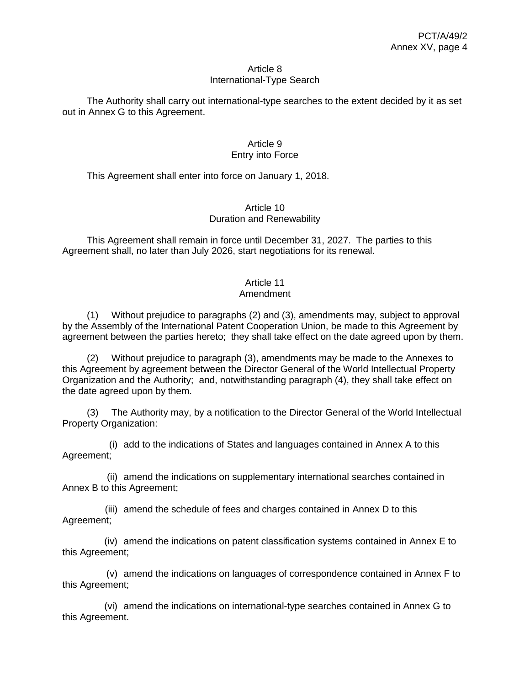#### Article 8 International-Type Search

The Authority shall carry out international-type searches to the extent decided by it as set out in Annex G to this Agreement.

## Article 9 Entry into Force

This Agreement shall enter into force on January 1, 2018.

## Article 10 Duration and Renewability

This Agreement shall remain in force until December 31, 2027. The parties to this Agreement shall, no later than July 2026, start negotiations for its renewal.

## Article 11

## Amendment

(1) Without prejudice to paragraphs (2) and (3), amendments may, subject to approval by the Assembly of the International Patent Cooperation Union, be made to this Agreement by agreement between the parties hereto; they shall take effect on the date agreed upon by them.

(2) Without prejudice to paragraph (3), amendments may be made to the Annexes to this Agreement by agreement between the Director General of the World Intellectual Property Organization and the Authority; and, notwithstanding paragraph (4), they shall take effect on the date agreed upon by them.

(3) The Authority may, by a notification to the Director General of the World Intellectual Property Organization:

(i) add to the indications of States and languages contained in Annex A to this Agreement;

(ii) amend the indications on supplementary international searches contained in Annex B to this Agreement;

(iii) amend the schedule of fees and charges contained in Annex D to this Agreement;

(iv) amend the indications on patent classification systems contained in Annex E to this Agreement;

(v) amend the indications on languages of correspondence contained in Annex F to this Agreement;

(vi) amend the indications on international-type searches contained in Annex G to this Agreement.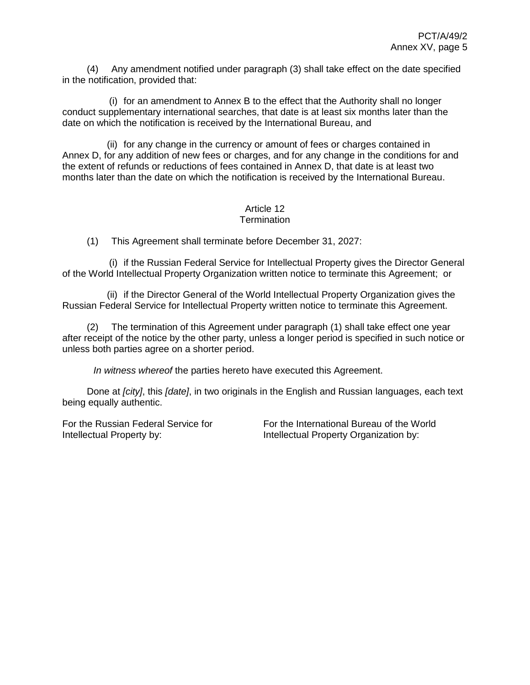(4) Any amendment notified under paragraph (3) shall take effect on the date specified in the notification, provided that:

(i) for an amendment to Annex B to the effect that the Authority shall no longer conduct supplementary international searches, that date is at least six months later than the date on which the notification is received by the International Bureau, and

(ii) for any change in the currency or amount of fees or charges contained in Annex D, for any addition of new fees or charges, and for any change in the conditions for and the extent of refunds or reductions of fees contained in Annex D, that date is at least two months later than the date on which the notification is received by the International Bureau.

#### Article 12 **Termination**

(1) This Agreement shall terminate before December 31, 2027:

(i) if the Russian Federal Service for Intellectual Property gives the Director General of the World Intellectual Property Organization written notice to terminate this Agreement; or

(ii) if the Director General of the World Intellectual Property Organization gives the Russian Federal Service for Intellectual Property written notice to terminate this Agreement.

(2) The termination of this Agreement under paragraph (1) shall take effect one year after receipt of the notice by the other party, unless a longer period is specified in such notice or unless both parties agree on a shorter period.

*In witness whereof* the parties hereto have executed this Agreement.

Done at *[city]*, this *[date]*, in two originals in the English and Russian languages, each text being equally authentic.

For the Russian Federal Service for Intellectual Property by:

For the International Bureau of the World Intellectual Property Organization by: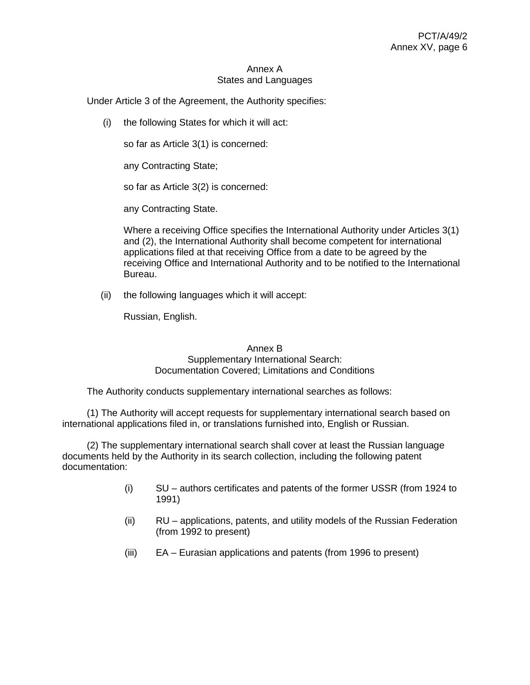### Annex A States and Languages

Under Article 3 of the Agreement, the Authority specifies:

(i) the following States for which it will act:

so far as Article 3(1) is concerned:

any Contracting State;

so far as Article 3(2) is concerned:

any Contracting State.

Where a receiving Office specifies the International Authority under Articles 3(1) and (2), the International Authority shall become competent for international applications filed at that receiving Office from a date to be agreed by the receiving Office and International Authority and to be notified to the International Bureau.

(ii) the following languages which it will accept:

Russian, English.

## Annex B

## Supplementary International Search: Documentation Covered; Limitations and Conditions

The Authority conducts supplementary international searches as follows:

(1) The Authority will accept requests for supplementary international search based on international applications filed in, or translations furnished into, English or Russian.

(2) The supplementary international search shall cover at least the Russian language documents held by the Authority in its search collection, including the following patent documentation:

- (i) SU authors certificates and patents of the former USSR (from 1924 to 1991)
- (ii) RU applications, patents, and utility models of the Russian Federation (from 1992 to present)
- (iii) EA Eurasian applications and patents (from 1996 to present)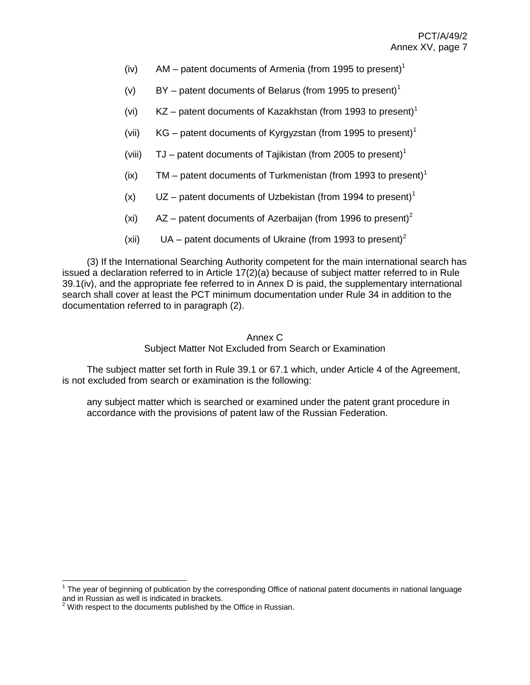- (iv)  $AM -$  patent documents of Armenia (from 1995 to present)<sup>1</sup>
- (v) BY patent documents of Belarus (from 1995 to present)<sup>1</sup>
- (vi)  $KZ$  patent documents of Kazakhstan (from 1993 to present)<sup>1</sup>
- (vii) KG patent documents of Kyrgyzstan (from 1995 to present)<sup>1</sup>
- (viii)  $TJ$  patent documents of Tajikistan (from 2005 to present)<sup>1</sup>
- (ix) TM patent documents of Turkmenistan (from 1993 to present)<sup>1</sup>
- (x)  $UZ$  patent documents of Uzbekistan (from 1994 to present)<sup>1</sup>
- (xi)  $\qquad$  AZ patent documents of Azerbaijan (from 1996 to present)<sup>2</sup>
- (xii) UA patent documents of Ukraine (from 1993 to present)<sup>2</sup>

(3) If the International Searching Authority competent for the main international search has issued a declaration referred to in Article 17(2)(a) because of subject matter referred to in Rule 39.1(iv), and the appropriate fee referred to in Annex D is paid, the supplementary international search shall cover at least the PCT minimum documentation under Rule 34 in addition to the documentation referred to in paragraph (2).

## Annex C

Subject Matter Not Excluded from Search or Examination

The subject matter set forth in Rule 39.1 or 67.1 which, under Article 4 of the Agreement, is not excluded from search or examination is the following:

any subject matter which is searched or examined under the patent grant procedure in accordance with the provisions of patent law of the Russian Federation.

 $\overline{a}$ 

<sup>&</sup>lt;sup>1</sup> The year of beginning of publication by the corresponding Office of national patent documents in national language and in Russian as well is indicated in brackets.

 $2$  With respect to the documents published by the Office in Russian.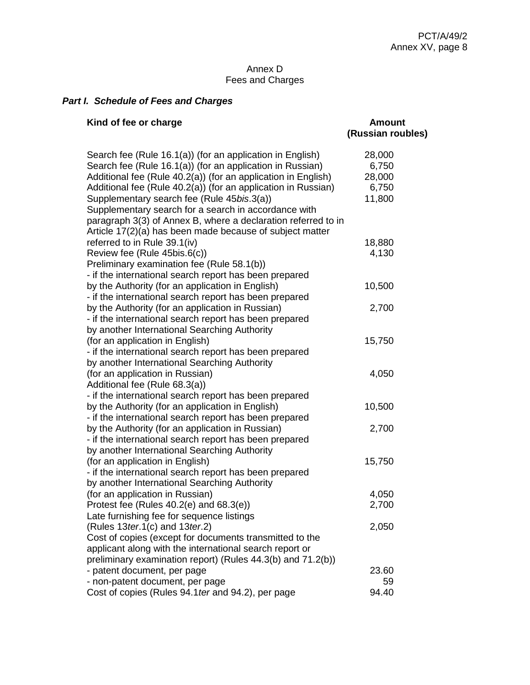## Annex D Fees and Charges

## *Part I. Schedule of Fees and Charges*

| Kind of fee or charge                                         | <b>Amount</b><br>(Russian roubles) |
|---------------------------------------------------------------|------------------------------------|
| Search fee (Rule 16.1(a)) (for an application in English)     | 28,000                             |
| Search fee (Rule 16.1(a)) (for an application in Russian)     | 6,750                              |
| Additional fee (Rule 40.2(a)) (for an application in English) | 28,000                             |
| Additional fee (Rule 40.2(a)) (for an application in Russian) | 6,750                              |
| Supplementary search fee (Rule 45bis.3(a))                    | 11,800                             |
| Supplementary search for a search in accordance with          |                                    |
| paragraph 3(3) of Annex B, where a declaration referred to in |                                    |
| Article 17(2)(a) has been made because of subject matter      |                                    |
| referred to in Rule 39.1(iv)                                  | 18,880                             |
| Review fee (Rule 45bis.6(c))                                  | 4,130                              |
| Preliminary examination fee (Rule 58.1(b))                    |                                    |
| - if the international search report has been prepared        |                                    |
| by the Authority (for an application in English)              | 10,500                             |
| - if the international search report has been prepared        |                                    |
| by the Authority (for an application in Russian)              | 2,700                              |
| - if the international search report has been prepared        |                                    |
| by another International Searching Authority                  |                                    |
| (for an application in English)                               | 15,750                             |
| - if the international search report has been prepared        |                                    |
| by another International Searching Authority                  |                                    |
| (for an application in Russian)                               | 4,050                              |
| Additional fee (Rule 68.3(a))                                 |                                    |
| - if the international search report has been prepared        |                                    |
| by the Authority (for an application in English)              | 10,500                             |
| - if the international search report has been prepared        |                                    |
| by the Authority (for an application in Russian)              | 2,700                              |
| - if the international search report has been prepared        |                                    |
| by another International Searching Authority                  |                                    |
| (for an application in English)                               | 15,750                             |
| - if the international search report has been prepared        |                                    |
| by another International Searching Authority                  |                                    |
| (for an application in Russian)                               | 4,050                              |
| Protest fee (Rules 40.2(e) and 68.3(e))                       | 2,700                              |
| Late furnishing fee for sequence listings                     |                                    |
| (Rules $13$ ter.1(c) and $13$ ter.2)                          | 2,050                              |
| Cost of copies (except for documents transmitted to the       |                                    |
| applicant along with the international search report or       |                                    |
| preliminary examination report) (Rules 44.3(b) and 71.2(b))   |                                    |
| - patent document, per page                                   | 23.60                              |
| - non-patent document, per page                               | 59                                 |
| Cost of copies (Rules 94.1 ter and 94.2), per page            | 94.40                              |
|                                                               |                                    |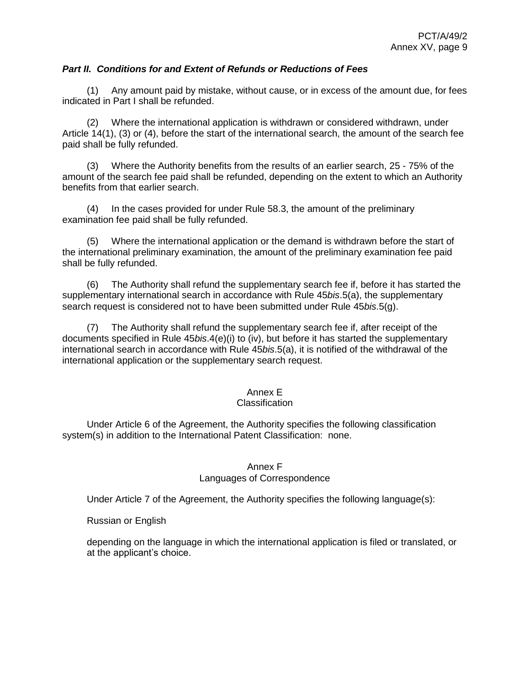## *Part II. Conditions for and Extent of Refunds or Reductions of Fees*

(1) Any amount paid by mistake, without cause, or in excess of the amount due, for fees indicated in Part I shall be refunded.

(2) Where the international application is withdrawn or considered withdrawn, under Article 14(1), (3) or (4), before the start of the international search, the amount of the search fee paid shall be fully refunded.

(3) Where the Authority benefits from the results of an earlier search, 25 - 75% of the amount of the search fee paid shall be refunded, depending on the extent to which an Authority benefits from that earlier search.

(4) In the cases provided for under Rule 58.3, the amount of the preliminary examination fee paid shall be fully refunded.

(5) Where the international application or the demand is withdrawn before the start of the international preliminary examination, the amount of the preliminary examination fee paid shall be fully refunded.

(6) The Authority shall refund the supplementary search fee if, before it has started the supplementary international search in accordance with Rule 45*bis*.5(a), the supplementary search request is considered not to have been submitted under Rule 45*bis*.5(g).

(7) The Authority shall refund the supplementary search fee if, after receipt of the documents specified in Rule 45*bis*.4(e)(i) to (iv), but before it has started the supplementary international search in accordance with Rule 45*bis*.5(a), it is notified of the withdrawal of the international application or the supplementary search request.

### Annex E

## **Classification**

Under Article 6 of the Agreement, the Authority specifies the following classification system(s) in addition to the International Patent Classification: none.

## Annex F Languages of Correspondence

Under Article 7 of the Agreement, the Authority specifies the following language(s):

Russian or English

depending on the language in which the international application is filed or translated, or at the applicant's choice.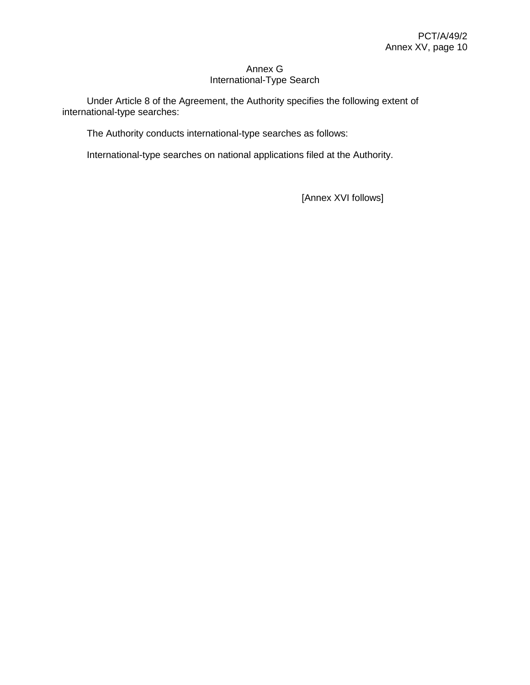## Annex G International-Type Search

Under Article 8 of the Agreement, the Authority specifies the following extent of international-type searches:

The Authority conducts international-type searches as follows:

International-type searches on national applications filed at the Authority.

[Annex XVI follows]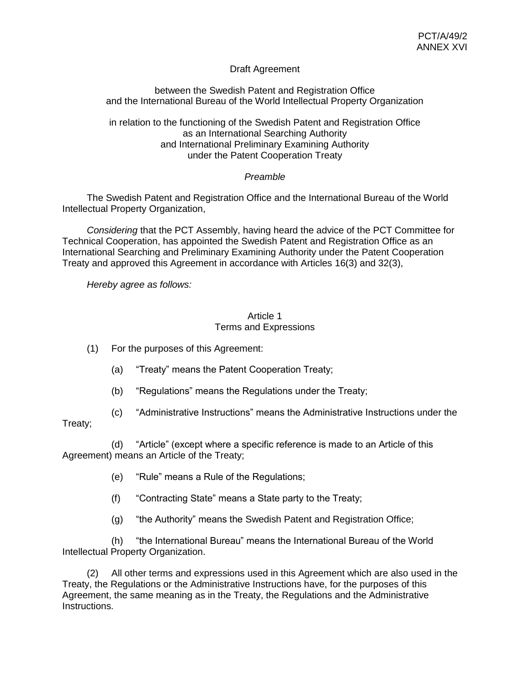## Draft Agreement

between the Swedish Patent and Registration Office and the International Bureau of the World Intellectual Property Organization

in relation to the functioning of the Swedish Patent and Registration Office as an International Searching Authority and International Preliminary Examining Authority under the Patent Cooperation Treaty

## *Preamble*

The Swedish Patent and Registration Office and the International Bureau of the World Intellectual Property Organization,

*Considering* that the PCT Assembly, having heard the advice of the PCT Committee for Technical Cooperation, has appointed the Swedish Patent and Registration Office as an International Searching and Preliminary Examining Authority under the Patent Cooperation Treaty and approved this Agreement in accordance with Articles 16(3) and 32(3),

*Hereby agree as follows:*

## Article 1 Terms and Expressions

(1) For the purposes of this Agreement:

- (a) "Treaty" means the Patent Cooperation Treaty;
- (b) "Regulations" means the Regulations under the Treaty;
- (c) "Administrative Instructions" means the Administrative Instructions under the

## Treaty;

(d) "Article" (except where a specific reference is made to an Article of this Agreement) means an Article of the Treaty;

- (e) "Rule" means a Rule of the Regulations;
- (f) "Contracting State" means a State party to the Treaty;
- (g) "the Authority" means the Swedish Patent and Registration Office;

(h) "the International Bureau" means the International Bureau of the World Intellectual Property Organization.

(2) All other terms and expressions used in this Agreement which are also used in the Treaty, the Regulations or the Administrative Instructions have, for the purposes of this Agreement, the same meaning as in the Treaty, the Regulations and the Administrative Instructions.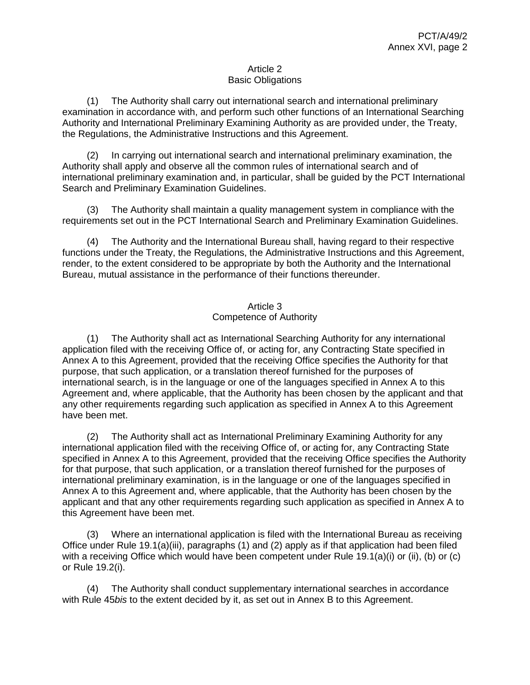## Article 2 Basic Obligations

(1) The Authority shall carry out international search and international preliminary examination in accordance with, and perform such other functions of an International Searching Authority and International Preliminary Examining Authority as are provided under, the Treaty, the Regulations, the Administrative Instructions and this Agreement.

(2) In carrying out international search and international preliminary examination, the Authority shall apply and observe all the common rules of international search and of international preliminary examination and, in particular, shall be guided by the PCT International Search and Preliminary Examination Guidelines.

(3) The Authority shall maintain a quality management system in compliance with the requirements set out in the PCT International Search and Preliminary Examination Guidelines.

(4) The Authority and the International Bureau shall, having regard to their respective functions under the Treaty, the Regulations, the Administrative Instructions and this Agreement, render, to the extent considered to be appropriate by both the Authority and the International Bureau, mutual assistance in the performance of their functions thereunder.

## Article 3 Competence of Authority

(1) The Authority shall act as International Searching Authority for any international application filed with the receiving Office of, or acting for, any Contracting State specified in Annex A to this Agreement, provided that the receiving Office specifies the Authority for that purpose, that such application, or a translation thereof furnished for the purposes of international search, is in the language or one of the languages specified in Annex A to this Agreement and, where applicable, that the Authority has been chosen by the applicant and that any other requirements regarding such application as specified in Annex A to this Agreement have been met.

(2) The Authority shall act as International Preliminary Examining Authority for any international application filed with the receiving Office of, or acting for, any Contracting State specified in Annex A to this Agreement, provided that the receiving Office specifies the Authority for that purpose, that such application, or a translation thereof furnished for the purposes of international preliminary examination, is in the language or one of the languages specified in Annex A to this Agreement and, where applicable, that the Authority has been chosen by the applicant and that any other requirements regarding such application as specified in Annex A to this Agreement have been met.

(3) Where an international application is filed with the International Bureau as receiving Office under Rule 19.1(a)(iii), paragraphs (1) and (2) apply as if that application had been filed with a receiving Office which would have been competent under Rule 19.1(a)(i) or (ii), (b) or (c) or Rule 19.2(i).

(4) The Authority shall conduct supplementary international searches in accordance with Rule 45*bis* to the extent decided by it, as set out in Annex B to this Agreement.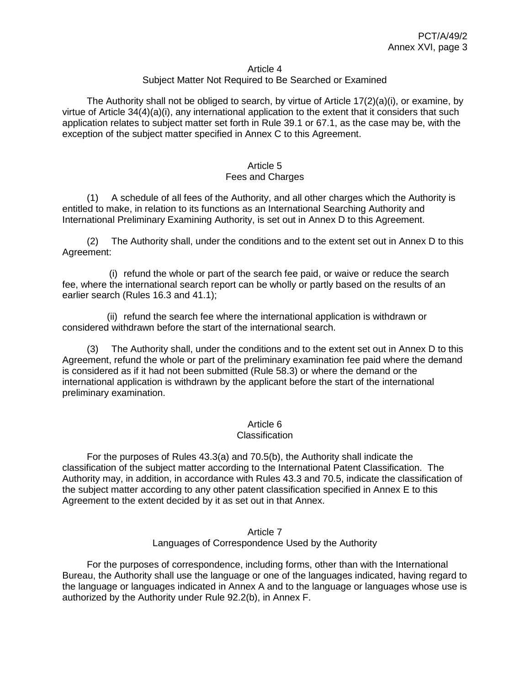#### Article 4

### Subject Matter Not Required to Be Searched or Examined

The Authority shall not be obliged to search, by virtue of Article  $17(2)(a)(i)$ , or examine, by virtue of Article 34(4)(a)(i), any international application to the extent that it considers that such application relates to subject matter set forth in Rule 39.1 or 67.1, as the case may be, with the exception of the subject matter specified in Annex C to this Agreement.

#### Article 5 Fees and Charges

(1) A schedule of all fees of the Authority, and all other charges which the Authority is entitled to make, in relation to its functions as an International Searching Authority and International Preliminary Examining Authority, is set out in Annex D to this Agreement.

(2) The Authority shall, under the conditions and to the extent set out in Annex D to this Agreement:

(i) refund the whole or part of the search fee paid, or waive or reduce the search fee, where the international search report can be wholly or partly based on the results of an earlier search (Rules 16.3 and 41.1);

(ii) refund the search fee where the international application is withdrawn or considered withdrawn before the start of the international search.

(3) The Authority shall, under the conditions and to the extent set out in Annex D to this Agreement, refund the whole or part of the preliminary examination fee paid where the demand is considered as if it had not been submitted (Rule 58.3) or where the demand or the international application is withdrawn by the applicant before the start of the international preliminary examination.

### Article 6

#### **Classification**

For the purposes of Rules 43.3(a) and 70.5(b), the Authority shall indicate the classification of the subject matter according to the International Patent Classification. The Authority may, in addition, in accordance with Rules 43.3 and 70.5, indicate the classification of the subject matter according to any other patent classification specified in Annex E to this Agreement to the extent decided by it as set out in that Annex.

#### Article 7 Languages of Correspondence Used by the Authority

For the purposes of correspondence, including forms, other than with the International Bureau, the Authority shall use the language or one of the languages indicated, having regard to the language or languages indicated in Annex A and to the language or languages whose use is authorized by the Authority under Rule 92.2(b), in Annex F.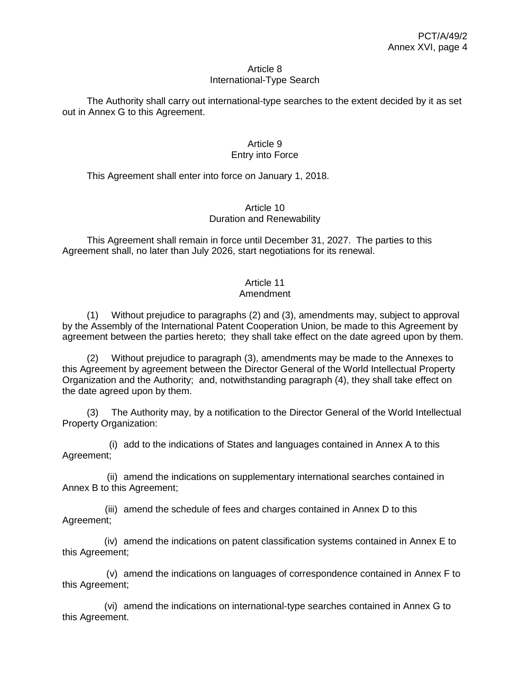#### Article 8 International-Type Search

The Authority shall carry out international-type searches to the extent decided by it as set out in Annex G to this Agreement.

## Article 9 Entry into Force

This Agreement shall enter into force on January 1, 2018.

## Article 10 Duration and Renewability

This Agreement shall remain in force until December 31, 2027. The parties to this Agreement shall, no later than July 2026, start negotiations for its renewal.

## Article 11

## Amendment

(1) Without prejudice to paragraphs (2) and (3), amendments may, subject to approval by the Assembly of the International Patent Cooperation Union, be made to this Agreement by agreement between the parties hereto; they shall take effect on the date agreed upon by them.

(2) Without prejudice to paragraph (3), amendments may be made to the Annexes to this Agreement by agreement between the Director General of the World Intellectual Property Organization and the Authority; and, notwithstanding paragraph (4), they shall take effect on the date agreed upon by them.

(3) The Authority may, by a notification to the Director General of the World Intellectual Property Organization:

(i) add to the indications of States and languages contained in Annex A to this Agreement;

(ii) amend the indications on supplementary international searches contained in Annex B to this Agreement;

(iii) amend the schedule of fees and charges contained in Annex D to this Agreement;

(iv) amend the indications on patent classification systems contained in Annex E to this Agreement;

(v) amend the indications on languages of correspondence contained in Annex F to this Agreement;

(vi) amend the indications on international-type searches contained in Annex G to this Agreement.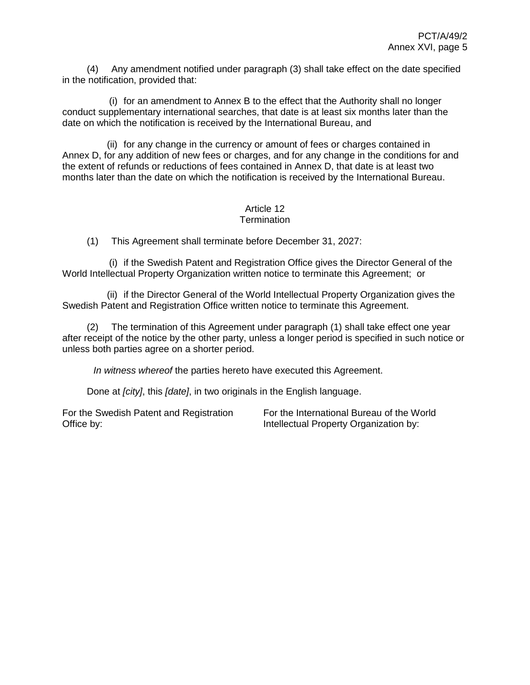(4) Any amendment notified under paragraph (3) shall take effect on the date specified in the notification, provided that:

(i) for an amendment to Annex B to the effect that the Authority shall no longer conduct supplementary international searches, that date is at least six months later than the date on which the notification is received by the International Bureau, and

(ii) for any change in the currency or amount of fees or charges contained in Annex D, for any addition of new fees or charges, and for any change in the conditions for and the extent of refunds or reductions of fees contained in Annex D, that date is at least two months later than the date on which the notification is received by the International Bureau.

#### Article 12 **Termination**

(1) This Agreement shall terminate before December 31, 2027:

(i) if the Swedish Patent and Registration Office gives the Director General of the World Intellectual Property Organization written notice to terminate this Agreement; or

(ii) if the Director General of the World Intellectual Property Organization gives the Swedish Patent and Registration Office written notice to terminate this Agreement.

(2) The termination of this Agreement under paragraph (1) shall take effect one year after receipt of the notice by the other party, unless a longer period is specified in such notice or unless both parties agree on a shorter period.

*In witness whereof* the parties hereto have executed this Agreement.

Done at *[city]*, this *[date]*, in two originals in the English language.

For the Swedish Patent and Registration Office by:

For the International Bureau of the World Intellectual Property Organization by: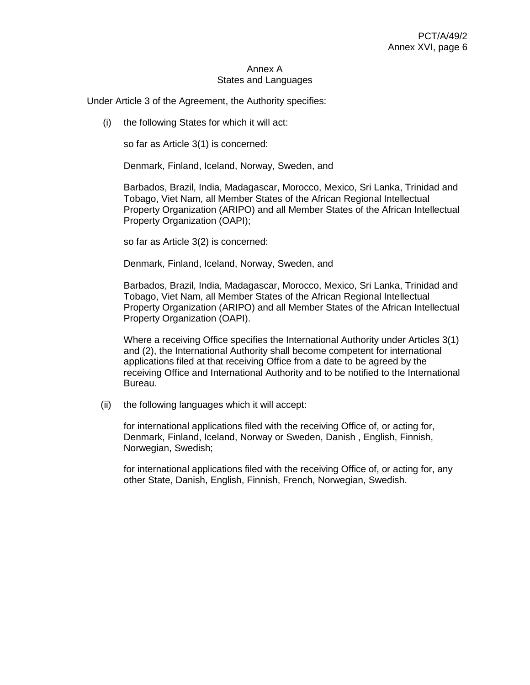#### Annex A States and Languages

Under Article 3 of the Agreement, the Authority specifies:

(i) the following States for which it will act:

so far as Article 3(1) is concerned:

Denmark, Finland, Iceland, Norway, Sweden, and

Barbados, Brazil, India, Madagascar, Morocco, Mexico, Sri Lanka, Trinidad and Tobago, Viet Nam, all Member States of the African Regional Intellectual Property Organization (ARIPO) and all Member States of the African Intellectual Property Organization (OAPI);

so far as Article 3(2) is concerned:

Denmark, Finland, Iceland, Norway, Sweden, and

Barbados, Brazil, India, Madagascar, Morocco, Mexico, Sri Lanka, Trinidad and Tobago, Viet Nam, all Member States of the African Regional Intellectual Property Organization (ARIPO) and all Member States of the African Intellectual Property Organization (OAPI).

Where a receiving Office specifies the International Authority under Articles 3(1) and (2), the International Authority shall become competent for international applications filed at that receiving Office from a date to be agreed by the receiving Office and International Authority and to be notified to the International Bureau.

(ii) the following languages which it will accept:

for international applications filed with the receiving Office of, or acting for, Denmark, Finland, Iceland, Norway or Sweden, Danish , English, Finnish, Norwegian, Swedish;

for international applications filed with the receiving Office of, or acting for, any other State, Danish, English, Finnish, French, Norwegian, Swedish.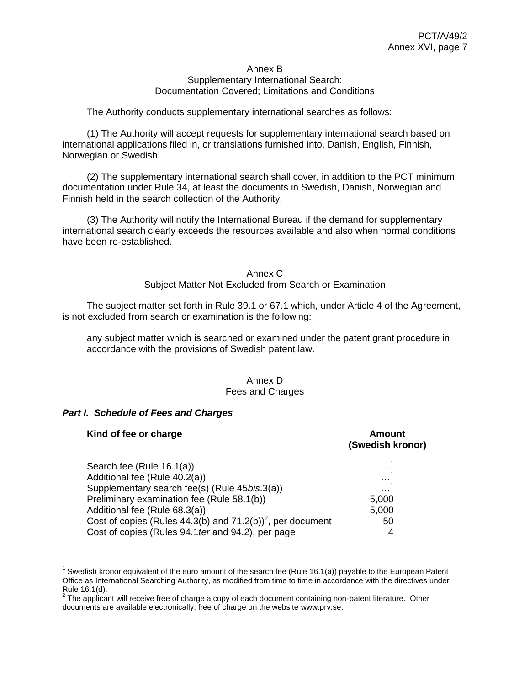#### Annex B Supplementary International Search: Documentation Covered; Limitations and Conditions

## The Authority conducts supplementary international searches as follows:

(1) The Authority will accept requests for supplementary international search based on international applications filed in, or translations furnished into, Danish, English, Finnish, Norwegian or Swedish.

(2) The supplementary international search shall cover, in addition to the PCT minimum documentation under Rule 34, at least the documents in Swedish, Danish, Norwegian and Finnish held in the search collection of the Authority.

(3) The Authority will notify the International Bureau if the demand for supplementary international search clearly exceeds the resources available and also when normal conditions have been re-established.

## Annex C Subject Matter Not Excluded from Search or Examination

The subject matter set forth in Rule 39.1 or 67.1 which, under Article 4 of the Agreement, is not excluded from search or examination is the following:

any subject matter which is searched or examined under the patent grant procedure in accordance with the provisions of Swedish patent law.

### Annex D Fees and Charges

### *Part I. Schedule of Fees and Charges*

| Kind of fee or charge                                                   | <b>Amount</b><br>(Swedish kronor) |
|-------------------------------------------------------------------------|-----------------------------------|
| Search fee (Rule 16.1(a))                                               | .                                 |
| Additional fee (Rule 40.2(a))                                           | .                                 |
| Supplementary search fee(s) (Rule 45bis.3(a))                           | .                                 |
| Preliminary examination fee (Rule 58.1(b))                              | 5,000                             |
| Additional fee (Rule 68.3(a))                                           | 5,000                             |
| Cost of copies (Rules 44.3(b) and $71.2(b)$ <sup>2</sup> , per document | 50                                |
| Cost of copies (Rules 94.1 ter and 94.2), per page                      | 4                                 |

 $\overline{a}$ 1 Swedish kronor equivalent of the euro amount of the search fee (Rule 16.1(a)) payable to the European Patent Office as International Searching Authority, as modified from time to time in accordance with the directives under Rule 16.1(d).

 $2$  The applicant will receive free of charge a copy of each document containing non-patent literature. Other documents are available electronically, free of charge on the website [www.prv.se.](http://www.prv.se/)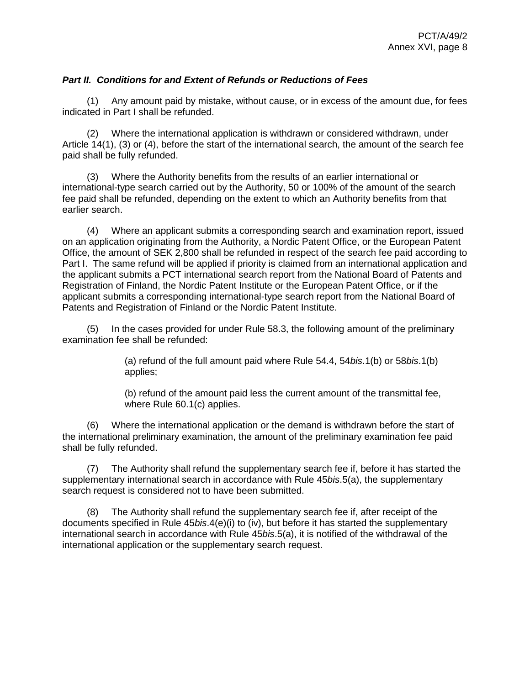## *Part II. Conditions for and Extent of Refunds or Reductions of Fees*

(1) Any amount paid by mistake, without cause, or in excess of the amount due, for fees indicated in Part I shall be refunded.

(2) Where the international application is withdrawn or considered withdrawn, under Article 14(1), (3) or (4), before the start of the international search, the amount of the search fee paid shall be fully refunded.

(3) Where the Authority benefits from the results of an earlier international or international-type search carried out by the Authority, 50 or 100% of the amount of the search fee paid shall be refunded, depending on the extent to which an Authority benefits from that earlier search.

(4) Where an applicant submits a corresponding search and examination report, issued on an application originating from the Authority, a Nordic Patent Office, or the European Patent Office, the amount of SEK 2,800 shall be refunded in respect of the search fee paid according to Part I. The same refund will be applied if priority is claimed from an international application and the applicant submits a PCT international search report from the National Board of Patents and Registration of Finland, the Nordic Patent Institute or the European Patent Office, or if the applicant submits a corresponding international-type search report from the National Board of Patents and Registration of Finland or the Nordic Patent Institute.

(5) In the cases provided for under Rule 58.3, the following amount of the preliminary examination fee shall be refunded:

> (a) refund of the full amount paid where Rule 54.4, 54*bis*.1(b) or 58*bis*.1(b) applies;

> (b) refund of the amount paid less the current amount of the transmittal fee, where Rule 60.1(c) applies.

(6) Where the international application or the demand is withdrawn before the start of the international preliminary examination, the amount of the preliminary examination fee paid shall be fully refunded.

(7) The Authority shall refund the supplementary search fee if, before it has started the supplementary international search in accordance with Rule 45*bis*.5(a), the supplementary search request is considered not to have been submitted.

(8) The Authority shall refund the supplementary search fee if, after receipt of the documents specified in Rule 45*bis*.4(e)(i) to (iv), but before it has started the supplementary international search in accordance with Rule 45*bis*.5(a), it is notified of the withdrawal of the international application or the supplementary search request.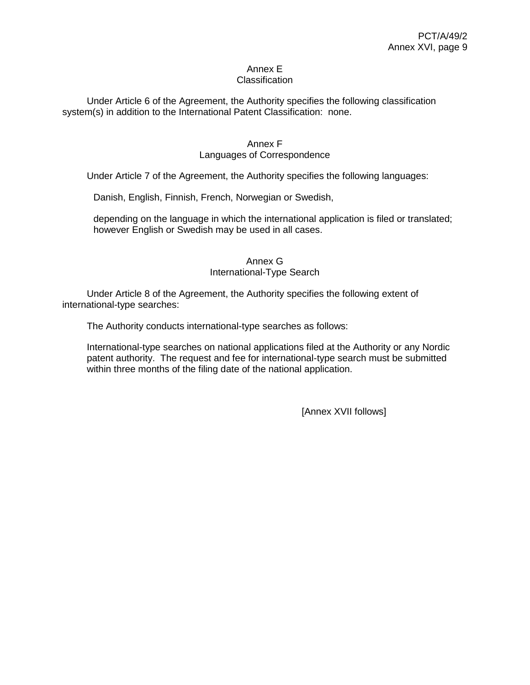#### Annex E Classification

Under Article 6 of the Agreement, the Authority specifies the following classification system(s) in addition to the International Patent Classification: none.

## Annex F

## Languages of Correspondence

Under Article 7 of the Agreement, the Authority specifies the following languages:

Danish, English, Finnish, French, Norwegian or Swedish,

depending on the language in which the international application is filed or translated; however English or Swedish may be used in all cases.

## Annex G

## International-Type Search

Under Article 8 of the Agreement, the Authority specifies the following extent of international-type searches:

The Authority conducts international-type searches as follows:

International-type searches on national applications filed at the Authority or any Nordic patent authority. The request and fee for international-type search must be submitted within three months of the filing date of the national application.

[Annex XVII follows]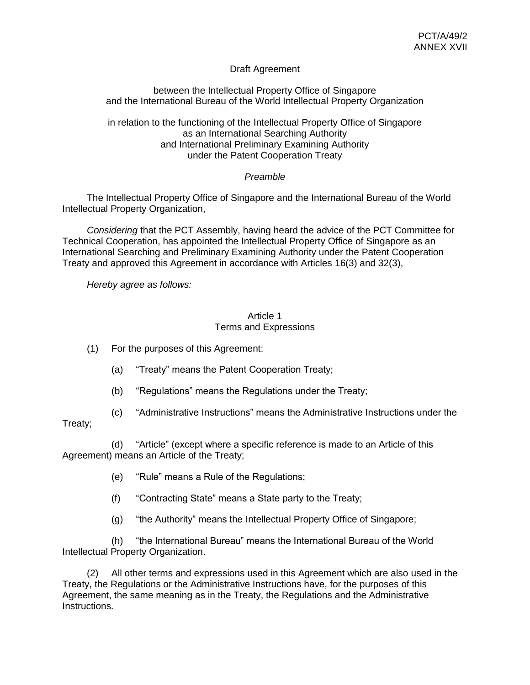## Draft Agreement

between the Intellectual Property Office of Singapore and the International Bureau of the World Intellectual Property Organization

in relation to the functioning of the Intellectual Property Office of Singapore as an International Searching Authority and International Preliminary Examining Authority under the Patent Cooperation Treaty

## *Preamble*

The Intellectual Property Office of Singapore and the International Bureau of the World Intellectual Property Organization,

*Considering* that the PCT Assembly, having heard the advice of the PCT Committee for Technical Cooperation, has appointed the Intellectual Property Office of Singapore as an International Searching and Preliminary Examining Authority under the Patent Cooperation Treaty and approved this Agreement in accordance with Articles 16(3) and 32(3),

*Hereby agree as follows:*

### Article 1 Terms and Expressions

(1) For the purposes of this Agreement:

- (a) "Treaty" means the Patent Cooperation Treaty;
- (b) "Regulations" means the Regulations under the Treaty;
- (c) "Administrative Instructions" means the Administrative Instructions under the

## Treaty;

(d) "Article" (except where a specific reference is made to an Article of this Agreement) means an Article of the Treaty;

- (e) "Rule" means a Rule of the Regulations;
- (f) "Contracting State" means a State party to the Treaty;
- (g) "the Authority" means the Intellectual Property Office of Singapore;

(h) "the International Bureau" means the International Bureau of the World Intellectual Property Organization.

(2) All other terms and expressions used in this Agreement which are also used in the Treaty, the Regulations or the Administrative Instructions have, for the purposes of this Agreement, the same meaning as in the Treaty, the Regulations and the Administrative Instructions.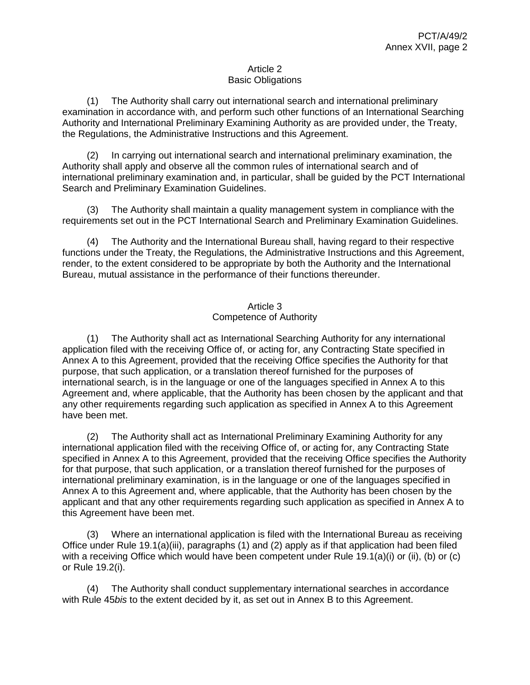## Article 2 Basic Obligations

(1) The Authority shall carry out international search and international preliminary examination in accordance with, and perform such other functions of an International Searching Authority and International Preliminary Examining Authority as are provided under, the Treaty, the Regulations, the Administrative Instructions and this Agreement.

(2) In carrying out international search and international preliminary examination, the Authority shall apply and observe all the common rules of international search and of international preliminary examination and, in particular, shall be guided by the PCT International Search and Preliminary Examination Guidelines.

(3) The Authority shall maintain a quality management system in compliance with the requirements set out in the PCT International Search and Preliminary Examination Guidelines.

(4) The Authority and the International Bureau shall, having regard to their respective functions under the Treaty, the Regulations, the Administrative Instructions and this Agreement, render, to the extent considered to be appropriate by both the Authority and the International Bureau, mutual assistance in the performance of their functions thereunder.

## Article 3 Competence of Authority

(1) The Authority shall act as International Searching Authority for any international application filed with the receiving Office of, or acting for, any Contracting State specified in Annex A to this Agreement, provided that the receiving Office specifies the Authority for that purpose, that such application, or a translation thereof furnished for the purposes of international search, is in the language or one of the languages specified in Annex A to this Agreement and, where applicable, that the Authority has been chosen by the applicant and that any other requirements regarding such application as specified in Annex A to this Agreement have been met.

(2) The Authority shall act as International Preliminary Examining Authority for any international application filed with the receiving Office of, or acting for, any Contracting State specified in Annex A to this Agreement, provided that the receiving Office specifies the Authority for that purpose, that such application, or a translation thereof furnished for the purposes of international preliminary examination, is in the language or one of the languages specified in Annex A to this Agreement and, where applicable, that the Authority has been chosen by the applicant and that any other requirements regarding such application as specified in Annex A to this Agreement have been met.

(3) Where an international application is filed with the International Bureau as receiving Office under Rule 19.1(a)(iii), paragraphs (1) and (2) apply as if that application had been filed with a receiving Office which would have been competent under Rule 19.1(a)(i) or (ii), (b) or (c) or Rule 19.2(i).

(4) The Authority shall conduct supplementary international searches in accordance with Rule 45*bis* to the extent decided by it, as set out in Annex B to this Agreement.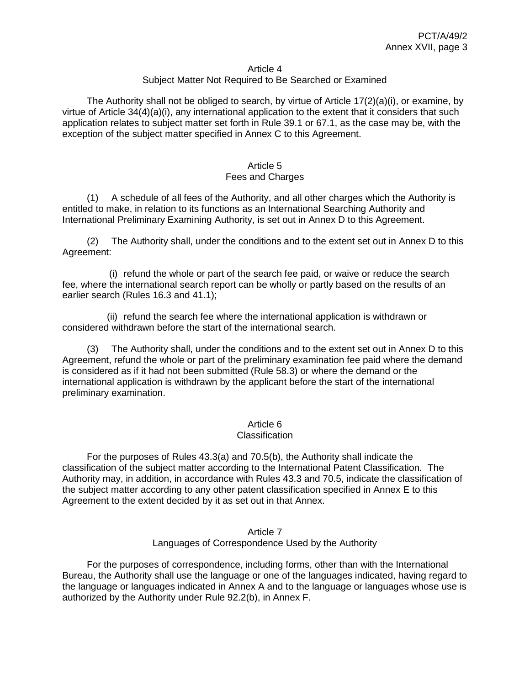#### Article 4

## Subject Matter Not Required to Be Searched or Examined

The Authority shall not be obliged to search, by virtue of Article  $17(2)(a)(i)$ , or examine, by virtue of Article 34(4)(a)(i), any international application to the extent that it considers that such application relates to subject matter set forth in Rule 39.1 or 67.1, as the case may be, with the exception of the subject matter specified in Annex C to this Agreement.

#### Article 5 Fees and Charges

(1) A schedule of all fees of the Authority, and all other charges which the Authority is entitled to make, in relation to its functions as an International Searching Authority and International Preliminary Examining Authority, is set out in Annex D to this Agreement.

(2) The Authority shall, under the conditions and to the extent set out in Annex D to this Agreement:

(i) refund the whole or part of the search fee paid, or waive or reduce the search fee, where the international search report can be wholly or partly based on the results of an earlier search (Rules 16.3 and 41.1);

(ii) refund the search fee where the international application is withdrawn or considered withdrawn before the start of the international search.

(3) The Authority shall, under the conditions and to the extent set out in Annex D to this Agreement, refund the whole or part of the preliminary examination fee paid where the demand is considered as if it had not been submitted (Rule 58.3) or where the demand or the international application is withdrawn by the applicant before the start of the international preliminary examination.

### Article 6

#### **Classification**

For the purposes of Rules 43.3(a) and 70.5(b), the Authority shall indicate the classification of the subject matter according to the International Patent Classification. The Authority may, in addition, in accordance with Rules 43.3 and 70.5, indicate the classification of the subject matter according to any other patent classification specified in Annex E to this Agreement to the extent decided by it as set out in that Annex.

#### Article 7 Languages of Correspondence Used by the Authority

For the purposes of correspondence, including forms, other than with the International Bureau, the Authority shall use the language or one of the languages indicated, having regard to the language or languages indicated in Annex A and to the language or languages whose use is authorized by the Authority under Rule 92.2(b), in Annex F.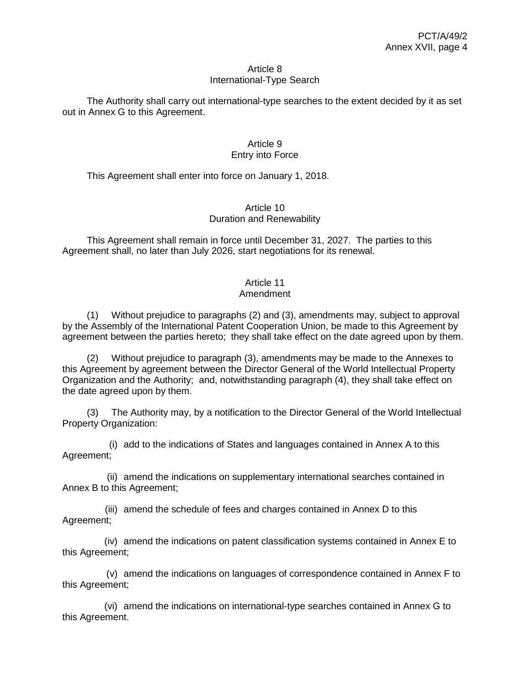#### Article 8 International-Type Search

The Authority shall carry out international-type searches to the extent decided by it as set out in Annex G to this Agreement.

## Article 9 Entry into Force

This Agreement shall enter into force on January 1, 2018.

### Article 10 Duration and Renewability

This Agreement shall remain in force until December 31, 2027. The parties to this Agreement shall, no later than July 2026, start negotiations for its renewal.

## Article 11

## Amendment

(1) Without prejudice to paragraphs (2) and (3), amendments may, subject to approval by the Assembly of the International Patent Cooperation Union, be made to this Agreement by agreement between the parties hereto; they shall take effect on the date agreed upon by them.

(2) Without prejudice to paragraph (3), amendments may be made to the Annexes to this Agreement by agreement between the Director General of the World Intellectual Property Organization and the Authority; and, notwithstanding paragraph (4), they shall take effect on the date agreed upon by them.

(3) The Authority may, by a notification to the Director General of the World Intellectual Property Organization:

(i) add to the indications of States and languages contained in Annex A to this Agreement;

(ii) amend the indications on supplementary international searches contained in Annex B to this Agreement;

(iii) amend the schedule of fees and charges contained in Annex D to this Agreement;

(iv) amend the indications on patent classification systems contained in Annex E to this Agreement;

(v) amend the indications on languages of correspondence contained in Annex F to this Agreement;

(vi) amend the indications on international-type searches contained in Annex G to this Agreement.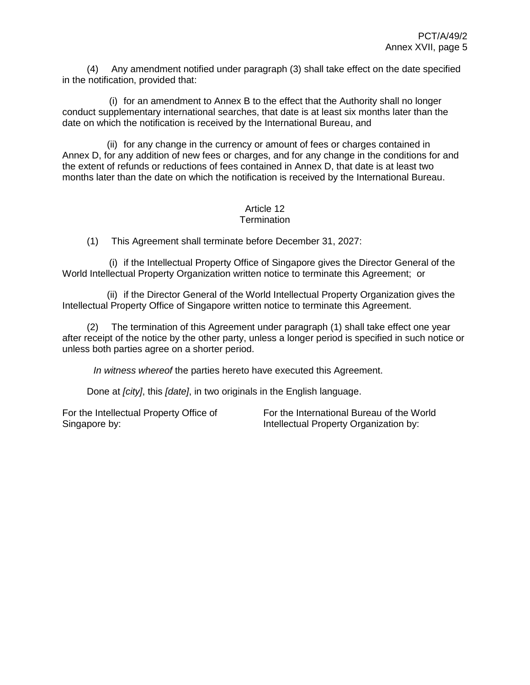(4) Any amendment notified under paragraph (3) shall take effect on the date specified in the notification, provided that:

(i) for an amendment to Annex B to the effect that the Authority shall no longer conduct supplementary international searches, that date is at least six months later than the date on which the notification is received by the International Bureau, and

(ii) for any change in the currency or amount of fees or charges contained in Annex D, for any addition of new fees or charges, and for any change in the conditions for and the extent of refunds or reductions of fees contained in Annex D, that date is at least two months later than the date on which the notification is received by the International Bureau.

#### Article 12 **Termination**

(1) This Agreement shall terminate before December 31, 2027:

(i) if the Intellectual Property Office of Singapore gives the Director General of the World Intellectual Property Organization written notice to terminate this Agreement; or

(ii) if the Director General of the World Intellectual Property Organization gives the Intellectual Property Office of Singapore written notice to terminate this Agreement.

(2) The termination of this Agreement under paragraph (1) shall take effect one year after receipt of the notice by the other party, unless a longer period is specified in such notice or unless both parties agree on a shorter period.

*In witness whereof* the parties hereto have executed this Agreement.

Done at *[city]*, this *[date]*, in two originals in the English language.

For the Intellectual Property Office of Singapore by:

For the International Bureau of the World Intellectual Property Organization by: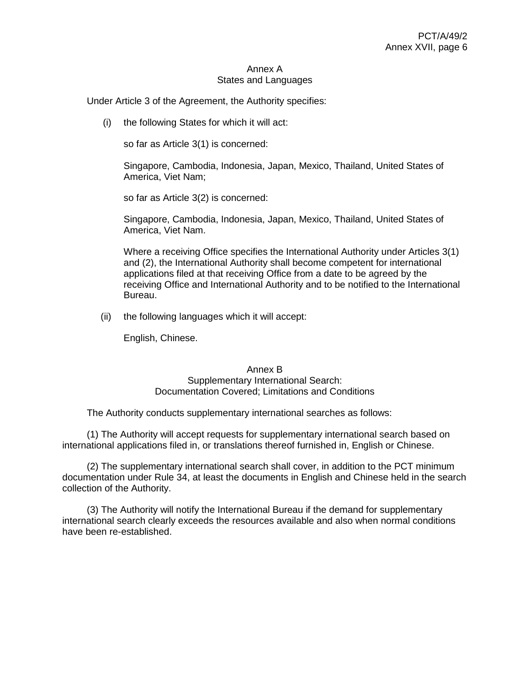#### Annex A States and Languages

Under Article 3 of the Agreement, the Authority specifies:

(i) the following States for which it will act:

so far as Article 3(1) is concerned:

Singapore, Cambodia, Indonesia, Japan, Mexico, Thailand, United States of America, Viet Nam;

so far as Article 3(2) is concerned:

Singapore, Cambodia, Indonesia, Japan, Mexico, Thailand, United States of America, Viet Nam.

Where a receiving Office specifies the International Authority under Articles 3(1) and (2), the International Authority shall become competent for international applications filed at that receiving Office from a date to be agreed by the receiving Office and International Authority and to be notified to the International Bureau.

(ii) the following languages which it will accept:

English, Chinese.

### Annex B

### Supplementary International Search: Documentation Covered; Limitations and Conditions

The Authority conducts supplementary international searches as follows:

(1) The Authority will accept requests for supplementary international search based on international applications filed in, or translations thereof furnished in, English or Chinese.

(2) The supplementary international search shall cover, in addition to the PCT minimum documentation under Rule 34, at least the documents in English and Chinese held in the search collection of the Authority.

(3) The Authority will notify the International Bureau if the demand for supplementary international search clearly exceeds the resources available and also when normal conditions have been re-established.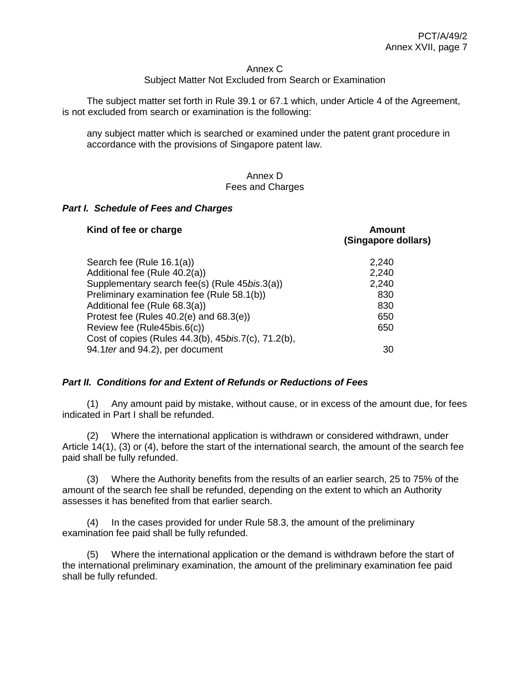#### Annex C

### Subject Matter Not Excluded from Search or Examination

The subject matter set forth in Rule 39.1 or 67.1 which, under Article 4 of the Agreement, is not excluded from search or examination is the following:

any subject matter which is searched or examined under the patent grant procedure in accordance with the provisions of Singapore patent law.

### Annex D Fees and Charges

### *Part I. Schedule of Fees and Charges*

| Kind of fee or charge                               | Amount<br>(Singapore dollars) |
|-----------------------------------------------------|-------------------------------|
| Search fee (Rule 16.1(a))                           | 2,240                         |
| Additional fee (Rule 40.2(a))                       | 2,240                         |
| Supplementary search fee(s) (Rule 45bis.3(a))       | 2,240                         |
| Preliminary examination fee (Rule 58.1(b))          | 830                           |
| Additional fee (Rule 68.3(a))                       | 830                           |
| Protest fee (Rules 40.2(e) and 68.3(e))             | 650                           |
| Review fee (Rule45bis.6(c))                         | 650                           |
| Cost of copies (Rules 44.3(b), 45bis.7(c), 71.2(b), |                               |
| 94.1 ter and 94.2), per document                    | 30                            |

### *Part II. Conditions for and Extent of Refunds or Reductions of Fees*

(1) Any amount paid by mistake, without cause, or in excess of the amount due, for fees indicated in Part I shall be refunded.

(2) Where the international application is withdrawn or considered withdrawn, under Article 14(1), (3) or (4), before the start of the international search, the amount of the search fee paid shall be fully refunded.

(3) Where the Authority benefits from the results of an earlier search, 25 to 75% of the amount of the search fee shall be refunded, depending on the extent to which an Authority assesses it has benefited from that earlier search.

(4) In the cases provided for under Rule 58.3, the amount of the preliminary examination fee paid shall be fully refunded.

(5) Where the international application or the demand is withdrawn before the start of the international preliminary examination, the amount of the preliminary examination fee paid shall be fully refunded.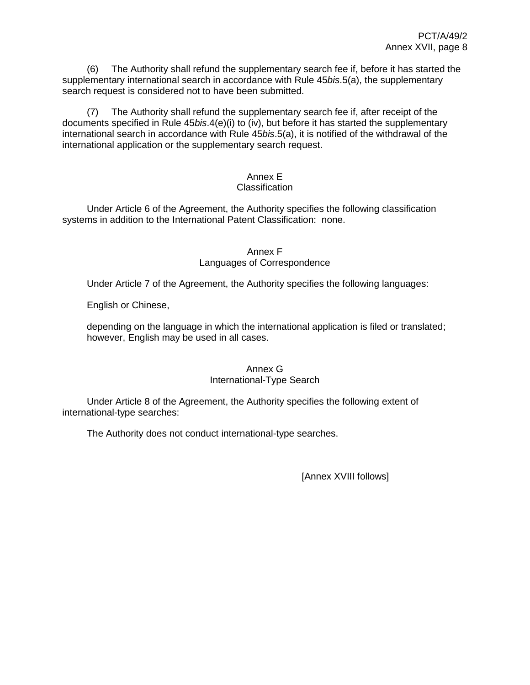(6) The Authority shall refund the supplementary search fee if, before it has started the supplementary international search in accordance with Rule 45*bis*.5(a), the supplementary search request is considered not to have been submitted.

(7) The Authority shall refund the supplementary search fee if, after receipt of the documents specified in Rule 45*bis*.4(e)(i) to (iv), but before it has started the supplementary international search in accordance with Rule 45*bis*.5(a), it is notified of the withdrawal of the international application or the supplementary search request.

# Annex E

## Classification

Under Article 6 of the Agreement, the Authority specifies the following classification systems in addition to the International Patent Classification: none.

## Annex F Languages of Correspondence

Under Article 7 of the Agreement, the Authority specifies the following languages:

English or Chinese,

depending on the language in which the international application is filed or translated; however, English may be used in all cases.

## Annex G International-Type Search

Under Article 8 of the Agreement, the Authority specifies the following extent of international-type searches:

The Authority does not conduct international-type searches.

[Annex XVIII follows]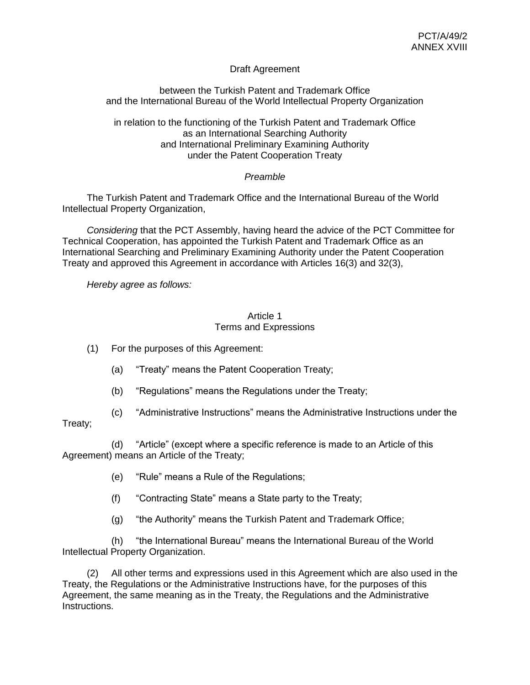## Draft Agreement

between the Turkish Patent and Trademark Office and the International Bureau of the World Intellectual Property Organization

in relation to the functioning of the Turkish Patent and Trademark Office as an International Searching Authority and International Preliminary Examining Authority under the Patent Cooperation Treaty

## *Preamble*

The Turkish Patent and Trademark Office and the International Bureau of the World Intellectual Property Organization,

*Considering* that the PCT Assembly, having heard the advice of the PCT Committee for Technical Cooperation, has appointed the Turkish Patent and Trademark Office as an International Searching and Preliminary Examining Authority under the Patent Cooperation Treaty and approved this Agreement in accordance with Articles 16(3) and 32(3),

*Hereby agree as follows:*

#### Article 1 Terms and Expressions

(1) For the purposes of this Agreement:

- (a) "Treaty" means the Patent Cooperation Treaty;
- (b) "Regulations" means the Regulations under the Treaty;
- (c) "Administrative Instructions" means the Administrative Instructions under the

## Treaty;

(d) "Article" (except where a specific reference is made to an Article of this Agreement) means an Article of the Treaty;

- (e) "Rule" means a Rule of the Regulations;
- (f) "Contracting State" means a State party to the Treaty;
- (g) "the Authority" means the Turkish Patent and Trademark Office;

(h) "the International Bureau" means the International Bureau of the World Intellectual Property Organization.

(2) All other terms and expressions used in this Agreement which are also used in the Treaty, the Regulations or the Administrative Instructions have, for the purposes of this Agreement, the same meaning as in the Treaty, the Regulations and the Administrative Instructions.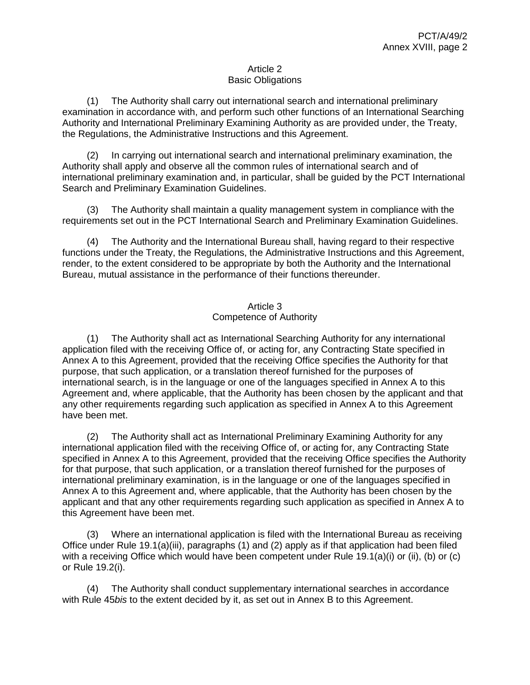### Article 2 Basic Obligations

(1) The Authority shall carry out international search and international preliminary examination in accordance with, and perform such other functions of an International Searching Authority and International Preliminary Examining Authority as are provided under, the Treaty, the Regulations, the Administrative Instructions and this Agreement.

(2) In carrying out international search and international preliminary examination, the Authority shall apply and observe all the common rules of international search and of international preliminary examination and, in particular, shall be guided by the PCT International Search and Preliminary Examination Guidelines.

(3) The Authority shall maintain a quality management system in compliance with the requirements set out in the PCT International Search and Preliminary Examination Guidelines.

(4) The Authority and the International Bureau shall, having regard to their respective functions under the Treaty, the Regulations, the Administrative Instructions and this Agreement, render, to the extent considered to be appropriate by both the Authority and the International Bureau, mutual assistance in the performance of their functions thereunder.

## Article 3 Competence of Authority

(1) The Authority shall act as International Searching Authority for any international application filed with the receiving Office of, or acting for, any Contracting State specified in Annex A to this Agreement, provided that the receiving Office specifies the Authority for that purpose, that such application, or a translation thereof furnished for the purposes of international search, is in the language or one of the languages specified in Annex A to this Agreement and, where applicable, that the Authority has been chosen by the applicant and that any other requirements regarding such application as specified in Annex A to this Agreement have been met.

(2) The Authority shall act as International Preliminary Examining Authority for any international application filed with the receiving Office of, or acting for, any Contracting State specified in Annex A to this Agreement, provided that the receiving Office specifies the Authority for that purpose, that such application, or a translation thereof furnished for the purposes of international preliminary examination, is in the language or one of the languages specified in Annex A to this Agreement and, where applicable, that the Authority has been chosen by the applicant and that any other requirements regarding such application as specified in Annex A to this Agreement have been met.

(3) Where an international application is filed with the International Bureau as receiving Office under Rule 19.1(a)(iii), paragraphs (1) and (2) apply as if that application had been filed with a receiving Office which would have been competent under Rule 19.1(a)(i) or (ii), (b) or (c) or Rule 19.2(i).

(4) The Authority shall conduct supplementary international searches in accordance with Rule 45*bis* to the extent decided by it, as set out in Annex B to this Agreement.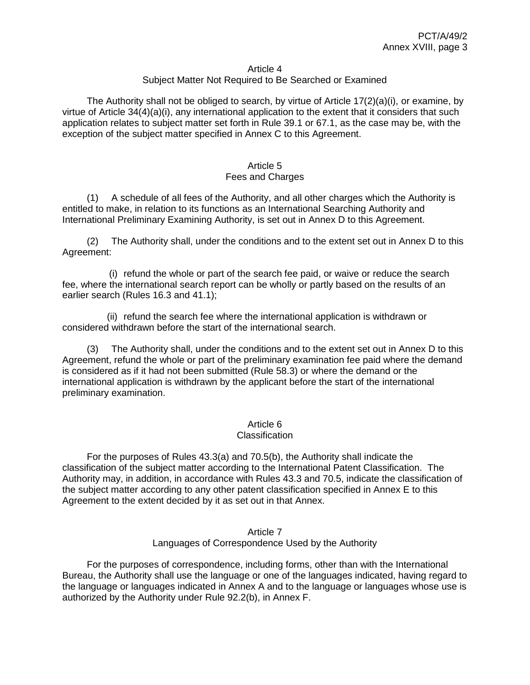#### Article 4

### Subject Matter Not Required to Be Searched or Examined

The Authority shall not be obliged to search, by virtue of Article  $17(2)(a)(i)$ , or examine, by virtue of Article 34(4)(a)(i), any international application to the extent that it considers that such application relates to subject matter set forth in Rule 39.1 or 67.1, as the case may be, with the exception of the subject matter specified in Annex C to this Agreement.

#### Article 5 Fees and Charges

(1) A schedule of all fees of the Authority, and all other charges which the Authority is entitled to make, in relation to its functions as an International Searching Authority and International Preliminary Examining Authority, is set out in Annex D to this Agreement.

(2) The Authority shall, under the conditions and to the extent set out in Annex D to this Agreement:

(i) refund the whole or part of the search fee paid, or waive or reduce the search fee, where the international search report can be wholly or partly based on the results of an earlier search (Rules 16.3 and 41.1);

(ii) refund the search fee where the international application is withdrawn or considered withdrawn before the start of the international search.

(3) The Authority shall, under the conditions and to the extent set out in Annex D to this Agreement, refund the whole or part of the preliminary examination fee paid where the demand is considered as if it had not been submitted (Rule 58.3) or where the demand or the international application is withdrawn by the applicant before the start of the international preliminary examination.

### Article 6

#### **Classification**

For the purposes of Rules 43.3(a) and 70.5(b), the Authority shall indicate the classification of the subject matter according to the International Patent Classification. The Authority may, in addition, in accordance with Rules 43.3 and 70.5, indicate the classification of the subject matter according to any other patent classification specified in Annex E to this Agreement to the extent decided by it as set out in that Annex.

#### Article 7 Languages of Correspondence Used by the Authority

For the purposes of correspondence, including forms, other than with the International Bureau, the Authority shall use the language or one of the languages indicated, having regard to the language or languages indicated in Annex A and to the language or languages whose use is authorized by the Authority under Rule 92.2(b), in Annex F.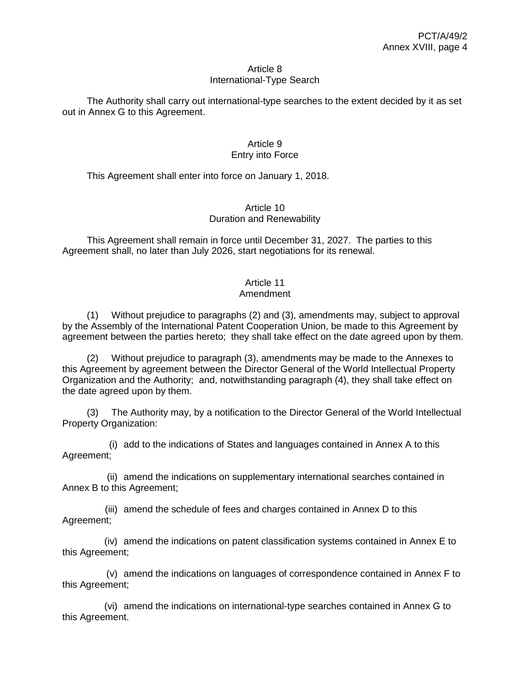#### Article 8 International-Type Search

The Authority shall carry out international-type searches to the extent decided by it as set out in Annex G to this Agreement.

### Article 9 Entry into Force

This Agreement shall enter into force on January 1, 2018.

### Article 10 Duration and Renewability

This Agreement shall remain in force until December 31, 2027. The parties to this Agreement shall, no later than July 2026, start negotiations for its renewal.

# Article 11

## Amendment

(1) Without prejudice to paragraphs (2) and (3), amendments may, subject to approval by the Assembly of the International Patent Cooperation Union, be made to this Agreement by agreement between the parties hereto; they shall take effect on the date agreed upon by them.

(2) Without prejudice to paragraph (3), amendments may be made to the Annexes to this Agreement by agreement between the Director General of the World Intellectual Property Organization and the Authority; and, notwithstanding paragraph (4), they shall take effect on the date agreed upon by them.

(3) The Authority may, by a notification to the Director General of the World Intellectual Property Organization:

(i) add to the indications of States and languages contained in Annex A to this Agreement;

(ii) amend the indications on supplementary international searches contained in Annex B to this Agreement;

(iii) amend the schedule of fees and charges contained in Annex D to this Agreement;

(iv) amend the indications on patent classification systems contained in Annex E to this Agreement;

(v) amend the indications on languages of correspondence contained in Annex F to this Agreement;

(vi) amend the indications on international-type searches contained in Annex G to this Agreement.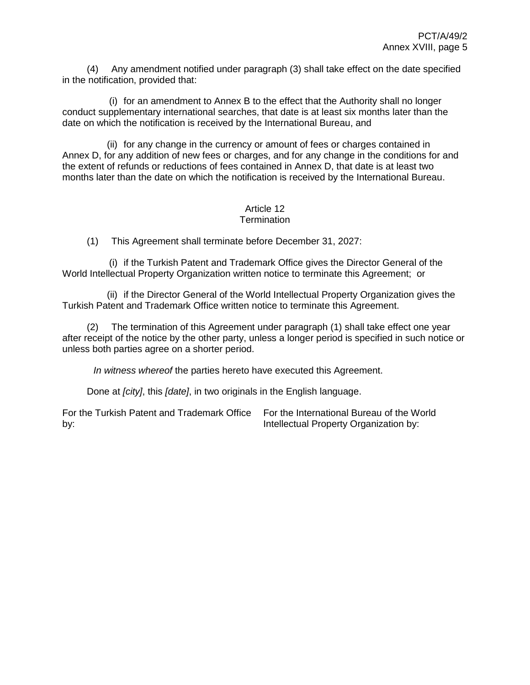(4) Any amendment notified under paragraph (3) shall take effect on the date specified in the notification, provided that:

(i) for an amendment to Annex B to the effect that the Authority shall no longer conduct supplementary international searches, that date is at least six months later than the date on which the notification is received by the International Bureau, and

(ii) for any change in the currency or amount of fees or charges contained in Annex D, for any addition of new fees or charges, and for any change in the conditions for and the extent of refunds or reductions of fees contained in Annex D, that date is at least two months later than the date on which the notification is received by the International Bureau.

#### Article 12 **Termination**

(1) This Agreement shall terminate before December 31, 2027:

(i) if the Turkish Patent and Trademark Office gives the Director General of the World Intellectual Property Organization written notice to terminate this Agreement; or

(ii) if the Director General of the World Intellectual Property Organization gives the Turkish Patent and Trademark Office written notice to terminate this Agreement.

(2) The termination of this Agreement under paragraph (1) shall take effect one year after receipt of the notice by the other party, unless a longer period is specified in such notice or unless both parties agree on a shorter period.

*In witness whereof* the parties hereto have executed this Agreement.

Done at *[city]*, this *[date]*, in two originals in the English language.

For the Turkish Patent and Trademark Office by: For the International Bureau of the World Intellectual Property Organization by: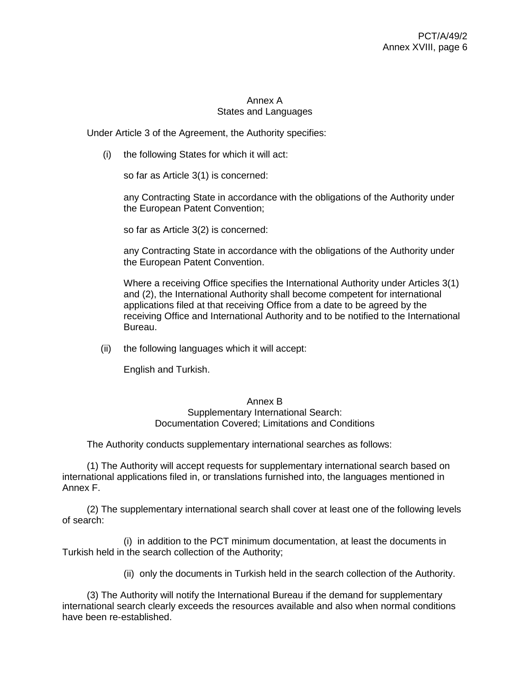## Annex A States and Languages

Under Article 3 of the Agreement, the Authority specifies:

(i) the following States for which it will act:

so far as Article 3(1) is concerned:

any Contracting State in accordance with the obligations of the Authority under the European Patent Convention;

so far as Article 3(2) is concerned:

any Contracting State in accordance with the obligations of the Authority under the European Patent Convention.

Where a receiving Office specifies the International Authority under Articles 3(1) and (2), the International Authority shall become competent for international applications filed at that receiving Office from a date to be agreed by the receiving Office and International Authority and to be notified to the International Bureau.

(ii) the following languages which it will accept:

English and Turkish.

### Annex B

Supplementary International Search: Documentation Covered; Limitations and Conditions

The Authority conducts supplementary international searches as follows:

(1) The Authority will accept requests for supplementary international search based on international applications filed in, or translations furnished into, the languages mentioned in Annex F.

(2) The supplementary international search shall cover at least one of the following levels of search:

(i) in addition to the PCT minimum documentation, at least the documents in Turkish held in the search collection of the Authority;

(ii) only the documents in Turkish held in the search collection of the Authority.

(3) The Authority will notify the International Bureau if the demand for supplementary international search clearly exceeds the resources available and also when normal conditions have been re-established.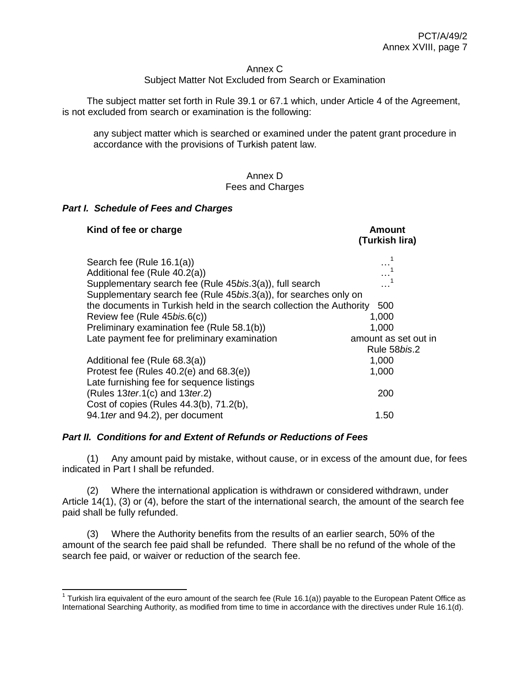#### Annex C

# Subject Matter Not Excluded from Search or Examination

The subject matter set forth in Rule 39.1 or 67.1 which, under Article 4 of the Agreement, is not excluded from search or examination is the following:

any subject matter which is searched or examined under the patent grant procedure in accordance with the provisions of Turkish patent law.

#### Annex D Fees and Charges

#### *Part I. Schedule of Fees and Charges*

 $\overline{a}$ 

| Kind of fee or charge                                                                                                                                                    | <b>Amount</b><br>(Turkish lira)                        |
|--------------------------------------------------------------------------------------------------------------------------------------------------------------------------|--------------------------------------------------------|
| Search fee (Rule 16.1(a))<br>Additional fee (Rule 40.2(a))<br>Supplementary search fee (Rule 45bis.3(a)), full search                                                    |                                                        |
| Supplementary search fee (Rule 45bis.3(a)), for searches only on<br>the documents in Turkish held in the search collection the Authority<br>Review fee (Rule 45bis.6(c)) | 500<br>1,000                                           |
| Preliminary examination fee (Rule 58.1(b))<br>Late payment fee for preliminary examination                                                                               | 1,000<br>amount as set out in<br>Rule 58 <i>bis</i> .2 |
| Additional fee (Rule 68.3(a))<br>Protest fee (Rules $40.2(e)$ and $68.3(e)$ )<br>Late furnishing fee for sequence listings                                               | 1,000<br>1,000                                         |
| (Rules $13$ ter.1(c) and $13$ ter.2)<br>Cost of copies (Rules 44.3(b), 71.2(b),<br>94.1 ter and 94.2), per document                                                      | 200<br>1.50                                            |

### *Part II. Conditions for and Extent of Refunds or Reductions of Fees*

(1) Any amount paid by mistake, without cause, or in excess of the amount due, for fees indicated in Part I shall be refunded.

(2) Where the international application is withdrawn or considered withdrawn, under Article 14(1), (3) or (4), before the start of the international search, the amount of the search fee paid shall be fully refunded.

(3) Where the Authority benefits from the results of an earlier search, 50% of the amount of the search fee paid shall be refunded. There shall be no refund of the whole of the search fee paid, or waiver or reduction of the search fee.

<sup>&</sup>lt;sup>1</sup> Turkish lira equivalent of the euro amount of the search fee (Rule 16.1(a)) payable to the European Patent Office as International Searching Authority, as modified from time to time in accordance with the directives under Rule 16.1(d).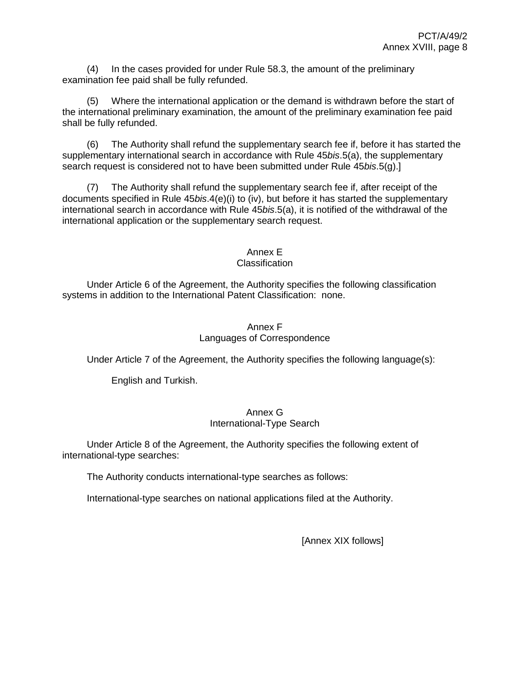(4) In the cases provided for under Rule 58.3, the amount of the preliminary examination fee paid shall be fully refunded.

(5) Where the international application or the demand is withdrawn before the start of the international preliminary examination, the amount of the preliminary examination fee paid shall be fully refunded.

(6) The Authority shall refund the supplementary search fee if, before it has started the supplementary international search in accordance with Rule 45*bis*.5(a), the supplementary search request is considered not to have been submitted under Rule 45*bis*.5(g).]

(7) The Authority shall refund the supplementary search fee if, after receipt of the documents specified in Rule 45*bis*.4(e)(i) to (iv), but before it has started the supplementary international search in accordance with Rule 45*bis*.5(a), it is notified of the withdrawal of the international application or the supplementary search request.

#### Annex E Classification

Under Article 6 of the Agreement, the Authority specifies the following classification systems in addition to the International Patent Classification: none.

# Annex F Languages of Correspondence

Under Article 7 of the Agreement, the Authority specifies the following language(s):

English and Turkish.

## Annex G International-Type Search

Under Article 8 of the Agreement, the Authority specifies the following extent of international-type searches:

The Authority conducts international-type searches as follows:

International-type searches on national applications filed at the Authority.

[Annex XIX follows]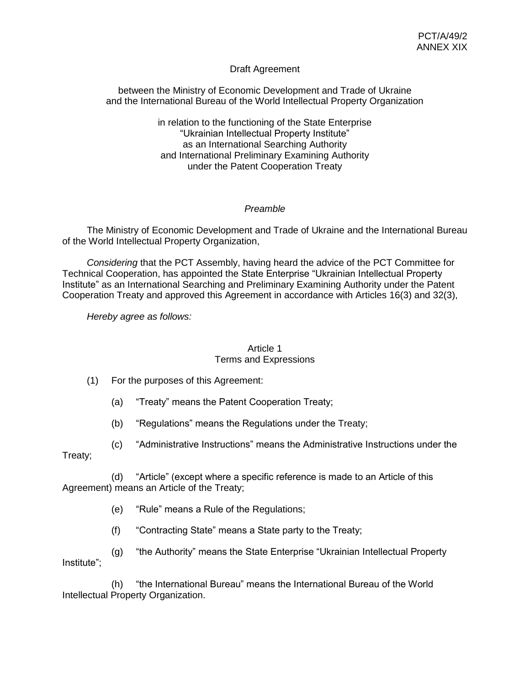## Draft Agreement

between the Ministry of Economic Development and Trade of Ukraine and the International Bureau of the World Intellectual Property Organization

> in relation to the functioning of the State Enterprise "Ukrainian Intellectual Property Institute" as an International Searching Authority and International Preliminary Examining Authority under the Patent Cooperation Treaty

## *Preamble*

The Ministry of Economic Development and Trade of Ukraine and the International Bureau of the World Intellectual Property Organization,

*Considering* that the PCT Assembly, having heard the advice of the PCT Committee for Technical Cooperation, has appointed the State Enterprise "Ukrainian Intellectual Property Institute" as an International Searching and Preliminary Examining Authority under the Patent Cooperation Treaty and approved this Agreement in accordance with Articles 16(3) and 32(3),

*Hereby agree as follows:*

### Article 1

### Terms and Expressions

- (1) For the purposes of this Agreement:
	- (a) "Treaty" means the Patent Cooperation Treaty;
	- (b) "Regulations" means the Regulations under the Treaty;
- (c) "Administrative Instructions" means the Administrative Instructions under the Treaty;

(d) "Article" (except where a specific reference is made to an Article of this Agreement) means an Article of the Treaty;

- (e) "Rule" means a Rule of the Regulations;
- (f) "Contracting State" means a State party to the Treaty;

(g) "the Authority" means the State Enterprise "Ukrainian Intellectual Property Institute";

(h) "the International Bureau" means the International Bureau of the World Intellectual Property Organization.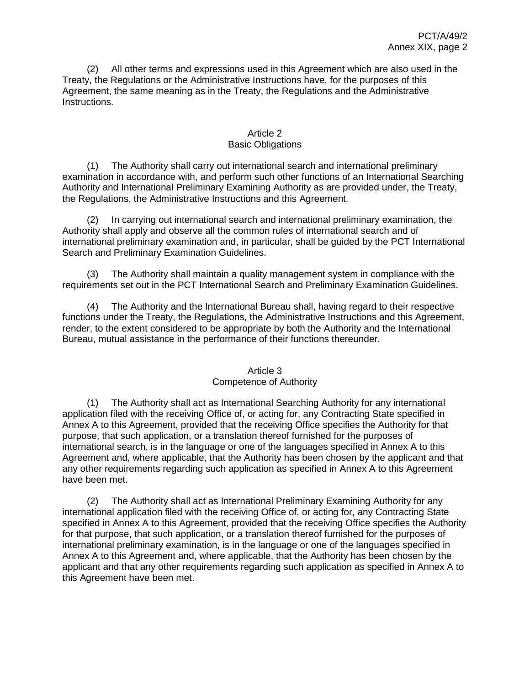(2) All other terms and expressions used in this Agreement which are also used in the Treaty, the Regulations or the Administrative Instructions have, for the purposes of this Agreement, the same meaning as in the Treaty, the Regulations and the Administrative Instructions.

## Article 2 Basic Obligations

(1) The Authority shall carry out international search and international preliminary examination in accordance with, and perform such other functions of an International Searching Authority and International Preliminary Examining Authority as are provided under, the Treaty, the Regulations, the Administrative Instructions and this Agreement.

(2) In carrying out international search and international preliminary examination, the Authority shall apply and observe all the common rules of international search and of international preliminary examination and, in particular, shall be guided by the PCT International Search and Preliminary Examination Guidelines.

(3) The Authority shall maintain a quality management system in compliance with the requirements set out in the PCT International Search and Preliminary Examination Guidelines.

(4) The Authority and the International Bureau shall, having regard to their respective functions under the Treaty, the Regulations, the Administrative Instructions and this Agreement, render, to the extent considered to be appropriate by both the Authority and the International Bureau, mutual assistance in the performance of their functions thereunder.

# Article 3 Competence of Authority

(1) The Authority shall act as International Searching Authority for any international application filed with the receiving Office of, or acting for, any Contracting State specified in Annex A to this Agreement, provided that the receiving Office specifies the Authority for that purpose, that such application, or a translation thereof furnished for the purposes of international search, is in the language or one of the languages specified in Annex A to this Agreement and, where applicable, that the Authority has been chosen by the applicant and that any other requirements regarding such application as specified in Annex A to this Agreement have been met.

(2) The Authority shall act as International Preliminary Examining Authority for any international application filed with the receiving Office of, or acting for, any Contracting State specified in Annex A to this Agreement, provided that the receiving Office specifies the Authority for that purpose, that such application, or a translation thereof furnished for the purposes of international preliminary examination, is in the language or one of the languages specified in Annex A to this Agreement and, where applicable, that the Authority has been chosen by the applicant and that any other requirements regarding such application as specified in Annex A to this Agreement have been met.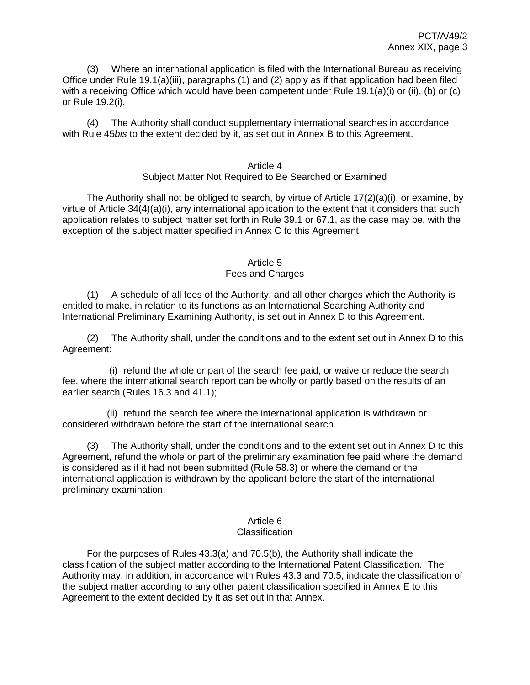(3) Where an international application is filed with the International Bureau as receiving Office under Rule 19.1(a)(iii), paragraphs (1) and (2) apply as if that application had been filed with a receiving Office which would have been competent under Rule 19.1(a)(i) or (ii), (b) or (c) or Rule 19.2(i).

(4) The Authority shall conduct supplementary international searches in accordance with Rule 45*bis* to the extent decided by it, as set out in Annex B to this Agreement.

### Article 4 Subject Matter Not Required to Be Searched or Examined

The Authority shall not be obliged to search, by virtue of Article 17(2)(a)(i), or examine, by virtue of Article 34(4)(a)(i), any international application to the extent that it considers that such application relates to subject matter set forth in Rule 39.1 or 67.1, as the case may be, with the exception of the subject matter specified in Annex C to this Agreement.

# Article 5

## Fees and Charges

(1) A schedule of all fees of the Authority, and all other charges which the Authority is entitled to make, in relation to its functions as an International Searching Authority and International Preliminary Examining Authority, is set out in Annex D to this Agreement.

(2) The Authority shall, under the conditions and to the extent set out in Annex D to this Agreement:

(i) refund the whole or part of the search fee paid, or waive or reduce the search fee, where the international search report can be wholly or partly based on the results of an earlier search (Rules 16.3 and 41.1);

(ii) refund the search fee where the international application is withdrawn or considered withdrawn before the start of the international search.

(3) The Authority shall, under the conditions and to the extent set out in Annex D to this Agreement, refund the whole or part of the preliminary examination fee paid where the demand is considered as if it had not been submitted (Rule 58.3) or where the demand or the international application is withdrawn by the applicant before the start of the international preliminary examination.

#### Article 6 **Classification**

For the purposes of Rules 43.3(a) and 70.5(b), the Authority shall indicate the classification of the subject matter according to the International Patent Classification. The Authority may, in addition, in accordance with Rules 43.3 and 70.5, indicate the classification of the subject matter according to any other patent classification specified in Annex E to this Agreement to the extent decided by it as set out in that Annex.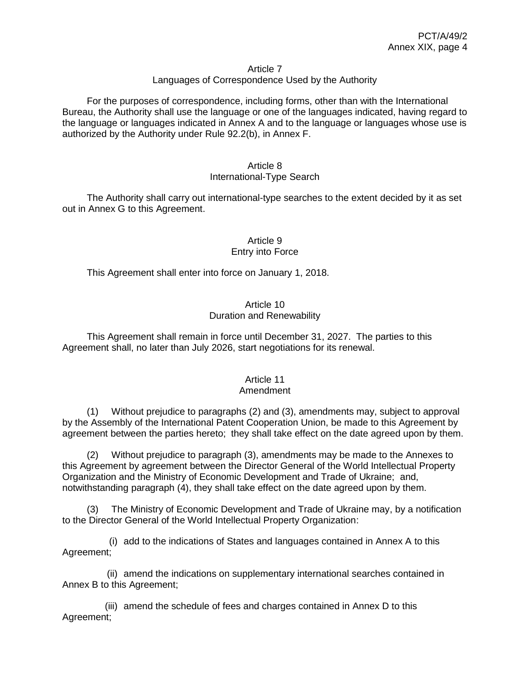#### Article 7

### Languages of Correspondence Used by the Authority

For the purposes of correspondence, including forms, other than with the International Bureau, the Authority shall use the language or one of the languages indicated, having regard to the language or languages indicated in Annex A and to the language or languages whose use is authorized by the Authority under Rule 92.2(b), in Annex F.

# Article 8

## International-Type Search

The Authority shall carry out international-type searches to the extent decided by it as set out in Annex G to this Agreement.

### Article 9 Entry into Force

This Agreement shall enter into force on January 1, 2018.

## Article 10 Duration and Renewability

This Agreement shall remain in force until December 31, 2027. The parties to this Agreement shall, no later than July 2026, start negotiations for its renewal.

# Article 11

## Amendment

(1) Without prejudice to paragraphs (2) and (3), amendments may, subject to approval by the Assembly of the International Patent Cooperation Union, be made to this Agreement by agreement between the parties hereto; they shall take effect on the date agreed upon by them.

(2) Without prejudice to paragraph (3), amendments may be made to the Annexes to this Agreement by agreement between the Director General of the World Intellectual Property Organization and the Ministry of Economic Development and Trade of Ukraine; and, notwithstanding paragraph (4), they shall take effect on the date agreed upon by them.

The Ministry of Economic Development and Trade of Ukraine may, by a notification to the Director General of the World Intellectual Property Organization:

(i) add to the indications of States and languages contained in Annex A to this Agreement;

(ii) amend the indications on supplementary international searches contained in Annex B to this Agreement;

(iii) amend the schedule of fees and charges contained in Annex D to this Agreement;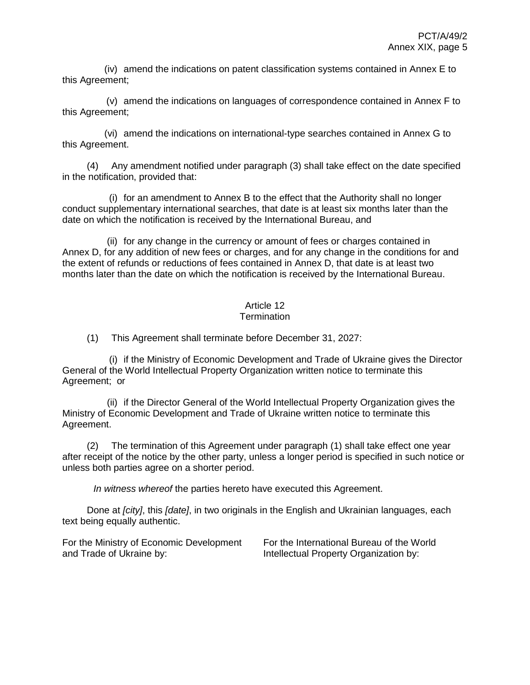(iv) amend the indications on patent classification systems contained in Annex E to this Agreement;

(v) amend the indications on languages of correspondence contained in Annex F to this Agreement;

(vi) amend the indications on international-type searches contained in Annex G to this Agreement.

(4) Any amendment notified under paragraph (3) shall take effect on the date specified in the notification, provided that:

(i) for an amendment to Annex B to the effect that the Authority shall no longer conduct supplementary international searches, that date is at least six months later than the date on which the notification is received by the International Bureau, and

(ii) for any change in the currency or amount of fees or charges contained in Annex D, for any addition of new fees or charges, and for any change in the conditions for and the extent of refunds or reductions of fees contained in Annex D, that date is at least two months later than the date on which the notification is received by the International Bureau.

# Article 12

## **Termination**

(1) This Agreement shall terminate before December 31, 2027:

(i) if the Ministry of Economic Development and Trade of Ukraine gives the Director General of the World Intellectual Property Organization written notice to terminate this Agreement; or

(ii) if the Director General of the World Intellectual Property Organization gives the Ministry of Economic Development and Trade of Ukraine written notice to terminate this Agreement.

(2) The termination of this Agreement under paragraph (1) shall take effect one year after receipt of the notice by the other party, unless a longer period is specified in such notice or unless both parties agree on a shorter period.

*In witness whereof* the parties hereto have executed this Agreement.

Done at *[city]*, this *[date]*, in two originals in the English and Ukrainian languages, each text being equally authentic.

For the Ministry of Economic Development and Trade of Ukraine by:

For the International Bureau of the World Intellectual Property Organization by: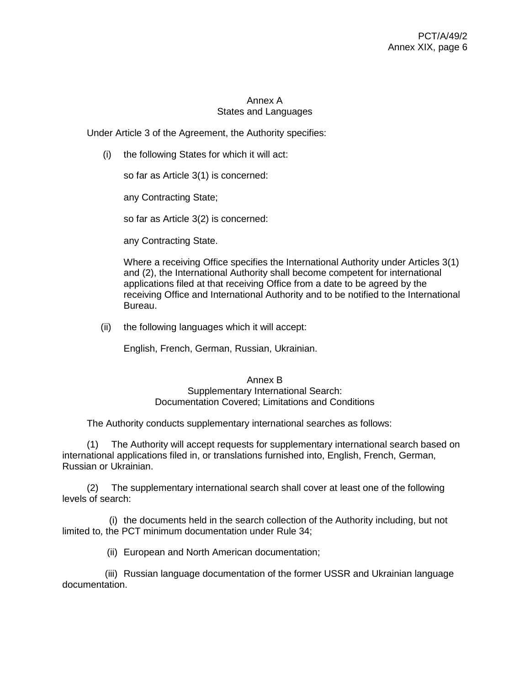# Annex A States and Languages

Under Article 3 of the Agreement, the Authority specifies:

(i) the following States for which it will act:

so far as Article 3(1) is concerned:

any Contracting State;

so far as Article 3(2) is concerned:

any Contracting State.

Where a receiving Office specifies the International Authority under Articles 3(1) and (2), the International Authority shall become competent for international applications filed at that receiving Office from a date to be agreed by the receiving Office and International Authority and to be notified to the International Bureau.

(ii) the following languages which it will accept:

English, French, German, Russian, Ukrainian.

#### Annex B Supplementary International Search: Documentation Covered; Limitations and Conditions

The Authority conducts supplementary international searches as follows:

(1) The Authority will accept requests for supplementary international search based on international applications filed in, or translations furnished into, English, French, German, Russian or Ukrainian.

(2) The supplementary international search shall cover at least one of the following levels of search:

(i) the documents held in the search collection of the Authority including, but not limited to, the PCT minimum documentation under Rule 34;

(ii) European and North American documentation;

(iii) Russian language documentation of the former USSR and Ukrainian language documentation.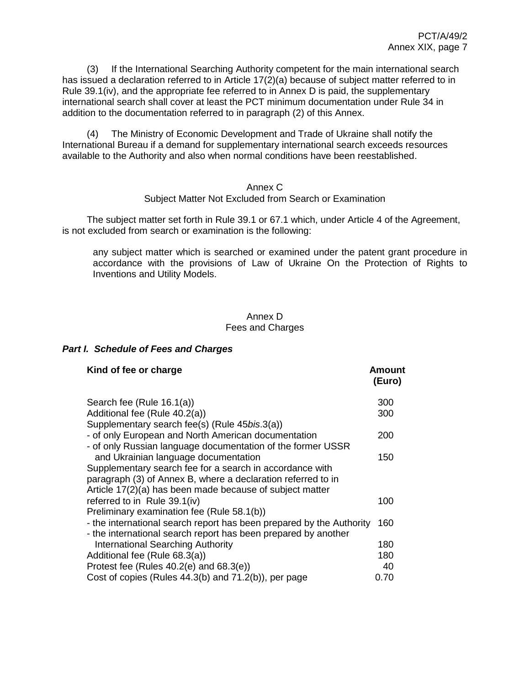(3) If the International Searching Authority competent for the main international search has issued a declaration referred to in Article 17(2)(a) because of subject matter referred to in Rule 39.1(iv), and the appropriate fee referred to in Annex D is paid, the supplementary international search shall cover at least the PCT minimum documentation under Rule 34 in addition to the documentation referred to in paragraph (2) of this Annex.

(4) The Ministry of Economic Development and Trade of Ukraine shall notify the International Bureau if a demand for supplementary international search exceeds resources available to the Authority and also when normal conditions have been reestablished.

### Annex C Subject Matter Not Excluded from Search or Examination

The subject matter set forth in Rule 39.1 or 67.1 which, under Article 4 of the Agreement, is not excluded from search or examination is the following:

any subject matter which is searched or examined under the patent grant procedure in accordance with the provisions of Law of Ukraine On the Protection of Rights to Inventions and Utility Models.

## Annex D Fees and Charges

## *Part I. Schedule of Fees and Charges*

| Kind of fee or charge                                                | Amount<br>(Euro) |
|----------------------------------------------------------------------|------------------|
| Search fee (Rule 16.1(a))                                            | 300              |
| Additional fee (Rule 40.2(a))                                        | 300              |
| Supplementary search fee(s) (Rule 45bis.3(a))                        |                  |
| - of only European and North American documentation                  | 200              |
| - of only Russian language documentation of the former USSR          |                  |
| and Ukrainian language documentation                                 | 150              |
| Supplementary search fee for a search in accordance with             |                  |
| paragraph (3) of Annex B, where a declaration referred to in         |                  |
| Article 17(2)(a) has been made because of subject matter             |                  |
| referred to in Rule 39.1(iv)                                         | 100              |
| Preliminary examination fee (Rule 58.1(b))                           |                  |
| - the international search report has been prepared by the Authority | 160              |
| - the international search report has been prepared by another       |                  |
| International Searching Authority                                    | 180              |
| Additional fee (Rule 68.3(a))                                        | 180              |
| Protest fee (Rules $40.2(e)$ and $68.3(e)$ )                         | 40               |
| Cost of copies (Rules 44.3(b) and 71.2(b)), per page                 | 0.70             |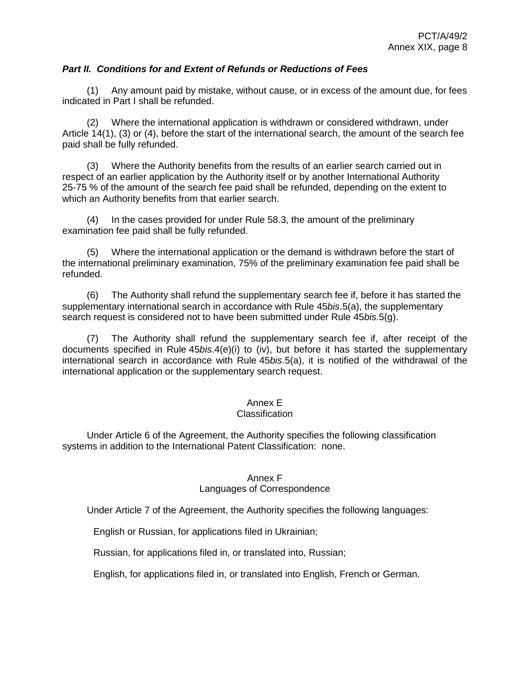## *Part II. Conditions for and Extent of Refunds or Reductions of Fees*

(1) Any amount paid by mistake, without cause, or in excess of the amount due, for fees indicated in Part I shall be refunded.

(2) Where the international application is withdrawn or considered withdrawn, under Article 14(1), (3) or (4), before the start of the international search, the amount of the search fee paid shall be fully refunded.

(3) Where the Authority benefits from the results of an earlier search carried out in respect of an earlier application by the Authority itself or by another International Authority 25-75 % of the amount of the search fee paid shall be refunded, depending on the extent to which an Authority benefits from that earlier search.

(4) In the cases provided for under Rule 58.3, the amount of the preliminary examination fee paid shall be fully refunded.

(5) Where the international application or the demand is withdrawn before the start of the international preliminary examination, 75% of the preliminary examination fee paid shall be refunded.

(6) The Authority shall refund the supplementary search fee if, before it has started the supplementary international search in accordance with Rule 45*bis*.5(a), the supplementary search request is considered not to have been submitted under Rule 45*bis*.5(g).

(7) The Authority shall refund the supplementary search fee if, after receipt of the documents specified in Rule 45*bis*.4(e)(i) to (iv), but before it has started the supplementary international search in accordance with Rule 45*bis*.5(a), it is notified of the withdrawal of the international application or the supplementary search request.

### Annex E

### **Classification**

Under Article 6 of the Agreement, the Authority specifies the following classification systems in addition to the International Patent Classification: none.

### Annex F

### Languages of Correspondence

Under Article 7 of the Agreement, the Authority specifies the following languages:

English or Russian, for applications filed in Ukrainian;

Russian, for applications filed in, or translated into, Russian;

English, for applications filed in, or translated into English, French or German.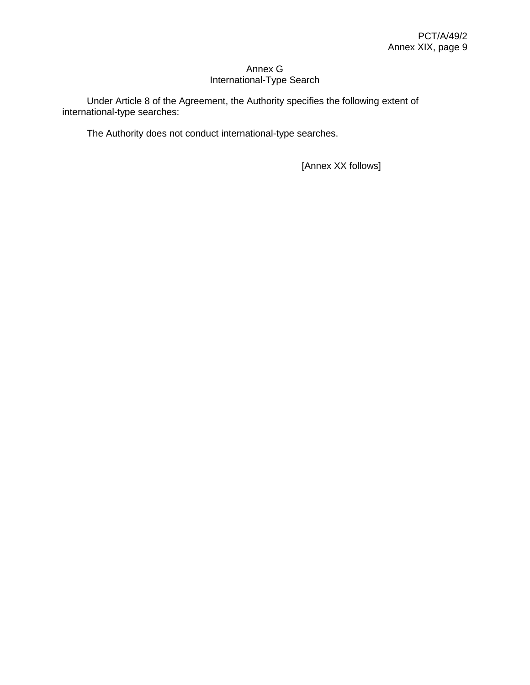# Annex G International-Type Search

Under Article 8 of the Agreement, the Authority specifies the following extent of international-type searches:

The Authority does not conduct international-type searches.

[Annex XX follows]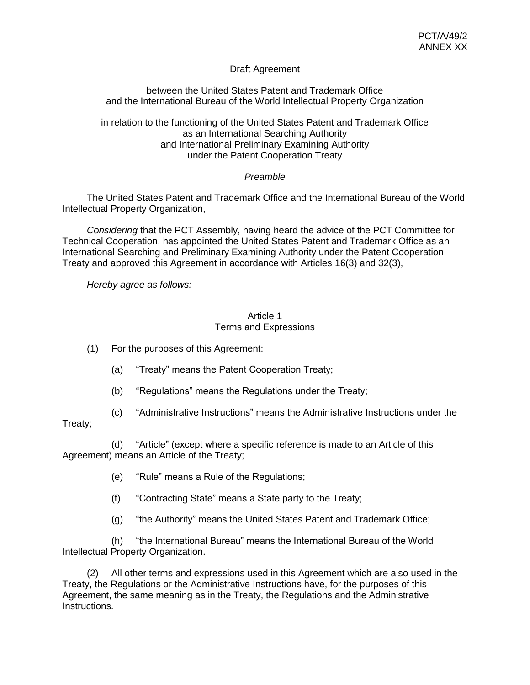# Draft Agreement

between the United States Patent and Trademark Office and the International Bureau of the World Intellectual Property Organization

in relation to the functioning of the United States Patent and Trademark Office as an International Searching Authority and International Preliminary Examining Authority under the Patent Cooperation Treaty

# *Preamble*

The United States Patent and Trademark Office and the International Bureau of the World Intellectual Property Organization,

*Considering* that the PCT Assembly, having heard the advice of the PCT Committee for Technical Cooperation, has appointed the United States Patent and Trademark Office as an International Searching and Preliminary Examining Authority under the Patent Cooperation Treaty and approved this Agreement in accordance with Articles 16(3) and 32(3),

*Hereby agree as follows:*

### Article 1 Terms and Expressions

(1) For the purposes of this Agreement:

- (a) "Treaty" means the Patent Cooperation Treaty;
- (b) "Regulations" means the Regulations under the Treaty;
- (c) "Administrative Instructions" means the Administrative Instructions under the

# Treaty;

(d) "Article" (except where a specific reference is made to an Article of this Agreement) means an Article of the Treaty;

- (e) "Rule" means a Rule of the Regulations;
- (f) "Contracting State" means a State party to the Treaty;
- (g) "the Authority" means the United States Patent and Trademark Office;

(h) "the International Bureau" means the International Bureau of the World Intellectual Property Organization.

(2) All other terms and expressions used in this Agreement which are also used in the Treaty, the Regulations or the Administrative Instructions have, for the purposes of this Agreement, the same meaning as in the Treaty, the Regulations and the Administrative Instructions.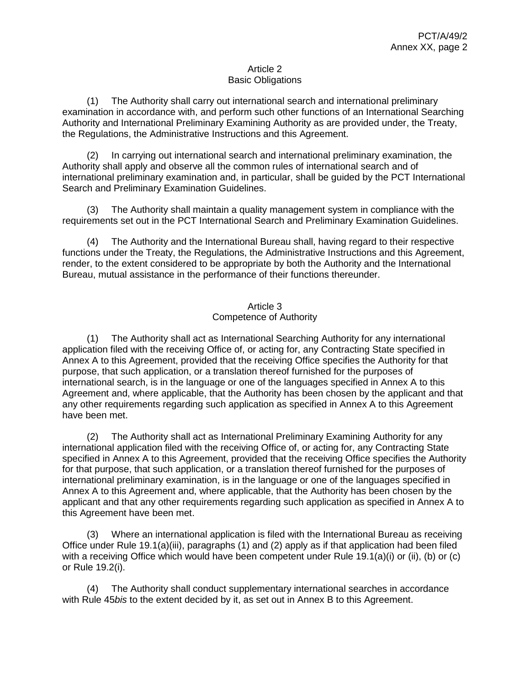### Article 2 Basic Obligations

(1) The Authority shall carry out international search and international preliminary examination in accordance with, and perform such other functions of an International Searching Authority and International Preliminary Examining Authority as are provided under, the Treaty, the Regulations, the Administrative Instructions and this Agreement.

(2) In carrying out international search and international preliminary examination, the Authority shall apply and observe all the common rules of international search and of international preliminary examination and, in particular, shall be guided by the PCT International Search and Preliminary Examination Guidelines.

(3) The Authority shall maintain a quality management system in compliance with the requirements set out in the PCT International Search and Preliminary Examination Guidelines.

(4) The Authority and the International Bureau shall, having regard to their respective functions under the Treaty, the Regulations, the Administrative Instructions and this Agreement, render, to the extent considered to be appropriate by both the Authority and the International Bureau, mutual assistance in the performance of their functions thereunder.

# Article 3 Competence of Authority

(1) The Authority shall act as International Searching Authority for any international application filed with the receiving Office of, or acting for, any Contracting State specified in Annex A to this Agreement, provided that the receiving Office specifies the Authority for that purpose, that such application, or a translation thereof furnished for the purposes of international search, is in the language or one of the languages specified in Annex A to this Agreement and, where applicable, that the Authority has been chosen by the applicant and that any other requirements regarding such application as specified in Annex A to this Agreement have been met.

(2) The Authority shall act as International Preliminary Examining Authority for any international application filed with the receiving Office of, or acting for, any Contracting State specified in Annex A to this Agreement, provided that the receiving Office specifies the Authority for that purpose, that such application, or a translation thereof furnished for the purposes of international preliminary examination, is in the language or one of the languages specified in Annex A to this Agreement and, where applicable, that the Authority has been chosen by the applicant and that any other requirements regarding such application as specified in Annex A to this Agreement have been met.

(3) Where an international application is filed with the International Bureau as receiving Office under Rule 19.1(a)(iii), paragraphs (1) and (2) apply as if that application had been filed with a receiving Office which would have been competent under Rule 19.1(a)(i) or (ii), (b) or (c) or Rule 19.2(i).

(4) The Authority shall conduct supplementary international searches in accordance with Rule 45*bis* to the extent decided by it, as set out in Annex B to this Agreement.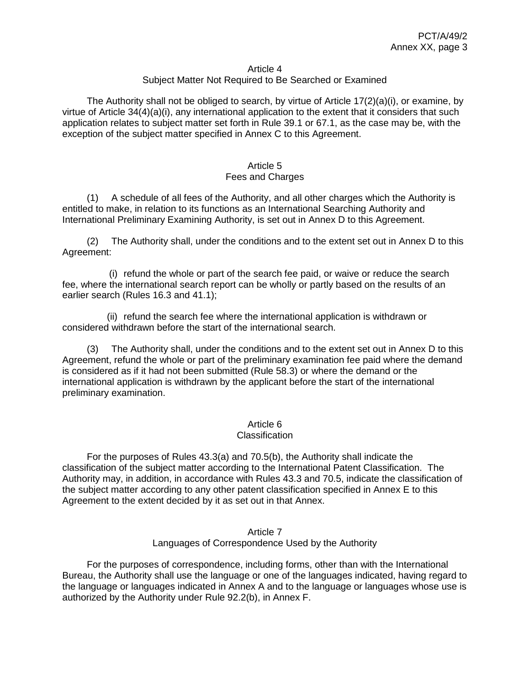#### Article 4

### Subject Matter Not Required to Be Searched or Examined

The Authority shall not be obliged to search, by virtue of Article  $17(2)(a)(i)$ , or examine, by virtue of Article 34(4)(a)(i), any international application to the extent that it considers that such application relates to subject matter set forth in Rule 39.1 or 67.1, as the case may be, with the exception of the subject matter specified in Annex C to this Agreement.

#### Article 5 Fees and Charges

(1) A schedule of all fees of the Authority, and all other charges which the Authority is entitled to make, in relation to its functions as an International Searching Authority and International Preliminary Examining Authority, is set out in Annex D to this Agreement.

(2) The Authority shall, under the conditions and to the extent set out in Annex D to this Agreement:

(i) refund the whole or part of the search fee paid, or waive or reduce the search fee, where the international search report can be wholly or partly based on the results of an earlier search (Rules 16.3 and 41.1);

(ii) refund the search fee where the international application is withdrawn or considered withdrawn before the start of the international search.

(3) The Authority shall, under the conditions and to the extent set out in Annex D to this Agreement, refund the whole or part of the preliminary examination fee paid where the demand is considered as if it had not been submitted (Rule 58.3) or where the demand or the international application is withdrawn by the applicant before the start of the international preliminary examination.

### Article 6

#### **Classification**

For the purposes of Rules 43.3(a) and 70.5(b), the Authority shall indicate the classification of the subject matter according to the International Patent Classification. The Authority may, in addition, in accordance with Rules 43.3 and 70.5, indicate the classification of the subject matter according to any other patent classification specified in Annex E to this Agreement to the extent decided by it as set out in that Annex.

### Article 7 Languages of Correspondence Used by the Authority

For the purposes of correspondence, including forms, other than with the International Bureau, the Authority shall use the language or one of the languages indicated, having regard to the language or languages indicated in Annex A and to the language or languages whose use is authorized by the Authority under Rule 92.2(b), in Annex F.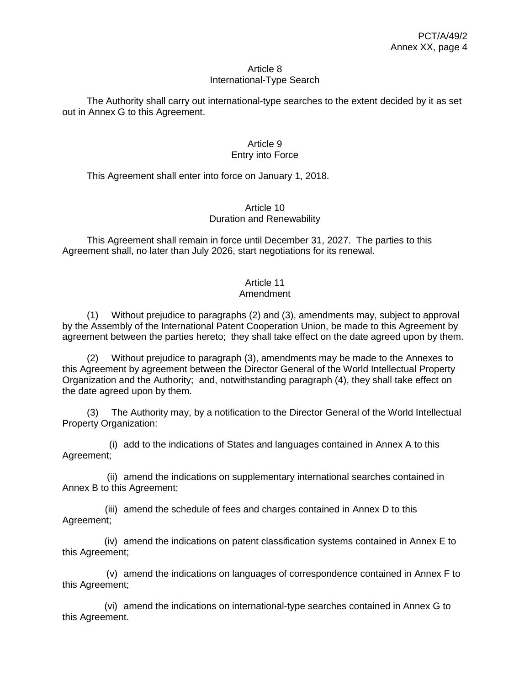#### Article 8 International-Type Search

The Authority shall carry out international-type searches to the extent decided by it as set out in Annex G to this Agreement.

### Article 9 Entry into Force

This Agreement shall enter into force on January 1, 2018.

### Article 10 Duration and Renewability

This Agreement shall remain in force until December 31, 2027. The parties to this Agreement shall, no later than July 2026, start negotiations for its renewal.

# Article 11

# Amendment

(1) Without prejudice to paragraphs (2) and (3), amendments may, subject to approval by the Assembly of the International Patent Cooperation Union, be made to this Agreement by agreement between the parties hereto; they shall take effect on the date agreed upon by them.

(2) Without prejudice to paragraph (3), amendments may be made to the Annexes to this Agreement by agreement between the Director General of the World Intellectual Property Organization and the Authority; and, notwithstanding paragraph (4), they shall take effect on the date agreed upon by them.

(3) The Authority may, by a notification to the Director General of the World Intellectual Property Organization:

(i) add to the indications of States and languages contained in Annex A to this Agreement;

(ii) amend the indications on supplementary international searches contained in Annex B to this Agreement;

(iii) amend the schedule of fees and charges contained in Annex D to this Agreement;

(iv) amend the indications on patent classification systems contained in Annex E to this Agreement;

(v) amend the indications on languages of correspondence contained in Annex F to this Agreement;

(vi) amend the indications on international-type searches contained in Annex G to this Agreement.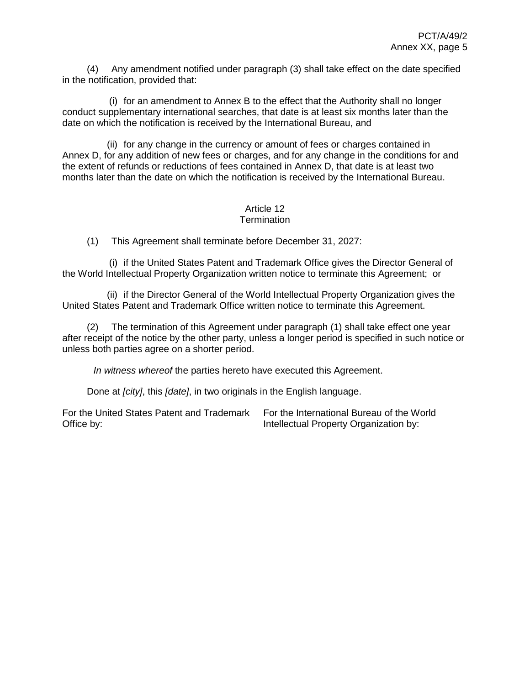(4) Any amendment notified under paragraph (3) shall take effect on the date specified in the notification, provided that:

(i) for an amendment to Annex B to the effect that the Authority shall no longer conduct supplementary international searches, that date is at least six months later than the date on which the notification is received by the International Bureau, and

(ii) for any change in the currency or amount of fees or charges contained in Annex D, for any addition of new fees or charges, and for any change in the conditions for and the extent of refunds or reductions of fees contained in Annex D, that date is at least two months later than the date on which the notification is received by the International Bureau.

#### Article 12 **Termination**

(1) This Agreement shall terminate before December 31, 2027:

(i) if the United States Patent and Trademark Office gives the Director General of the World Intellectual Property Organization written notice to terminate this Agreement; or

(ii) if the Director General of the World Intellectual Property Organization gives the United States Patent and Trademark Office written notice to terminate this Agreement.

(2) The termination of this Agreement under paragraph (1) shall take effect one year after receipt of the notice by the other party, unless a longer period is specified in such notice or unless both parties agree on a shorter period.

*In witness whereof* the parties hereto have executed this Agreement.

Done at *[city]*, this *[date]*, in two originals in the English language.

For the United States Patent and Trademark Office by:

For the International Bureau of the World Intellectual Property Organization by: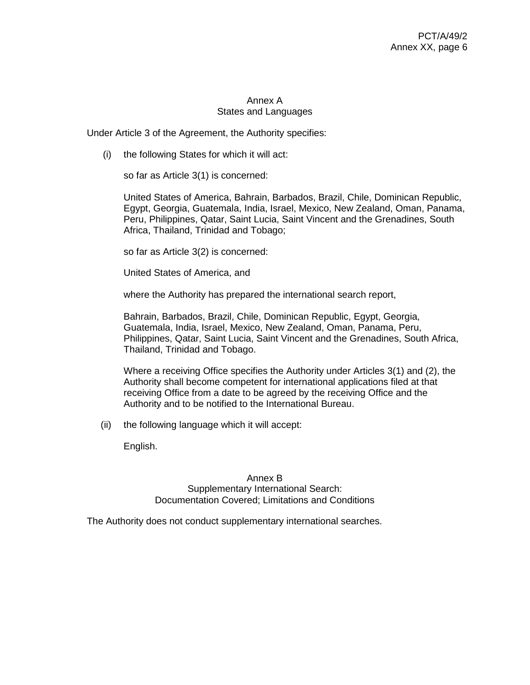## Annex A States and Languages

Under Article 3 of the Agreement, the Authority specifies:

(i) the following States for which it will act:

so far as Article 3(1) is concerned:

United States of America, Bahrain, Barbados, Brazil, Chile, Dominican Republic, Egypt, Georgia, Guatemala, India, Israel, Mexico, New Zealand, Oman, Panama, Peru, Philippines, Qatar, Saint Lucia, Saint Vincent and the Grenadines, South Africa, Thailand, Trinidad and Tobago;

so far as Article 3(2) is concerned:

United States of America, and

where the Authority has prepared the international search report,

Bahrain, Barbados, Brazil, Chile, Dominican Republic, Egypt, Georgia, Guatemala, India, Israel, Mexico, New Zealand, Oman, Panama, Peru, Philippines, Qatar, Saint Lucia, Saint Vincent and the Grenadines, South Africa, Thailand, Trinidad and Tobago.

Where a receiving Office specifies the Authority under Articles 3(1) and (2), the Authority shall become competent for international applications filed at that receiving Office from a date to be agreed by the receiving Office and the Authority and to be notified to the International Bureau.

(ii) the following language which it will accept:

English.

Annex B Supplementary International Search: Documentation Covered; Limitations and Conditions

The Authority does not conduct supplementary international searches.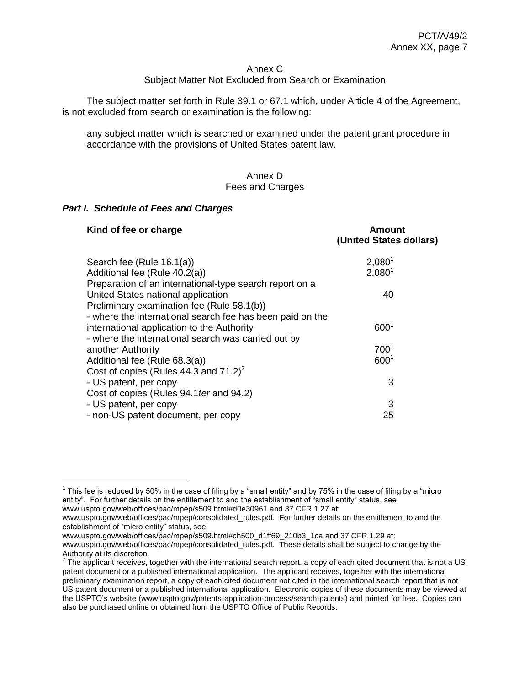#### Annex C

#### Subject Matter Not Excluded from Search or Examination

The subject matter set forth in Rule 39.1 or 67.1 which, under Article 4 of the Agreement, is not excluded from search or examination is the following:

any subject matter which is searched or examined under the patent grant procedure in accordance with the provisions of United States patent law.

#### Annex D Fees and Charges

#### *Part I. Schedule of Fees and Charges*

| Kind of fee or charge                                     | Amount<br>(United States dollars) |
|-----------------------------------------------------------|-----------------------------------|
| Search fee (Rule 16.1(a))                                 | $2,080^1$                         |
| Additional fee (Rule 40.2(a))                             | $2,080^1$                         |
| Preparation of an international-type search report on a   |                                   |
| United States national application                        | 40                                |
| Preliminary examination fee (Rule 58.1(b))                |                                   |
| - where the international search fee has been paid on the |                                   |
| international application to the Authority                | 600 <sup>1</sup>                  |
| - where the international search was carried out by       |                                   |
| another Authority                                         | 700 <sup>1</sup>                  |
| Additional fee (Rule 68.3(a))                             | 600 <sup>1</sup>                  |
| Cost of copies (Rules 44.3 and $71.2$ ) <sup>2</sup>      |                                   |
| - US patent, per copy                                     | 3                                 |
| Cost of copies (Rules 94.1 ter and 94.2)                  |                                   |
| - US patent, per copy                                     | 3                                 |
| - non-US patent document, per copy                        | 25                                |

<sup>1</sup> This fee is reduced by 50% in the case of filing by a "small entity" and by 75% in the case of filing by a "micro entity". For further details on the entitlement to and the establishment of "small entity" status, see [www.uspto.gov/web/offices/pac/mpep/s509.html#d0e30961](file://///adi.wipo.int/wipodata/DAT1/OrgPctLdev/Shared/Agreements%20with%20IAs/Applications%20for%20Extension%202017/Draft%20agreements/US/www.uspto.gov/web/offices/pac/mpep/s509.html%23d0e30961) and 37 CFR 1.27 at:

[www.uspto.gov/web/offices/pac/mpep/s509.html#ch500\\_d1ff69\\_210b3\\_1ca](file://///adi.wipo.int/wipodata/DAT1/OrgPctLdev/Shared/Agreements%20with%20IAs/Applications%20for%20Extension%202017/Draft%20agreements/US/www.uspto.gov/web/offices/pac/mpep/s509.html%23ch500_d1ff69_210b3_1ca) and 37 CFR 1.29 at: [www.uspto.gov/web/offices/pac/mpep/consolidated\\_rules.pdf.](http://www.uspto.gov/web/offices/pac/mpep/consolidated_rules.pdf) These details shall be subject to change by the

[www.uspto.gov/web/offices/pac/mpep/consolidated\\_rules.pdf.](file://///adi.wipo.int/wipodata/DAT1/OrgPctLdev/Shared/Agreements%20with%20IAs/Applications%20for%20Extension%202017/Draft%20agreements/US/www.uspto.gov/web/offices/pac/mpep/consolidated_rules.pdf) For further details on the entitlement to and the establishment of "micro entity" status, see

Authority at its discretion.<br><sup>2</sup> The applicant receives, together with the international search report, a copy of each cited document that is not a US patent document or a published international application. The applicant receives, together with the international preliminary examination report, a copy of each cited document not cited in the international search report that is not US patent document or a published international application. Electronic copies of these documents may be viewed at the USPTO's website [\(www.uspto.gov/patents-application-process/search-patents\)](http://www.uspto.gov/patents-application-process/search-patents) and printed for free. Copies can also be purchased online or obtained from the USPTO Office of Public Records.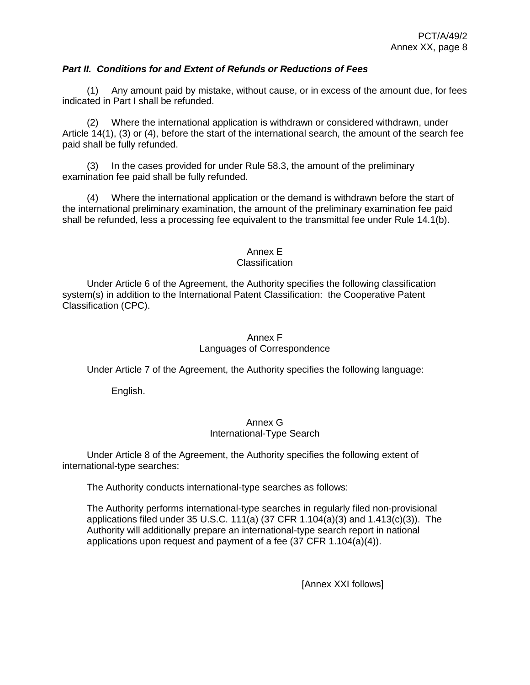### *Part II. Conditions for and Extent of Refunds or Reductions of Fees*

(1) Any amount paid by mistake, without cause, or in excess of the amount due, for fees indicated in Part I shall be refunded.

(2) Where the international application is withdrawn or considered withdrawn, under Article 14(1), (3) or (4), before the start of the international search, the amount of the search fee paid shall be fully refunded.

(3) In the cases provided for under Rule 58.3, the amount of the preliminary examination fee paid shall be fully refunded.

(4) Where the international application or the demand is withdrawn before the start of the international preliminary examination, the amount of the preliminary examination fee paid shall be refunded, less a processing fee equivalent to the transmittal fee under Rule 14.1(b).

### Annex E

### **Classification**

Under Article 6 of the Agreement, the Authority specifies the following classification system(s) in addition to the International Patent Classification: the Cooperative Patent Classification (CPC).

### Annex F Languages of Correspondence

Under Article 7 of the Agreement, the Authority specifies the following language:

English.

### Annex G International-Type Search

Under Article 8 of the Agreement, the Authority specifies the following extent of international-type searches:

The Authority conducts international-type searches as follows:

The Authority performs international-type searches in regularly filed non-provisional applications filed under 35 U.S.C. 111(a)  $(37 \text{ CFR } 1.104(a)(3)$  and  $1.413(c)(3)$ . The Authority will additionally prepare an international-type search report in national applications upon request and payment of a fee (37 CFR 1.104(a)(4)).

[Annex XXI follows]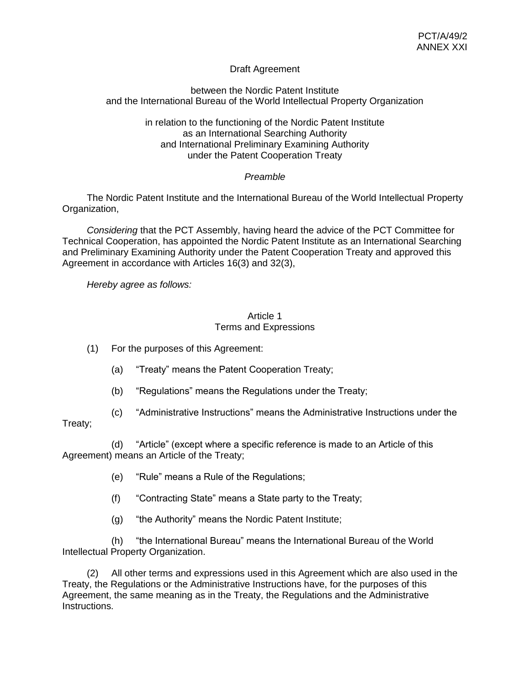## Draft Agreement

### between the Nordic Patent Institute and the International Bureau of the World Intellectual Property Organization

### in relation to the functioning of the Nordic Patent Institute as an International Searching Authority and International Preliminary Examining Authority under the Patent Cooperation Treaty

# *Preamble*

The Nordic Patent Institute and the International Bureau of the World Intellectual Property Organization,

*Considering* that the PCT Assembly, having heard the advice of the PCT Committee for Technical Cooperation, has appointed the Nordic Patent Institute as an International Searching and Preliminary Examining Authority under the Patent Cooperation Treaty and approved this Agreement in accordance with Articles 16(3) and 32(3),

*Hereby agree as follows:*

### Article 1 Terms and Expressions

- (1) For the purposes of this Agreement:
	- (a) "Treaty" means the Patent Cooperation Treaty;
	- (b) "Regulations" means the Regulations under the Treaty;
- (c) "Administrative Instructions" means the Administrative Instructions under the

# Treaty;

(d) "Article" (except where a specific reference is made to an Article of this Agreement) means an Article of the Treaty;

- (e) "Rule" means a Rule of the Regulations;
- (f) "Contracting State" means a State party to the Treaty;
- (g) "the Authority" means the Nordic Patent Institute;

(h) "the International Bureau" means the International Bureau of the World Intellectual Property Organization.

(2) All other terms and expressions used in this Agreement which are also used in the Treaty, the Regulations or the Administrative Instructions have, for the purposes of this Agreement, the same meaning as in the Treaty, the Regulations and the Administrative Instructions.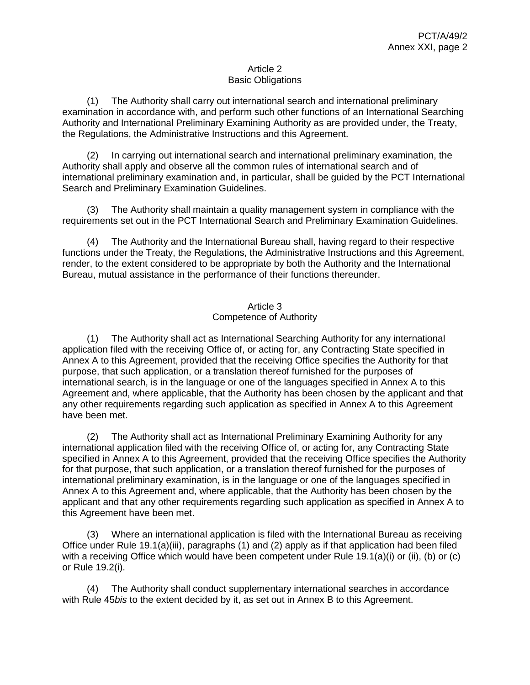### Article 2 Basic Obligations

(1) The Authority shall carry out international search and international preliminary examination in accordance with, and perform such other functions of an International Searching Authority and International Preliminary Examining Authority as are provided under, the Treaty, the Regulations, the Administrative Instructions and this Agreement.

(2) In carrying out international search and international preliminary examination, the Authority shall apply and observe all the common rules of international search and of international preliminary examination and, in particular, shall be guided by the PCT International Search and Preliminary Examination Guidelines.

(3) The Authority shall maintain a quality management system in compliance with the requirements set out in the PCT International Search and Preliminary Examination Guidelines.

(4) The Authority and the International Bureau shall, having regard to their respective functions under the Treaty, the Regulations, the Administrative Instructions and this Agreement, render, to the extent considered to be appropriate by both the Authority and the International Bureau, mutual assistance in the performance of their functions thereunder.

# Article 3 Competence of Authority

(1) The Authority shall act as International Searching Authority for any international application filed with the receiving Office of, or acting for, any Contracting State specified in Annex A to this Agreement, provided that the receiving Office specifies the Authority for that purpose, that such application, or a translation thereof furnished for the purposes of international search, is in the language or one of the languages specified in Annex A to this Agreement and, where applicable, that the Authority has been chosen by the applicant and that any other requirements regarding such application as specified in Annex A to this Agreement have been met.

(2) The Authority shall act as International Preliminary Examining Authority for any international application filed with the receiving Office of, or acting for, any Contracting State specified in Annex A to this Agreement, provided that the receiving Office specifies the Authority for that purpose, that such application, or a translation thereof furnished for the purposes of international preliminary examination, is in the language or one of the languages specified in Annex A to this Agreement and, where applicable, that the Authority has been chosen by the applicant and that any other requirements regarding such application as specified in Annex A to this Agreement have been met.

(3) Where an international application is filed with the International Bureau as receiving Office under Rule 19.1(a)(iii), paragraphs (1) and (2) apply as if that application had been filed with a receiving Office which would have been competent under Rule 19.1(a)(i) or (ii), (b) or (c) or Rule 19.2(i).

(4) The Authority shall conduct supplementary international searches in accordance with Rule 45*bis* to the extent decided by it, as set out in Annex B to this Agreement.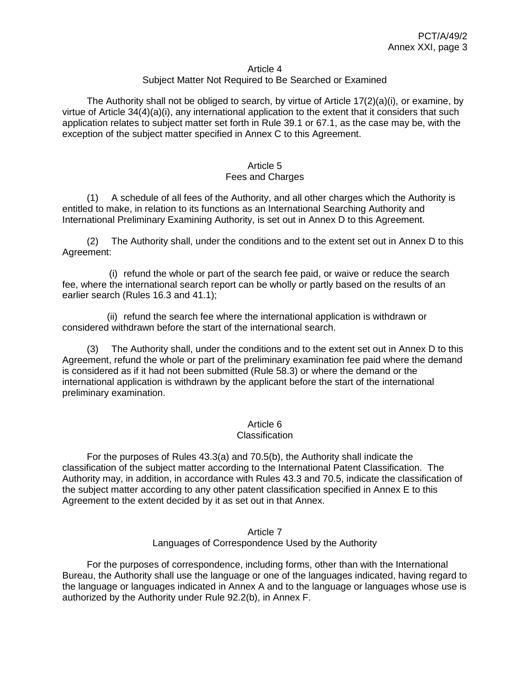#### Article 4

### Subject Matter Not Required to Be Searched or Examined

The Authority shall not be obliged to search, by virtue of Article  $17(2)(a)(i)$ , or examine, by virtue of Article 34(4)(a)(i), any international application to the extent that it considers that such application relates to subject matter set forth in Rule 39.1 or 67.1, as the case may be, with the exception of the subject matter specified in Annex C to this Agreement.

#### Article 5 Fees and Charges

(1) A schedule of all fees of the Authority, and all other charges which the Authority is entitled to make, in relation to its functions as an International Searching Authority and International Preliminary Examining Authority, is set out in Annex D to this Agreement.

(2) The Authority shall, under the conditions and to the extent set out in Annex D to this Agreement:

(i) refund the whole or part of the search fee paid, or waive or reduce the search fee, where the international search report can be wholly or partly based on the results of an earlier search (Rules 16.3 and 41.1);

(ii) refund the search fee where the international application is withdrawn or considered withdrawn before the start of the international search.

(3) The Authority shall, under the conditions and to the extent set out in Annex D to this Agreement, refund the whole or part of the preliminary examination fee paid where the demand is considered as if it had not been submitted (Rule 58.3) or where the demand or the international application is withdrawn by the applicant before the start of the international preliminary examination.

### Article 6

#### **Classification**

For the purposes of Rules 43.3(a) and 70.5(b), the Authority shall indicate the classification of the subject matter according to the International Patent Classification. The Authority may, in addition, in accordance with Rules 43.3 and 70.5, indicate the classification of the subject matter according to any other patent classification specified in Annex E to this Agreement to the extent decided by it as set out in that Annex.

#### Article 7 Languages of Correspondence Used by the Authority

For the purposes of correspondence, including forms, other than with the International Bureau, the Authority shall use the language or one of the languages indicated, having regard to the language or languages indicated in Annex A and to the language or languages whose use is authorized by the Authority under Rule 92.2(b), in Annex F.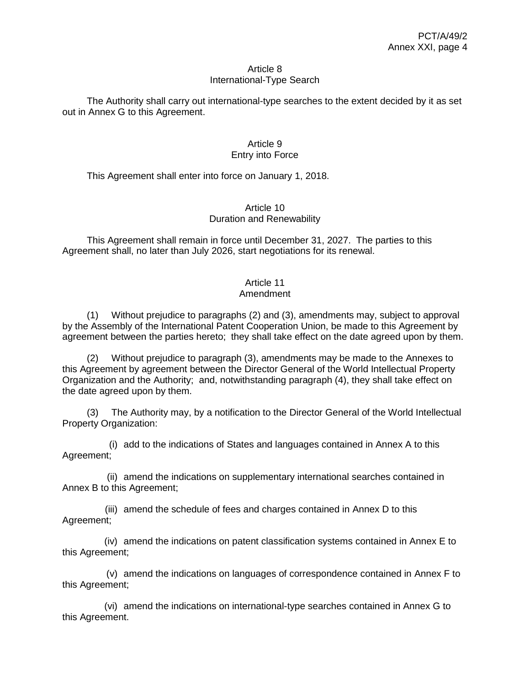#### Article 8 International-Type Search

The Authority shall carry out international-type searches to the extent decided by it as set out in Annex G to this Agreement.

### Article 9 Entry into Force

This Agreement shall enter into force on January 1, 2018.

### Article 10 Duration and Renewability

This Agreement shall remain in force until December 31, 2027. The parties to this Agreement shall, no later than July 2026, start negotiations for its renewal.

# Article 11

# Amendment

(1) Without prejudice to paragraphs (2) and (3), amendments may, subject to approval by the Assembly of the International Patent Cooperation Union, be made to this Agreement by agreement between the parties hereto; they shall take effect on the date agreed upon by them.

(2) Without prejudice to paragraph (3), amendments may be made to the Annexes to this Agreement by agreement between the Director General of the World Intellectual Property Organization and the Authority; and, notwithstanding paragraph (4), they shall take effect on the date agreed upon by them.

(3) The Authority may, by a notification to the Director General of the World Intellectual Property Organization:

(i) add to the indications of States and languages contained in Annex A to this Agreement;

(ii) amend the indications on supplementary international searches contained in Annex B to this Agreement;

(iii) amend the schedule of fees and charges contained in Annex D to this Agreement;

(iv) amend the indications on patent classification systems contained in Annex E to this Agreement;

(v) amend the indications on languages of correspondence contained in Annex F to this Agreement;

(vi) amend the indications on international-type searches contained in Annex G to this Agreement.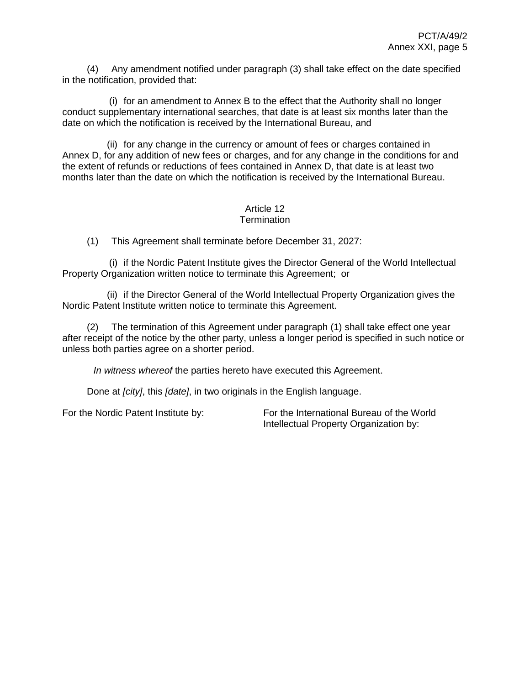(4) Any amendment notified under paragraph (3) shall take effect on the date specified in the notification, provided that:

(i) for an amendment to Annex B to the effect that the Authority shall no longer conduct supplementary international searches, that date is at least six months later than the date on which the notification is received by the International Bureau, and

(ii) for any change in the currency or amount of fees or charges contained in Annex D, for any addition of new fees or charges, and for any change in the conditions for and the extent of refunds or reductions of fees contained in Annex D, that date is at least two months later than the date on which the notification is received by the International Bureau.

#### Article 12 **Termination**

(1) This Agreement shall terminate before December 31, 2027:

(i) if the Nordic Patent Institute gives the Director General of the World Intellectual Property Organization written notice to terminate this Agreement; or

(ii) if the Director General of the World Intellectual Property Organization gives the Nordic Patent Institute written notice to terminate this Agreement.

(2) The termination of this Agreement under paragraph (1) shall take effect one year after receipt of the notice by the other party, unless a longer period is specified in such notice or unless both parties agree on a shorter period.

*In witness whereof* the parties hereto have executed this Agreement.

Done at *[city]*, this *[date]*, in two originals in the English language.

For the Nordic Patent Institute by: For the International Bureau of the World Intellectual Property Organization by: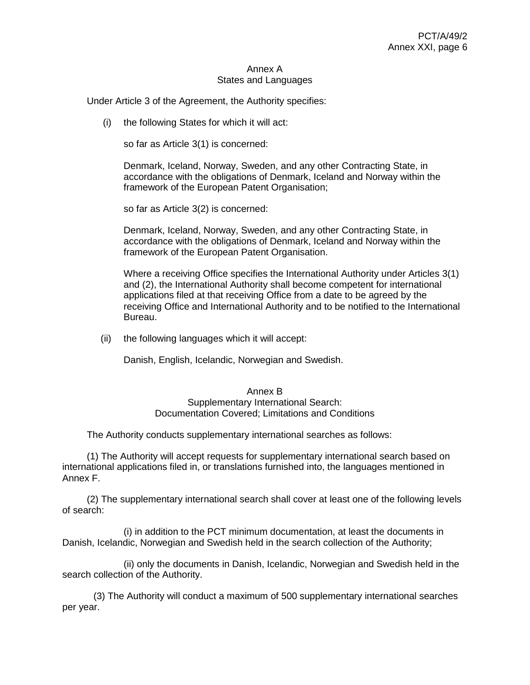#### Annex A States and Languages

Under Article 3 of the Agreement, the Authority specifies:

(i) the following States for which it will act:

so far as Article 3(1) is concerned:

Denmark, Iceland, Norway, Sweden, and any other Contracting State, in accordance with the obligations of Denmark, Iceland and Norway within the framework of the European Patent Organisation;

so far as Article 3(2) is concerned:

Denmark, Iceland, Norway, Sweden, and any other Contracting State, in accordance with the obligations of Denmark, Iceland and Norway within the framework of the European Patent Organisation.

Where a receiving Office specifies the International Authority under Articles 3(1) and (2), the International Authority shall become competent for international applications filed at that receiving Office from a date to be agreed by the receiving Office and International Authority and to be notified to the International Bureau.

(ii) the following languages which it will accept:

Danish, English, Icelandic, Norwegian and Swedish.

#### Annex B Supplementary International Search: Documentation Covered; Limitations and Conditions

The Authority conducts supplementary international searches as follows:

(1) The Authority will accept requests for supplementary international search based on international applications filed in, or translations furnished into, the languages mentioned in Annex F.

(2) The supplementary international search shall cover at least one of the following levels of search:

(i) in addition to the PCT minimum documentation, at least the documents in Danish, Icelandic, Norwegian and Swedish held in the search collection of the Authority;

(ii) only the documents in Danish, Icelandic, Norwegian and Swedish held in the search collection of the Authority.

(3) The Authority will conduct a maximum of 500 supplementary international searches per year.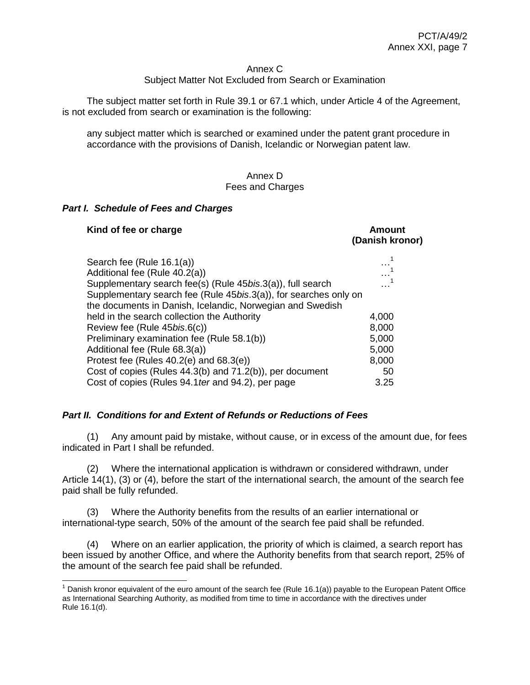#### Annex C

### Subject Matter Not Excluded from Search or Examination

The subject matter set forth in Rule 39.1 or 67.1 which, under Article 4 of the Agreement, is not excluded from search or examination is the following:

any subject matter which is searched or examined under the patent grant procedure in accordance with the provisions of Danish, Icelandic or Norwegian patent law.

#### Annex D Fees and Charges

#### *Part I. Schedule of Fees and Charges*

 $\overline{a}$ 

| Kind of fee or charge                                                                                                          | Amount<br>(Danish kronor) |
|--------------------------------------------------------------------------------------------------------------------------------|---------------------------|
| Search fee (Rule 16.1(a))<br>Additional fee (Rule 40.2(a))                                                                     |                           |
| Supplementary search fee(s) (Rule 45bis.3(a)), full search<br>Supplementary search fee (Rule 45bis.3(a)), for searches only on |                           |
| the documents in Danish, Icelandic, Norwegian and Swedish                                                                      |                           |
| held in the search collection the Authority                                                                                    | 4,000                     |
| Review fee (Rule 45 <i>bis.6(c)</i> )                                                                                          | 8,000                     |
| Preliminary examination fee (Rule 58.1(b))                                                                                     | 5,000                     |
| Additional fee (Rule 68.3(a))                                                                                                  | 5,000                     |
| Protest fee (Rules $40.2(e)$ and $68.3(e)$ )                                                                                   | 8,000                     |
| Cost of copies (Rules 44.3(b) and 71.2(b)), per document                                                                       | 50                        |
| Cost of copies (Rules 94.1 ter and 94.2), per page                                                                             | 3.25                      |

### *Part II. Conditions for and Extent of Refunds or Reductions of Fees*

(1) Any amount paid by mistake, without cause, or in excess of the amount due, for fees indicated in Part I shall be refunded.

(2) Where the international application is withdrawn or considered withdrawn, under Article 14(1), (3) or (4), before the start of the international search, the amount of the search fee paid shall be fully refunded.

(3) Where the Authority benefits from the results of an earlier international or international-type search, 50% of the amount of the search fee paid shall be refunded.

(4) Where on an earlier application, the priority of which is claimed, a search report has been issued by another Office, and where the Authority benefits from that search report, 25% of the amount of the search fee paid shall be refunded.

 $1$  Danish kronor equivalent of the euro amount of the search fee (Rule 16.1(a)) payable to the European Patent Office as International Searching Authority, as modified from time to time in accordance with the directives under Rule 16.1(d).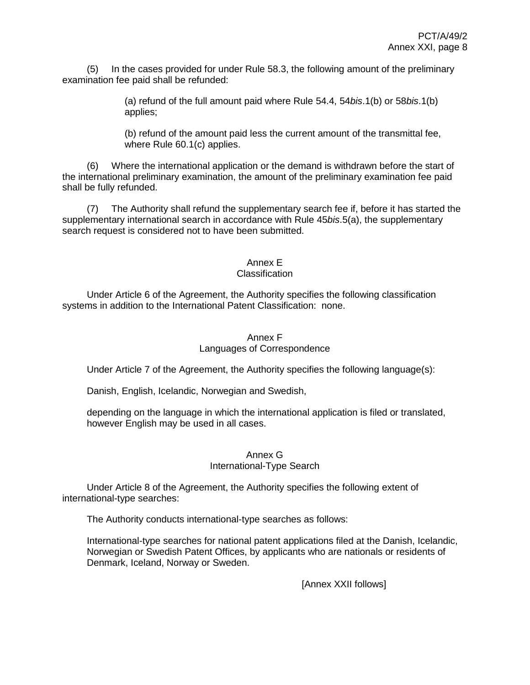(5) In the cases provided for under Rule 58.3, the following amount of the preliminary examination fee paid shall be refunded:

> (a) refund of the full amount paid where Rule 54.4, 54*bis*.1(b) or 58*bis*.1(b) applies;

> (b) refund of the amount paid less the current amount of the transmittal fee, where Rule 60.1(c) applies.

(6) Where the international application or the demand is withdrawn before the start of the international preliminary examination, the amount of the preliminary examination fee paid shall be fully refunded.

(7) The Authority shall refund the supplementary search fee if, before it has started the supplementary international search in accordance with Rule 45*bis*.5(a), the supplementary search request is considered not to have been submitted.

# Annex E

## Classification

Under Article 6 of the Agreement, the Authority specifies the following classification systems in addition to the International Patent Classification: none.

## Annex F Languages of Correspondence

Under Article 7 of the Agreement, the Authority specifies the following language(s):

Danish, English, Icelandic, Norwegian and Swedish,

depending on the language in which the international application is filed or translated, however English may be used in all cases.

### Annex G International-Type Search

Under Article 8 of the Agreement, the Authority specifies the following extent of international-type searches:

The Authority conducts international-type searches as follows:

International-type searches for national patent applications filed at the Danish, Icelandic, Norwegian or Swedish Patent Offices, by applicants who are nationals or residents of Denmark, Iceland, Norway or Sweden.

[Annex XXII follows]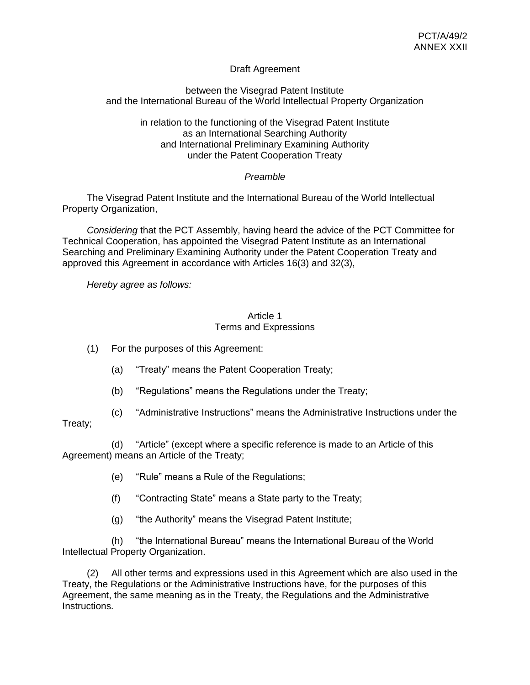## Draft Agreement

### between the Visegrad Patent Institute and the International Bureau of the World Intellectual Property Organization

in relation to the functioning of the Visegrad Patent Institute as an International Searching Authority and International Preliminary Examining Authority under the Patent Cooperation Treaty

### *Preamble*

The Visegrad Patent Institute and the International Bureau of the World Intellectual Property Organization,

*Considering* that the PCT Assembly, having heard the advice of the PCT Committee for Technical Cooperation, has appointed the Visegrad Patent Institute as an International Searching and Preliminary Examining Authority under the Patent Cooperation Treaty and approved this Agreement in accordance with Articles 16(3) and 32(3),

*Hereby agree as follows:*

### Article 1 Terms and Expressions

(1) For the purposes of this Agreement:

- (a) "Treaty" means the Patent Cooperation Treaty;
- (b) "Regulations" means the Regulations under the Treaty;
- (c) "Administrative Instructions" means the Administrative Instructions under the

# Treaty;

(d) "Article" (except where a specific reference is made to an Article of this Agreement) means an Article of the Treaty;

- (e) "Rule" means a Rule of the Regulations;
- (f) "Contracting State" means a State party to the Treaty;
- (g) "the Authority" means the Visegrad Patent Institute;

(h) "the International Bureau" means the International Bureau of the World Intellectual Property Organization.

(2) All other terms and expressions used in this Agreement which are also used in the Treaty, the Regulations or the Administrative Instructions have, for the purposes of this Agreement, the same meaning as in the Treaty, the Regulations and the Administrative Instructions.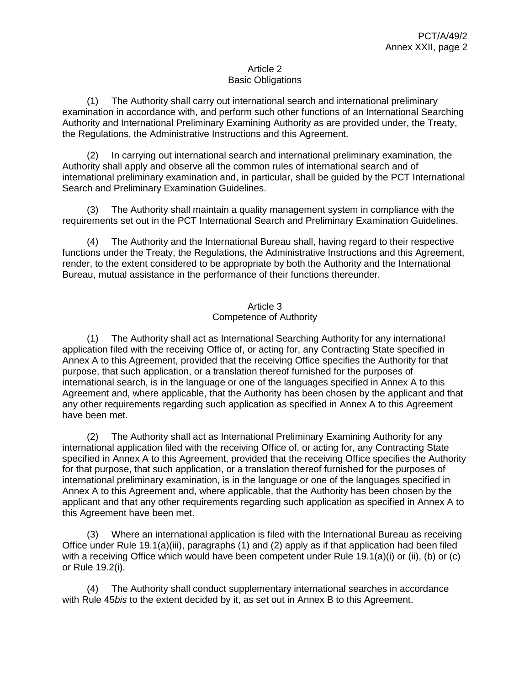## Article 2 Basic Obligations

(1) The Authority shall carry out international search and international preliminary examination in accordance with, and perform such other functions of an International Searching Authority and International Preliminary Examining Authority as are provided under, the Treaty, the Regulations, the Administrative Instructions and this Agreement.

(2) In carrying out international search and international preliminary examination, the Authority shall apply and observe all the common rules of international search and of international preliminary examination and, in particular, shall be guided by the PCT International Search and Preliminary Examination Guidelines.

(3) The Authority shall maintain a quality management system in compliance with the requirements set out in the PCT International Search and Preliminary Examination Guidelines.

(4) The Authority and the International Bureau shall, having regard to their respective functions under the Treaty, the Regulations, the Administrative Instructions and this Agreement, render, to the extent considered to be appropriate by both the Authority and the International Bureau, mutual assistance in the performance of their functions thereunder.

## Article 3 Competence of Authority

(1) The Authority shall act as International Searching Authority for any international application filed with the receiving Office of, or acting for, any Contracting State specified in Annex A to this Agreement, provided that the receiving Office specifies the Authority for that purpose, that such application, or a translation thereof furnished for the purposes of international search, is in the language or one of the languages specified in Annex A to this Agreement and, where applicable, that the Authority has been chosen by the applicant and that any other requirements regarding such application as specified in Annex A to this Agreement have been met.

(2) The Authority shall act as International Preliminary Examining Authority for any international application filed with the receiving Office of, or acting for, any Contracting State specified in Annex A to this Agreement, provided that the receiving Office specifies the Authority for that purpose, that such application, or a translation thereof furnished for the purposes of international preliminary examination, is in the language or one of the languages specified in Annex A to this Agreement and, where applicable, that the Authority has been chosen by the applicant and that any other requirements regarding such application as specified in Annex A to this Agreement have been met.

(3) Where an international application is filed with the International Bureau as receiving Office under Rule 19.1(a)(iii), paragraphs (1) and (2) apply as if that application had been filed with a receiving Office which would have been competent under Rule 19.1(a)(i) or (ii), (b) or (c) or Rule 19.2(i).

(4) The Authority shall conduct supplementary international searches in accordance with Rule 45*bis* to the extent decided by it, as set out in Annex B to this Agreement.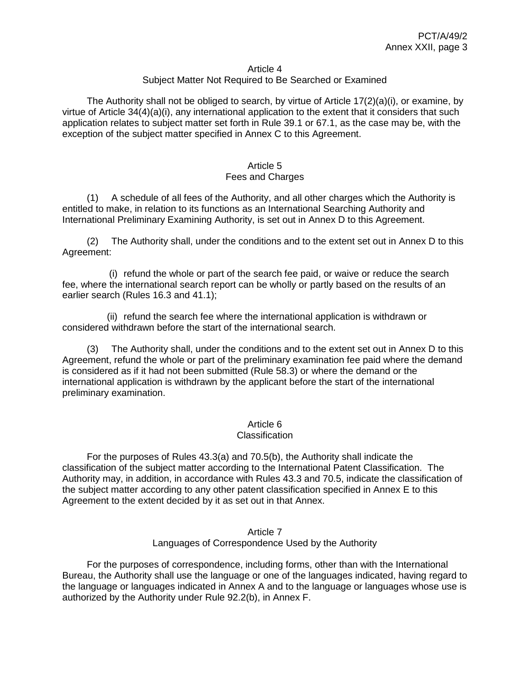#### Article 4

## Subject Matter Not Required to Be Searched or Examined

The Authority shall not be obliged to search, by virtue of Article  $17(2)(a)(i)$ , or examine, by virtue of Article 34(4)(a)(i), any international application to the extent that it considers that such application relates to subject matter set forth in Rule 39.1 or 67.1, as the case may be, with the exception of the subject matter specified in Annex C to this Agreement.

#### Article 5 Fees and Charges

(1) A schedule of all fees of the Authority, and all other charges which the Authority is entitled to make, in relation to its functions as an International Searching Authority and International Preliminary Examining Authority, is set out in Annex D to this Agreement.

(2) The Authority shall, under the conditions and to the extent set out in Annex D to this Agreement:

(i) refund the whole or part of the search fee paid, or waive or reduce the search fee, where the international search report can be wholly or partly based on the results of an earlier search (Rules 16.3 and 41.1);

(ii) refund the search fee where the international application is withdrawn or considered withdrawn before the start of the international search.

(3) The Authority shall, under the conditions and to the extent set out in Annex D to this Agreement, refund the whole or part of the preliminary examination fee paid where the demand is considered as if it had not been submitted (Rule 58.3) or where the demand or the international application is withdrawn by the applicant before the start of the international preliminary examination.

## Article 6

### **Classification**

For the purposes of Rules 43.3(a) and 70.5(b), the Authority shall indicate the classification of the subject matter according to the International Patent Classification. The Authority may, in addition, in accordance with Rules 43.3 and 70.5, indicate the classification of the subject matter according to any other patent classification specified in Annex E to this Agreement to the extent decided by it as set out in that Annex.

#### Article 7 Languages of Correspondence Used by the Authority

For the purposes of correspondence, including forms, other than with the International Bureau, the Authority shall use the language or one of the languages indicated, having regard to the language or languages indicated in Annex A and to the language or languages whose use is authorized by the Authority under Rule 92.2(b), in Annex F.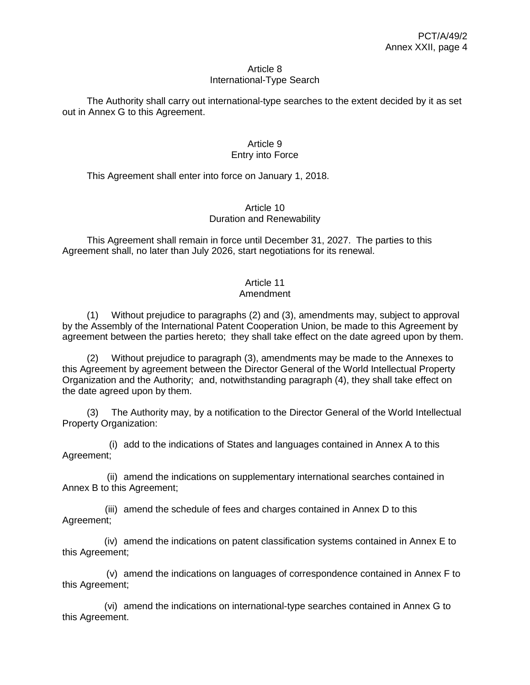#### Article 8 International-Type Search

The Authority shall carry out international-type searches to the extent decided by it as set out in Annex G to this Agreement.

## Article 9 Entry into Force

This Agreement shall enter into force on January 1, 2018.

## Article 10 Duration and Renewability

This Agreement shall remain in force until December 31, 2027. The parties to this Agreement shall, no later than July 2026, start negotiations for its renewal.

# Article 11

## Amendment

(1) Without prejudice to paragraphs (2) and (3), amendments may, subject to approval by the Assembly of the International Patent Cooperation Union, be made to this Agreement by agreement between the parties hereto; they shall take effect on the date agreed upon by them.

(2) Without prejudice to paragraph (3), amendments may be made to the Annexes to this Agreement by agreement between the Director General of the World Intellectual Property Organization and the Authority; and, notwithstanding paragraph (4), they shall take effect on the date agreed upon by them.

(3) The Authority may, by a notification to the Director General of the World Intellectual Property Organization:

(i) add to the indications of States and languages contained in Annex A to this Agreement;

(ii) amend the indications on supplementary international searches contained in Annex B to this Agreement;

(iii) amend the schedule of fees and charges contained in Annex D to this Agreement;

(iv) amend the indications on patent classification systems contained in Annex E to this Agreement;

(v) amend the indications on languages of correspondence contained in Annex F to this Agreement;

(vi) amend the indications on international-type searches contained in Annex G to this Agreement.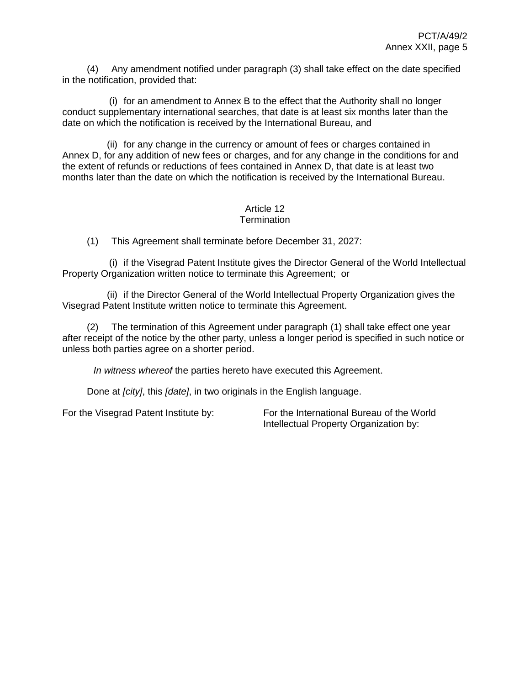(4) Any amendment notified under paragraph (3) shall take effect on the date specified in the notification, provided that:

(i) for an amendment to Annex B to the effect that the Authority shall no longer conduct supplementary international searches, that date is at least six months later than the date on which the notification is received by the International Bureau, and

(ii) for any change in the currency or amount of fees or charges contained in Annex D, for any addition of new fees or charges, and for any change in the conditions for and the extent of refunds or reductions of fees contained in Annex D, that date is at least two months later than the date on which the notification is received by the International Bureau.

#### Article 12 **Termination**

(1) This Agreement shall terminate before December 31, 2027:

(i) if the Visegrad Patent Institute gives the Director General of the World Intellectual Property Organization written notice to terminate this Agreement; or

(ii) if the Director General of the World Intellectual Property Organization gives the Visegrad Patent Institute written notice to terminate this Agreement.

(2) The termination of this Agreement under paragraph (1) shall take effect one year after receipt of the notice by the other party, unless a longer period is specified in such notice or unless both parties agree on a shorter period.

*In witness whereof* the parties hereto have executed this Agreement.

Done at *[city]*, this *[date]*, in two originals in the English language.

For the Visegrad Patent Institute by: For the International Bureau of the World Intellectual Property Organization by: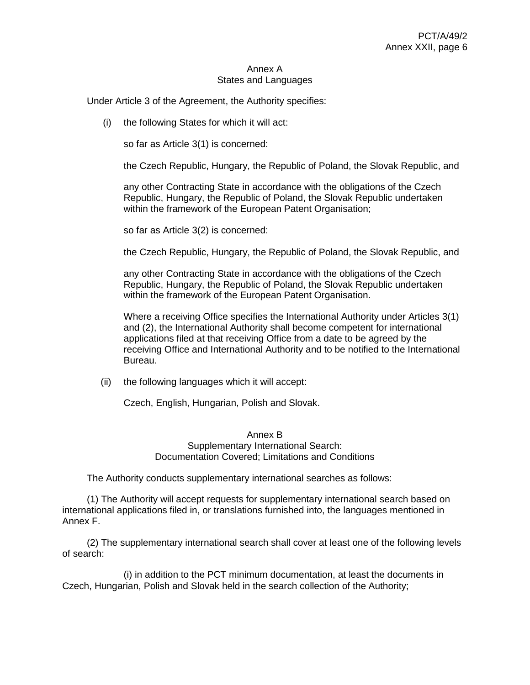#### Annex A States and Languages

Under Article 3 of the Agreement, the Authority specifies:

(i) the following States for which it will act:

so far as Article 3(1) is concerned:

the Czech Republic, Hungary, the Republic of Poland, the Slovak Republic, and

any other Contracting State in accordance with the obligations of the Czech Republic, Hungary, the Republic of Poland, the Slovak Republic undertaken within the framework of the European Patent Organisation;

so far as Article 3(2) is concerned:

the Czech Republic, Hungary, the Republic of Poland, the Slovak Republic, and

any other Contracting State in accordance with the obligations of the Czech Republic, Hungary, the Republic of Poland, the Slovak Republic undertaken within the framework of the European Patent Organisation.

Where a receiving Office specifies the International Authority under Articles 3(1) and (2), the International Authority shall become competent for international applications filed at that receiving Office from a date to be agreed by the receiving Office and International Authority and to be notified to the International Bureau.

(ii) the following languages which it will accept:

Czech, English, Hungarian, Polish and Slovak.

## Annex B Supplementary International Search: Documentation Covered; Limitations and Conditions

The Authority conducts supplementary international searches as follows:

(1) The Authority will accept requests for supplementary international search based on international applications filed in, or translations furnished into, the languages mentioned in Annex F.

(2) The supplementary international search shall cover at least one of the following levels of search:

(i) in addition to the PCT minimum documentation, at least the documents in Czech, Hungarian, Polish and Slovak held in the search collection of the Authority;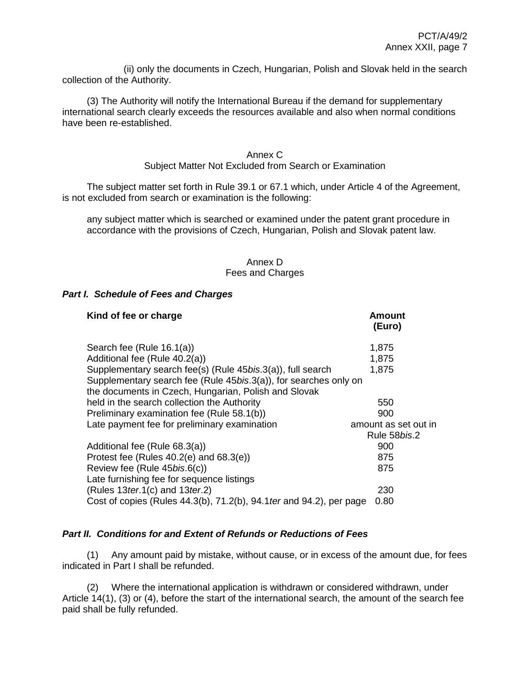(ii) only the documents in Czech, Hungarian, Polish and Slovak held in the search collection of the Authority.

(3) The Authority will notify the International Bureau if the demand for supplementary international search clearly exceeds the resources available and also when normal conditions have been re-established.

## Annex C

#### Subject Matter Not Excluded from Search or Examination

The subject matter set forth in Rule 39.1 or 67.1 which, under Article 4 of the Agreement, is not excluded from search or examination is the following:

any subject matter which is searched or examined under the patent grant procedure in accordance with the provisions of Czech, Hungarian, Polish and Slovak patent law.

## Annex D Fees and Charges

### *Part I. Schedule of Fees and Charges*

| Kind of fee or charge                                                                                                    | <b>Amount</b><br>(Euro) |
|--------------------------------------------------------------------------------------------------------------------------|-------------------------|
| Search fee (Rule 16.1(a))                                                                                                | 1,875                   |
| Additional fee (Rule 40.2(a))                                                                                            | 1,875                   |
| Supplementary search fee(s) (Rule 45 <i>bis.</i> 3(a)), full search                                                      | 1,875                   |
| Supplementary search fee (Rule 45bis.3(a)), for searches only on<br>the documents in Czech, Hungarian, Polish and Slovak |                         |
| held in the search collection the Authority                                                                              | 550                     |
| Preliminary examination fee (Rule 58.1(b))                                                                               | 900                     |
| Late payment fee for preliminary examination                                                                             | amount as set out in    |
|                                                                                                                          | Rule 58 <i>bis</i> .2   |
| Additional fee (Rule 68.3(a))                                                                                            | 900                     |
| Protest fee (Rules $40.2(e)$ and $68.3(e)$ )                                                                             | 875                     |
| Review fee (Rule 45bis.6(c))                                                                                             | 875                     |
| Late furnishing fee for sequence listings                                                                                |                         |
| (Rules 13 ter. $1(c)$ and 13 ter. 2)                                                                                     | 230                     |
| Cost of copies (Rules 44.3(b), 71.2(b), 94.1 ter and 94.2), per page                                                     | 0.80                    |

## *Part II. Conditions for and Extent of Refunds or Reductions of Fees*

(1) Any amount paid by mistake, without cause, or in excess of the amount due, for fees indicated in Part I shall be refunded.

(2) Where the international application is withdrawn or considered withdrawn, under Article 14(1), (3) or (4), before the start of the international search, the amount of the search fee paid shall be fully refunded.